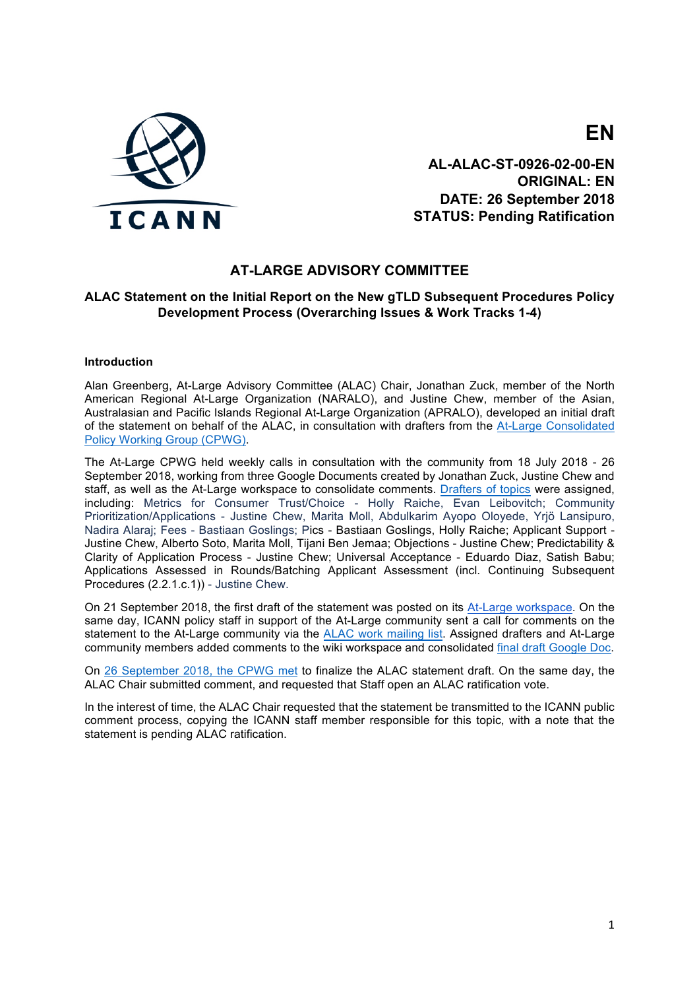

**EN AL-ALAC-ST-0926-02-00-EN**

**ORIGINAL: EN DATE: 26 September 2018 STATUS: Pending Ratification**

# **AT-LARGE ADVISORY COMMITTEE**

# **ALAC Statement on the Initial Report on the New gTLD Subsequent Procedures Policy Development Process (Overarching Issues & Work Tracks 1-4)**

#### **Introduction**

Alan Greenberg, At-Large Advisory Committee (ALAC) Chair, Jonathan Zuck, member of the North American Regional At-Large Organization (NARALO), and Justine Chew, member of the Asian, Australasian and Pacific Islands Regional At-Large Organization (APRALO), developed an initial draft of the statement on behalf of the ALAC, in consultation with drafters from the At-Large Consolidated Policy Working Group (CPWG).

The At-Large CPWG held weekly calls in consultation with the community from 18 July 2018 - 26 September 2018, working from three Google Documents created by Jonathan Zuck, Justine Chew and staff, as well as the At-Large workspace to consolidate comments. Drafters of topics were assigned, including: Metrics for Consumer Trust/Choice - Holly Raiche, Evan Leibovitch; Community Prioritization/Applications - Justine Chew, Marita Moll, Abdulkarim Ayopo Oloyede, Yrjö Lansipuro, Nadira Alaraj; Fees - Bastiaan Goslings; Pics - Bastiaan Goslings, Holly Raiche; Applicant Support - Justine Chew, Alberto Soto, Marita Moll, Tijani Ben Jemaa; Objections - Justine Chew; Predictability & Clarity of Application Process - Justine Chew; Universal Acceptance - Eduardo Diaz, Satish Babu; Applications Assessed in Rounds/Batching Applicant Assessment (incl. Continuing Subsequent Procedures (2.2.1.c.1)) - Justine Chew.

On 21 September 2018, the first draft of the statement was posted on its At-Large workspace. On the same day, ICANN policy staff in support of the At-Large community sent a call for comments on the statement to the At-Large community via the ALAC work mailing list. Assigned drafters and At-Large community members added comments to the wiki workspace and consolidated final draft Google Doc.

On 26 September 2018, the CPWG met to finalize the ALAC statement draft. On the same day, the ALAC Chair submitted comment, and requested that Staff open an ALAC ratification vote.

In the interest of time, the ALAC Chair requested that the statement be transmitted to the ICANN public comment process, copying the ICANN staff member responsible for this topic, with a note that the statement is pending ALAC ratification.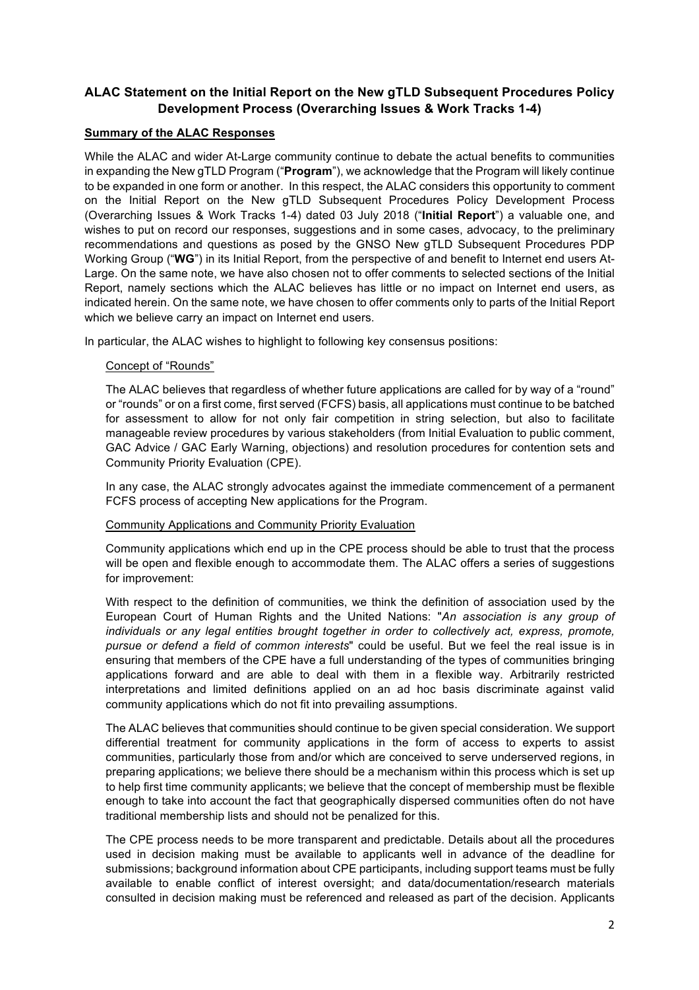# **ALAC Statement on the Initial Report on the New gTLD Subsequent Procedures Policy Development Process (Overarching Issues & Work Tracks 1-4)**

# **Summary of the ALAC Responses**

While the ALAC and wider At-Large community continue to debate the actual benefits to communities in expanding the New gTLD Program ("**Program**"), we acknowledge that the Program will likely continue to be expanded in one form or another. In this respect, the ALAC considers this opportunity to comment on the Initial Report on the New gTLD Subsequent Procedures Policy Development Process (Overarching Issues & Work Tracks 1-4) dated 03 July 2018 ("**Initial Report**") a valuable one, and wishes to put on record our responses, suggestions and in some cases, advocacy, to the preliminary recommendations and questions as posed by the GNSO New gTLD Subsequent Procedures PDP Working Group ("**WG**") in its Initial Report, from the perspective of and benefit to Internet end users At-Large. On the same note, we have also chosen not to offer comments to selected sections of the Initial Report, namely sections which the ALAC believes has little or no impact on Internet end users, as indicated herein. On the same note, we have chosen to offer comments only to parts of the Initial Report which we believe carry an impact on Internet end users.

In particular, the ALAC wishes to highlight to following key consensus positions:

# Concept of "Rounds"

The ALAC believes that regardless of whether future applications are called for by way of a "round" or "rounds" or on a first come, first served (FCFS) basis, all applications must continue to be batched for assessment to allow for not only fair competition in string selection, but also to facilitate manageable review procedures by various stakeholders (from Initial Evaluation to public comment, GAC Advice / GAC Early Warning, objections) and resolution procedures for contention sets and Community Priority Evaluation (CPE).

In any case, the ALAC strongly advocates against the immediate commencement of a permanent FCFS process of accepting New applications for the Program.

# Community Applications and Community Priority Evaluation

Community applications which end up in the CPE process should be able to trust that the process will be open and flexible enough to accommodate them. The ALAC offers a series of suggestions for improvement:

With respect to the definition of communities, we think the definition of association used by the European Court of Human Rights and the United Nations: "*An association is any group of individuals or any legal entities brought together in order to collectively act, express, promote, pursue or defend a field of common interests*" could be useful. But we feel the real issue is in ensuring that members of the CPE have a full understanding of the types of communities bringing applications forward and are able to deal with them in a flexible way. Arbitrarily restricted interpretations and limited definitions applied on an ad hoc basis discriminate against valid community applications which do not fit into prevailing assumptions.

The ALAC believes that communities should continue to be given special consideration. We support differential treatment for community applications in the form of access to experts to assist communities, particularly those from and/or which are conceived to serve underserved regions, in preparing applications; we believe there should be a mechanism within this process which is set up to help first time community applicants; we believe that the concept of membership must be flexible enough to take into account the fact that geographically dispersed communities often do not have traditional membership lists and should not be penalized for this.

The CPE process needs to be more transparent and predictable. Details about all the procedures used in decision making must be available to applicants well in advance of the deadline for submissions; background information about CPE participants, including support teams must be fully available to enable conflict of interest oversight; and data/documentation/research materials consulted in decision making must be referenced and released as part of the decision. Applicants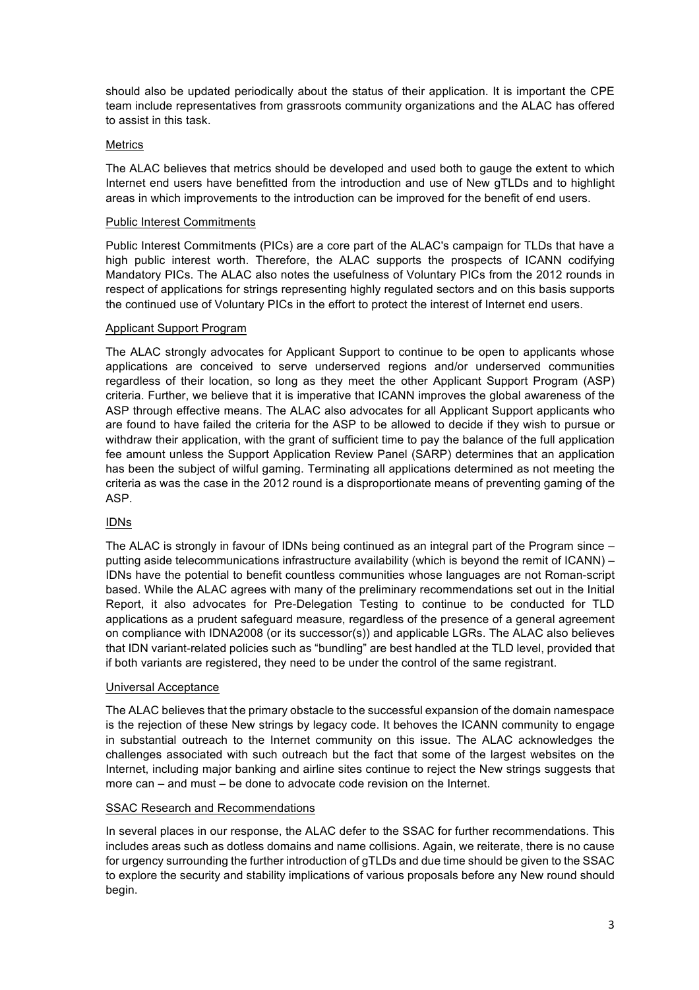should also be updated periodically about the status of their application. It is important the CPE team include representatives from grassroots community organizations and the ALAC has offered to assist in this task.

# Metrics

The ALAC believes that metrics should be developed and used both to gauge the extent to which Internet end users have benefitted from the introduction and use of New gTLDs and to highlight areas in which improvements to the introduction can be improved for the benefit of end users.

## Public Interest Commitments

Public Interest Commitments (PICs) are a core part of the ALAC's campaign for TLDs that have a high public interest worth. Therefore, the ALAC supports the prospects of ICANN codifying Mandatory PICs. The ALAC also notes the usefulness of Voluntary PICs from the 2012 rounds in respect of applications for strings representing highly regulated sectors and on this basis supports the continued use of Voluntary PICs in the effort to protect the interest of Internet end users.

## Applicant Support Program

The ALAC strongly advocates for Applicant Support to continue to be open to applicants whose applications are conceived to serve underserved regions and/or underserved communities regardless of their location, so long as they meet the other Applicant Support Program (ASP) criteria. Further, we believe that it is imperative that ICANN improves the global awareness of the ASP through effective means. The ALAC also advocates for all Applicant Support applicants who are found to have failed the criteria for the ASP to be allowed to decide if they wish to pursue or withdraw their application, with the grant of sufficient time to pay the balance of the full application fee amount unless the Support Application Review Panel (SARP) determines that an application has been the subject of wilful gaming. Terminating all applications determined as not meeting the criteria as was the case in the 2012 round is a disproportionate means of preventing gaming of the ASP.

# IDNs

The ALAC is strongly in favour of IDNs being continued as an integral part of the Program since – putting aside telecommunications infrastructure availability (which is beyond the remit of ICANN) – IDNs have the potential to benefit countless communities whose languages are not Roman-script based. While the ALAC agrees with many of the preliminary recommendations set out in the Initial Report, it also advocates for Pre-Delegation Testing to continue to be conducted for TLD applications as a prudent safeguard measure, regardless of the presence of a general agreement on compliance with IDNA2008 (or its successor(s)) and applicable LGRs. The ALAC also believes that IDN variant-related policies such as "bundling" are best handled at the TLD level, provided that if both variants are registered, they need to be under the control of the same registrant.

### Universal Acceptance

The ALAC believes that the primary obstacle to the successful expansion of the domain namespace is the rejection of these New strings by legacy code. It behoves the ICANN community to engage in substantial outreach to the Internet community on this issue. The ALAC acknowledges the challenges associated with such outreach but the fact that some of the largest websites on the Internet, including major banking and airline sites continue to reject the New strings suggests that more can – and must – be done to advocate code revision on the Internet.

# SSAC Research and Recommendations

In several places in our response, the ALAC defer to the SSAC for further recommendations. This includes areas such as dotless domains and name collisions. Again, we reiterate, there is no cause for urgency surrounding the further introduction of gTLDs and due time should be given to the SSAC to explore the security and stability implications of various proposals before any New round should begin.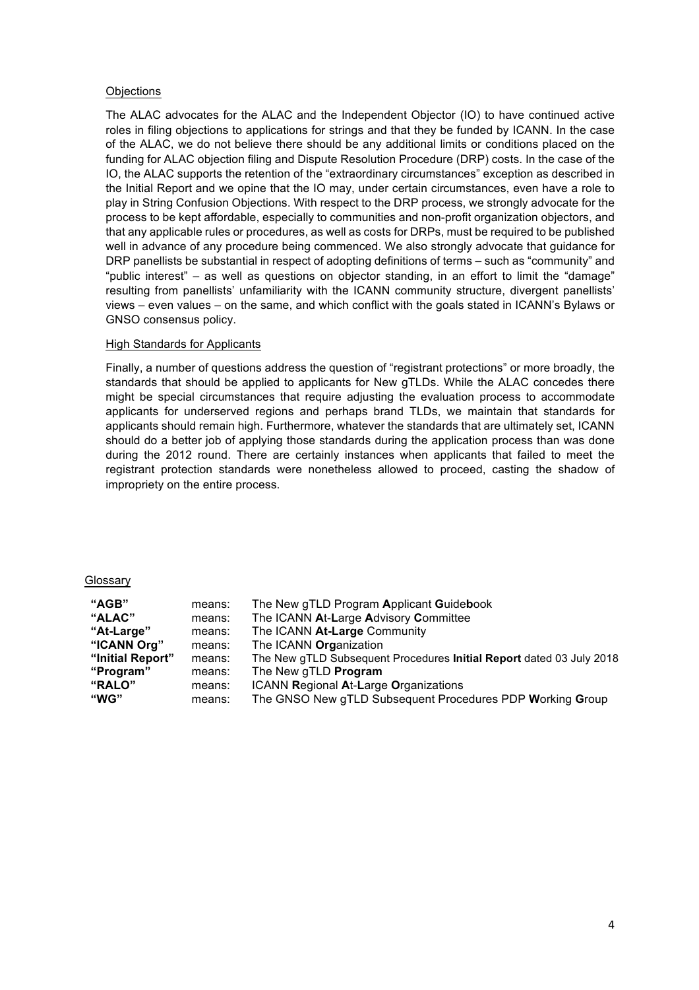### **Objections**

The ALAC advocates for the ALAC and the Independent Objector (IO) to have continued active roles in filing objections to applications for strings and that they be funded by ICANN. In the case of the ALAC, we do not believe there should be any additional limits or conditions placed on the funding for ALAC objection filing and Dispute Resolution Procedure (DRP) costs. In the case of the IO, the ALAC supports the retention of the "extraordinary circumstances" exception as described in the Initial Report and we opine that the IO may, under certain circumstances, even have a role to play in String Confusion Objections. With respect to the DRP process, we strongly advocate for the process to be kept affordable, especially to communities and non-profit organization objectors, and that any applicable rules or procedures, as well as costs for DRPs, must be required to be published well in advance of any procedure being commenced. We also strongly advocate that guidance for DRP panellists be substantial in respect of adopting definitions of terms – such as "community" and "public interest" – as well as questions on objector standing, in an effort to limit the "damage" resulting from panellists' unfamiliarity with the ICANN community structure, divergent panellists' views – even values – on the same, and which conflict with the goals stated in ICANN's Bylaws or GNSO consensus policy.

# High Standards for Applicants

Finally, a number of questions address the question of "registrant protections" or more broadly, the standards that should be applied to applicants for New gTLDs. While the ALAC concedes there might be special circumstances that require adjusting the evaluation process to accommodate applicants for underserved regions and perhaps brand TLDs, we maintain that standards for applicants should remain high. Furthermore, whatever the standards that are ultimately set, ICANN should do a better job of applying those standards during the application process than was done during the 2012 round. There are certainly instances when applicants that failed to meet the registrant protection standards were nonetheless allowed to proceed, casting the shadow of impropriety on the entire process.

### Glossary

| "AGB"            | means: | The New gTLD Program Applicant Guidebook                             |
|------------------|--------|----------------------------------------------------------------------|
| "ALAC"           | means: | The ICANN At-Large Advisory Committee                                |
| "At-Large"       | means: | The ICANN At-Large Community                                         |
| "ICANN Org"      | means: | The ICANN Organization                                               |
| "Initial Report" | means: | The New gTLD Subsequent Procedures Initial Report dated 03 July 2018 |
| "Program"        | means: | The New gTLD <b>Program</b>                                          |
| "RALO"           | means: | ICANN Regional At-Large Organizations                                |
| "WG"             | means: | The GNSO New gTLD Subsequent Procedures PDP Working Group            |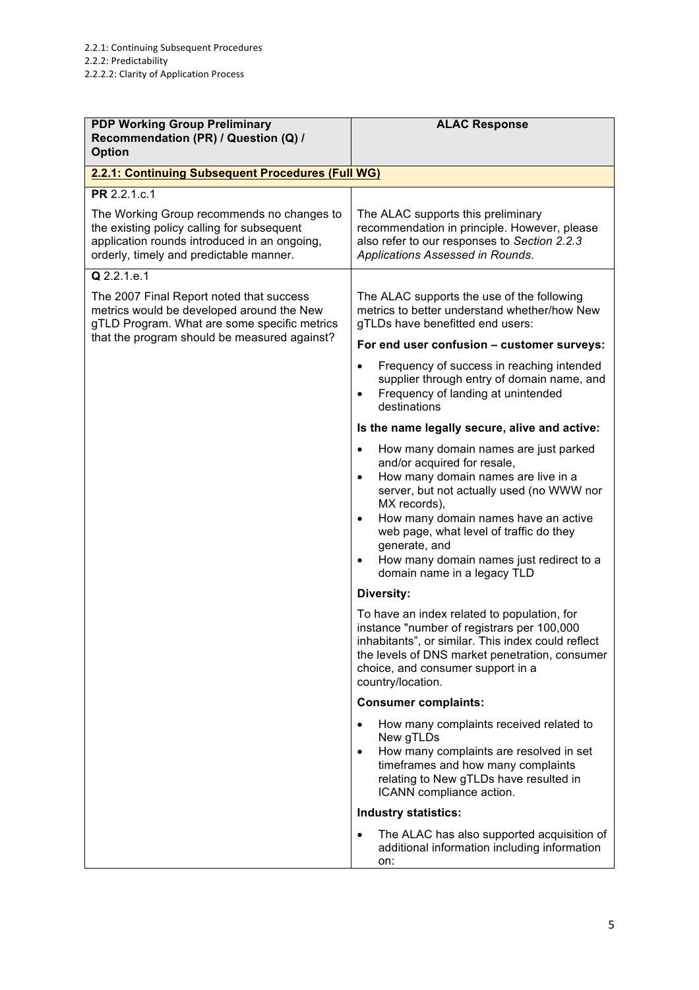| <b>PDP Working Group Preliminary</b><br>Recommendation (PR) / Question (Q) /<br><b>Option</b>                                                                                       | <b>ALAC Response</b>                                                                                                                                                                                                                                                                                                                                                                                        |
|-------------------------------------------------------------------------------------------------------------------------------------------------------------------------------------|-------------------------------------------------------------------------------------------------------------------------------------------------------------------------------------------------------------------------------------------------------------------------------------------------------------------------------------------------------------------------------------------------------------|
| 2.2.1: Continuing Subsequent Procedures (Full WG)                                                                                                                                   |                                                                                                                                                                                                                                                                                                                                                                                                             |
| PR 2.2.1.c.1                                                                                                                                                                        |                                                                                                                                                                                                                                                                                                                                                                                                             |
| The Working Group recommends no changes to<br>the existing policy calling for subsequent<br>application rounds introduced in an ongoing,<br>orderly, timely and predictable manner. | The ALAC supports this preliminary<br>recommendation in principle. However, please<br>also refer to our responses to Section 2.2.3<br>Applications Assessed in Rounds.                                                                                                                                                                                                                                      |
| $Q$ 2.2.1.e.1                                                                                                                                                                       |                                                                                                                                                                                                                                                                                                                                                                                                             |
| The 2007 Final Report noted that success<br>metrics would be developed around the New<br>gTLD Program. What are some specific metrics                                               | The ALAC supports the use of the following<br>metrics to better understand whether/how New<br>gTLDs have benefitted end users:                                                                                                                                                                                                                                                                              |
| that the program should be measured against?                                                                                                                                        | For end user confusion - customer surveys:                                                                                                                                                                                                                                                                                                                                                                  |
|                                                                                                                                                                                     | Frequency of success in reaching intended<br>$\bullet$<br>supplier through entry of domain name, and<br>Frequency of landing at unintended<br>$\bullet$<br>destinations                                                                                                                                                                                                                                     |
|                                                                                                                                                                                     | Is the name legally secure, alive and active:                                                                                                                                                                                                                                                                                                                                                               |
|                                                                                                                                                                                     | How many domain names are just parked<br>$\bullet$<br>and/or acquired for resale,<br>How many domain names are live in a<br>$\bullet$<br>server, but not actually used (no WWW nor<br>MX records),<br>How many domain names have an active<br>$\bullet$<br>web page, what level of traffic do they<br>generate, and<br>How many domain names just redirect to a<br>$\bullet$<br>domain name in a legacy TLD |
|                                                                                                                                                                                     | <b>Diversity:</b>                                                                                                                                                                                                                                                                                                                                                                                           |
|                                                                                                                                                                                     | To have an index related to population, for<br>instance "number of registrars per 100,000<br>inhabitants", or similar. This index could reflect<br>the levels of DNS market penetration, consumer<br>choice, and consumer support in a<br>country/location.                                                                                                                                                 |
|                                                                                                                                                                                     | <b>Consumer complaints:</b>                                                                                                                                                                                                                                                                                                                                                                                 |
|                                                                                                                                                                                     | How many complaints received related to<br>$\bullet$<br>New gTLDs<br>How many complaints are resolved in set<br>$\bullet$<br>timeframes and how many complaints<br>relating to New gTLDs have resulted in<br>ICANN compliance action.                                                                                                                                                                       |
|                                                                                                                                                                                     | <b>Industry statistics:</b>                                                                                                                                                                                                                                                                                                                                                                                 |
|                                                                                                                                                                                     | The ALAC has also supported acquisition of<br>$\bullet$<br>additional information including information<br>on:                                                                                                                                                                                                                                                                                              |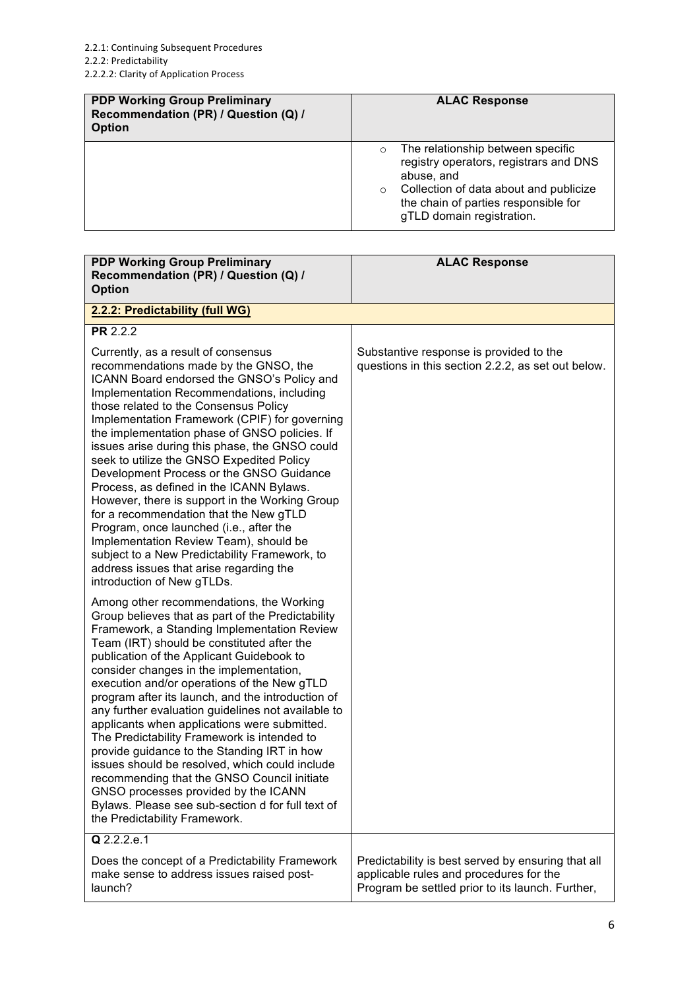| <b>PDP Working Group Preliminary</b><br>Recommendation (PR) / Question (Q) /<br><b>Option</b> | <b>ALAC Response</b>                                                                                                                                                                                                           |
|-----------------------------------------------------------------------------------------------|--------------------------------------------------------------------------------------------------------------------------------------------------------------------------------------------------------------------------------|
|                                                                                               | The relationship between specific<br>$\circ$<br>registry operators, registrars and DNS<br>abuse, and<br>Collection of data about and publicize<br>$\circ$<br>the chain of parties responsible for<br>gTLD domain registration. |

| <b>PDP Working Group Preliminary</b><br>Recommendation (PR) / Question (Q) /<br><b>Option</b>                                                                                                                                                                                                                                                                                                                                                                                                                                                                                                                                                                                                                                                                                                                             | <b>ALAC Response</b>                                                                          |
|---------------------------------------------------------------------------------------------------------------------------------------------------------------------------------------------------------------------------------------------------------------------------------------------------------------------------------------------------------------------------------------------------------------------------------------------------------------------------------------------------------------------------------------------------------------------------------------------------------------------------------------------------------------------------------------------------------------------------------------------------------------------------------------------------------------------------|-----------------------------------------------------------------------------------------------|
| 2.2.2: Predictability (full WG)                                                                                                                                                                                                                                                                                                                                                                                                                                                                                                                                                                                                                                                                                                                                                                                           |                                                                                               |
| PR 2.2.2                                                                                                                                                                                                                                                                                                                                                                                                                                                                                                                                                                                                                                                                                                                                                                                                                  |                                                                                               |
| Currently, as a result of consensus<br>recommendations made by the GNSO, the<br>ICANN Board endorsed the GNSO's Policy and<br>Implementation Recommendations, including<br>those related to the Consensus Policy<br>Implementation Framework (CPIF) for governing<br>the implementation phase of GNSO policies. If<br>issues arise during this phase, the GNSO could<br>seek to utilize the GNSO Expedited Policy<br>Development Process or the GNSO Guidance<br>Process, as defined in the ICANN Bylaws.<br>However, there is support in the Working Group<br>for a recommendation that the New gTLD<br>Program, once launched (i.e., after the<br>Implementation Review Team), should be<br>subject to a New Predictability Framework, to<br>address issues that arise regarding the<br>introduction of New gTLDs.      | Substantive response is provided to the<br>questions in this section 2.2.2, as set out below. |
| Among other recommendations, the Working<br>Group believes that as part of the Predictability<br>Framework, a Standing Implementation Review<br>Team (IRT) should be constituted after the<br>publication of the Applicant Guidebook to<br>consider changes in the implementation,<br>execution and/or operations of the New gTLD<br>program after its launch, and the introduction of<br>any further evaluation guidelines not available to<br>applicants when applications were submitted.<br>The Predictability Framework is intended to<br>provide guidance to the Standing IRT in how<br>issues should be resolved, which could include<br>recommending that the GNSO Council initiate<br>GNSO processes provided by the ICANN<br>Bylaws. Please see sub-section d for full text of<br>the Predictability Framework. |                                                                                               |
| Q 2.2.2.e.1<br>Does the concept of a Predictability Framework                                                                                                                                                                                                                                                                                                                                                                                                                                                                                                                                                                                                                                                                                                                                                             | Predictability is best served by ensuring that all                                            |
| make sense to address issues raised post-<br>launch?                                                                                                                                                                                                                                                                                                                                                                                                                                                                                                                                                                                                                                                                                                                                                                      | applicable rules and procedures for the<br>Program be settled prior to its launch. Further,   |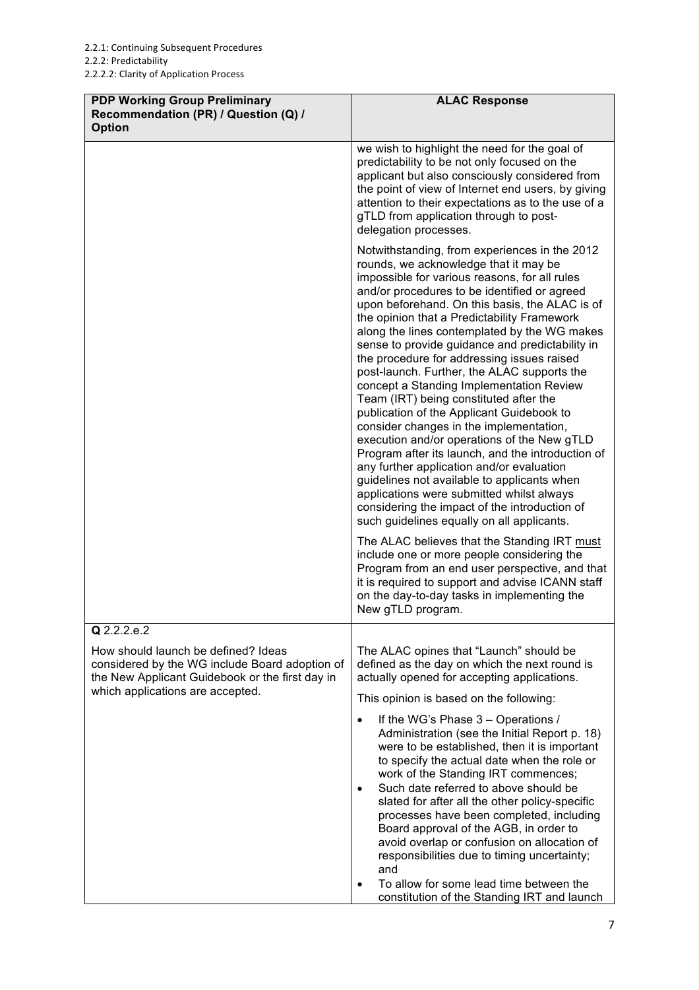| <b>PDP Working Group Preliminary</b><br>Recommendation (PR) / Question (Q) /<br><b>Option</b>                                                                                               | <b>ALAC Response</b>                                                                                                                                                                                                                                                                                                                                                                                                                                                                                                                                                                                                                                                                                                                                                                                                                                                                                                                                                                                                                                                                                                                                                                                                   |
|---------------------------------------------------------------------------------------------------------------------------------------------------------------------------------------------|------------------------------------------------------------------------------------------------------------------------------------------------------------------------------------------------------------------------------------------------------------------------------------------------------------------------------------------------------------------------------------------------------------------------------------------------------------------------------------------------------------------------------------------------------------------------------------------------------------------------------------------------------------------------------------------------------------------------------------------------------------------------------------------------------------------------------------------------------------------------------------------------------------------------------------------------------------------------------------------------------------------------------------------------------------------------------------------------------------------------------------------------------------------------------------------------------------------------|
|                                                                                                                                                                                             | we wish to highlight the need for the goal of<br>predictability to be not only focused on the<br>applicant but also consciously considered from<br>the point of view of Internet end users, by giving<br>attention to their expectations as to the use of a<br>gTLD from application through to post-<br>delegation processes.                                                                                                                                                                                                                                                                                                                                                                                                                                                                                                                                                                                                                                                                                                                                                                                                                                                                                         |
|                                                                                                                                                                                             | Notwithstanding, from experiences in the 2012<br>rounds, we acknowledge that it may be<br>impossible for various reasons, for all rules<br>and/or procedures to be identified or agreed<br>upon beforehand. On this basis, the ALAC is of<br>the opinion that a Predictability Framework<br>along the lines contemplated by the WG makes<br>sense to provide guidance and predictability in<br>the procedure for addressing issues raised<br>post-launch. Further, the ALAC supports the<br>concept a Standing Implementation Review<br>Team (IRT) being constituted after the<br>publication of the Applicant Guidebook to<br>consider changes in the implementation,<br>execution and/or operations of the New gTLD<br>Program after its launch, and the introduction of<br>any further application and/or evaluation<br>guidelines not available to applicants when<br>applications were submitted whilst always<br>considering the impact of the introduction of<br>such guidelines equally on all applicants.<br>The ALAC believes that the Standing IRT must<br>include one or more people considering the<br>Program from an end user perspective, and that<br>it is required to support and advise ICANN staff |
|                                                                                                                                                                                             | on the day-to-day tasks in implementing the<br>New gTLD program.                                                                                                                                                                                                                                                                                                                                                                                                                                                                                                                                                                                                                                                                                                                                                                                                                                                                                                                                                                                                                                                                                                                                                       |
| Q 2.2.2.e.2<br>How should launch be defined? Ideas<br>considered by the WG include Board adoption of<br>the New Applicant Guidebook or the first day in<br>which applications are accepted. | The ALAC opines that "Launch" should be<br>defined as the day on which the next round is<br>actually opened for accepting applications.<br>This opinion is based on the following:                                                                                                                                                                                                                                                                                                                                                                                                                                                                                                                                                                                                                                                                                                                                                                                                                                                                                                                                                                                                                                     |
|                                                                                                                                                                                             | If the WG's Phase 3 - Operations /<br>Administration (see the Initial Report p. 18)<br>were to be established, then it is important<br>to specify the actual date when the role or<br>work of the Standing IRT commences;<br>Such date referred to above should be<br>$\bullet$<br>slated for after all the other policy-specific<br>processes have been completed, including<br>Board approval of the AGB, in order to<br>avoid overlap or confusion on allocation of<br>responsibilities due to timing uncertainty;<br>and<br>To allow for some lead time between the<br>$\bullet$<br>constitution of the Standing IRT and launch                                                                                                                                                                                                                                                                                                                                                                                                                                                                                                                                                                                    |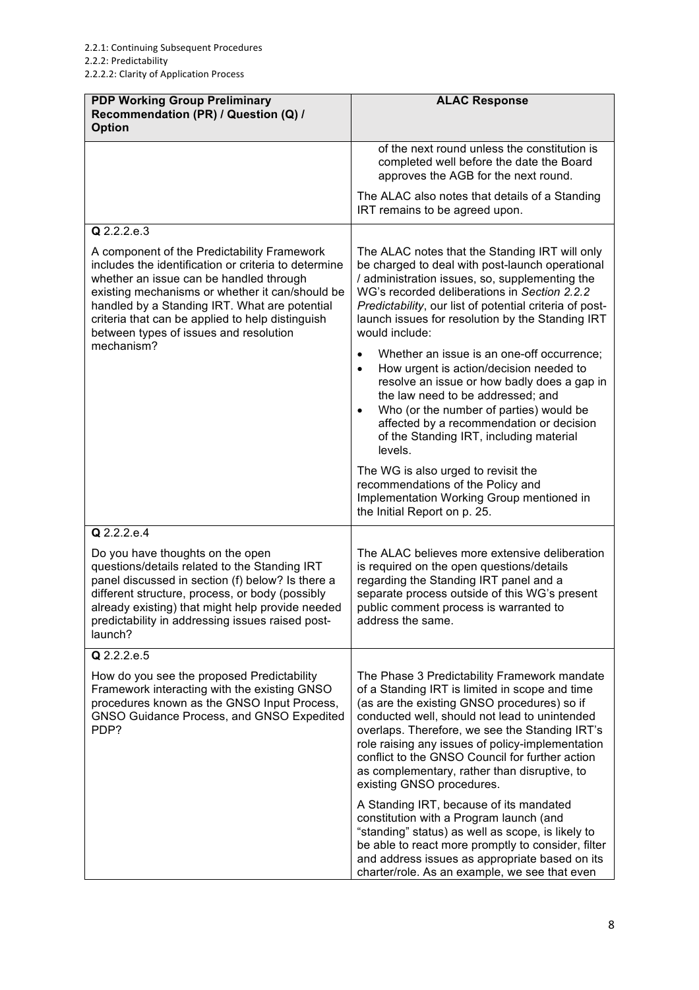| <b>PDP Working Group Preliminary</b><br>Recommendation (PR) / Question (Q) /<br><b>Option</b>                                                                                                                                                                                                                                                    | <b>ALAC Response</b>                                                                                                                                                                                                                                                                                                                                                                                                                 |
|--------------------------------------------------------------------------------------------------------------------------------------------------------------------------------------------------------------------------------------------------------------------------------------------------------------------------------------------------|--------------------------------------------------------------------------------------------------------------------------------------------------------------------------------------------------------------------------------------------------------------------------------------------------------------------------------------------------------------------------------------------------------------------------------------|
|                                                                                                                                                                                                                                                                                                                                                  | of the next round unless the constitution is<br>completed well before the date the Board<br>approves the AGB for the next round.                                                                                                                                                                                                                                                                                                     |
|                                                                                                                                                                                                                                                                                                                                                  | The ALAC also notes that details of a Standing<br>IRT remains to be agreed upon.                                                                                                                                                                                                                                                                                                                                                     |
| Q 2.2.2.e.3                                                                                                                                                                                                                                                                                                                                      |                                                                                                                                                                                                                                                                                                                                                                                                                                      |
| A component of the Predictability Framework<br>includes the identification or criteria to determine<br>whether an issue can be handled through<br>existing mechanisms or whether it can/should be<br>handled by a Standing IRT. What are potential<br>criteria that can be applied to help distinguish<br>between types of issues and resolution | The ALAC notes that the Standing IRT will only<br>be charged to deal with post-launch operational<br>/ administration issues, so, supplementing the<br>WG's recorded deliberations in Section 2.2.2<br>Predictability, our list of potential criteria of post-<br>launch issues for resolution by the Standing IRT<br>would include:                                                                                                 |
| mechanism?                                                                                                                                                                                                                                                                                                                                       | Whether an issue is an one-off occurrence;<br>How urgent is action/decision needed to<br>$\bullet$<br>resolve an issue or how badly does a gap in<br>the law need to be addressed; and<br>Who (or the number of parties) would be<br>affected by a recommendation or decision<br>of the Standing IRT, including material<br>levels.                                                                                                  |
|                                                                                                                                                                                                                                                                                                                                                  | The WG is also urged to revisit the<br>recommendations of the Policy and<br>Implementation Working Group mentioned in<br>the Initial Report on p. 25.                                                                                                                                                                                                                                                                                |
| Q 2.2.2.e.4                                                                                                                                                                                                                                                                                                                                      |                                                                                                                                                                                                                                                                                                                                                                                                                                      |
| Do you have thoughts on the open<br>questions/details related to the Standing IRT<br>panel discussed in section (f) below? Is there a<br>different structure, process, or body (possibly<br>already existing) that might help provide needed<br>predictability in addressing issues raised post-<br>launch?                                      | The ALAC believes more extensive deliberation<br>is required on the open questions/details<br>regarding the Standing IRT panel and a<br>separate process outside of this WG's present<br>public comment process is warranted to<br>address the same.                                                                                                                                                                                 |
| Q 2.2.2.e.5                                                                                                                                                                                                                                                                                                                                      |                                                                                                                                                                                                                                                                                                                                                                                                                                      |
| How do you see the proposed Predictability<br>Framework interacting with the existing GNSO<br>procedures known as the GNSO Input Process,<br>GNSO Guidance Process, and GNSO Expedited<br>PDP?                                                                                                                                                   | The Phase 3 Predictability Framework mandate<br>of a Standing IRT is limited in scope and time<br>(as are the existing GNSO procedures) so if<br>conducted well, should not lead to unintended<br>overlaps. Therefore, we see the Standing IRT's<br>role raising any issues of policy-implementation<br>conflict to the GNSO Council for further action<br>as complementary, rather than disruptive, to<br>existing GNSO procedures. |
|                                                                                                                                                                                                                                                                                                                                                  | A Standing IRT, because of its mandated<br>constitution with a Program launch (and<br>"standing" status) as well as scope, is likely to<br>be able to react more promptly to consider, filter<br>and address issues as appropriate based on its<br>charter/role. As an example, we see that even                                                                                                                                     |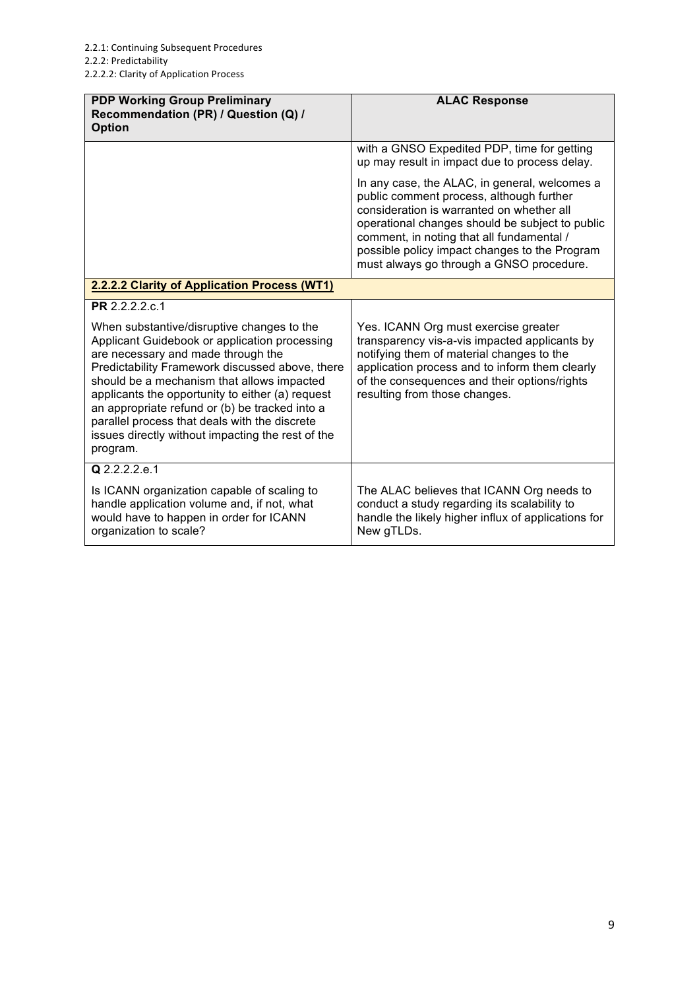| <b>PDP Working Group Preliminary</b><br>Recommendation (PR) / Question (Q) /<br><b>Option</b>                                                                                                                                                                                                                                                                                                                                                              | <b>ALAC Response</b>                                                                                                                                                                                                                                                                                                                |
|------------------------------------------------------------------------------------------------------------------------------------------------------------------------------------------------------------------------------------------------------------------------------------------------------------------------------------------------------------------------------------------------------------------------------------------------------------|-------------------------------------------------------------------------------------------------------------------------------------------------------------------------------------------------------------------------------------------------------------------------------------------------------------------------------------|
|                                                                                                                                                                                                                                                                                                                                                                                                                                                            | with a GNSO Expedited PDP, time for getting<br>up may result in impact due to process delay.                                                                                                                                                                                                                                        |
|                                                                                                                                                                                                                                                                                                                                                                                                                                                            | In any case, the ALAC, in general, welcomes a<br>public comment process, although further<br>consideration is warranted on whether all<br>operational changes should be subject to public<br>comment, in noting that all fundamental /<br>possible policy impact changes to the Program<br>must always go through a GNSO procedure. |
| 2.2.2.2 Clarity of Application Process (WT1)                                                                                                                                                                                                                                                                                                                                                                                                               |                                                                                                                                                                                                                                                                                                                                     |
| PR 2.2.2.2.c.1                                                                                                                                                                                                                                                                                                                                                                                                                                             |                                                                                                                                                                                                                                                                                                                                     |
| When substantive/disruptive changes to the<br>Applicant Guidebook or application processing<br>are necessary and made through the<br>Predictability Framework discussed above, there<br>should be a mechanism that allows impacted<br>applicants the opportunity to either (a) request<br>an appropriate refund or (b) be tracked into a<br>parallel process that deals with the discrete<br>issues directly without impacting the rest of the<br>program. | Yes. ICANN Org must exercise greater<br>transparency vis-a-vis impacted applicants by<br>notifying them of material changes to the<br>application process and to inform them clearly<br>of the consequences and their options/rights<br>resulting from those changes.                                                               |
| $\overline{Q}$ 2.2.2.2.e.1                                                                                                                                                                                                                                                                                                                                                                                                                                 |                                                                                                                                                                                                                                                                                                                                     |
| Is ICANN organization capable of scaling to<br>handle application volume and, if not, what<br>would have to happen in order for ICANN<br>organization to scale?                                                                                                                                                                                                                                                                                            | The ALAC believes that ICANN Org needs to<br>conduct a study regarding its scalability to<br>handle the likely higher influx of applications for<br>New gTLDs.                                                                                                                                                                      |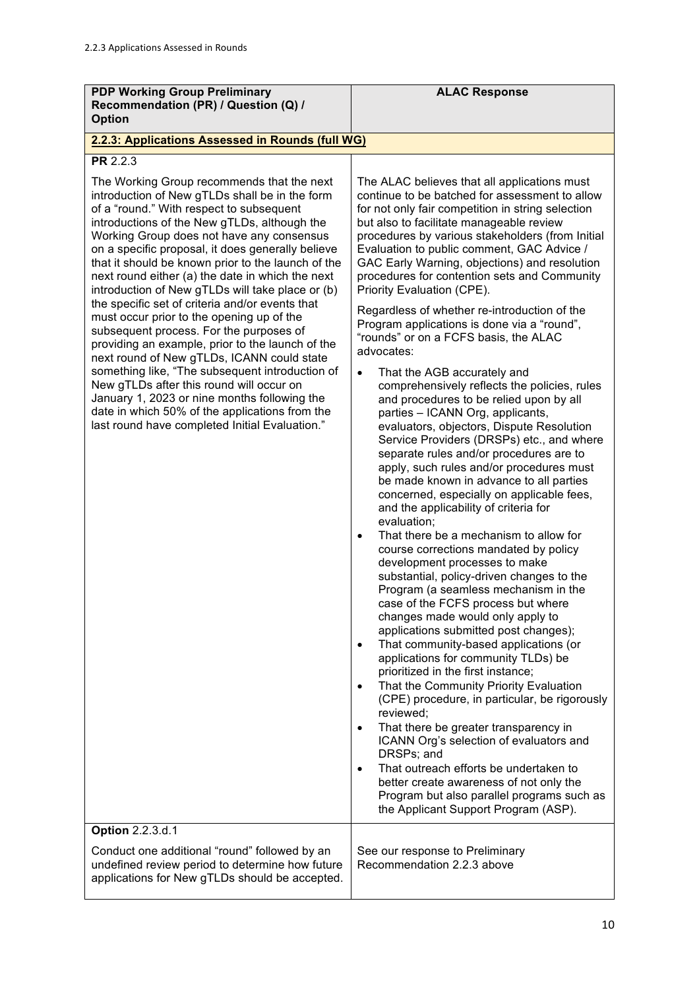| <b>PDP Working Group Preliminary</b><br>Recommendation (PR) / Question (Q) /                                                                                                                                                                                                                                                                                                                                                                                                                                                                                                                                                                                                                                                                                                                                                                                                                                                                                                | <b>ALAC Response</b>                                                                                                                                                                                                                                                                                                                                                                                                                                                                                                                                                                                                                                                                                                                                                                                                                                                                                                                                                                                                                                                                                                                                                                                                                                                                                                                                                                                                                                                                                                                                                                                                                                                                                                                                                                                                                                                                                                                                                             |
|-----------------------------------------------------------------------------------------------------------------------------------------------------------------------------------------------------------------------------------------------------------------------------------------------------------------------------------------------------------------------------------------------------------------------------------------------------------------------------------------------------------------------------------------------------------------------------------------------------------------------------------------------------------------------------------------------------------------------------------------------------------------------------------------------------------------------------------------------------------------------------------------------------------------------------------------------------------------------------|----------------------------------------------------------------------------------------------------------------------------------------------------------------------------------------------------------------------------------------------------------------------------------------------------------------------------------------------------------------------------------------------------------------------------------------------------------------------------------------------------------------------------------------------------------------------------------------------------------------------------------------------------------------------------------------------------------------------------------------------------------------------------------------------------------------------------------------------------------------------------------------------------------------------------------------------------------------------------------------------------------------------------------------------------------------------------------------------------------------------------------------------------------------------------------------------------------------------------------------------------------------------------------------------------------------------------------------------------------------------------------------------------------------------------------------------------------------------------------------------------------------------------------------------------------------------------------------------------------------------------------------------------------------------------------------------------------------------------------------------------------------------------------------------------------------------------------------------------------------------------------------------------------------------------------------------------------------------------------|
| <b>Option</b>                                                                                                                                                                                                                                                                                                                                                                                                                                                                                                                                                                                                                                                                                                                                                                                                                                                                                                                                                               |                                                                                                                                                                                                                                                                                                                                                                                                                                                                                                                                                                                                                                                                                                                                                                                                                                                                                                                                                                                                                                                                                                                                                                                                                                                                                                                                                                                                                                                                                                                                                                                                                                                                                                                                                                                                                                                                                                                                                                                  |
| 2.2.3: Applications Assessed in Rounds (full WG)                                                                                                                                                                                                                                                                                                                                                                                                                                                                                                                                                                                                                                                                                                                                                                                                                                                                                                                            |                                                                                                                                                                                                                                                                                                                                                                                                                                                                                                                                                                                                                                                                                                                                                                                                                                                                                                                                                                                                                                                                                                                                                                                                                                                                                                                                                                                                                                                                                                                                                                                                                                                                                                                                                                                                                                                                                                                                                                                  |
| <b>PR 2.2.3</b><br>The Working Group recommends that the next<br>introduction of New gTLDs shall be in the form<br>of a "round." With respect to subsequent<br>introductions of the New gTLDs, although the<br>Working Group does not have any consensus<br>on a specific proposal, it does generally believe<br>that it should be known prior to the launch of the<br>next round either (a) the date in which the next<br>introduction of New gTLDs will take place or (b)<br>the specific set of criteria and/or events that<br>must occur prior to the opening up of the<br>subsequent process. For the purposes of<br>providing an example, prior to the launch of the<br>next round of New gTLDs, ICANN could state<br>something like, "The subsequent introduction of<br>New gTLDs after this round will occur on<br>January 1, 2023 or nine months following the<br>date in which 50% of the applications from the<br>last round have completed Initial Evaluation." | The ALAC believes that all applications must<br>continue to be batched for assessment to allow<br>for not only fair competition in string selection<br>but also to facilitate manageable review<br>procedures by various stakeholders (from Initial<br>Evaluation to public comment, GAC Advice /<br>GAC Early Warning, objections) and resolution<br>procedures for contention sets and Community<br>Priority Evaluation (CPE).<br>Regardless of whether re-introduction of the<br>Program applications is done via a "round",<br>"rounds" or on a FCFS basis, the ALAC<br>advocates:<br>That the AGB accurately and<br>$\bullet$<br>comprehensively reflects the policies, rules<br>and procedures to be relied upon by all<br>parties - ICANN Org, applicants,<br>evaluators, objectors, Dispute Resolution<br>Service Providers (DRSPs) etc., and where<br>separate rules and/or procedures are to<br>apply, such rules and/or procedures must<br>be made known in advance to all parties<br>concerned, especially on applicable fees,<br>and the applicability of criteria for<br>evaluation;<br>That there be a mechanism to allow for<br>$\bullet$<br>course corrections mandated by policy<br>development processes to make<br>substantial, policy-driven changes to the<br>Program (a seamless mechanism in the<br>case of the FCFS process but where<br>changes made would only apply to<br>applications submitted post changes);<br>That community-based applications (or<br>applications for community TLDs) be<br>prioritized in the first instance;<br>That the Community Priority Evaluation<br>$\bullet$<br>(CPE) procedure, in particular, be rigorously<br>reviewed;<br>That there be greater transparency in<br>ICANN Org's selection of evaluators and<br>DRSPs; and<br>That outreach efforts be undertaken to<br>$\bullet$<br>better create awareness of not only the<br>Program but also parallel programs such as<br>the Applicant Support Program (ASP). |
| <b>Option 2.2.3.d.1</b><br>Conduct one additional "round" followed by an<br>undefined review period to determine how future<br>applications for New gTLDs should be accepted.                                                                                                                                                                                                                                                                                                                                                                                                                                                                                                                                                                                                                                                                                                                                                                                               | See our response to Preliminary<br>Recommendation 2.2.3 above                                                                                                                                                                                                                                                                                                                                                                                                                                                                                                                                                                                                                                                                                                                                                                                                                                                                                                                                                                                                                                                                                                                                                                                                                                                                                                                                                                                                                                                                                                                                                                                                                                                                                                                                                                                                                                                                                                                    |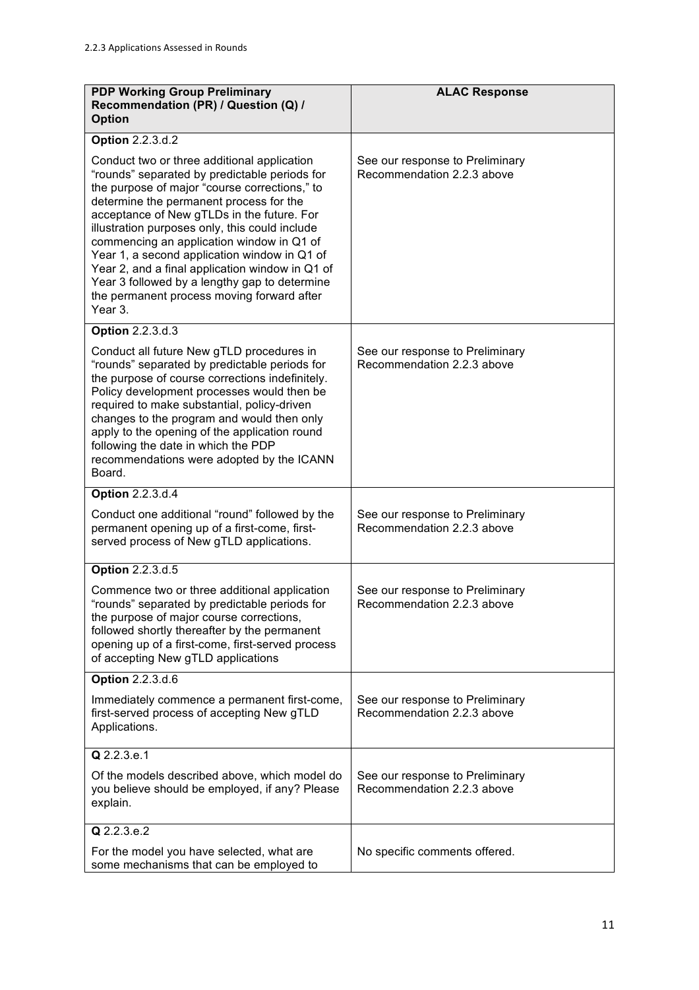| <b>PDP Working Group Preliminary</b><br>Recommendation (PR) / Question (Q) /<br><b>Option</b>                                                                                                                                                                                                                                                                                                                                                                                                                                                      | <b>ALAC Response</b>                                          |
|----------------------------------------------------------------------------------------------------------------------------------------------------------------------------------------------------------------------------------------------------------------------------------------------------------------------------------------------------------------------------------------------------------------------------------------------------------------------------------------------------------------------------------------------------|---------------------------------------------------------------|
| <b>Option 2.2.3.d.2</b>                                                                                                                                                                                                                                                                                                                                                                                                                                                                                                                            |                                                               |
| Conduct two or three additional application<br>"rounds" separated by predictable periods for<br>the purpose of major "course corrections," to<br>determine the permanent process for the<br>acceptance of New gTLDs in the future. For<br>illustration purposes only, this could include<br>commencing an application window in Q1 of<br>Year 1, a second application window in Q1 of<br>Year 2, and a final application window in Q1 of<br>Year 3 followed by a lengthy gap to determine<br>the permanent process moving forward after<br>Year 3. | See our response to Preliminary<br>Recommendation 2.2.3 above |
| <b>Option 2.2.3.d.3</b>                                                                                                                                                                                                                                                                                                                                                                                                                                                                                                                            |                                                               |
| Conduct all future New gTLD procedures in<br>"rounds" separated by predictable periods for<br>the purpose of course corrections indefinitely.<br>Policy development processes would then be<br>required to make substantial, policy-driven<br>changes to the program and would then only<br>apply to the opening of the application round<br>following the date in which the PDP<br>recommendations were adopted by the ICANN<br>Board.                                                                                                            | See our response to Preliminary<br>Recommendation 2.2.3 above |
| <b>Option 2.2.3.d.4</b>                                                                                                                                                                                                                                                                                                                                                                                                                                                                                                                            |                                                               |
| Conduct one additional "round" followed by the<br>permanent opening up of a first-come, first-<br>served process of New gTLD applications.                                                                                                                                                                                                                                                                                                                                                                                                         | See our response to Preliminary<br>Recommendation 2.2.3 above |
| Option 2.2.3.d.5                                                                                                                                                                                                                                                                                                                                                                                                                                                                                                                                   |                                                               |
| Commence two or three additional application<br>"rounds" separated by predictable periods for<br>the purpose of major course corrections,<br>followed shortly thereafter by the permanent<br>opening up of a first-come, first-served process<br>of accepting New gTLD applications                                                                                                                                                                                                                                                                | See our response to Preliminary<br>Recommendation 2.2.3 above |
| <b>Option 2.2.3.d.6</b>                                                                                                                                                                                                                                                                                                                                                                                                                                                                                                                            |                                                               |
| Immediately commence a permanent first-come,<br>first-served process of accepting New gTLD<br>Applications.                                                                                                                                                                                                                                                                                                                                                                                                                                        | See our response to Preliminary<br>Recommendation 2.2.3 above |
| $Q$ 2.2.3.e.1                                                                                                                                                                                                                                                                                                                                                                                                                                                                                                                                      |                                                               |
| Of the models described above, which model do<br>you believe should be employed, if any? Please<br>explain.                                                                                                                                                                                                                                                                                                                                                                                                                                        | See our response to Preliminary<br>Recommendation 2.2.3 above |
| Q 2.2.3.e.2                                                                                                                                                                                                                                                                                                                                                                                                                                                                                                                                        |                                                               |
| For the model you have selected, what are<br>some mechanisms that can be employed to                                                                                                                                                                                                                                                                                                                                                                                                                                                               | No specific comments offered.                                 |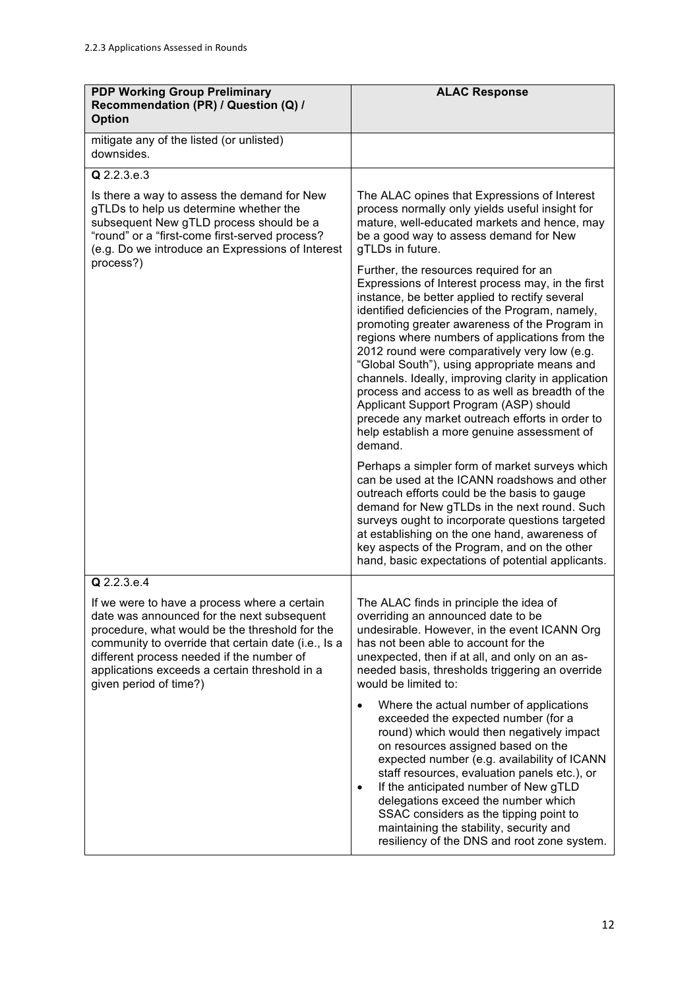| <b>PDP Working Group Preliminary</b><br>Recommendation (PR) / Question (Q) /<br><b>Option</b>                                                                                                                                                                                                                                              | <b>ALAC Response</b>                                                                                                                                                                                                                                                                                                                                                                                                                                                                                                                                                                                                                                                 |
|--------------------------------------------------------------------------------------------------------------------------------------------------------------------------------------------------------------------------------------------------------------------------------------------------------------------------------------------|----------------------------------------------------------------------------------------------------------------------------------------------------------------------------------------------------------------------------------------------------------------------------------------------------------------------------------------------------------------------------------------------------------------------------------------------------------------------------------------------------------------------------------------------------------------------------------------------------------------------------------------------------------------------|
| mitigate any of the listed (or unlisted)<br>downsides.                                                                                                                                                                                                                                                                                     |                                                                                                                                                                                                                                                                                                                                                                                                                                                                                                                                                                                                                                                                      |
| Q 2.2.3.e.3                                                                                                                                                                                                                                                                                                                                |                                                                                                                                                                                                                                                                                                                                                                                                                                                                                                                                                                                                                                                                      |
| Is there a way to assess the demand for New<br>gTLDs to help us determine whether the<br>subsequent New gTLD process should be a<br>"round" or a "first-come first-served process?<br>(e.g. Do we introduce an Expressions of Interest<br>process?)                                                                                        | The ALAC opines that Expressions of Interest<br>process normally only yields useful insight for<br>mature, well-educated markets and hence, may<br>be a good way to assess demand for New<br>gTLDs in future.                                                                                                                                                                                                                                                                                                                                                                                                                                                        |
|                                                                                                                                                                                                                                                                                                                                            | Further, the resources required for an<br>Expressions of Interest process may, in the first<br>instance, be better applied to rectify several<br>identified deficiencies of the Program, namely,<br>promoting greater awareness of the Program in<br>regions where numbers of applications from the<br>2012 round were comparatively very low (e.g.<br>"Global South"), using appropriate means and<br>channels. Ideally, improving clarity in application<br>process and access to as well as breadth of the<br>Applicant Support Program (ASP) should<br>precede any market outreach efforts in order to<br>help establish a more genuine assessment of<br>demand. |
|                                                                                                                                                                                                                                                                                                                                            | Perhaps a simpler form of market surveys which<br>can be used at the ICANN roadshows and other<br>outreach efforts could be the basis to gauge<br>demand for New gTLDs in the next round. Such<br>surveys ought to incorporate questions targeted<br>at establishing on the one hand, awareness of<br>key aspects of the Program, and on the other<br>hand, basic expectations of potential applicants.                                                                                                                                                                                                                                                              |
| Q 2.2.3.e.4<br>If we were to have a process where a certain<br>date was announced for the next subsequent<br>procedure, what would be the threshold for the<br>community to override that certain date (i.e., Is a<br>different process needed if the number of<br>applications exceeds a certain threshold in a<br>given period of time?) | The ALAC finds in principle the idea of<br>overriding an announced date to be<br>undesirable. However, in the event ICANN Org<br>has not been able to account for the<br>unexpected, then if at all, and only on an as-<br>needed basis, thresholds triggering an override<br>would be limited to:<br>Where the actual number of applications                                                                                                                                                                                                                                                                                                                        |
|                                                                                                                                                                                                                                                                                                                                            | exceeded the expected number (for a<br>round) which would then negatively impact<br>on resources assigned based on the<br>expected number (e.g. availability of ICANN<br>staff resources, evaluation panels etc.), or<br>If the anticipated number of New gTLD<br>$\bullet$<br>delegations exceed the number which<br>SSAC considers as the tipping point to<br>maintaining the stability, security and<br>resiliency of the DNS and root zone system.                                                                                                                                                                                                               |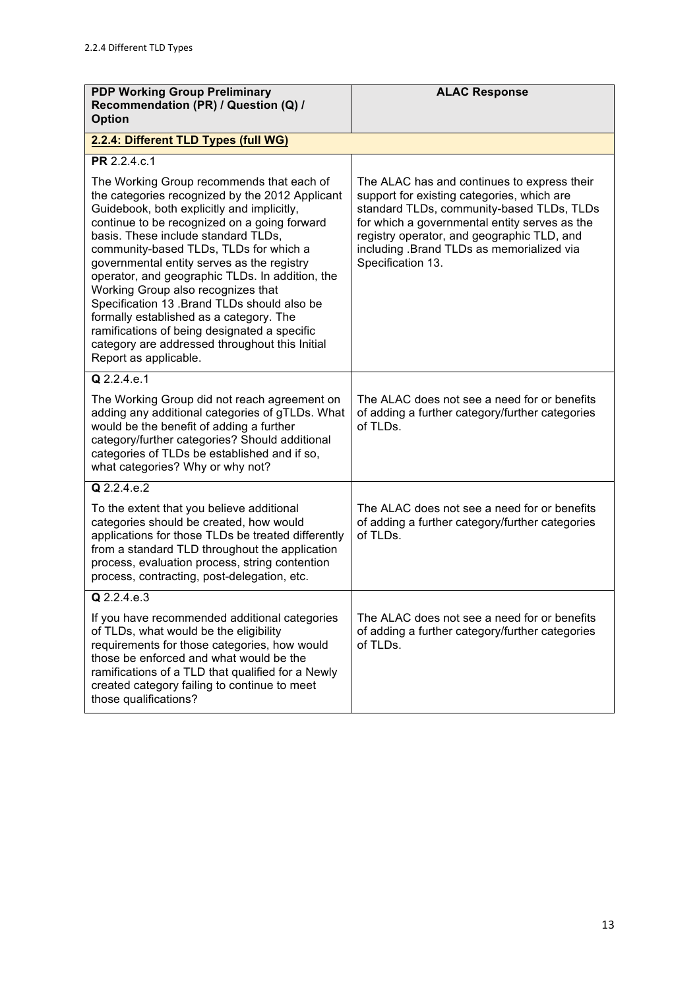| <b>PDP Working Group Preliminary</b><br>Recommendation (PR) / Question (Q) /                                                                                                                                                                                                                                                                                                                                                                                                                                                                                                                                                            | <b>ALAC Response</b>                                                                                                                                                                                                                                                                                    |
|-----------------------------------------------------------------------------------------------------------------------------------------------------------------------------------------------------------------------------------------------------------------------------------------------------------------------------------------------------------------------------------------------------------------------------------------------------------------------------------------------------------------------------------------------------------------------------------------------------------------------------------------|---------------------------------------------------------------------------------------------------------------------------------------------------------------------------------------------------------------------------------------------------------------------------------------------------------|
| <b>Option</b>                                                                                                                                                                                                                                                                                                                                                                                                                                                                                                                                                                                                                           |                                                                                                                                                                                                                                                                                                         |
| 2.2.4: Different TLD Types (full WG)                                                                                                                                                                                                                                                                                                                                                                                                                                                                                                                                                                                                    |                                                                                                                                                                                                                                                                                                         |
| PR 2.2.4.c.1                                                                                                                                                                                                                                                                                                                                                                                                                                                                                                                                                                                                                            |                                                                                                                                                                                                                                                                                                         |
| The Working Group recommends that each of<br>the categories recognized by the 2012 Applicant<br>Guidebook, both explicitly and implicitly,<br>continue to be recognized on a going forward<br>basis. These include standard TLDs,<br>community-based TLDs, TLDs for which a<br>governmental entity serves as the registry<br>operator, and geographic TLDs. In addition, the<br>Working Group also recognizes that<br>Specification 13 .Brand TLDs should also be<br>formally established as a category. The<br>ramifications of being designated a specific<br>category are addressed throughout this Initial<br>Report as applicable. | The ALAC has and continues to express their<br>support for existing categories, which are<br>standard TLDs, community-based TLDs, TLDs<br>for which a governmental entity serves as the<br>registry operator, and geographic TLD, and<br>including .Brand TLDs as memorialized via<br>Specification 13. |
| Q 2.2.4.e.1                                                                                                                                                                                                                                                                                                                                                                                                                                                                                                                                                                                                                             |                                                                                                                                                                                                                                                                                                         |
| The Working Group did not reach agreement on<br>adding any additional categories of gTLDs. What<br>would be the benefit of adding a further<br>category/further categories? Should additional<br>categories of TLDs be established and if so,<br>what categories? Why or why not?                                                                                                                                                                                                                                                                                                                                                       | The ALAC does not see a need for or benefits<br>of adding a further category/further categories<br>of TLDs.                                                                                                                                                                                             |
| $Q$ 2.2.4.e.2                                                                                                                                                                                                                                                                                                                                                                                                                                                                                                                                                                                                                           |                                                                                                                                                                                                                                                                                                         |
| To the extent that you believe additional<br>categories should be created, how would<br>applications for those TLDs be treated differently<br>from a standard TLD throughout the application<br>process, evaluation process, string contention<br>process, contracting, post-delegation, etc.                                                                                                                                                                                                                                                                                                                                           | The ALAC does not see a need for or benefits<br>of adding a further category/further categories<br>of TLDs.                                                                                                                                                                                             |
| Q 2.2.4.e.3                                                                                                                                                                                                                                                                                                                                                                                                                                                                                                                                                                                                                             |                                                                                                                                                                                                                                                                                                         |
| If you have recommended additional categories<br>of TLDs, what would be the eligibility<br>requirements for those categories, how would<br>those be enforced and what would be the<br>ramifications of a TLD that qualified for a Newly<br>created category failing to continue to meet<br>those qualifications?                                                                                                                                                                                                                                                                                                                        | The ALAC does not see a need for or benefits<br>of adding a further category/further categories<br>of TLDs.                                                                                                                                                                                             |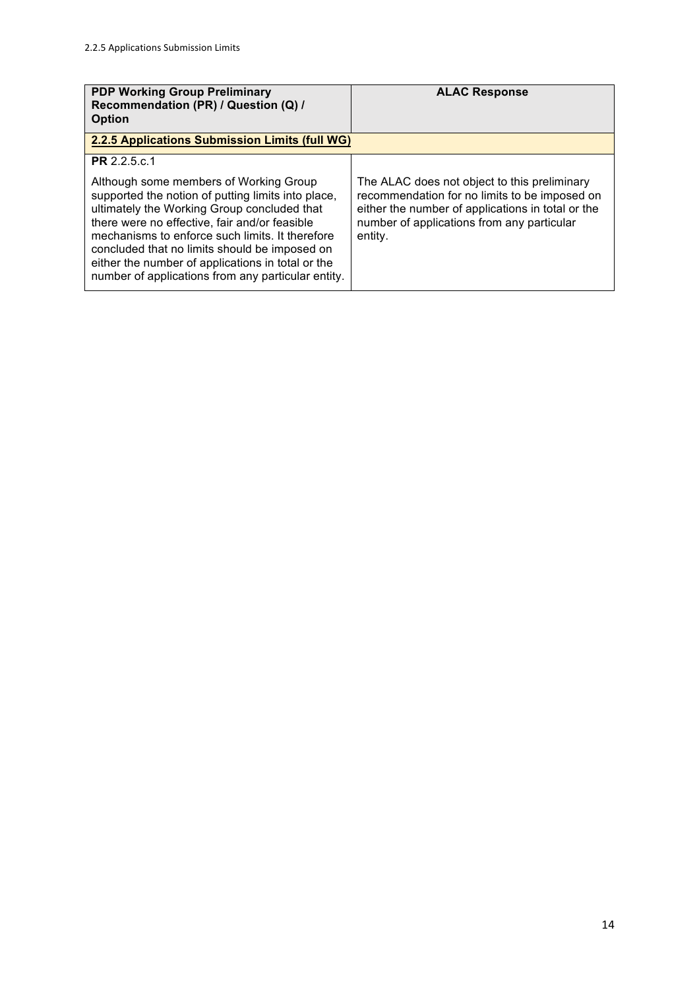| <b>PDP Working Group Preliminary</b><br>Recommendation (PR) / Question (Q) /<br><b>Option</b>                                                                                                                                                                                                                                                                                                               | <b>ALAC Response</b>                                                                                                                                                                                        |
|-------------------------------------------------------------------------------------------------------------------------------------------------------------------------------------------------------------------------------------------------------------------------------------------------------------------------------------------------------------------------------------------------------------|-------------------------------------------------------------------------------------------------------------------------------------------------------------------------------------------------------------|
| 2.2.5 Applications Submission Limits (full WG)                                                                                                                                                                                                                                                                                                                                                              |                                                                                                                                                                                                             |
| <b>PR</b> 2.2.5.c.1                                                                                                                                                                                                                                                                                                                                                                                         |                                                                                                                                                                                                             |
| Although some members of Working Group<br>supported the notion of putting limits into place,<br>ultimately the Working Group concluded that<br>there were no effective, fair and/or feasible<br>mechanisms to enforce such limits. It therefore<br>concluded that no limits should be imposed on<br>either the number of applications in total or the<br>number of applications from any particular entity. | The ALAC does not object to this preliminary<br>recommendation for no limits to be imposed on<br>either the number of applications in total or the<br>number of applications from any particular<br>entity. |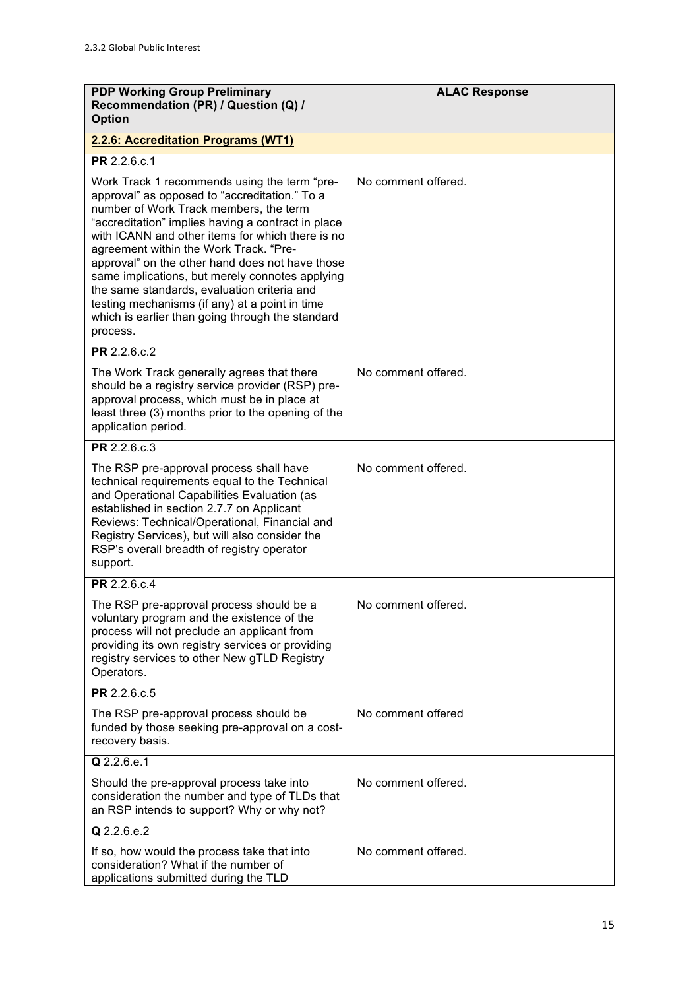| <b>PDP Working Group Preliminary</b><br>Recommendation (PR) / Question (Q) /<br><b>Option</b>                                                                                                                                                                                                                                                                                                                                                                                                                                                                      | <b>ALAC Response</b> |
|--------------------------------------------------------------------------------------------------------------------------------------------------------------------------------------------------------------------------------------------------------------------------------------------------------------------------------------------------------------------------------------------------------------------------------------------------------------------------------------------------------------------------------------------------------------------|----------------------|
| 2.2.6: Accreditation Programs (WT1)                                                                                                                                                                                                                                                                                                                                                                                                                                                                                                                                |                      |
| PR 2.2.6.c.1                                                                                                                                                                                                                                                                                                                                                                                                                                                                                                                                                       |                      |
| Work Track 1 recommends using the term "pre-<br>approval" as opposed to "accreditation." To a<br>number of Work Track members, the term<br>"accreditation" implies having a contract in place<br>with ICANN and other items for which there is no<br>agreement within the Work Track. "Pre-<br>approval" on the other hand does not have those<br>same implications, but merely connotes applying<br>the same standards, evaluation criteria and<br>testing mechanisms (if any) at a point in time<br>which is earlier than going through the standard<br>process. | No comment offered.  |
| PR 2.2.6.c.2                                                                                                                                                                                                                                                                                                                                                                                                                                                                                                                                                       |                      |
| The Work Track generally agrees that there<br>should be a registry service provider (RSP) pre-<br>approval process, which must be in place at<br>least three (3) months prior to the opening of the<br>application period.                                                                                                                                                                                                                                                                                                                                         | No comment offered.  |
| PR 2.2.6.c.3                                                                                                                                                                                                                                                                                                                                                                                                                                                                                                                                                       |                      |
| The RSP pre-approval process shall have<br>technical requirements equal to the Technical<br>and Operational Capabilities Evaluation (as<br>established in section 2.7.7 on Applicant<br>Reviews: Technical/Operational, Financial and<br>Registry Services), but will also consider the<br>RSP's overall breadth of registry operator<br>support.                                                                                                                                                                                                                  | No comment offered.  |
| PR 2.2.6.c.4                                                                                                                                                                                                                                                                                                                                                                                                                                                                                                                                                       |                      |
| The RSP pre-approval process should be a<br>voluntary program and the existence of the<br>process will not preclude an applicant from<br>providing its own registry services or providing<br>registry services to other New gTLD Registry<br>Operators.                                                                                                                                                                                                                                                                                                            | No comment offered   |
| PR 2.2.6.c.5                                                                                                                                                                                                                                                                                                                                                                                                                                                                                                                                                       |                      |
| The RSP pre-approval process should be<br>funded by those seeking pre-approval on a cost-<br>recovery basis.                                                                                                                                                                                                                                                                                                                                                                                                                                                       | No comment offered   |
| Q 2.2.6.e.1                                                                                                                                                                                                                                                                                                                                                                                                                                                                                                                                                        |                      |
| Should the pre-approval process take into<br>consideration the number and type of TLDs that<br>an RSP intends to support? Why or why not?                                                                                                                                                                                                                                                                                                                                                                                                                          | No comment offered.  |
| Q 2.2.6.e.2                                                                                                                                                                                                                                                                                                                                                                                                                                                                                                                                                        |                      |
| If so, how would the process take that into<br>consideration? What if the number of<br>applications submitted during the TLD                                                                                                                                                                                                                                                                                                                                                                                                                                       | No comment offered.  |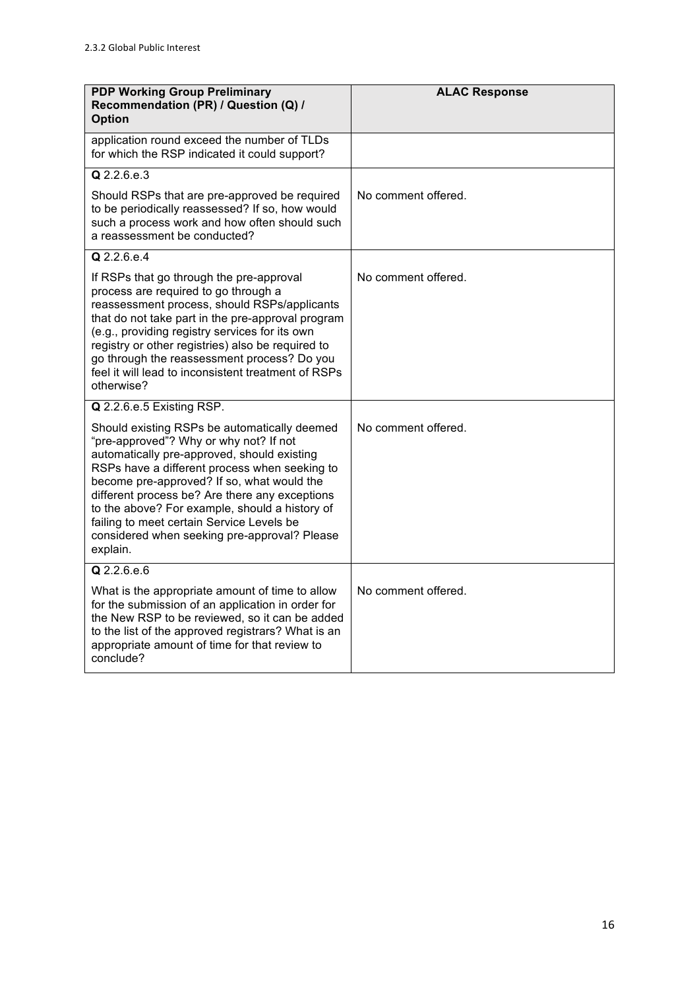| <b>PDP Working Group Preliminary</b><br>Recommendation (PR) / Question (Q) /<br><b>Option</b>                                                                                                                                                                                                                                                                                                                                                     | <b>ALAC Response</b> |
|---------------------------------------------------------------------------------------------------------------------------------------------------------------------------------------------------------------------------------------------------------------------------------------------------------------------------------------------------------------------------------------------------------------------------------------------------|----------------------|
| application round exceed the number of TLDs<br>for which the RSP indicated it could support?                                                                                                                                                                                                                                                                                                                                                      |                      |
| Q 2.2.6.e.3                                                                                                                                                                                                                                                                                                                                                                                                                                       |                      |
| Should RSPs that are pre-approved be required<br>to be periodically reassessed? If so, how would<br>such a process work and how often should such<br>a reassessment be conducted?                                                                                                                                                                                                                                                                 | No comment offered.  |
| Q 2.2.6.e.4                                                                                                                                                                                                                                                                                                                                                                                                                                       |                      |
| If RSPs that go through the pre-approval<br>process are required to go through a<br>reassessment process, should RSPs/applicants<br>that do not take part in the pre-approval program<br>(e.g., providing registry services for its own<br>registry or other registries) also be required to<br>go through the reassessment process? Do you<br>feel it will lead to inconsistent treatment of RSPs<br>otherwise?                                  | No comment offered.  |
| Q 2.2.6.e.5 Existing RSP.                                                                                                                                                                                                                                                                                                                                                                                                                         |                      |
| Should existing RSPs be automatically deemed<br>"pre-approved"? Why or why not? If not<br>automatically pre-approved, should existing<br>RSPs have a different process when seeking to<br>become pre-approved? If so, what would the<br>different process be? Are there any exceptions<br>to the above? For example, should a history of<br>failing to meet certain Service Levels be<br>considered when seeking pre-approval? Please<br>explain. | No comment offered.  |
| Q 2.2.6.e.6                                                                                                                                                                                                                                                                                                                                                                                                                                       |                      |
| What is the appropriate amount of time to allow<br>for the submission of an application in order for<br>the New RSP to be reviewed, so it can be added<br>to the list of the approved registrars? What is an<br>appropriate amount of time for that review to<br>conclude?                                                                                                                                                                        | No comment offered.  |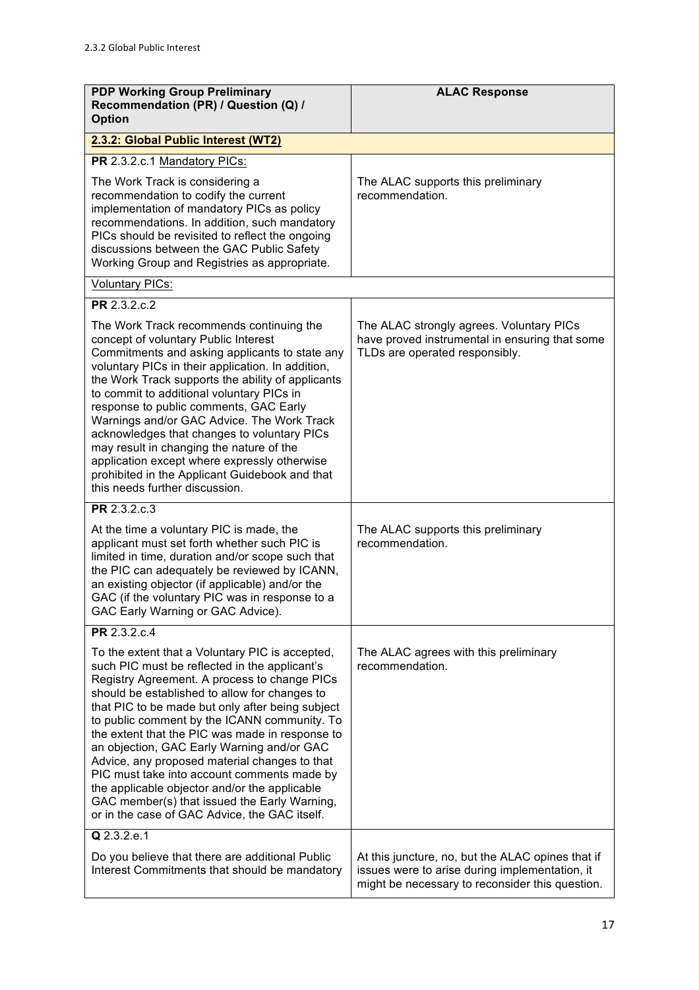| <b>PDP Working Group Preliminary</b><br>Recommendation (PR) / Question (Q) /<br><b>Option</b>                                                                                                                                                                                                                                                                                                                                                                                                                                                                                                                                                            | <b>ALAC Response</b>                                                                                                                                   |
|----------------------------------------------------------------------------------------------------------------------------------------------------------------------------------------------------------------------------------------------------------------------------------------------------------------------------------------------------------------------------------------------------------------------------------------------------------------------------------------------------------------------------------------------------------------------------------------------------------------------------------------------------------|--------------------------------------------------------------------------------------------------------------------------------------------------------|
| 2.3.2: Global Public Interest (WT2)                                                                                                                                                                                                                                                                                                                                                                                                                                                                                                                                                                                                                      |                                                                                                                                                        |
| PR 2.3.2.c.1 Mandatory PICs:                                                                                                                                                                                                                                                                                                                                                                                                                                                                                                                                                                                                                             |                                                                                                                                                        |
| The Work Track is considering a<br>recommendation to codify the current<br>implementation of mandatory PICs as policy<br>recommendations. In addition, such mandatory<br>PICs should be revisited to reflect the ongoing<br>discussions between the GAC Public Safety<br>Working Group and Registries as appropriate.                                                                                                                                                                                                                                                                                                                                    | The ALAC supports this preliminary<br>recommendation.                                                                                                  |
| <b>Voluntary PICs:</b>                                                                                                                                                                                                                                                                                                                                                                                                                                                                                                                                                                                                                                   |                                                                                                                                                        |
| PR 2.3.2.c.2                                                                                                                                                                                                                                                                                                                                                                                                                                                                                                                                                                                                                                             |                                                                                                                                                        |
| The Work Track recommends continuing the<br>concept of voluntary Public Interest<br>Commitments and asking applicants to state any<br>voluntary PICs in their application. In addition,<br>the Work Track supports the ability of applicants<br>to commit to additional voluntary PICs in<br>response to public comments, GAC Early<br>Warnings and/or GAC Advice. The Work Track<br>acknowledges that changes to voluntary PICs<br>may result in changing the nature of the<br>application except where expressly otherwise<br>prohibited in the Applicant Guidebook and that<br>this needs further discussion.                                         | The ALAC strongly agrees. Voluntary PICs<br>have proved instrumental in ensuring that some<br>TLDs are operated responsibly.                           |
| PR 2.3.2.c.3                                                                                                                                                                                                                                                                                                                                                                                                                                                                                                                                                                                                                                             |                                                                                                                                                        |
| At the time a voluntary PIC is made, the<br>applicant must set forth whether such PIC is<br>limited in time, duration and/or scope such that<br>the PIC can adequately be reviewed by ICANN,<br>an existing objector (if applicable) and/or the<br>GAC (if the voluntary PIC was in response to a<br>GAC Early Warning or GAC Advice).                                                                                                                                                                                                                                                                                                                   | The ALAC supports this preliminary<br>recommendation.                                                                                                  |
| PR 2.3.2.c.4                                                                                                                                                                                                                                                                                                                                                                                                                                                                                                                                                                                                                                             |                                                                                                                                                        |
| To the extent that a Voluntary PIC is accepted,<br>such PIC must be reflected in the applicant's<br>Registry Agreement. A process to change PICs<br>should be established to allow for changes to<br>that PIC to be made but only after being subject<br>to public comment by the ICANN community. To<br>the extent that the PIC was made in response to<br>an objection, GAC Early Warning and/or GAC<br>Advice, any proposed material changes to that<br>PIC must take into account comments made by<br>the applicable objector and/or the applicable<br>GAC member(s) that issued the Early Warning,<br>or in the case of GAC Advice, the GAC itself. | The ALAC agrees with this preliminary<br>recommendation.                                                                                               |
| Q 2.3.2.e.1                                                                                                                                                                                                                                                                                                                                                                                                                                                                                                                                                                                                                                              |                                                                                                                                                        |
| Do you believe that there are additional Public<br>Interest Commitments that should be mandatory                                                                                                                                                                                                                                                                                                                                                                                                                                                                                                                                                         | At this juncture, no, but the ALAC opines that if<br>issues were to arise during implementation, it<br>might be necessary to reconsider this question. |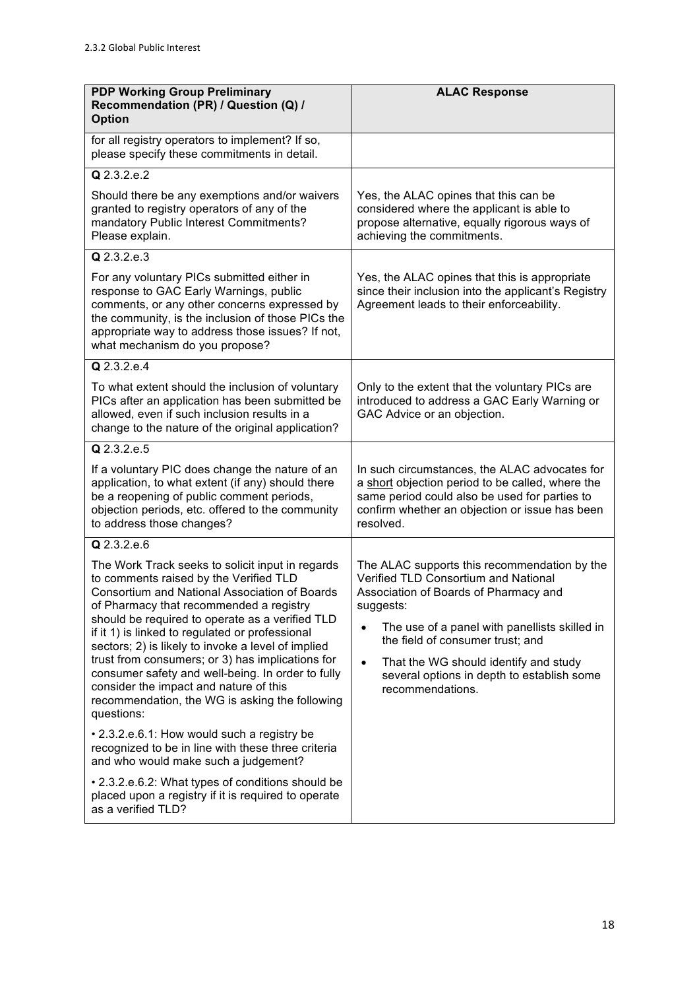| <b>PDP Working Group Preliminary</b><br>Recommendation (PR) / Question (Q) /<br><b>Option</b>                                                                                                                                                                                                                                                                                                                                                                                                                                                                         | <b>ALAC Response</b>                                                                                                                                                                                                                                                                                                                                                 |
|-----------------------------------------------------------------------------------------------------------------------------------------------------------------------------------------------------------------------------------------------------------------------------------------------------------------------------------------------------------------------------------------------------------------------------------------------------------------------------------------------------------------------------------------------------------------------|----------------------------------------------------------------------------------------------------------------------------------------------------------------------------------------------------------------------------------------------------------------------------------------------------------------------------------------------------------------------|
| for all registry operators to implement? If so,<br>please specify these commitments in detail.                                                                                                                                                                                                                                                                                                                                                                                                                                                                        |                                                                                                                                                                                                                                                                                                                                                                      |
| Q 2.3.2.e.2                                                                                                                                                                                                                                                                                                                                                                                                                                                                                                                                                           |                                                                                                                                                                                                                                                                                                                                                                      |
| Should there be any exemptions and/or waivers<br>granted to registry operators of any of the<br>mandatory Public Interest Commitments?<br>Please explain.                                                                                                                                                                                                                                                                                                                                                                                                             | Yes, the ALAC opines that this can be<br>considered where the applicant is able to<br>propose alternative, equally rigorous ways of<br>achieving the commitments.                                                                                                                                                                                                    |
| Q 2.3.2.e.3                                                                                                                                                                                                                                                                                                                                                                                                                                                                                                                                                           |                                                                                                                                                                                                                                                                                                                                                                      |
| For any voluntary PICs submitted either in<br>response to GAC Early Warnings, public<br>comments, or any other concerns expressed by<br>the community, is the inclusion of those PICs the<br>appropriate way to address those issues? If not,<br>what mechanism do you propose?                                                                                                                                                                                                                                                                                       | Yes, the ALAC opines that this is appropriate<br>since their inclusion into the applicant's Registry<br>Agreement leads to their enforceability.                                                                                                                                                                                                                     |
| Q 2.3.2.e.4                                                                                                                                                                                                                                                                                                                                                                                                                                                                                                                                                           |                                                                                                                                                                                                                                                                                                                                                                      |
| To what extent should the inclusion of voluntary<br>PICs after an application has been submitted be<br>allowed, even if such inclusion results in a<br>change to the nature of the original application?                                                                                                                                                                                                                                                                                                                                                              | Only to the extent that the voluntary PICs are<br>introduced to address a GAC Early Warning or<br>GAC Advice or an objection.                                                                                                                                                                                                                                        |
| Q 2.3.2.e.5                                                                                                                                                                                                                                                                                                                                                                                                                                                                                                                                                           |                                                                                                                                                                                                                                                                                                                                                                      |
| If a voluntary PIC does change the nature of an<br>application, to what extent (if any) should there<br>be a reopening of public comment periods,<br>objection periods, etc. offered to the community<br>to address those changes?                                                                                                                                                                                                                                                                                                                                    | In such circumstances, the ALAC advocates for<br>a short objection period to be called, where the<br>same period could also be used for parties to<br>confirm whether an objection or issue has been<br>resolved.                                                                                                                                                    |
| Q 2.3.2.e.6                                                                                                                                                                                                                                                                                                                                                                                                                                                                                                                                                           |                                                                                                                                                                                                                                                                                                                                                                      |
| The Work Track seeks to solicit input in regards<br>to comments raised by the Verified TLD<br>Consortium and National Association of Boards<br>of Pharmacy that recommended a registry<br>should be required to operate as a verified TLD<br>if it 1) is linked to regulated or professional<br>sectors; 2) is likely to invoke a level of implied<br>trust from consumers; or 3) has implications for<br>consumer safety and well-being. In order to fully<br>consider the impact and nature of this<br>recommendation, the WG is asking the following<br>questions: | The ALAC supports this recommendation by the<br>Verified TLD Consortium and National<br>Association of Boards of Pharmacy and<br>suggests:<br>The use of a panel with panellists skilled in<br>$\bullet$<br>the field of consumer trust; and<br>That the WG should identify and study<br>$\bullet$<br>several options in depth to establish some<br>recommendations. |
| • 2.3.2.e.6.1: How would such a registry be<br>recognized to be in line with these three criteria<br>and who would make such a judgement?                                                                                                                                                                                                                                                                                                                                                                                                                             |                                                                                                                                                                                                                                                                                                                                                                      |
| • 2.3.2.e.6.2: What types of conditions should be<br>placed upon a registry if it is required to operate<br>as a verified TLD?                                                                                                                                                                                                                                                                                                                                                                                                                                        |                                                                                                                                                                                                                                                                                                                                                                      |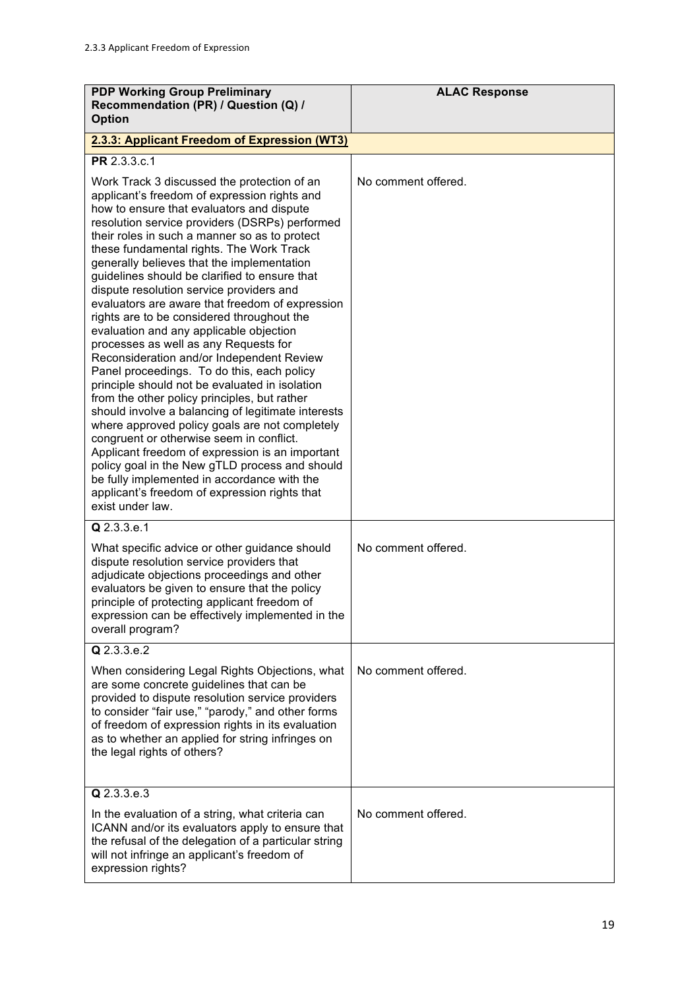| <b>PDP Working Group Preliminary</b><br>Recommendation (PR) / Question (Q) /<br><b>Option</b>                                                                                                                                                                                                                                                                                                                                                                                                                                                                                                                                                                                                                                                                                                                                                                                                                                                                                                                                                                                                                                                                                                     | <b>ALAC Response</b> |
|---------------------------------------------------------------------------------------------------------------------------------------------------------------------------------------------------------------------------------------------------------------------------------------------------------------------------------------------------------------------------------------------------------------------------------------------------------------------------------------------------------------------------------------------------------------------------------------------------------------------------------------------------------------------------------------------------------------------------------------------------------------------------------------------------------------------------------------------------------------------------------------------------------------------------------------------------------------------------------------------------------------------------------------------------------------------------------------------------------------------------------------------------------------------------------------------------|----------------------|
| 2.3.3: Applicant Freedom of Expression (WT3)                                                                                                                                                                                                                                                                                                                                                                                                                                                                                                                                                                                                                                                                                                                                                                                                                                                                                                                                                                                                                                                                                                                                                      |                      |
| PR 2.3.3.c.1                                                                                                                                                                                                                                                                                                                                                                                                                                                                                                                                                                                                                                                                                                                                                                                                                                                                                                                                                                                                                                                                                                                                                                                      |                      |
| Work Track 3 discussed the protection of an<br>applicant's freedom of expression rights and<br>how to ensure that evaluators and dispute<br>resolution service providers (DSRPs) performed<br>their roles in such a manner so as to protect<br>these fundamental rights. The Work Track<br>generally believes that the implementation<br>guidelines should be clarified to ensure that<br>dispute resolution service providers and<br>evaluators are aware that freedom of expression<br>rights are to be considered throughout the<br>evaluation and any applicable objection<br>processes as well as any Requests for<br>Reconsideration and/or Independent Review<br>Panel proceedings. To do this, each policy<br>principle should not be evaluated in isolation<br>from the other policy principles, but rather<br>should involve a balancing of legitimate interests<br>where approved policy goals are not completely<br>congruent or otherwise seem in conflict.<br>Applicant freedom of expression is an important<br>policy goal in the New gTLD process and should<br>be fully implemented in accordance with the<br>applicant's freedom of expression rights that<br>exist under law. | No comment offered.  |
| Q 2.3.3.e.1<br>What specific advice or other guidance should<br>dispute resolution service providers that<br>adjudicate objections proceedings and other<br>evaluators be given to ensure that the policy<br>principle of protecting applicant freedom of<br>expression can be effectively implemented in the<br>overall program?                                                                                                                                                                                                                                                                                                                                                                                                                                                                                                                                                                                                                                                                                                                                                                                                                                                                 | No comment offered.  |
| $Q$ 2.3.3.e.2                                                                                                                                                                                                                                                                                                                                                                                                                                                                                                                                                                                                                                                                                                                                                                                                                                                                                                                                                                                                                                                                                                                                                                                     |                      |
| When considering Legal Rights Objections, what<br>are some concrete guidelines that can be<br>provided to dispute resolution service providers<br>to consider "fair use," "parody," and other forms<br>of freedom of expression rights in its evaluation<br>as to whether an applied for string infringes on<br>the legal rights of others?                                                                                                                                                                                                                                                                                                                                                                                                                                                                                                                                                                                                                                                                                                                                                                                                                                                       | No comment offered.  |
| Q 2.3.3.e.3                                                                                                                                                                                                                                                                                                                                                                                                                                                                                                                                                                                                                                                                                                                                                                                                                                                                                                                                                                                                                                                                                                                                                                                       |                      |
| In the evaluation of a string, what criteria can<br>ICANN and/or its evaluators apply to ensure that<br>the refusal of the delegation of a particular string<br>will not infringe an applicant's freedom of<br>expression rights?                                                                                                                                                                                                                                                                                                                                                                                                                                                                                                                                                                                                                                                                                                                                                                                                                                                                                                                                                                 | No comment offered.  |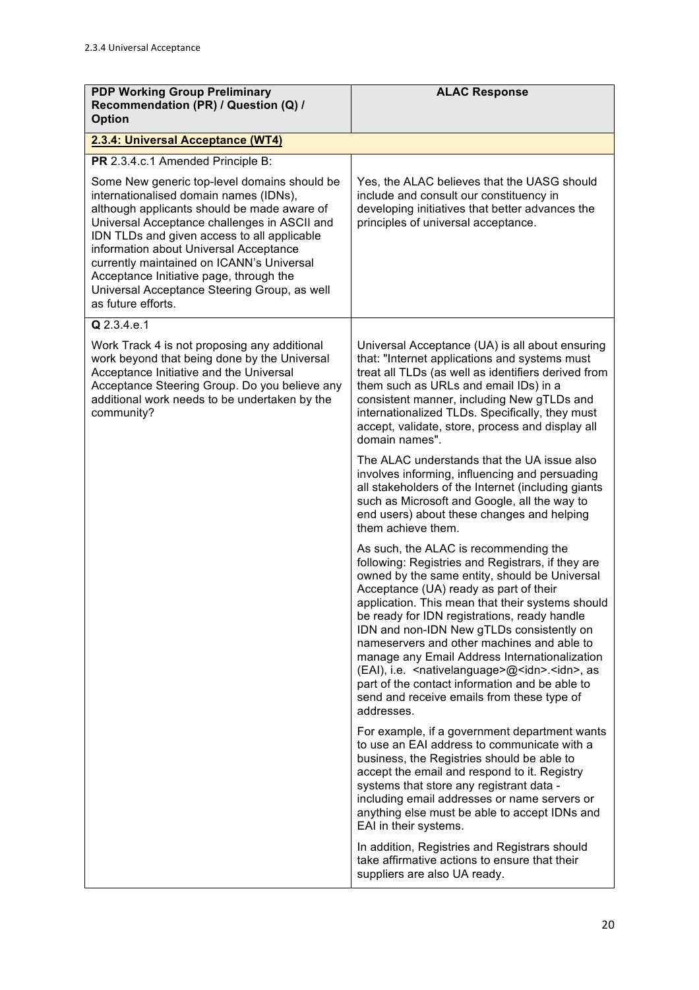| <b>PDP Working Group Preliminary</b><br>Recommendation (PR) / Question (Q) /<br><b>Option</b>                                                                                                                                                                                                                                                                                                                                                | <b>ALAC Response</b>                                                                                                                                                                                                                                                                                                                                                                                                                                                                                                                                                                                                                |
|----------------------------------------------------------------------------------------------------------------------------------------------------------------------------------------------------------------------------------------------------------------------------------------------------------------------------------------------------------------------------------------------------------------------------------------------|-------------------------------------------------------------------------------------------------------------------------------------------------------------------------------------------------------------------------------------------------------------------------------------------------------------------------------------------------------------------------------------------------------------------------------------------------------------------------------------------------------------------------------------------------------------------------------------------------------------------------------------|
| 2.3.4: Universal Acceptance (WT4)                                                                                                                                                                                                                                                                                                                                                                                                            |                                                                                                                                                                                                                                                                                                                                                                                                                                                                                                                                                                                                                                     |
| PR 2.3.4.c.1 Amended Principle B:                                                                                                                                                                                                                                                                                                                                                                                                            |                                                                                                                                                                                                                                                                                                                                                                                                                                                                                                                                                                                                                                     |
| Some New generic top-level domains should be<br>internationalised domain names (IDNs),<br>although applicants should be made aware of<br>Universal Acceptance challenges in ASCII and<br>IDN TLDs and given access to all applicable<br>information about Universal Acceptance<br>currently maintained on ICANN's Universal<br>Acceptance Initiative page, through the<br>Universal Acceptance Steering Group, as well<br>as future efforts. | Yes, the ALAC believes that the UASG should<br>include and consult our constituency in<br>developing initiatives that better advances the<br>principles of universal acceptance.                                                                                                                                                                                                                                                                                                                                                                                                                                                    |
| Q 2.3.4.e.1                                                                                                                                                                                                                                                                                                                                                                                                                                  |                                                                                                                                                                                                                                                                                                                                                                                                                                                                                                                                                                                                                                     |
| Work Track 4 is not proposing any additional<br>work beyond that being done by the Universal<br>Acceptance Initiative and the Universal<br>Acceptance Steering Group. Do you believe any<br>additional work needs to be undertaken by the<br>community?                                                                                                                                                                                      | Universal Acceptance (UA) is all about ensuring<br>that: "Internet applications and systems must<br>treat all TLDs (as well as identifiers derived from<br>them such as URLs and email IDs) in a<br>consistent manner, including New gTLDs and<br>internationalized TLDs. Specifically, they must<br>accept, validate, store, process and display all<br>domain names".                                                                                                                                                                                                                                                             |
|                                                                                                                                                                                                                                                                                                                                                                                                                                              | The ALAC understands that the UA issue also<br>involves informing, influencing and persuading<br>all stakeholders of the Internet (including giants<br>such as Microsoft and Google, all the way to<br>end users) about these changes and helping<br>them achieve them.                                                                                                                                                                                                                                                                                                                                                             |
|                                                                                                                                                                                                                                                                                                                                                                                                                                              | As such, the ALAC is recommending the<br>following: Registries and Registrars, if they are<br>owned by the same entity, should be Universal<br>Acceptance (UA) ready as part of their<br>application. This mean that their systems should<br>be ready for IDN registrations, ready handle<br>IDN and non-IDN New gTLDs consistently on<br>nameservers and other machines and able to<br>manage any Email Address Internationalization<br>(EAI), i.e. <nativelanguage>@<idn>.<idn>, as<br/>part of the contact information and be able to<br/>send and receive emails from these type of<br/>addresses.</idn></idn></nativelanguage> |
|                                                                                                                                                                                                                                                                                                                                                                                                                                              | For example, if a government department wants<br>to use an EAI address to communicate with a<br>business, the Registries should be able to<br>accept the email and respond to it. Registry<br>systems that store any registrant data -<br>including email addresses or name servers or<br>anything else must be able to accept IDNs and<br>EAI in their systems.                                                                                                                                                                                                                                                                    |
|                                                                                                                                                                                                                                                                                                                                                                                                                                              | In addition, Registries and Registrars should<br>take affirmative actions to ensure that their<br>suppliers are also UA ready.                                                                                                                                                                                                                                                                                                                                                                                                                                                                                                      |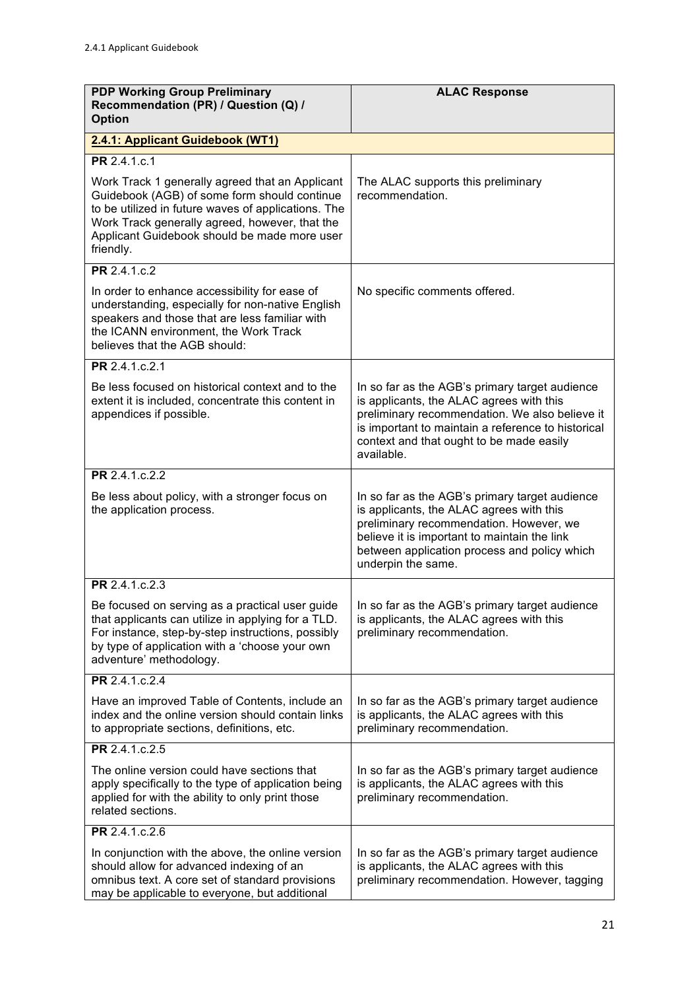| <b>PDP Working Group Preliminary</b><br>Recommendation (PR) / Question (Q) /<br><b>Option</b>                                                                                                                                                                         | <b>ALAC Response</b>                                                                                                                                                                                                                                         |
|-----------------------------------------------------------------------------------------------------------------------------------------------------------------------------------------------------------------------------------------------------------------------|--------------------------------------------------------------------------------------------------------------------------------------------------------------------------------------------------------------------------------------------------------------|
| 2.4.1: Applicant Guidebook (WT1)                                                                                                                                                                                                                                      |                                                                                                                                                                                                                                                              |
| PR 2.4.1.c.1                                                                                                                                                                                                                                                          |                                                                                                                                                                                                                                                              |
| Work Track 1 generally agreed that an Applicant<br>Guidebook (AGB) of some form should continue<br>to be utilized in future waves of applications. The<br>Work Track generally agreed, however, that the<br>Applicant Guidebook should be made more user<br>friendly. | The ALAC supports this preliminary<br>recommendation.                                                                                                                                                                                                        |
| <b>PR</b> 2.4.1.c.2                                                                                                                                                                                                                                                   |                                                                                                                                                                                                                                                              |
| In order to enhance accessibility for ease of<br>understanding, especially for non-native English<br>speakers and those that are less familiar with<br>the ICANN environment, the Work Track<br>believes that the AGB should:                                         | No specific comments offered.                                                                                                                                                                                                                                |
| PR 2.4.1.c.2.1                                                                                                                                                                                                                                                        |                                                                                                                                                                                                                                                              |
| Be less focused on historical context and to the<br>extent it is included, concentrate this content in<br>appendices if possible.                                                                                                                                     | In so far as the AGB's primary target audience<br>is applicants, the ALAC agrees with this<br>preliminary recommendation. We also believe it<br>is important to maintain a reference to historical<br>context and that ought to be made easily<br>available. |
| PR 2.4.1.c.2.2                                                                                                                                                                                                                                                        |                                                                                                                                                                                                                                                              |
| Be less about policy, with a stronger focus on<br>the application process.                                                                                                                                                                                            | In so far as the AGB's primary target audience<br>is applicants, the ALAC agrees with this<br>preliminary recommendation. However, we<br>believe it is important to maintain the link<br>between application process and policy which<br>underpin the same.  |
| PR 2.4.1.c.2.3                                                                                                                                                                                                                                                        |                                                                                                                                                                                                                                                              |
| Be focused on serving as a practical user guide<br>that applicants can utilize in applying for a TLD.<br>For instance, step-by-step instructions, possibly<br>by type of application with a 'choose your own<br>adventure' methodology.                               | In so far as the AGB's primary target audience<br>is applicants, the ALAC agrees with this<br>preliminary recommendation.                                                                                                                                    |
| PR 2.4.1.c.2.4                                                                                                                                                                                                                                                        |                                                                                                                                                                                                                                                              |
| Have an improved Table of Contents, include an<br>index and the online version should contain links<br>to appropriate sections, definitions, etc.                                                                                                                     | In so far as the AGB's primary target audience<br>is applicants, the ALAC agrees with this<br>preliminary recommendation.                                                                                                                                    |
| PR 2.4.1.c.2.5                                                                                                                                                                                                                                                        |                                                                                                                                                                                                                                                              |
| The online version could have sections that<br>apply specifically to the type of application being<br>applied for with the ability to only print those<br>related sections.                                                                                           | In so far as the AGB's primary target audience<br>is applicants, the ALAC agrees with this<br>preliminary recommendation.                                                                                                                                    |
| PR 2.4.1.c.2.6                                                                                                                                                                                                                                                        |                                                                                                                                                                                                                                                              |
| In conjunction with the above, the online version<br>should allow for advanced indexing of an<br>omnibus text. A core set of standard provisions<br>may be applicable to everyone, but additional                                                                     | In so far as the AGB's primary target audience<br>is applicants, the ALAC agrees with this<br>preliminary recommendation. However, tagging                                                                                                                   |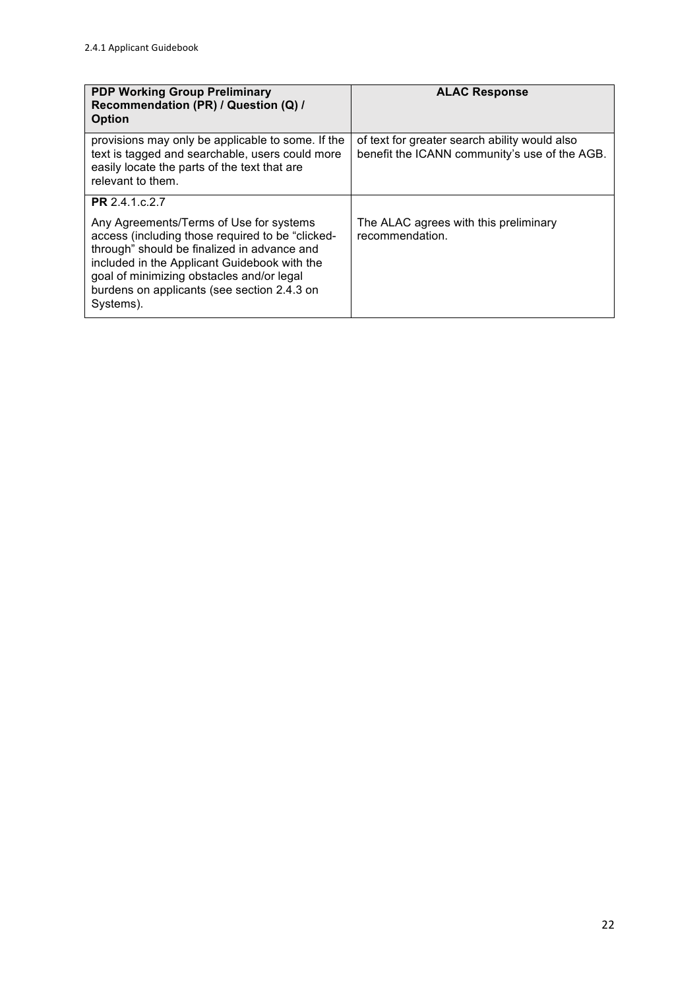| <b>PDP Working Group Preliminary</b><br>Recommendation (PR) / Question (Q) /<br><b>Option</b>                                                                                                                                                                                                       | <b>ALAC Response</b>                                                                           |
|-----------------------------------------------------------------------------------------------------------------------------------------------------------------------------------------------------------------------------------------------------------------------------------------------------|------------------------------------------------------------------------------------------------|
| provisions may only be applicable to some. If the<br>text is tagged and searchable, users could more<br>easily locate the parts of the text that are<br>relevant to them.                                                                                                                           | of text for greater search ability would also<br>benefit the ICANN community's use of the AGB. |
| PR 2.4.1.c.2.7                                                                                                                                                                                                                                                                                      |                                                                                                |
| Any Agreements/Terms of Use for systems<br>access (including those required to be "clicked-<br>through" should be finalized in advance and<br>included in the Applicant Guidebook with the<br>goal of minimizing obstacles and/or legal<br>burdens on applicants (see section 2.4.3 on<br>Systems). | The ALAC agrees with this preliminary<br>recommendation.                                       |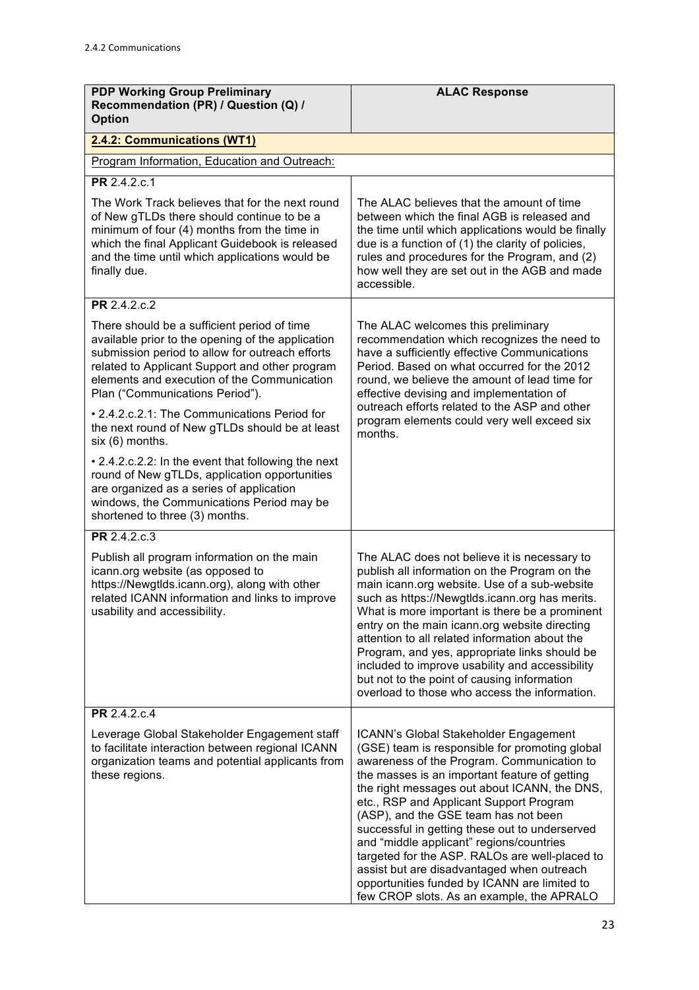| <b>PDP Working Group Preliminary</b><br>Recommendation (PR) / Question (Q) /<br><b>Option</b>                                                                                                                                                                                           | <b>ALAC Response</b>                                                                                                                                                                                                                                                                                                                                                                                                                                                                                                                                                                                                 |
|-----------------------------------------------------------------------------------------------------------------------------------------------------------------------------------------------------------------------------------------------------------------------------------------|----------------------------------------------------------------------------------------------------------------------------------------------------------------------------------------------------------------------------------------------------------------------------------------------------------------------------------------------------------------------------------------------------------------------------------------------------------------------------------------------------------------------------------------------------------------------------------------------------------------------|
| 2.4.2: Communications (WT1)                                                                                                                                                                                                                                                             |                                                                                                                                                                                                                                                                                                                                                                                                                                                                                                                                                                                                                      |
| Program Information, Education and Outreach:                                                                                                                                                                                                                                            |                                                                                                                                                                                                                                                                                                                                                                                                                                                                                                                                                                                                                      |
| PR 2.4.2.c.1                                                                                                                                                                                                                                                                            |                                                                                                                                                                                                                                                                                                                                                                                                                                                                                                                                                                                                                      |
| The Work Track believes that for the next round<br>of New gTLDs there should continue to be a<br>minimum of four (4) months from the time in<br>which the final Applicant Guidebook is released<br>and the time until which applications would be<br>finally due.                       | The ALAC believes that the amount of time<br>between which the final AGB is released and<br>the time until which applications would be finally<br>due is a function of (1) the clarity of policies,<br>rules and procedures for the Program, and (2)<br>how well they are set out in the AGB and made<br>accessible.                                                                                                                                                                                                                                                                                                 |
| PR 2.4.2.c.2                                                                                                                                                                                                                                                                            |                                                                                                                                                                                                                                                                                                                                                                                                                                                                                                                                                                                                                      |
| There should be a sufficient period of time<br>available prior to the opening of the application<br>submission period to allow for outreach efforts<br>related to Applicant Support and other program<br>elements and execution of the Communication<br>Plan ("Communications Period"). | The ALAC welcomes this preliminary<br>recommendation which recognizes the need to<br>have a sufficiently effective Communications<br>Period. Based on what occurred for the 2012<br>round, we believe the amount of lead time for<br>effective devising and implementation of                                                                                                                                                                                                                                                                                                                                        |
| • 2.4.2.c.2.1: The Communications Period for<br>the next round of New gTLDs should be at least<br>six (6) months.                                                                                                                                                                       | outreach efforts related to the ASP and other<br>program elements could very well exceed six<br>months.                                                                                                                                                                                                                                                                                                                                                                                                                                                                                                              |
| • 2.4.2.c.2.2: In the event that following the next<br>round of New gTLDs, application opportunities<br>are organized as a series of application<br>windows, the Communications Period may be<br>shortened to three (3) months.                                                         |                                                                                                                                                                                                                                                                                                                                                                                                                                                                                                                                                                                                                      |
| PR 2.4.2.c.3                                                                                                                                                                                                                                                                            |                                                                                                                                                                                                                                                                                                                                                                                                                                                                                                                                                                                                                      |
| Publish all program information on the main<br>icann.org website (as opposed to<br>https://Newgtlds.icann.org), along with other<br>related ICANN information and links to improve<br>usability and accessibility.                                                                      | The ALAC does not believe it is necessary to<br>publish all information on the Program on the<br>main icann.org website. Use of a sub-website<br>such as https://Newgtlds.icann.org has merits.<br>What is more important is there be a prominent<br>entry on the main icann.org website directing<br>attention to all related information about the<br>Program, and yes, appropriate links should be<br>included to improve usability and accessibility<br>but not to the point of causing information<br>overload to those who access the information.                                                             |
| PR 2.4.2.c.4                                                                                                                                                                                                                                                                            |                                                                                                                                                                                                                                                                                                                                                                                                                                                                                                                                                                                                                      |
| Leverage Global Stakeholder Engagement staff<br>to facilitate interaction between regional ICANN<br>organization teams and potential applicants from<br>these regions.                                                                                                                  | ICANN's Global Stakeholder Engagement<br>(GSE) team is responsible for promoting global<br>awareness of the Program. Communication to<br>the masses is an important feature of getting<br>the right messages out about ICANN, the DNS,<br>etc., RSP and Applicant Support Program<br>(ASP), and the GSE team has not been<br>successful in getting these out to underserved<br>and "middle applicant" regions/countries<br>targeted for the ASP. RALOs are well-placed to<br>assist but are disadvantaged when outreach<br>opportunities funded by ICANN are limited to<br>few CROP slots. As an example, the APRALO |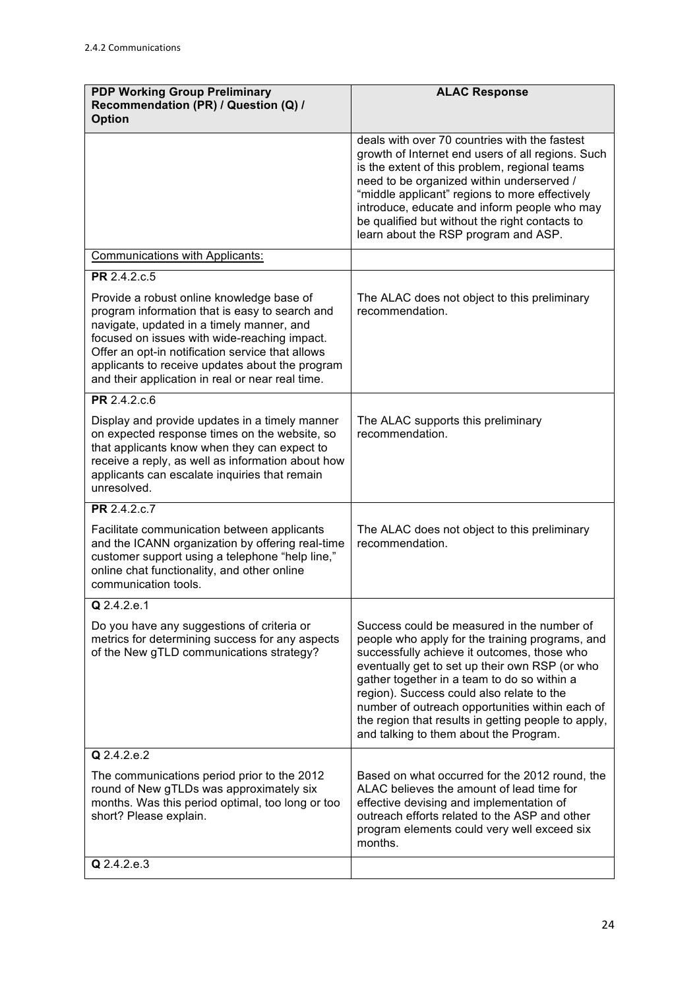| <b>PDP Working Group Preliminary</b><br>Recommendation (PR) / Question (Q) /<br><b>Option</b>                                                                                                                                                                                                                                                       | <b>ALAC Response</b>                                                                                                                                                                                                                                                                                                                                                                                                                           |
|-----------------------------------------------------------------------------------------------------------------------------------------------------------------------------------------------------------------------------------------------------------------------------------------------------------------------------------------------------|------------------------------------------------------------------------------------------------------------------------------------------------------------------------------------------------------------------------------------------------------------------------------------------------------------------------------------------------------------------------------------------------------------------------------------------------|
|                                                                                                                                                                                                                                                                                                                                                     | deals with over 70 countries with the fastest<br>growth of Internet end users of all regions. Such<br>is the extent of this problem, regional teams<br>need to be organized within underserved /<br>"middle applicant" regions to more effectively<br>introduce, educate and inform people who may<br>be qualified but without the right contacts to<br>learn about the RSP program and ASP.                                                   |
| <b>Communications with Applicants:</b>                                                                                                                                                                                                                                                                                                              |                                                                                                                                                                                                                                                                                                                                                                                                                                                |
| PR 2.4.2.c.5                                                                                                                                                                                                                                                                                                                                        |                                                                                                                                                                                                                                                                                                                                                                                                                                                |
| Provide a robust online knowledge base of<br>program information that is easy to search and<br>navigate, updated in a timely manner, and<br>focused on issues with wide-reaching impact.<br>Offer an opt-in notification service that allows<br>applicants to receive updates about the program<br>and their application in real or near real time. | The ALAC does not object to this preliminary<br>recommendation.                                                                                                                                                                                                                                                                                                                                                                                |
| PR 2.4.2.c.6                                                                                                                                                                                                                                                                                                                                        |                                                                                                                                                                                                                                                                                                                                                                                                                                                |
| Display and provide updates in a timely manner<br>on expected response times on the website, so<br>that applicants know when they can expect to<br>receive a reply, as well as information about how<br>applicants can escalate inquiries that remain<br>unresolved.                                                                                | The ALAC supports this preliminary<br>recommendation.                                                                                                                                                                                                                                                                                                                                                                                          |
| PR 2.4.2.c.7                                                                                                                                                                                                                                                                                                                                        |                                                                                                                                                                                                                                                                                                                                                                                                                                                |
| Facilitate communication between applicants<br>and the ICANN organization by offering real-time<br>customer support using a telephone "help line,"<br>online chat functionality, and other online<br>communication tools.                                                                                                                           | The ALAC does not object to this preliminary<br>recommendation.                                                                                                                                                                                                                                                                                                                                                                                |
| Q 2.4.2.e.1                                                                                                                                                                                                                                                                                                                                         |                                                                                                                                                                                                                                                                                                                                                                                                                                                |
| Do you have any suggestions of criteria or<br>metrics for determining success for any aspects<br>of the New gTLD communications strategy?                                                                                                                                                                                                           | Success could be measured in the number of<br>people who apply for the training programs, and<br>successfully achieve it outcomes, those who<br>eventually get to set up their own RSP (or who<br>gather together in a team to do so within a<br>region). Success could also relate to the<br>number of outreach opportunities within each of<br>the region that results in getting people to apply,<br>and talking to them about the Program. |
| Q 2.4.2.e.2                                                                                                                                                                                                                                                                                                                                         |                                                                                                                                                                                                                                                                                                                                                                                                                                                |
| The communications period prior to the 2012<br>round of New gTLDs was approximately six<br>months. Was this period optimal, too long or too<br>short? Please explain.                                                                                                                                                                               | Based on what occurred for the 2012 round, the<br>ALAC believes the amount of lead time for<br>effective devising and implementation of<br>outreach efforts related to the ASP and other<br>program elements could very well exceed six<br>months.                                                                                                                                                                                             |
| Q 2.4.2.e.3                                                                                                                                                                                                                                                                                                                                         |                                                                                                                                                                                                                                                                                                                                                                                                                                                |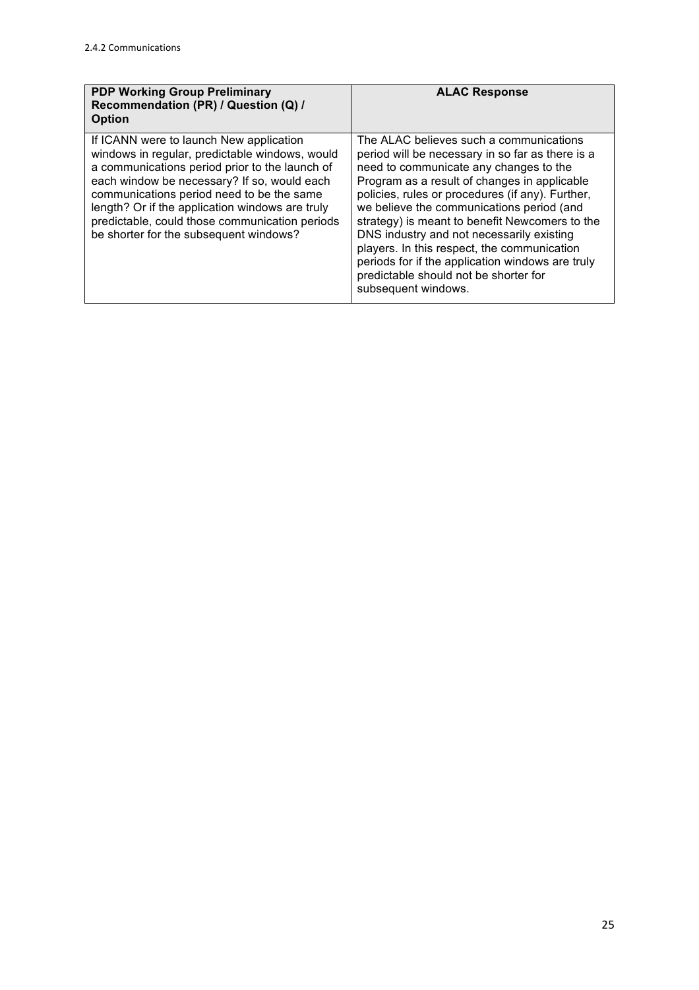| <b>PDP Working Group Preliminary</b><br>Recommendation (PR) / Question (Q) /<br><b>Option</b>                                                                                                                                                                                                                                                                                          | <b>ALAC Response</b>                                                                                                                                                                                                                                                                                                                                                                                                                                                                                                                                     |
|----------------------------------------------------------------------------------------------------------------------------------------------------------------------------------------------------------------------------------------------------------------------------------------------------------------------------------------------------------------------------------------|----------------------------------------------------------------------------------------------------------------------------------------------------------------------------------------------------------------------------------------------------------------------------------------------------------------------------------------------------------------------------------------------------------------------------------------------------------------------------------------------------------------------------------------------------------|
| If ICANN were to launch New application<br>windows in regular, predictable windows, would<br>a communications period prior to the launch of<br>each window be necessary? If so, would each<br>communications period need to be the same<br>length? Or if the application windows are truly<br>predictable, could those communication periods<br>be shorter for the subsequent windows? | The ALAC believes such a communications<br>period will be necessary in so far as there is a<br>need to communicate any changes to the<br>Program as a result of changes in applicable<br>policies, rules or procedures (if any). Further,<br>we believe the communications period (and<br>strategy) is meant to benefit Newcomers to the<br>DNS industry and not necessarily existing<br>players. In this respect, the communication<br>periods for if the application windows are truly<br>predictable should not be shorter for<br>subsequent windows. |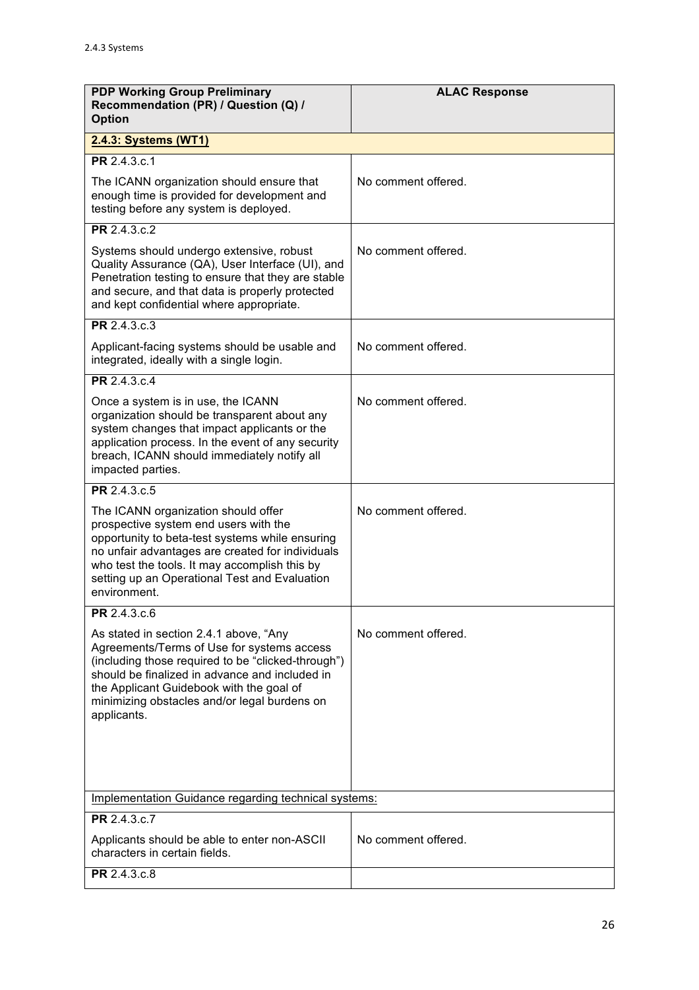| <b>PDP Working Group Preliminary</b><br>Recommendation (PR) / Question (Q) /<br><b>Option</b>                                                                                                                                                                                                           | <b>ALAC Response</b> |
|---------------------------------------------------------------------------------------------------------------------------------------------------------------------------------------------------------------------------------------------------------------------------------------------------------|----------------------|
| 2.4.3: Systems (WT1)                                                                                                                                                                                                                                                                                    |                      |
| PR 2.4.3.c.1                                                                                                                                                                                                                                                                                            |                      |
| The ICANN organization should ensure that<br>enough time is provided for development and<br>testing before any system is deployed.                                                                                                                                                                      | No comment offered.  |
| PR 2.4.3.c.2                                                                                                                                                                                                                                                                                            |                      |
| Systems should undergo extensive, robust<br>Quality Assurance (QA), User Interface (UI), and<br>Penetration testing to ensure that they are stable<br>and secure, and that data is properly protected<br>and kept confidential where appropriate.                                                       | No comment offered.  |
| PR 2.4.3.c.3                                                                                                                                                                                                                                                                                            |                      |
| Applicant-facing systems should be usable and<br>integrated, ideally with a single login.                                                                                                                                                                                                               | No comment offered.  |
| PR 2.4.3.c.4                                                                                                                                                                                                                                                                                            |                      |
| Once a system is in use, the ICANN<br>organization should be transparent about any<br>system changes that impact applicants or the<br>application process. In the event of any security<br>breach, ICANN should immediately notify all<br>impacted parties.                                             | No comment offered.  |
| PR 2.4.3.c.5                                                                                                                                                                                                                                                                                            |                      |
| The ICANN organization should offer<br>prospective system end users with the<br>opportunity to beta-test systems while ensuring<br>no unfair advantages are created for individuals<br>who test the tools. It may accomplish this by<br>setting up an Operational Test and Evaluation<br>environment.   | No comment offered.  |
| PR 2.4.3.c.6                                                                                                                                                                                                                                                                                            |                      |
| As stated in section 2.4.1 above, "Any<br>Agreements/Terms of Use for systems access<br>(including those required to be "clicked-through")<br>should be finalized in advance and included in<br>the Applicant Guidebook with the goal of<br>minimizing obstacles and/or legal burdens on<br>applicants. | No comment offered.  |
| Implementation Guidance regarding technical systems:                                                                                                                                                                                                                                                    |                      |
| PR 2.4.3.c.7                                                                                                                                                                                                                                                                                            |                      |
| Applicants should be able to enter non-ASCII<br>characters in certain fields.                                                                                                                                                                                                                           | No comment offered.  |
| PR 2.4.3.c.8                                                                                                                                                                                                                                                                                            |                      |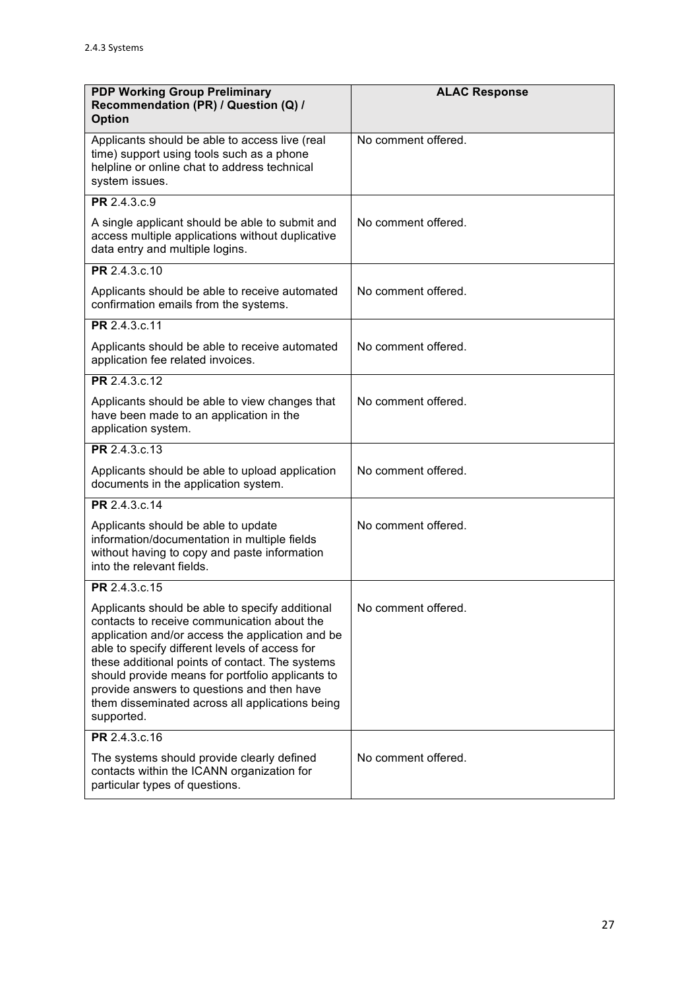| <b>PDP Working Group Preliminary</b><br>Recommendation (PR) / Question (Q) /<br><b>Option</b>                                                                                                                                                                                                                                                                                                                              | <b>ALAC Response</b> |
|----------------------------------------------------------------------------------------------------------------------------------------------------------------------------------------------------------------------------------------------------------------------------------------------------------------------------------------------------------------------------------------------------------------------------|----------------------|
| Applicants should be able to access live (real<br>time) support using tools such as a phone<br>helpline or online chat to address technical<br>system issues.                                                                                                                                                                                                                                                              | No comment offered.  |
| PR 2.4.3.c.9                                                                                                                                                                                                                                                                                                                                                                                                               |                      |
| A single applicant should be able to submit and<br>access multiple applications without duplicative<br>data entry and multiple logins.                                                                                                                                                                                                                                                                                     | No comment offered.  |
| PR 2.4.3.c.10                                                                                                                                                                                                                                                                                                                                                                                                              |                      |
| Applicants should be able to receive automated<br>confirmation emails from the systems.                                                                                                                                                                                                                                                                                                                                    | No comment offered.  |
| PR 2.4.3.c.11                                                                                                                                                                                                                                                                                                                                                                                                              |                      |
| Applicants should be able to receive automated<br>application fee related invoices.                                                                                                                                                                                                                                                                                                                                        | No comment offered.  |
| PR 2.4.3.c.12                                                                                                                                                                                                                                                                                                                                                                                                              |                      |
| Applicants should be able to view changes that<br>have been made to an application in the<br>application system.                                                                                                                                                                                                                                                                                                           | No comment offered.  |
| PR 2.4.3.c.13                                                                                                                                                                                                                                                                                                                                                                                                              |                      |
| Applicants should be able to upload application<br>documents in the application system.                                                                                                                                                                                                                                                                                                                                    | No comment offered.  |
| PR 2.4.3.c.14                                                                                                                                                                                                                                                                                                                                                                                                              |                      |
| Applicants should be able to update<br>information/documentation in multiple fields<br>without having to copy and paste information<br>into the relevant fields.                                                                                                                                                                                                                                                           | No comment offered.  |
| PR 2.4.3.c.15                                                                                                                                                                                                                                                                                                                                                                                                              |                      |
| Applicants should be able to specify additional<br>contacts to receive communication about the<br>application and/or access the application and be<br>able to specify different levels of access for<br>these additional points of contact. The systems<br>should provide means for portfolio applicants to<br>provide answers to questions and then have<br>them disseminated across all applications being<br>supported. | No comment offered.  |
| PR 2.4.3.c.16                                                                                                                                                                                                                                                                                                                                                                                                              |                      |
| The systems should provide clearly defined<br>contacts within the ICANN organization for<br>particular types of questions.                                                                                                                                                                                                                                                                                                 | No comment offered.  |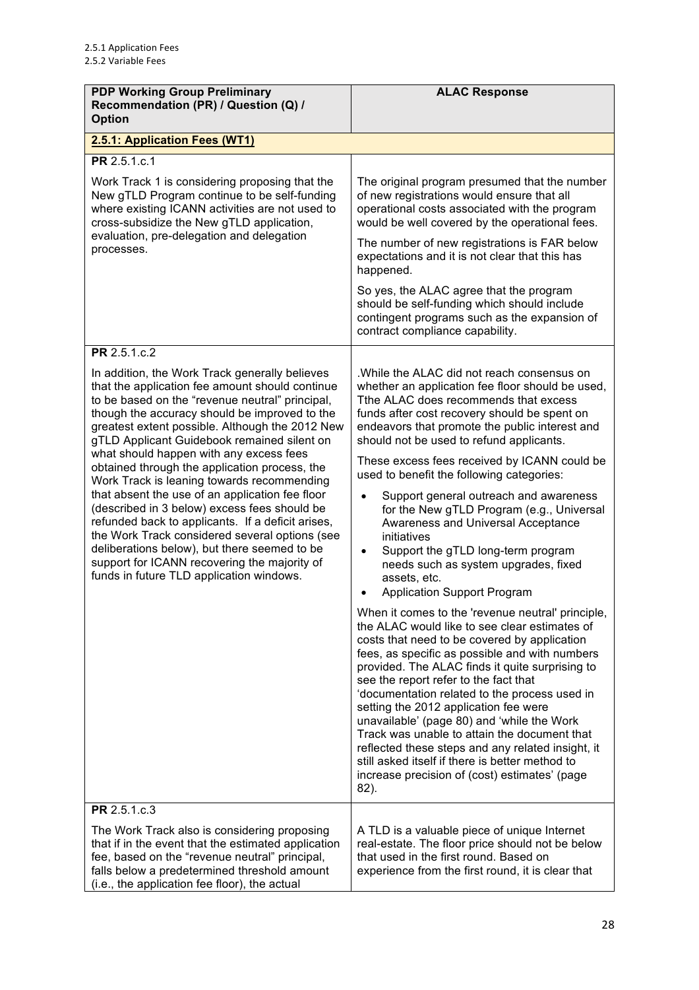| <b>PDP Working Group Preliminary</b><br>Recommendation (PR) / Question (Q) /<br><b>Option</b>                                                                                                                                                                                                                                                                                                                                                                                                                                                                                                                                                                                                                                                                                                                           | <b>ALAC Response</b>                                                                                                                                                                                                                                                                                                                                                                                                                                                                                                                                                                                                                                                                                                                                                                                                                                                                                                                                                                                                         |
|-------------------------------------------------------------------------------------------------------------------------------------------------------------------------------------------------------------------------------------------------------------------------------------------------------------------------------------------------------------------------------------------------------------------------------------------------------------------------------------------------------------------------------------------------------------------------------------------------------------------------------------------------------------------------------------------------------------------------------------------------------------------------------------------------------------------------|------------------------------------------------------------------------------------------------------------------------------------------------------------------------------------------------------------------------------------------------------------------------------------------------------------------------------------------------------------------------------------------------------------------------------------------------------------------------------------------------------------------------------------------------------------------------------------------------------------------------------------------------------------------------------------------------------------------------------------------------------------------------------------------------------------------------------------------------------------------------------------------------------------------------------------------------------------------------------------------------------------------------------|
| 2.5.1: Application Fees (WT1)                                                                                                                                                                                                                                                                                                                                                                                                                                                                                                                                                                                                                                                                                                                                                                                           |                                                                                                                                                                                                                                                                                                                                                                                                                                                                                                                                                                                                                                                                                                                                                                                                                                                                                                                                                                                                                              |
| PR 2.5.1.c.1<br>Work Track 1 is considering proposing that the<br>New gTLD Program continue to be self-funding<br>where existing ICANN activities are not used to<br>cross-subsidize the New gTLD application,<br>evaluation, pre-delegation and delegation<br>processes.                                                                                                                                                                                                                                                                                                                                                                                                                                                                                                                                               | The original program presumed that the number<br>of new registrations would ensure that all<br>operational costs associated with the program<br>would be well covered by the operational fees.<br>The number of new registrations is FAR below<br>expectations and it is not clear that this has<br>happened.<br>So yes, the ALAC agree that the program<br>should be self-funding which should include                                                                                                                                                                                                                                                                                                                                                                                                                                                                                                                                                                                                                      |
|                                                                                                                                                                                                                                                                                                                                                                                                                                                                                                                                                                                                                                                                                                                                                                                                                         | contingent programs such as the expansion of<br>contract compliance capability.                                                                                                                                                                                                                                                                                                                                                                                                                                                                                                                                                                                                                                                                                                                                                                                                                                                                                                                                              |
| PR 2.5.1.c.2<br>In addition, the Work Track generally believes<br>that the application fee amount should continue<br>to be based on the "revenue neutral" principal,<br>though the accuracy should be improved to the<br>greatest extent possible. Although the 2012 New<br>gTLD Applicant Guidebook remained silent on<br>what should happen with any excess fees<br>obtained through the application process, the<br>Work Track is leaning towards recommending<br>that absent the use of an application fee floor<br>(described in 3 below) excess fees should be<br>refunded back to applicants. If a deficit arises,<br>the Work Track considered several options (see<br>deliberations below), but there seemed to be<br>support for ICANN recovering the majority of<br>funds in future TLD application windows. | .While the ALAC did not reach consensus on<br>whether an application fee floor should be used,<br>Tthe ALAC does recommends that excess<br>funds after cost recovery should be spent on<br>endeavors that promote the public interest and<br>should not be used to refund applicants.<br>These excess fees received by ICANN could be<br>used to benefit the following categories:<br>Support general outreach and awareness<br>for the New gTLD Program (e.g., Universal<br>Awareness and Universal Acceptance<br>initiatives<br>Support the gTLD long-term program<br>٠<br>needs such as system upgrades, fixed<br>assets, etc.<br><b>Application Support Program</b><br>When it comes to the 'revenue neutral' principle,<br>the ALAC would like to see clear estimates of<br>costs that need to be covered by application<br>fees, as specific as possible and with numbers<br>provided. The ALAC finds it quite surprising to<br>see the report refer to the fact that<br>'documentation related to the process used in |
|                                                                                                                                                                                                                                                                                                                                                                                                                                                                                                                                                                                                                                                                                                                                                                                                                         | setting the 2012 application fee were<br>unavailable' (page 80) and 'while the Work<br>Track was unable to attain the document that<br>reflected these steps and any related insight, it<br>still asked itself if there is better method to<br>increase precision of (cost) estimates' (page<br>82).                                                                                                                                                                                                                                                                                                                                                                                                                                                                                                                                                                                                                                                                                                                         |
| PR 2.5.1.c.3                                                                                                                                                                                                                                                                                                                                                                                                                                                                                                                                                                                                                                                                                                                                                                                                            |                                                                                                                                                                                                                                                                                                                                                                                                                                                                                                                                                                                                                                                                                                                                                                                                                                                                                                                                                                                                                              |
| The Work Track also is considering proposing<br>that if in the event that the estimated application<br>fee, based on the "revenue neutral" principal,<br>falls below a predetermined threshold amount<br>(i.e., the application fee floor), the actual                                                                                                                                                                                                                                                                                                                                                                                                                                                                                                                                                                  | A TLD is a valuable piece of unique Internet<br>real-estate. The floor price should not be below<br>that used in the first round. Based on<br>experience from the first round, it is clear that                                                                                                                                                                                                                                                                                                                                                                                                                                                                                                                                                                                                                                                                                                                                                                                                                              |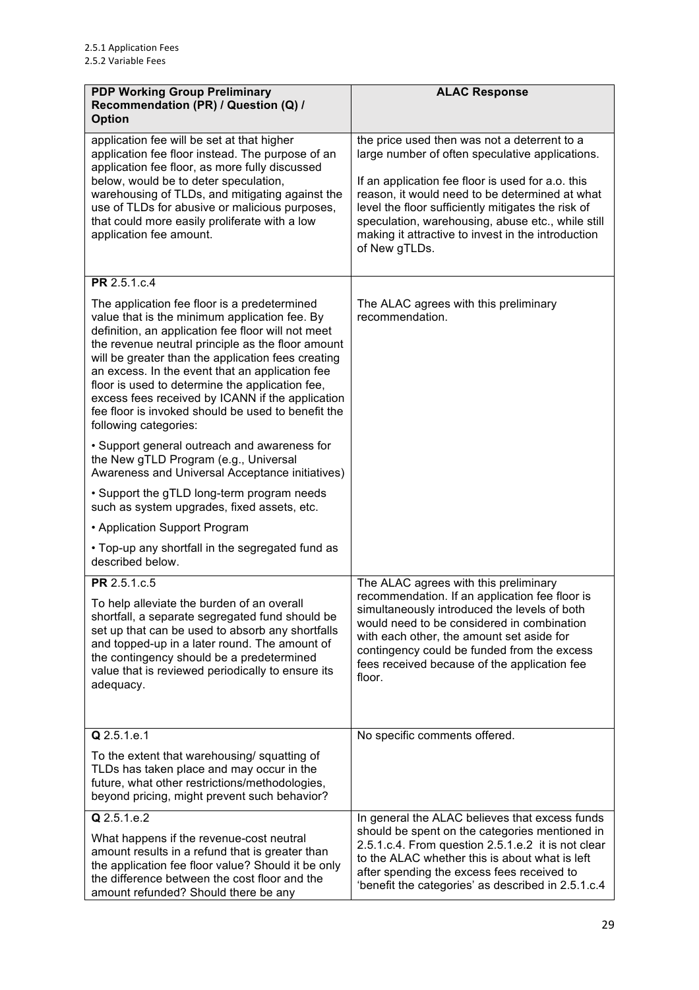| <b>PDP Working Group Preliminary</b><br>Recommendation (PR) / Question (Q) /<br><b>Option</b>                                                                                                                                                                                                                                                                                                                                                                                                           | <b>ALAC Response</b>                                                                                                                                                                                                                                                                                                                                                                     |
|---------------------------------------------------------------------------------------------------------------------------------------------------------------------------------------------------------------------------------------------------------------------------------------------------------------------------------------------------------------------------------------------------------------------------------------------------------------------------------------------------------|------------------------------------------------------------------------------------------------------------------------------------------------------------------------------------------------------------------------------------------------------------------------------------------------------------------------------------------------------------------------------------------|
| application fee will be set at that higher<br>application fee floor instead. The purpose of an<br>application fee floor, as more fully discussed<br>below, would be to deter speculation,<br>warehousing of TLDs, and mitigating against the<br>use of TLDs for abusive or malicious purposes,<br>that could more easily proliferate with a low<br>application fee amount.                                                                                                                              | the price used then was not a deterrent to a<br>large number of often speculative applications.<br>If an application fee floor is used for a.o. this<br>reason, it would need to be determined at what<br>level the floor sufficiently mitigates the risk of<br>speculation, warehousing, abuse etc., while still<br>making it attractive to invest in the introduction<br>of New gTLDs. |
| PR 2.5.1.c.4                                                                                                                                                                                                                                                                                                                                                                                                                                                                                            |                                                                                                                                                                                                                                                                                                                                                                                          |
| The application fee floor is a predetermined<br>value that is the minimum application fee. By<br>definition, an application fee floor will not meet<br>the revenue neutral principle as the floor amount<br>will be greater than the application fees creating<br>an excess. In the event that an application fee<br>floor is used to determine the application fee,<br>excess fees received by ICANN if the application<br>fee floor is invoked should be used to benefit the<br>following categories: | The ALAC agrees with this preliminary<br>recommendation.                                                                                                                                                                                                                                                                                                                                 |
| • Support general outreach and awareness for<br>the New gTLD Program (e.g., Universal<br>Awareness and Universal Acceptance initiatives)                                                                                                                                                                                                                                                                                                                                                                |                                                                                                                                                                                                                                                                                                                                                                                          |
| • Support the gTLD long-term program needs<br>such as system upgrades, fixed assets, etc.                                                                                                                                                                                                                                                                                                                                                                                                               |                                                                                                                                                                                                                                                                                                                                                                                          |
| • Application Support Program                                                                                                                                                                                                                                                                                                                                                                                                                                                                           |                                                                                                                                                                                                                                                                                                                                                                                          |
| • Top-up any shortfall in the segregated fund as<br>described below.                                                                                                                                                                                                                                                                                                                                                                                                                                    |                                                                                                                                                                                                                                                                                                                                                                                          |
| PR 2.5.1.c.5                                                                                                                                                                                                                                                                                                                                                                                                                                                                                            | The ALAC agrees with this preliminary                                                                                                                                                                                                                                                                                                                                                    |
| To help alleviate the burden of an overall<br>shortfall, a separate segregated fund should be<br>set up that can be used to absorb any shortfalls<br>and topped-up in a later round. The amount of<br>the contingency should be a predetermined<br>value that is reviewed periodically to ensure its<br>adequacy.                                                                                                                                                                                       | recommendation. If an application fee floor is<br>simultaneously introduced the levels of both<br>would need to be considered in combination<br>with each other, the amount set aside for<br>contingency could be funded from the excess<br>fees received because of the application fee<br>floor.                                                                                       |
| Q 2.5.1.e.1                                                                                                                                                                                                                                                                                                                                                                                                                                                                                             | No specific comments offered.                                                                                                                                                                                                                                                                                                                                                            |
| To the extent that warehousing/ squatting of<br>TLDs has taken place and may occur in the<br>future, what other restrictions/methodologies,<br>beyond pricing, might prevent such behavior?                                                                                                                                                                                                                                                                                                             |                                                                                                                                                                                                                                                                                                                                                                                          |
| Q 2.5.1.e.2                                                                                                                                                                                                                                                                                                                                                                                                                                                                                             | In general the ALAC believes that excess funds                                                                                                                                                                                                                                                                                                                                           |
| What happens if the revenue-cost neutral<br>amount results in a refund that is greater than<br>the application fee floor value? Should it be only<br>the difference between the cost floor and the<br>amount refunded? Should there be any                                                                                                                                                                                                                                                              | should be spent on the categories mentioned in<br>2.5.1.c.4. From question 2.5.1.e.2 it is not clear<br>to the ALAC whether this is about what is left<br>after spending the excess fees received to<br>'benefit the categories' as described in 2.5.1.c.4                                                                                                                               |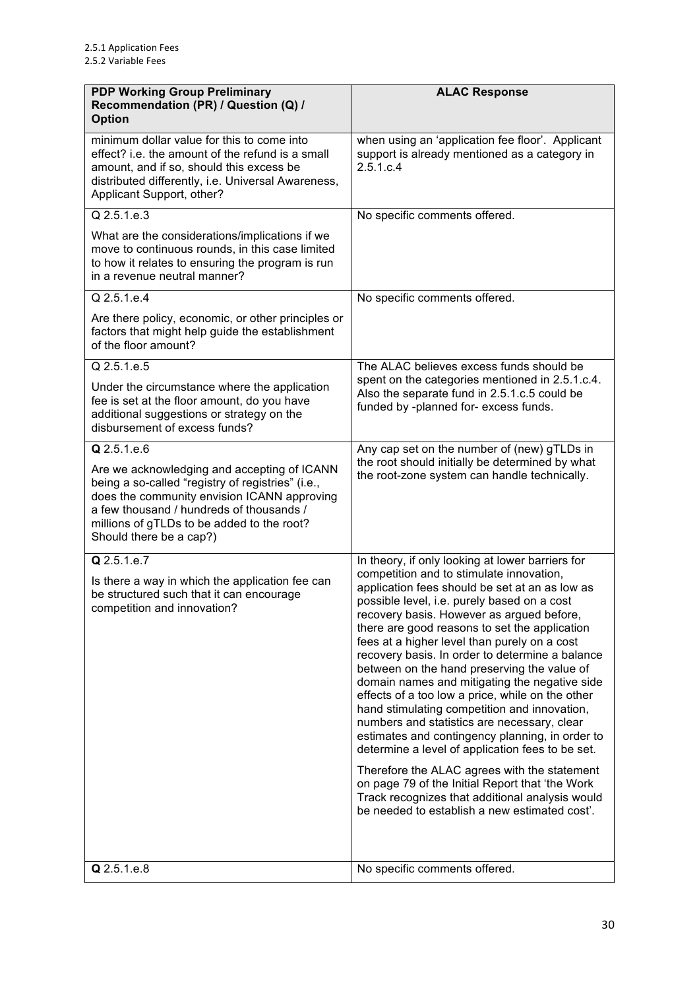| <b>PDP Working Group Preliminary</b><br>Recommendation (PR) / Question (Q) /<br><b>Option</b>                                                                                                                                                                        | <b>ALAC Response</b>                                                                                                                                                                                                                                                                                                                                                                                                                                                                                                                                                                                                                                                                                                                                                                                                                                                                                        |
|----------------------------------------------------------------------------------------------------------------------------------------------------------------------------------------------------------------------------------------------------------------------|-------------------------------------------------------------------------------------------------------------------------------------------------------------------------------------------------------------------------------------------------------------------------------------------------------------------------------------------------------------------------------------------------------------------------------------------------------------------------------------------------------------------------------------------------------------------------------------------------------------------------------------------------------------------------------------------------------------------------------------------------------------------------------------------------------------------------------------------------------------------------------------------------------------|
| minimum dollar value for this to come into<br>effect? i.e. the amount of the refund is a small<br>amount, and if so, should this excess be<br>distributed differently, i.e. Universal Awareness,<br>Applicant Support, other?                                        | when using an 'application fee floor'. Applicant<br>support is already mentioned as a category in<br>2.5.1.c.4                                                                                                                                                                                                                                                                                                                                                                                                                                                                                                                                                                                                                                                                                                                                                                                              |
| Q 2.5.1.e.3                                                                                                                                                                                                                                                          | No specific comments offered.                                                                                                                                                                                                                                                                                                                                                                                                                                                                                                                                                                                                                                                                                                                                                                                                                                                                               |
| What are the considerations/implications if we<br>move to continuous rounds, in this case limited<br>to how it relates to ensuring the program is run<br>in a revenue neutral manner?                                                                                |                                                                                                                                                                                                                                                                                                                                                                                                                                                                                                                                                                                                                                                                                                                                                                                                                                                                                                             |
| Q 2.5.1.e.4                                                                                                                                                                                                                                                          | No specific comments offered.                                                                                                                                                                                                                                                                                                                                                                                                                                                                                                                                                                                                                                                                                                                                                                                                                                                                               |
| Are there policy, economic, or other principles or<br>factors that might help guide the establishment<br>of the floor amount?                                                                                                                                        |                                                                                                                                                                                                                                                                                                                                                                                                                                                                                                                                                                                                                                                                                                                                                                                                                                                                                                             |
| Q 2.5.1.e.5                                                                                                                                                                                                                                                          | The ALAC believes excess funds should be                                                                                                                                                                                                                                                                                                                                                                                                                                                                                                                                                                                                                                                                                                                                                                                                                                                                    |
| Under the circumstance where the application<br>fee is set at the floor amount, do you have<br>additional suggestions or strategy on the<br>disbursement of excess funds?                                                                                            | spent on the categories mentioned in 2.5.1.c.4.<br>Also the separate fund in 2.5.1.c.5 could be<br>funded by -planned for- excess funds.                                                                                                                                                                                                                                                                                                                                                                                                                                                                                                                                                                                                                                                                                                                                                                    |
| Q 2.5.1.e.6                                                                                                                                                                                                                                                          | Any cap set on the number of (new) gTLDs in                                                                                                                                                                                                                                                                                                                                                                                                                                                                                                                                                                                                                                                                                                                                                                                                                                                                 |
| Are we acknowledging and accepting of ICANN<br>being a so-called "registry of registries" (i.e.,<br>does the community envision ICANN approving<br>a few thousand / hundreds of thousands /<br>millions of gTLDs to be added to the root?<br>Should there be a cap?) | the root should initially be determined by what<br>the root-zone system can handle technically.                                                                                                                                                                                                                                                                                                                                                                                                                                                                                                                                                                                                                                                                                                                                                                                                             |
| Q 2.5.1.e.7                                                                                                                                                                                                                                                          | In theory, if only looking at lower barriers for                                                                                                                                                                                                                                                                                                                                                                                                                                                                                                                                                                                                                                                                                                                                                                                                                                                            |
| Is there a way in which the application fee can<br>be structured such that it can encourage<br>competition and innovation?                                                                                                                                           | competition and to stimulate innovation,<br>application fees should be set at an as low as<br>possible level, i.e. purely based on a cost<br>recovery basis. However as argued before,<br>there are good reasons to set the application<br>fees at a higher level than purely on a cost<br>recovery basis. In order to determine a balance<br>between on the hand preserving the value of<br>domain names and mitigating the negative side<br>effects of a too low a price, while on the other<br>hand stimulating competition and innovation,<br>numbers and statistics are necessary, clear<br>estimates and contingency planning, in order to<br>determine a level of application fees to be set.<br>Therefore the ALAC agrees with the statement<br>on page 79 of the Initial Report that 'the Work<br>Track recognizes that additional analysis would<br>be needed to establish a new estimated cost'. |
| Q 2.5.1.e.8                                                                                                                                                                                                                                                          | No specific comments offered.                                                                                                                                                                                                                                                                                                                                                                                                                                                                                                                                                                                                                                                                                                                                                                                                                                                                               |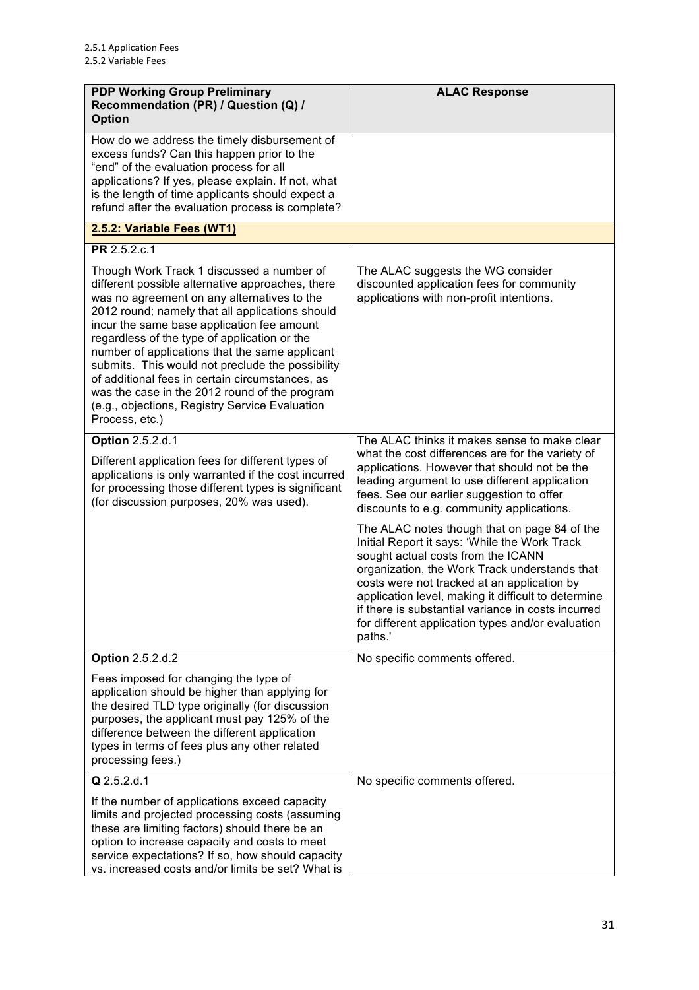| <b>PDP Working Group Preliminary</b><br>Recommendation (PR) / Question (Q) /<br><b>Option</b>                                                                                                                                                                                                                                                                                                                                                                                                                                                                               | <b>ALAC Response</b>                                                                                                                                                                                                                                                                                                                                                                                             |
|-----------------------------------------------------------------------------------------------------------------------------------------------------------------------------------------------------------------------------------------------------------------------------------------------------------------------------------------------------------------------------------------------------------------------------------------------------------------------------------------------------------------------------------------------------------------------------|------------------------------------------------------------------------------------------------------------------------------------------------------------------------------------------------------------------------------------------------------------------------------------------------------------------------------------------------------------------------------------------------------------------|
| How do we address the timely disbursement of<br>excess funds? Can this happen prior to the<br>"end" of the evaluation process for all<br>applications? If yes, please explain. If not, what<br>is the length of time applicants should expect a<br>refund after the evaluation process is complete?                                                                                                                                                                                                                                                                         |                                                                                                                                                                                                                                                                                                                                                                                                                  |
| 2.5.2: Variable Fees (WT1)                                                                                                                                                                                                                                                                                                                                                                                                                                                                                                                                                  |                                                                                                                                                                                                                                                                                                                                                                                                                  |
| PR 2.5.2.c.1                                                                                                                                                                                                                                                                                                                                                                                                                                                                                                                                                                |                                                                                                                                                                                                                                                                                                                                                                                                                  |
| Though Work Track 1 discussed a number of<br>different possible alternative approaches, there<br>was no agreement on any alternatives to the<br>2012 round; namely that all applications should<br>incur the same base application fee amount<br>regardless of the type of application or the<br>number of applications that the same applicant<br>submits. This would not preclude the possibility<br>of additional fees in certain circumstances, as<br>was the case in the 2012 round of the program<br>(e.g., objections, Registry Service Evaluation<br>Process, etc.) | The ALAC suggests the WG consider<br>discounted application fees for community<br>applications with non-profit intentions.                                                                                                                                                                                                                                                                                       |
| <b>Option 2.5.2.d.1</b>                                                                                                                                                                                                                                                                                                                                                                                                                                                                                                                                                     | The ALAC thinks it makes sense to make clear<br>what the cost differences are for the variety of                                                                                                                                                                                                                                                                                                                 |
| Different application fees for different types of<br>applications is only warranted if the cost incurred<br>for processing those different types is significant<br>(for discussion purposes, 20% was used).                                                                                                                                                                                                                                                                                                                                                                 | applications. However that should not be the<br>leading argument to use different application<br>fees. See our earlier suggestion to offer<br>discounts to e.g. community applications.                                                                                                                                                                                                                          |
|                                                                                                                                                                                                                                                                                                                                                                                                                                                                                                                                                                             | The ALAC notes though that on page 84 of the<br>Initial Report it says: 'While the Work Track<br>sought actual costs from the ICANN<br>organization, the Work Track understands that<br>costs were not tracked at an application by<br>application level, making it difficult to determine<br>if there is substantial variance in costs incurred<br>for different application types and/or evaluation<br>paths.' |
| <b>Option 2.5.2.d.2</b>                                                                                                                                                                                                                                                                                                                                                                                                                                                                                                                                                     | No specific comments offered.                                                                                                                                                                                                                                                                                                                                                                                    |
| Fees imposed for changing the type of<br>application should be higher than applying for<br>the desired TLD type originally (for discussion<br>purposes, the applicant must pay 125% of the<br>difference between the different application<br>types in terms of fees plus any other related<br>processing fees.)                                                                                                                                                                                                                                                            |                                                                                                                                                                                                                                                                                                                                                                                                                  |
| Q 2.5.2.d.1                                                                                                                                                                                                                                                                                                                                                                                                                                                                                                                                                                 | No specific comments offered.                                                                                                                                                                                                                                                                                                                                                                                    |
| If the number of applications exceed capacity<br>limits and projected processing costs (assuming<br>these are limiting factors) should there be an<br>option to increase capacity and costs to meet<br>service expectations? If so, how should capacity<br>vs. increased costs and/or limits be set? What is                                                                                                                                                                                                                                                                |                                                                                                                                                                                                                                                                                                                                                                                                                  |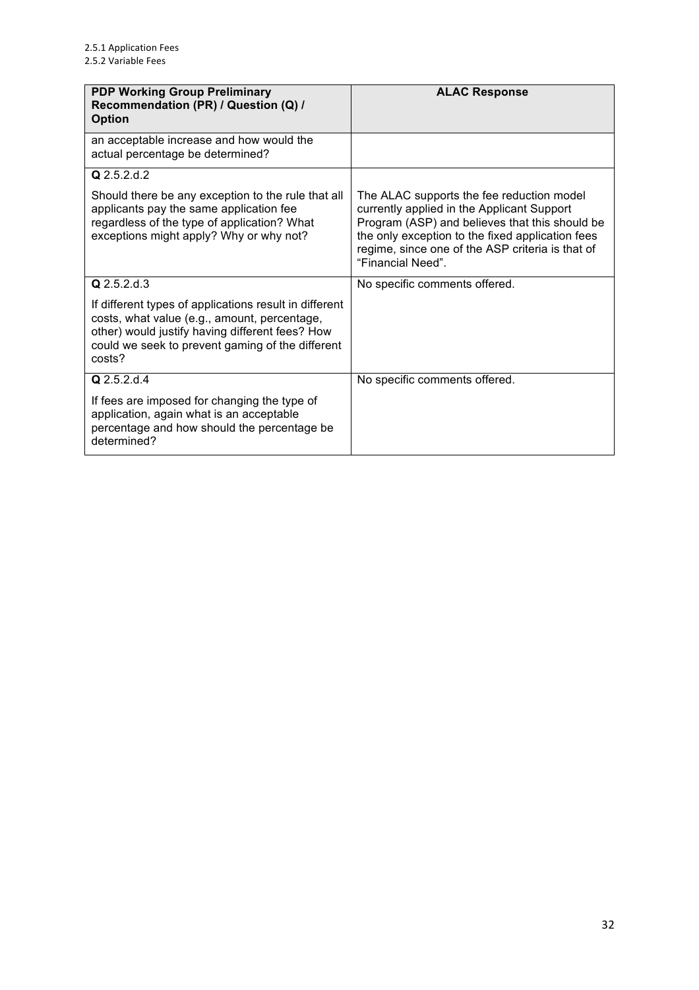| <b>PDP Working Group Preliminary</b><br>Recommendation (PR) / Question (Q) /<br><b>Option</b>                                                                                                                           | <b>ALAC Response</b>                                                                                                                                                                                                                                                   |
|-------------------------------------------------------------------------------------------------------------------------------------------------------------------------------------------------------------------------|------------------------------------------------------------------------------------------------------------------------------------------------------------------------------------------------------------------------------------------------------------------------|
| an acceptable increase and how would the<br>actual percentage be determined?                                                                                                                                            |                                                                                                                                                                                                                                                                        |
| Q 2.5.2.d.2                                                                                                                                                                                                             |                                                                                                                                                                                                                                                                        |
| Should there be any exception to the rule that all<br>applicants pay the same application fee<br>regardless of the type of application? What<br>exceptions might apply? Why or why not?                                 | The ALAC supports the fee reduction model<br>currently applied in the Applicant Support<br>Program (ASP) and believes that this should be<br>the only exception to the fixed application fees<br>regime, since one of the ASP criteria is that of<br>"Financial Need". |
| Q 2.5.2.d.3                                                                                                                                                                                                             | No specific comments offered.                                                                                                                                                                                                                                          |
| If different types of applications result in different<br>costs, what value (e.g., amount, percentage,<br>other) would justify having different fees? How<br>could we seek to prevent gaming of the different<br>costs? |                                                                                                                                                                                                                                                                        |
| Q 2.5.2.d.4                                                                                                                                                                                                             | No specific comments offered.                                                                                                                                                                                                                                          |
| If fees are imposed for changing the type of<br>application, again what is an acceptable<br>percentage and how should the percentage be<br>determined?                                                                  |                                                                                                                                                                                                                                                                        |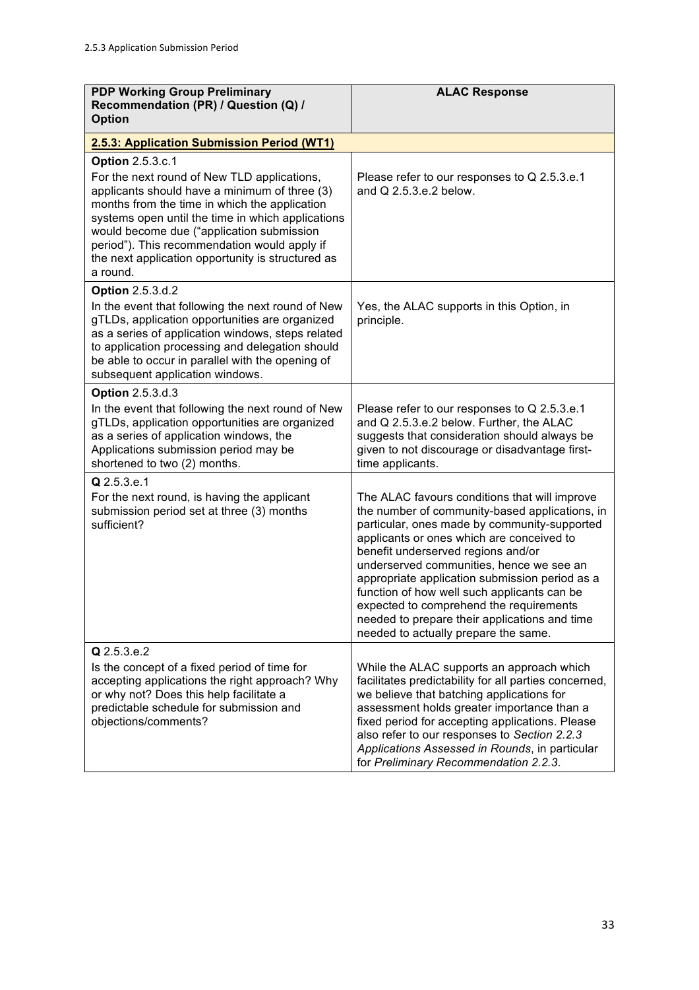| <b>PDP Working Group Preliminary</b>                                                                                                                                                                                                                                                                                                                                                        | <b>ALAC Response</b>                                                                                                                                                                                                                                                                                                                                                                                                                                                                                                |
|---------------------------------------------------------------------------------------------------------------------------------------------------------------------------------------------------------------------------------------------------------------------------------------------------------------------------------------------------------------------------------------------|---------------------------------------------------------------------------------------------------------------------------------------------------------------------------------------------------------------------------------------------------------------------------------------------------------------------------------------------------------------------------------------------------------------------------------------------------------------------------------------------------------------------|
| Recommendation (PR) / Question (Q) /<br><b>Option</b>                                                                                                                                                                                                                                                                                                                                       |                                                                                                                                                                                                                                                                                                                                                                                                                                                                                                                     |
| 2.5.3: Application Submission Period (WT1)                                                                                                                                                                                                                                                                                                                                                  |                                                                                                                                                                                                                                                                                                                                                                                                                                                                                                                     |
| <b>Option 2.5.3.c.1</b><br>For the next round of New TLD applications,<br>applicants should have a minimum of three (3)<br>months from the time in which the application<br>systems open until the time in which applications<br>would become due ("application submission<br>period"). This recommendation would apply if<br>the next application opportunity is structured as<br>a round. | Please refer to our responses to Q 2.5.3.e.1<br>and Q 2.5.3.e.2 below.                                                                                                                                                                                                                                                                                                                                                                                                                                              |
| <b>Option 2.5.3.d.2</b><br>In the event that following the next round of New<br>gTLDs, application opportunities are organized<br>as a series of application windows, steps related<br>to application processing and delegation should<br>be able to occur in parallel with the opening of<br>subsequent application windows.                                                               | Yes, the ALAC supports in this Option, in<br>principle.                                                                                                                                                                                                                                                                                                                                                                                                                                                             |
| <b>Option 2.5.3.d.3</b><br>In the event that following the next round of New<br>gTLDs, application opportunities are organized<br>as a series of application windows, the<br>Applications submission period may be<br>shortened to two (2) months.                                                                                                                                          | Please refer to our responses to Q 2.5.3.e.1<br>and Q 2.5.3.e.2 below. Further, the ALAC<br>suggests that consideration should always be<br>given to not discourage or disadvantage first-<br>time applicants.                                                                                                                                                                                                                                                                                                      |
| Q 2.5.3.e.1<br>For the next round, is having the applicant<br>submission period set at three (3) months<br>sufficient?                                                                                                                                                                                                                                                                      | The ALAC favours conditions that will improve<br>the number of community-based applications, in<br>particular, ones made by community-supported<br>applicants or ones which are conceived to<br>benefit underserved regions and/or<br>underserved communities, hence we see an<br>appropriate application submission period as a<br>function of how well such applicants can be<br>expected to comprehend the requirements<br>needed to prepare their applications and time<br>needed to actually prepare the same. |
| Q 2.5.3.e.2<br>Is the concept of a fixed period of time for<br>accepting applications the right approach? Why<br>or why not? Does this help facilitate a<br>predictable schedule for submission and<br>objections/comments?                                                                                                                                                                 | While the ALAC supports an approach which<br>facilitates predictability for all parties concerned,<br>we believe that batching applications for<br>assessment holds greater importance than a<br>fixed period for accepting applications. Please<br>also refer to our responses to Section 2.2.3<br>Applications Assessed in Rounds, in particular<br>for Preliminary Recommendation 2.2.3.                                                                                                                         |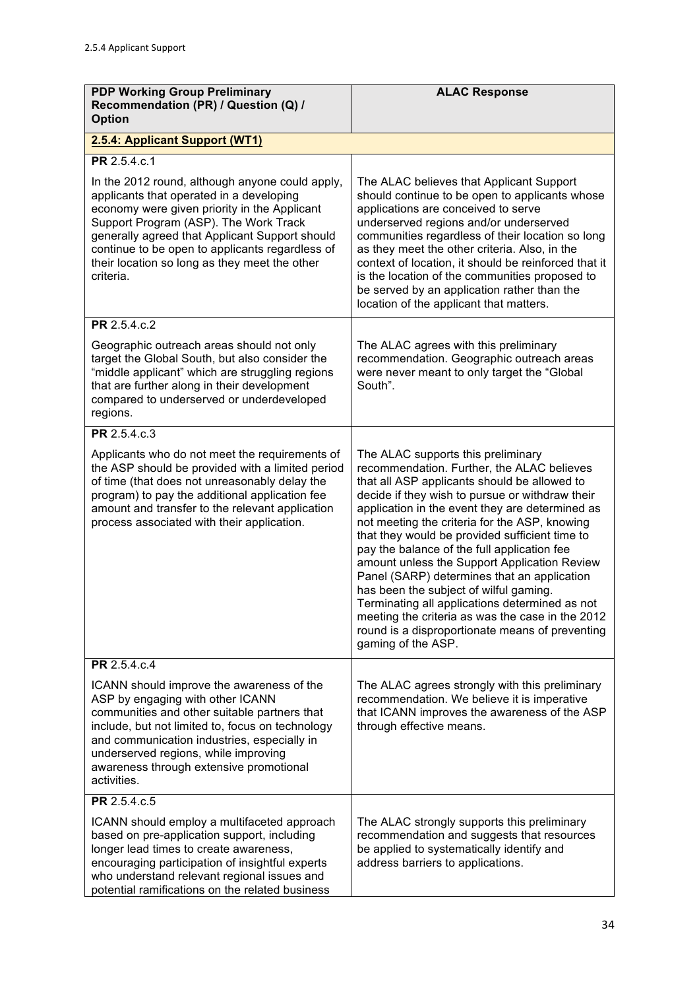| <b>PDP Working Group Preliminary</b><br>Recommendation (PR) / Question (Q) /<br><b>Option</b>                                                                                                                                                                                                                                                           | <b>ALAC Response</b>                                                                                                                                                                                                                                                                                                                                                                                                                                                                                                                                                                                                                                                                                             |
|---------------------------------------------------------------------------------------------------------------------------------------------------------------------------------------------------------------------------------------------------------------------------------------------------------------------------------------------------------|------------------------------------------------------------------------------------------------------------------------------------------------------------------------------------------------------------------------------------------------------------------------------------------------------------------------------------------------------------------------------------------------------------------------------------------------------------------------------------------------------------------------------------------------------------------------------------------------------------------------------------------------------------------------------------------------------------------|
| 2.5.4: Applicant Support (WT1)                                                                                                                                                                                                                                                                                                                          |                                                                                                                                                                                                                                                                                                                                                                                                                                                                                                                                                                                                                                                                                                                  |
| PR 2.5.4.c.1                                                                                                                                                                                                                                                                                                                                            |                                                                                                                                                                                                                                                                                                                                                                                                                                                                                                                                                                                                                                                                                                                  |
| In the 2012 round, although anyone could apply,<br>applicants that operated in a developing<br>economy were given priority in the Applicant<br>Support Program (ASP). The Work Track<br>generally agreed that Applicant Support should<br>continue to be open to applicants regardless of<br>their location so long as they meet the other<br>criteria. | The ALAC believes that Applicant Support<br>should continue to be open to applicants whose<br>applications are conceived to serve<br>underserved regions and/or underserved<br>communities regardless of their location so long<br>as they meet the other criteria. Also, in the<br>context of location, it should be reinforced that it<br>is the location of the communities proposed to<br>be served by an application rather than the<br>location of the applicant that matters.                                                                                                                                                                                                                             |
| PR 2.5.4.c.2                                                                                                                                                                                                                                                                                                                                            |                                                                                                                                                                                                                                                                                                                                                                                                                                                                                                                                                                                                                                                                                                                  |
| Geographic outreach areas should not only<br>target the Global South, but also consider the<br>"middle applicant" which are struggling regions<br>that are further along in their development<br>compared to underserved or underdeveloped<br>regions.                                                                                                  | The ALAC agrees with this preliminary<br>recommendation. Geographic outreach areas<br>were never meant to only target the "Global<br>South".                                                                                                                                                                                                                                                                                                                                                                                                                                                                                                                                                                     |
| PR 2.5.4.c.3                                                                                                                                                                                                                                                                                                                                            |                                                                                                                                                                                                                                                                                                                                                                                                                                                                                                                                                                                                                                                                                                                  |
| Applicants who do not meet the requirements of<br>the ASP should be provided with a limited period<br>of time (that does not unreasonably delay the<br>program) to pay the additional application fee<br>amount and transfer to the relevant application<br>process associated with their application.                                                  | The ALAC supports this preliminary<br>recommendation. Further, the ALAC believes<br>that all ASP applicants should be allowed to<br>decide if they wish to pursue or withdraw their<br>application in the event they are determined as<br>not meeting the criteria for the ASP, knowing<br>that they would be provided sufficient time to<br>pay the balance of the full application fee<br>amount unless the Support Application Review<br>Panel (SARP) determines that an application<br>has been the subject of wilful gaming.<br>Terminating all applications determined as not<br>meeting the criteria as was the case in the 2012<br>round is a disproportionate means of preventing<br>gaming of the ASP. |
| PR 2.5.4.c.4                                                                                                                                                                                                                                                                                                                                            |                                                                                                                                                                                                                                                                                                                                                                                                                                                                                                                                                                                                                                                                                                                  |
| ICANN should improve the awareness of the<br>ASP by engaging with other ICANN<br>communities and other suitable partners that<br>include, but not limited to, focus on technology<br>and communication industries, especially in<br>underserved regions, while improving<br>awareness through extensive promotional<br>activities.                      | The ALAC agrees strongly with this preliminary<br>recommendation. We believe it is imperative<br>that ICANN improves the awareness of the ASP<br>through effective means.                                                                                                                                                                                                                                                                                                                                                                                                                                                                                                                                        |
| PR 2.5.4.c.5                                                                                                                                                                                                                                                                                                                                            |                                                                                                                                                                                                                                                                                                                                                                                                                                                                                                                                                                                                                                                                                                                  |
| ICANN should employ a multifaceted approach<br>based on pre-application support, including<br>longer lead times to create awareness,<br>encouraging participation of insightful experts<br>who understand relevant regional issues and<br>potential ramifications on the related business                                                               | The ALAC strongly supports this preliminary<br>recommendation and suggests that resources<br>be applied to systematically identify and<br>address barriers to applications.                                                                                                                                                                                                                                                                                                                                                                                                                                                                                                                                      |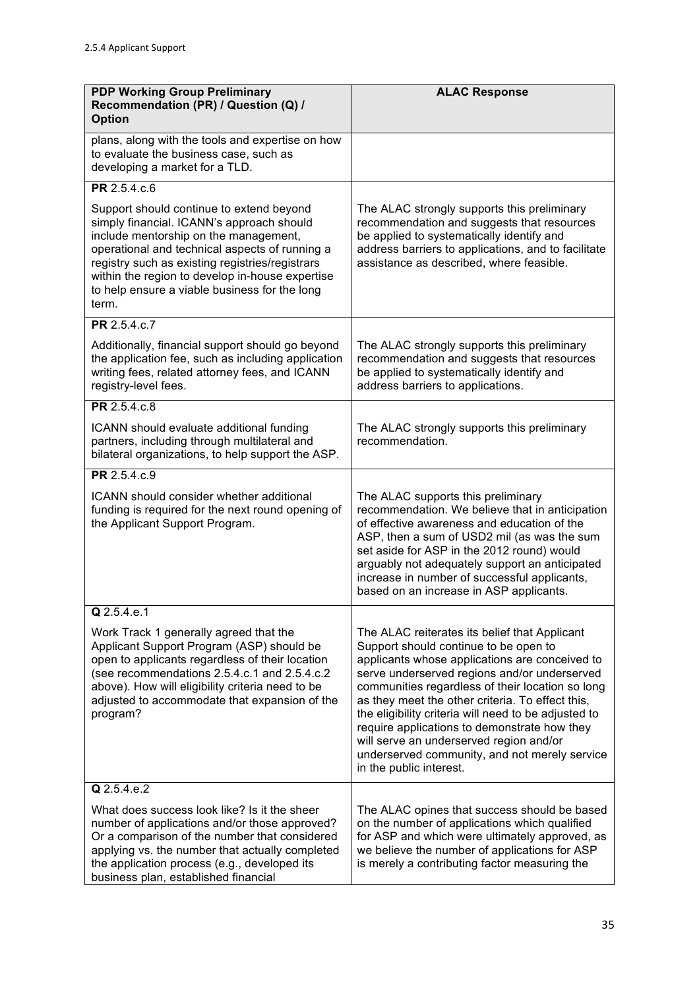| <b>PDP Working Group Preliminary</b><br>Recommendation (PR) / Question (Q) /<br><b>Option</b>                                                                                                                                                                                                                                                    | <b>ALAC Response</b>                                                                                                                                                                                                                                                                                                                                                                                                                                                                                                            |
|--------------------------------------------------------------------------------------------------------------------------------------------------------------------------------------------------------------------------------------------------------------------------------------------------------------------------------------------------|---------------------------------------------------------------------------------------------------------------------------------------------------------------------------------------------------------------------------------------------------------------------------------------------------------------------------------------------------------------------------------------------------------------------------------------------------------------------------------------------------------------------------------|
| plans, along with the tools and expertise on how<br>to evaluate the business case, such as<br>developing a market for a TLD.                                                                                                                                                                                                                     |                                                                                                                                                                                                                                                                                                                                                                                                                                                                                                                                 |
| PR 2.5.4.c.6                                                                                                                                                                                                                                                                                                                                     |                                                                                                                                                                                                                                                                                                                                                                                                                                                                                                                                 |
| Support should continue to extend beyond<br>simply financial. ICANN's approach should<br>include mentorship on the management,<br>operational and technical aspects of running a<br>registry such as existing registries/registrars<br>within the region to develop in-house expertise<br>to help ensure a viable business for the long<br>term. | The ALAC strongly supports this preliminary<br>recommendation and suggests that resources<br>be applied to systematically identify and<br>address barriers to applications, and to facilitate<br>assistance as described, where feasible.                                                                                                                                                                                                                                                                                       |
| PR 2.5.4.c.7                                                                                                                                                                                                                                                                                                                                     |                                                                                                                                                                                                                                                                                                                                                                                                                                                                                                                                 |
| Additionally, financial support should go beyond<br>the application fee, such as including application<br>writing fees, related attorney fees, and ICANN<br>registry-level fees.                                                                                                                                                                 | The ALAC strongly supports this preliminary<br>recommendation and suggests that resources<br>be applied to systematically identify and<br>address barriers to applications.                                                                                                                                                                                                                                                                                                                                                     |
| PR 2.5.4.c.8                                                                                                                                                                                                                                                                                                                                     |                                                                                                                                                                                                                                                                                                                                                                                                                                                                                                                                 |
| ICANN should evaluate additional funding<br>partners, including through multilateral and<br>bilateral organizations, to help support the ASP.                                                                                                                                                                                                    | The ALAC strongly supports this preliminary<br>recommendation.                                                                                                                                                                                                                                                                                                                                                                                                                                                                  |
| PR 2.5.4.c.9                                                                                                                                                                                                                                                                                                                                     |                                                                                                                                                                                                                                                                                                                                                                                                                                                                                                                                 |
| ICANN should consider whether additional<br>funding is required for the next round opening of<br>the Applicant Support Program.                                                                                                                                                                                                                  | The ALAC supports this preliminary<br>recommendation. We believe that in anticipation<br>of effective awareness and education of the<br>ASP, then a sum of USD2 mil (as was the sum<br>set aside for ASP in the 2012 round) would<br>arguably not adequately support an anticipated<br>increase in number of successful applicants,<br>based on an increase in ASP applicants.                                                                                                                                                  |
| Q 2.5.4.e.1                                                                                                                                                                                                                                                                                                                                      |                                                                                                                                                                                                                                                                                                                                                                                                                                                                                                                                 |
| Work Track 1 generally agreed that the<br>Applicant Support Program (ASP) should be<br>open to applicants regardless of their location<br>(see recommendations 2.5.4.c.1 and 2.5.4.c.2)<br>above). How will eligibility criteria need to be<br>adjusted to accommodate that expansion of the<br>program?                                         | The ALAC reiterates its belief that Applicant<br>Support should continue to be open to<br>applicants whose applications are conceived to<br>serve underserved regions and/or underserved<br>communities regardless of their location so long<br>as they meet the other criteria. To effect this,<br>the eligibility criteria will need to be adjusted to<br>require applications to demonstrate how they<br>will serve an underserved region and/or<br>underserved community, and not merely service<br>in the public interest. |
| Q 2.5.4.e.2                                                                                                                                                                                                                                                                                                                                      |                                                                                                                                                                                                                                                                                                                                                                                                                                                                                                                                 |
| What does success look like? Is it the sheer<br>number of applications and/or those approved?<br>Or a comparison of the number that considered<br>applying vs. the number that actually completed<br>the application process (e.g., developed its<br>business plan, established financial                                                        | The ALAC opines that success should be based<br>on the number of applications which qualified<br>for ASP and which were ultimately approved, as<br>we believe the number of applications for ASP<br>is merely a contributing factor measuring the                                                                                                                                                                                                                                                                               |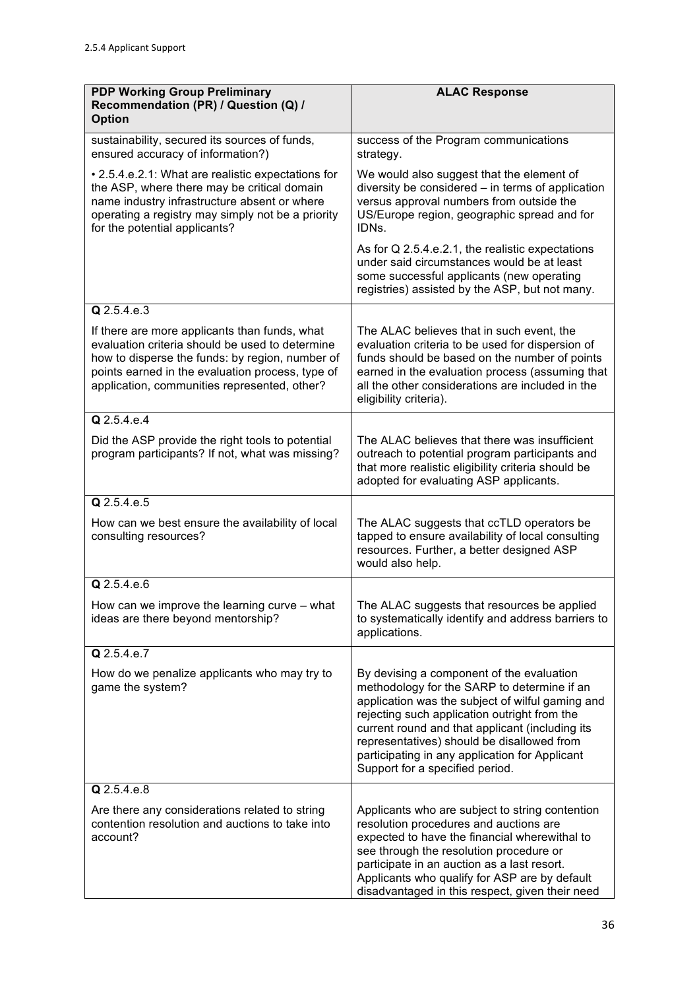| <b>PDP Working Group Preliminary</b><br>Recommendation (PR) / Question (Q) /<br><b>Option</b>                                                                                                                                                           | <b>ALAC Response</b>                                                                                                                                                                                                                                                                                                                                                               |
|---------------------------------------------------------------------------------------------------------------------------------------------------------------------------------------------------------------------------------------------------------|------------------------------------------------------------------------------------------------------------------------------------------------------------------------------------------------------------------------------------------------------------------------------------------------------------------------------------------------------------------------------------|
| sustainability, secured its sources of funds,<br>ensured accuracy of information?)                                                                                                                                                                      | success of the Program communications<br>strategy.                                                                                                                                                                                                                                                                                                                                 |
| • 2.5.4.e.2.1: What are realistic expectations for<br>the ASP, where there may be critical domain<br>name industry infrastructure absent or where<br>operating a registry may simply not be a priority<br>for the potential applicants?                 | We would also suggest that the element of<br>diversity be considered - in terms of application<br>versus approval numbers from outside the<br>US/Europe region, geographic spread and for<br>IDNs.                                                                                                                                                                                 |
|                                                                                                                                                                                                                                                         | As for Q 2.5.4.e.2.1, the realistic expectations<br>under said circumstances would be at least<br>some successful applicants (new operating<br>registries) assisted by the ASP, but not many.                                                                                                                                                                                      |
| $Q$ 2.5.4.e.3                                                                                                                                                                                                                                           |                                                                                                                                                                                                                                                                                                                                                                                    |
| If there are more applicants than funds, what<br>evaluation criteria should be used to determine<br>how to disperse the funds: by region, number of<br>points earned in the evaluation process, type of<br>application, communities represented, other? | The ALAC believes that in such event, the<br>evaluation criteria to be used for dispersion of<br>funds should be based on the number of points<br>earned in the evaluation process (assuming that<br>all the other considerations are included in the<br>eligibility criteria).                                                                                                    |
| Q 2.5.4.e.4                                                                                                                                                                                                                                             |                                                                                                                                                                                                                                                                                                                                                                                    |
| Did the ASP provide the right tools to potential<br>program participants? If not, what was missing?                                                                                                                                                     | The ALAC believes that there was insufficient<br>outreach to potential program participants and<br>that more realistic eligibility criteria should be<br>adopted for evaluating ASP applicants.                                                                                                                                                                                    |
| Q 2.5.4.e.5                                                                                                                                                                                                                                             |                                                                                                                                                                                                                                                                                                                                                                                    |
| How can we best ensure the availability of local<br>consulting resources?                                                                                                                                                                               | The ALAC suggests that ccTLD operators be<br>tapped to ensure availability of local consulting<br>resources. Further, a better designed ASP<br>would also help.                                                                                                                                                                                                                    |
| $Q$ 2.5.4.e.6                                                                                                                                                                                                                                           |                                                                                                                                                                                                                                                                                                                                                                                    |
| How can we improve the learning curve - what<br>ideas are there beyond mentorship?                                                                                                                                                                      | The ALAC suggests that resources be applied<br>to systematically identify and address barriers to<br>applications.                                                                                                                                                                                                                                                                 |
| Q 2.5.4.e.7                                                                                                                                                                                                                                             |                                                                                                                                                                                                                                                                                                                                                                                    |
| How do we penalize applicants who may try to<br>game the system?                                                                                                                                                                                        | By devising a component of the evaluation<br>methodology for the SARP to determine if an<br>application was the subject of wilful gaming and<br>rejecting such application outright from the<br>current round and that applicant (including its<br>representatives) should be disallowed from<br>participating in any application for Applicant<br>Support for a specified period. |
| Q 2.5.4.e.8                                                                                                                                                                                                                                             |                                                                                                                                                                                                                                                                                                                                                                                    |
| Are there any considerations related to string<br>contention resolution and auctions to take into<br>account?                                                                                                                                           | Applicants who are subject to string contention<br>resolution procedures and auctions are<br>expected to have the financial wherewithal to<br>see through the resolution procedure or<br>participate in an auction as a last resort.<br>Applicants who qualify for ASP are by default<br>disadvantaged in this respect, given their need                                           |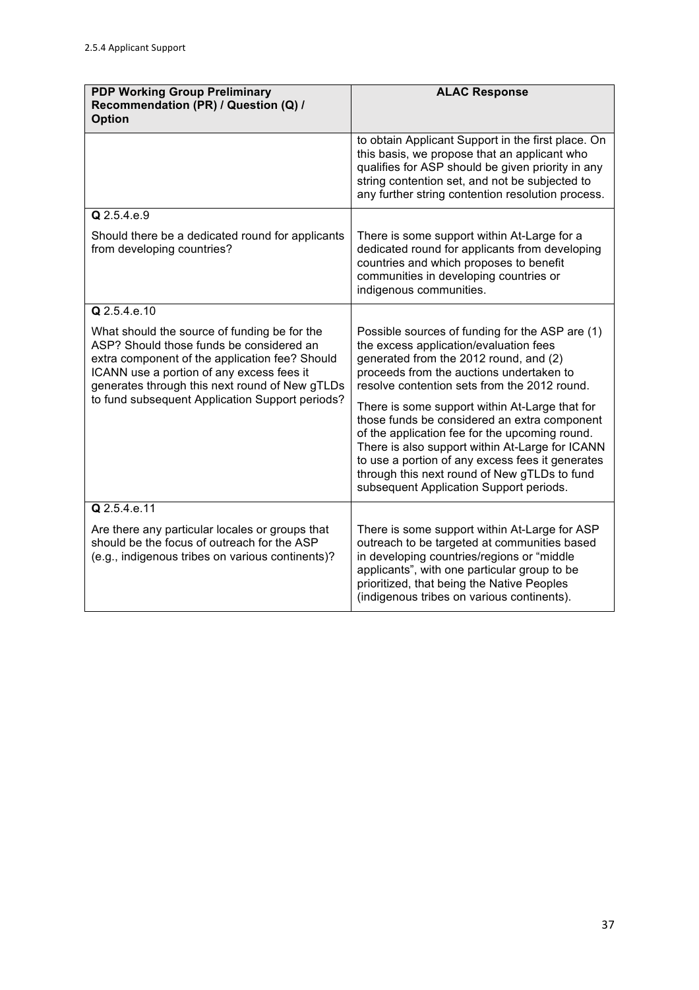| <b>PDP Working Group Preliminary</b><br>Recommendation (PR) / Question (Q) /<br><b>Option</b>                                                                                                                                                                                                | <b>ALAC Response</b>                                                                                                                                                                                                                                                                                                                               |
|----------------------------------------------------------------------------------------------------------------------------------------------------------------------------------------------------------------------------------------------------------------------------------------------|----------------------------------------------------------------------------------------------------------------------------------------------------------------------------------------------------------------------------------------------------------------------------------------------------------------------------------------------------|
|                                                                                                                                                                                                                                                                                              | to obtain Applicant Support in the first place. On<br>this basis, we propose that an applicant who<br>qualifies for ASP should be given priority in any<br>string contention set, and not be subjected to<br>any further string contention resolution process.                                                                                     |
| Q 2.5.4.e.9                                                                                                                                                                                                                                                                                  |                                                                                                                                                                                                                                                                                                                                                    |
| Should there be a dedicated round for applicants<br>from developing countries?                                                                                                                                                                                                               | There is some support within At-Large for a<br>dedicated round for applicants from developing<br>countries and which proposes to benefit<br>communities in developing countries or<br>indigenous communities.                                                                                                                                      |
| Q 2.5.4.e.10                                                                                                                                                                                                                                                                                 |                                                                                                                                                                                                                                                                                                                                                    |
| What should the source of funding be for the<br>ASP? Should those funds be considered an<br>extra component of the application fee? Should<br>ICANN use a portion of any excess fees it<br>generates through this next round of New gTLDs<br>to fund subsequent Application Support periods? | Possible sources of funding for the ASP are (1)<br>the excess application/evaluation fees<br>generated from the 2012 round, and (2)<br>proceeds from the auctions undertaken to<br>resolve contention sets from the 2012 round.                                                                                                                    |
|                                                                                                                                                                                                                                                                                              | There is some support within At-Large that for<br>those funds be considered an extra component<br>of the application fee for the upcoming round.<br>There is also support within At-Large for ICANN<br>to use a portion of any excess fees it generates<br>through this next round of New gTLDs to fund<br>subsequent Application Support periods. |
| Q 2.5.4.e.11                                                                                                                                                                                                                                                                                 |                                                                                                                                                                                                                                                                                                                                                    |
| Are there any particular locales or groups that<br>should be the focus of outreach for the ASP<br>(e.g., indigenous tribes on various continents)?                                                                                                                                           | There is some support within At-Large for ASP<br>outreach to be targeted at communities based<br>in developing countries/regions or "middle<br>applicants", with one particular group to be<br>prioritized, that being the Native Peoples<br>(indigenous tribes on various continents).                                                            |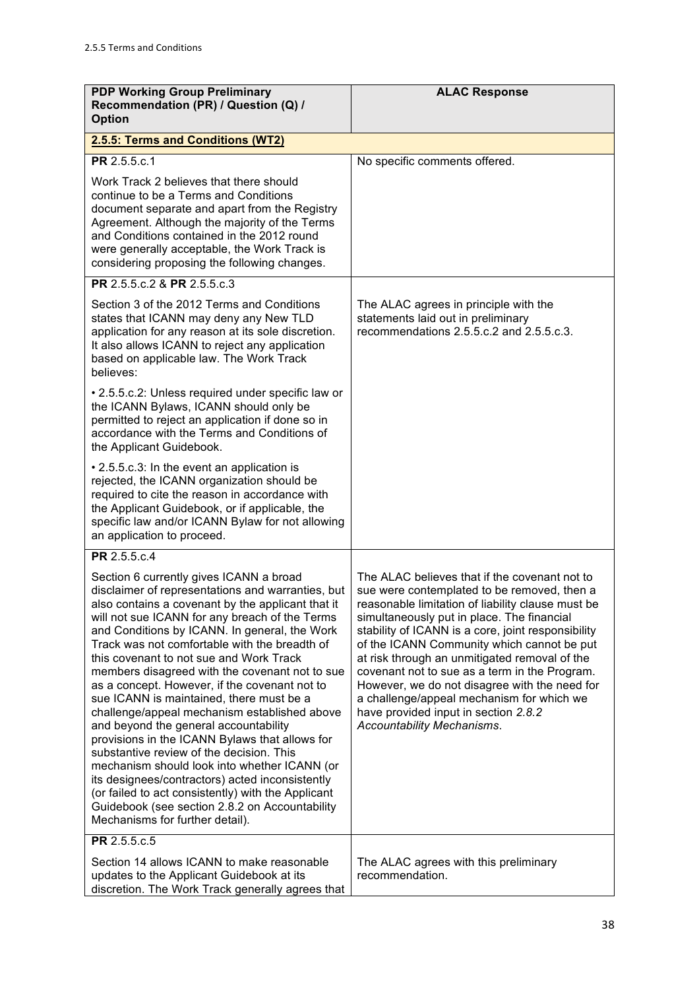| <b>PDP Working Group Preliminary</b><br>Recommendation (PR) / Question (Q) /<br><b>Option</b>                                                                                                                                                                                                                                                                                                                                                                                                                                                                                                                                                                                                                                                                                                                                                                                                                                        | <b>ALAC Response</b>                                                                                                                                                                                                                                                                                                                                                                                                                                                                                                                                                      |
|--------------------------------------------------------------------------------------------------------------------------------------------------------------------------------------------------------------------------------------------------------------------------------------------------------------------------------------------------------------------------------------------------------------------------------------------------------------------------------------------------------------------------------------------------------------------------------------------------------------------------------------------------------------------------------------------------------------------------------------------------------------------------------------------------------------------------------------------------------------------------------------------------------------------------------------|---------------------------------------------------------------------------------------------------------------------------------------------------------------------------------------------------------------------------------------------------------------------------------------------------------------------------------------------------------------------------------------------------------------------------------------------------------------------------------------------------------------------------------------------------------------------------|
| 2.5.5: Terms and Conditions (WT2)                                                                                                                                                                                                                                                                                                                                                                                                                                                                                                                                                                                                                                                                                                                                                                                                                                                                                                    |                                                                                                                                                                                                                                                                                                                                                                                                                                                                                                                                                                           |
| PR 2.5.5.c.1                                                                                                                                                                                                                                                                                                                                                                                                                                                                                                                                                                                                                                                                                                                                                                                                                                                                                                                         | No specific comments offered.                                                                                                                                                                                                                                                                                                                                                                                                                                                                                                                                             |
| Work Track 2 believes that there should<br>continue to be a Terms and Conditions<br>document separate and apart from the Registry<br>Agreement. Although the majority of the Terms<br>and Conditions contained in the 2012 round<br>were generally acceptable, the Work Track is<br>considering proposing the following changes.                                                                                                                                                                                                                                                                                                                                                                                                                                                                                                                                                                                                     |                                                                                                                                                                                                                                                                                                                                                                                                                                                                                                                                                                           |
| PR 2.5.5.c.2 & PR 2.5.5.c.3                                                                                                                                                                                                                                                                                                                                                                                                                                                                                                                                                                                                                                                                                                                                                                                                                                                                                                          |                                                                                                                                                                                                                                                                                                                                                                                                                                                                                                                                                                           |
| Section 3 of the 2012 Terms and Conditions<br>states that ICANN may deny any New TLD<br>application for any reason at its sole discretion.<br>It also allows ICANN to reject any application<br>based on applicable law. The Work Track<br>believes:                                                                                                                                                                                                                                                                                                                                                                                                                                                                                                                                                                                                                                                                                 | The ALAC agrees in principle with the<br>statements laid out in preliminary<br>recommendations 2.5.5.c.2 and 2.5.5.c.3.                                                                                                                                                                                                                                                                                                                                                                                                                                                   |
| • 2.5.5.c.2: Unless required under specific law or<br>the ICANN Bylaws, ICANN should only be<br>permitted to reject an application if done so in<br>accordance with the Terms and Conditions of<br>the Applicant Guidebook.                                                                                                                                                                                                                                                                                                                                                                                                                                                                                                                                                                                                                                                                                                          |                                                                                                                                                                                                                                                                                                                                                                                                                                                                                                                                                                           |
| • 2.5.5.c.3: In the event an application is<br>rejected, the ICANN organization should be<br>required to cite the reason in accordance with<br>the Applicant Guidebook, or if applicable, the<br>specific law and/or ICANN Bylaw for not allowing<br>an application to proceed.                                                                                                                                                                                                                                                                                                                                                                                                                                                                                                                                                                                                                                                      |                                                                                                                                                                                                                                                                                                                                                                                                                                                                                                                                                                           |
| PR 2.5.5.c.4                                                                                                                                                                                                                                                                                                                                                                                                                                                                                                                                                                                                                                                                                                                                                                                                                                                                                                                         |                                                                                                                                                                                                                                                                                                                                                                                                                                                                                                                                                                           |
| Section 6 currently gives ICANN a broad<br>disclaimer of representations and warranties, but<br>also contains a covenant by the applicant that it<br>will not sue ICANN for any breach of the Terms<br>and Conditions by ICANN. In general, the Work<br>Track was not comfortable with the breadth of<br>this covenant to not sue and Work Track<br>members disagreed with the covenant not to sue<br>as a concept. However, if the covenant not to<br>sue ICANN is maintained, there must be a<br>challenge/appeal mechanism established above<br>and beyond the general accountability<br>provisions in the ICANN Bylaws that allows for<br>substantive review of the decision. This<br>mechanism should look into whether ICANN (or<br>its designees/contractors) acted inconsistently<br>(or failed to act consistently) with the Applicant<br>Guidebook (see section 2.8.2 on Accountability<br>Mechanisms for further detail). | The ALAC believes that if the covenant not to<br>sue were contemplated to be removed, then a<br>reasonable limitation of liability clause must be<br>simultaneously put in place. The financial<br>stability of ICANN is a core, joint responsibility<br>of the ICANN Community which cannot be put<br>at risk through an unmitigated removal of the<br>covenant not to sue as a term in the Program.<br>However, we do not disagree with the need for<br>a challenge/appeal mechanism for which we<br>have provided input in section 2.8.2<br>Accountability Mechanisms. |
| PR 2.5.5.c.5                                                                                                                                                                                                                                                                                                                                                                                                                                                                                                                                                                                                                                                                                                                                                                                                                                                                                                                         |                                                                                                                                                                                                                                                                                                                                                                                                                                                                                                                                                                           |
| Section 14 allows ICANN to make reasonable<br>updates to the Applicant Guidebook at its<br>discretion. The Work Track generally agrees that                                                                                                                                                                                                                                                                                                                                                                                                                                                                                                                                                                                                                                                                                                                                                                                          | The ALAC agrees with this preliminary<br>recommendation.                                                                                                                                                                                                                                                                                                                                                                                                                                                                                                                  |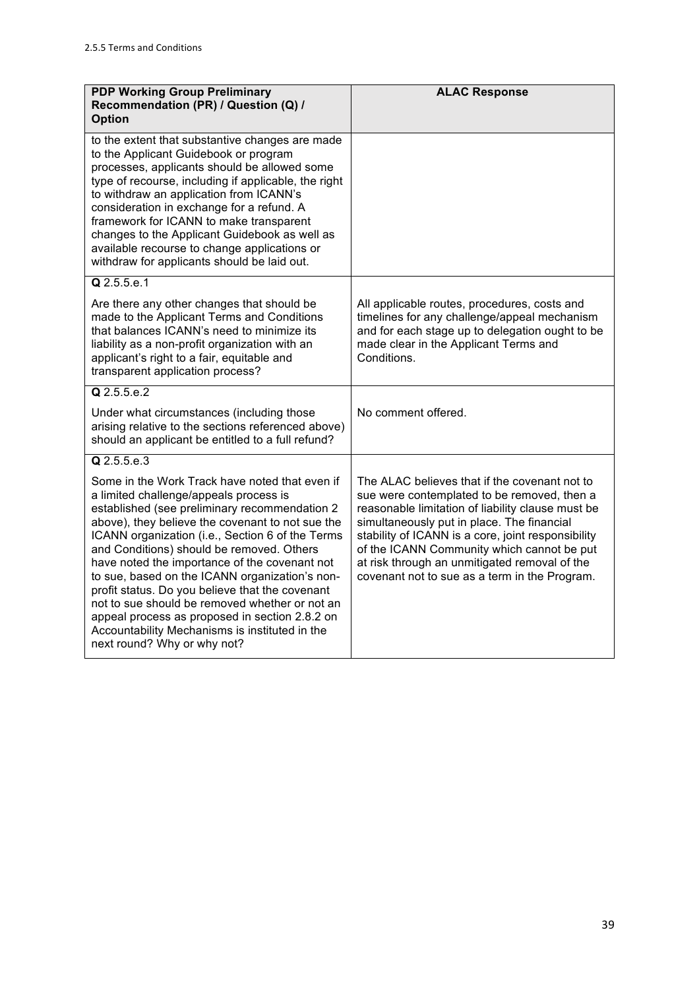| <b>PDP Working Group Preliminary</b><br>Recommendation (PR) / Question (Q) /<br><b>Option</b>                                                                                                                                                                                                                                                                                                                                                                                                                                                                                                                                             | <b>ALAC Response</b>                                                                                                                                                                                                                                                                                                                                                                                  |
|-------------------------------------------------------------------------------------------------------------------------------------------------------------------------------------------------------------------------------------------------------------------------------------------------------------------------------------------------------------------------------------------------------------------------------------------------------------------------------------------------------------------------------------------------------------------------------------------------------------------------------------------|-------------------------------------------------------------------------------------------------------------------------------------------------------------------------------------------------------------------------------------------------------------------------------------------------------------------------------------------------------------------------------------------------------|
| to the extent that substantive changes are made<br>to the Applicant Guidebook or program<br>processes, applicants should be allowed some<br>type of recourse, including if applicable, the right<br>to withdraw an application from ICANN's<br>consideration in exchange for a refund. A<br>framework for ICANN to make transparent<br>changes to the Applicant Guidebook as well as<br>available recourse to change applications or<br>withdraw for applicants should be laid out.                                                                                                                                                       |                                                                                                                                                                                                                                                                                                                                                                                                       |
| $Q$ 2.5.5.e.1                                                                                                                                                                                                                                                                                                                                                                                                                                                                                                                                                                                                                             |                                                                                                                                                                                                                                                                                                                                                                                                       |
| Are there any other changes that should be<br>made to the Applicant Terms and Conditions<br>that balances ICANN's need to minimize its<br>liability as a non-profit organization with an<br>applicant's right to a fair, equitable and<br>transparent application process?                                                                                                                                                                                                                                                                                                                                                                | All applicable routes, procedures, costs and<br>timelines for any challenge/appeal mechanism<br>and for each stage up to delegation ought to be<br>made clear in the Applicant Terms and<br>Conditions.                                                                                                                                                                                               |
| $Q$ 2.5.5.e.2                                                                                                                                                                                                                                                                                                                                                                                                                                                                                                                                                                                                                             |                                                                                                                                                                                                                                                                                                                                                                                                       |
| Under what circumstances (including those<br>arising relative to the sections referenced above)<br>should an applicant be entitled to a full refund?                                                                                                                                                                                                                                                                                                                                                                                                                                                                                      | No comment offered.                                                                                                                                                                                                                                                                                                                                                                                   |
| Q 2.5.5.e.3                                                                                                                                                                                                                                                                                                                                                                                                                                                                                                                                                                                                                               |                                                                                                                                                                                                                                                                                                                                                                                                       |
| Some in the Work Track have noted that even if<br>a limited challenge/appeals process is<br>established (see preliminary recommendation 2<br>above), they believe the covenant to not sue the<br>ICANN organization (i.e., Section 6 of the Terms<br>and Conditions) should be removed. Others<br>have noted the importance of the covenant not<br>to sue, based on the ICANN organization's non-<br>profit status. Do you believe that the covenant<br>not to sue should be removed whether or not an<br>appeal process as proposed in section 2.8.2 on<br>Accountability Mechanisms is instituted in the<br>next round? Why or why not? | The ALAC believes that if the covenant not to<br>sue were contemplated to be removed, then a<br>reasonable limitation of liability clause must be<br>simultaneously put in place. The financial<br>stability of ICANN is a core, joint responsibility<br>of the ICANN Community which cannot be put<br>at risk through an unmitigated removal of the<br>covenant not to sue as a term in the Program. |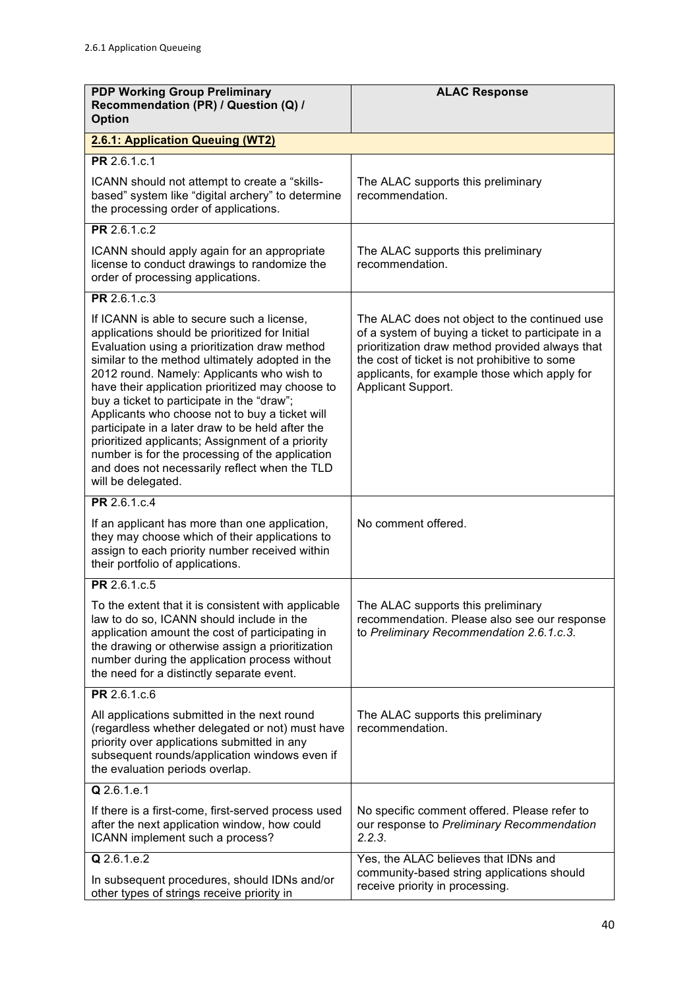| <b>PDP Working Group Preliminary</b><br>Recommendation (PR) / Question (Q) /<br><b>Option</b>                                                                                                                                                                                                                                                                                                                                                                                                                                                                                                                                        | <b>ALAC Response</b>                                                                                                                                                                                                                                                           |
|--------------------------------------------------------------------------------------------------------------------------------------------------------------------------------------------------------------------------------------------------------------------------------------------------------------------------------------------------------------------------------------------------------------------------------------------------------------------------------------------------------------------------------------------------------------------------------------------------------------------------------------|--------------------------------------------------------------------------------------------------------------------------------------------------------------------------------------------------------------------------------------------------------------------------------|
| 2.6.1: Application Queuing (WT2)                                                                                                                                                                                                                                                                                                                                                                                                                                                                                                                                                                                                     |                                                                                                                                                                                                                                                                                |
| PR 2.6.1.c.1                                                                                                                                                                                                                                                                                                                                                                                                                                                                                                                                                                                                                         |                                                                                                                                                                                                                                                                                |
| ICANN should not attempt to create a "skills-<br>based" system like "digital archery" to determine<br>the processing order of applications.                                                                                                                                                                                                                                                                                                                                                                                                                                                                                          | The ALAC supports this preliminary<br>recommendation.                                                                                                                                                                                                                          |
| PR 2.6.1.c.2                                                                                                                                                                                                                                                                                                                                                                                                                                                                                                                                                                                                                         |                                                                                                                                                                                                                                                                                |
| ICANN should apply again for an appropriate<br>license to conduct drawings to randomize the<br>order of processing applications.                                                                                                                                                                                                                                                                                                                                                                                                                                                                                                     | The ALAC supports this preliminary<br>recommendation.                                                                                                                                                                                                                          |
| PR 2.6.1.c.3                                                                                                                                                                                                                                                                                                                                                                                                                                                                                                                                                                                                                         |                                                                                                                                                                                                                                                                                |
| If ICANN is able to secure such a license,<br>applications should be prioritized for Initial<br>Evaluation using a prioritization draw method<br>similar to the method ultimately adopted in the<br>2012 round. Namely: Applicants who wish to<br>have their application prioritized may choose to<br>buy a ticket to participate in the "draw";<br>Applicants who choose not to buy a ticket will<br>participate in a later draw to be held after the<br>prioritized applicants; Assignment of a priority<br>number is for the processing of the application<br>and does not necessarily reflect when the TLD<br>will be delegated. | The ALAC does not object to the continued use<br>of a system of buying a ticket to participate in a<br>prioritization draw method provided always that<br>the cost of ticket is not prohibitive to some<br>applicants, for example those which apply for<br>Applicant Support. |
| PR 2.6.1.c.4                                                                                                                                                                                                                                                                                                                                                                                                                                                                                                                                                                                                                         |                                                                                                                                                                                                                                                                                |
| If an applicant has more than one application,<br>they may choose which of their applications to<br>assign to each priority number received within<br>their portfolio of applications.                                                                                                                                                                                                                                                                                                                                                                                                                                               | No comment offered.                                                                                                                                                                                                                                                            |
| PR 2.6.1.c.5                                                                                                                                                                                                                                                                                                                                                                                                                                                                                                                                                                                                                         |                                                                                                                                                                                                                                                                                |
| To the extent that it is consistent with applicable<br>law to do so, ICANN should include in the<br>application amount the cost of participating in<br>the drawing or otherwise assign a prioritization<br>number during the application process without<br>the need for a distinctly separate event.                                                                                                                                                                                                                                                                                                                                | The ALAC supports this preliminary<br>recommendation. Please also see our response<br>to Preliminary Recommendation 2.6.1.c.3.                                                                                                                                                 |
| PR 2.6.1.c.6                                                                                                                                                                                                                                                                                                                                                                                                                                                                                                                                                                                                                         |                                                                                                                                                                                                                                                                                |
| All applications submitted in the next round<br>(regardless whether delegated or not) must have<br>priority over applications submitted in any<br>subsequent rounds/application windows even if<br>the evaluation periods overlap.                                                                                                                                                                                                                                                                                                                                                                                                   | The ALAC supports this preliminary<br>recommendation.                                                                                                                                                                                                                          |
| Q 2.6.1.e.1                                                                                                                                                                                                                                                                                                                                                                                                                                                                                                                                                                                                                          |                                                                                                                                                                                                                                                                                |
| If there is a first-come, first-served process used<br>after the next application window, how could<br>ICANN implement such a process?                                                                                                                                                                                                                                                                                                                                                                                                                                                                                               | No specific comment offered. Please refer to<br>our response to Preliminary Recommendation<br>2.2.3.                                                                                                                                                                           |
| Q 2.6.1.e.2                                                                                                                                                                                                                                                                                                                                                                                                                                                                                                                                                                                                                          | Yes, the ALAC believes that IDNs and                                                                                                                                                                                                                                           |
| In subsequent procedures, should IDNs and/or<br>other types of strings receive priority in                                                                                                                                                                                                                                                                                                                                                                                                                                                                                                                                           | community-based string applications should<br>receive priority in processing.                                                                                                                                                                                                  |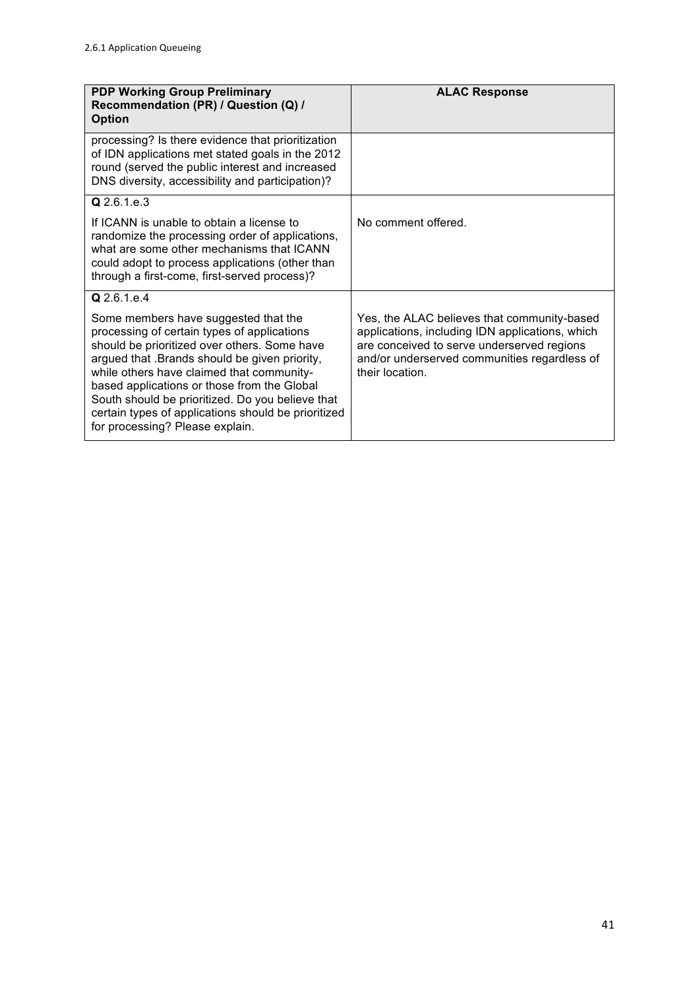| <b>PDP Working Group Preliminary</b><br>Recommendation (PR) / Question (Q) /<br><b>Option</b>                                                                                                                                                                                                                                                                                                                                  | <b>ALAC Response</b>                                                                                                                                                                                            |
|--------------------------------------------------------------------------------------------------------------------------------------------------------------------------------------------------------------------------------------------------------------------------------------------------------------------------------------------------------------------------------------------------------------------------------|-----------------------------------------------------------------------------------------------------------------------------------------------------------------------------------------------------------------|
| processing? Is there evidence that prioritization<br>of IDN applications met stated goals in the 2012<br>round (served the public interest and increased<br>DNS diversity, accessibility and participation)?                                                                                                                                                                                                                   |                                                                                                                                                                                                                 |
| Q 2.6.1.e.3                                                                                                                                                                                                                                                                                                                                                                                                                    |                                                                                                                                                                                                                 |
| If ICANN is unable to obtain a license to<br>randomize the processing order of applications,<br>what are some other mechanisms that ICANN<br>could adopt to process applications (other than<br>through a first-come, first-served process)?                                                                                                                                                                                   | No comment offered.                                                                                                                                                                                             |
| Q 2.6.1.e.4                                                                                                                                                                                                                                                                                                                                                                                                                    |                                                                                                                                                                                                                 |
| Some members have suggested that the<br>processing of certain types of applications<br>should be prioritized over others. Some have<br>argued that .Brands should be given priority,<br>while others have claimed that community-<br>based applications or those from the Global<br>South should be prioritized. Do you believe that<br>certain types of applications should be prioritized<br>for processing? Please explain. | Yes, the ALAC believes that community-based<br>applications, including IDN applications, which<br>are conceived to serve underserved regions<br>and/or underserved communities regardless of<br>their location. |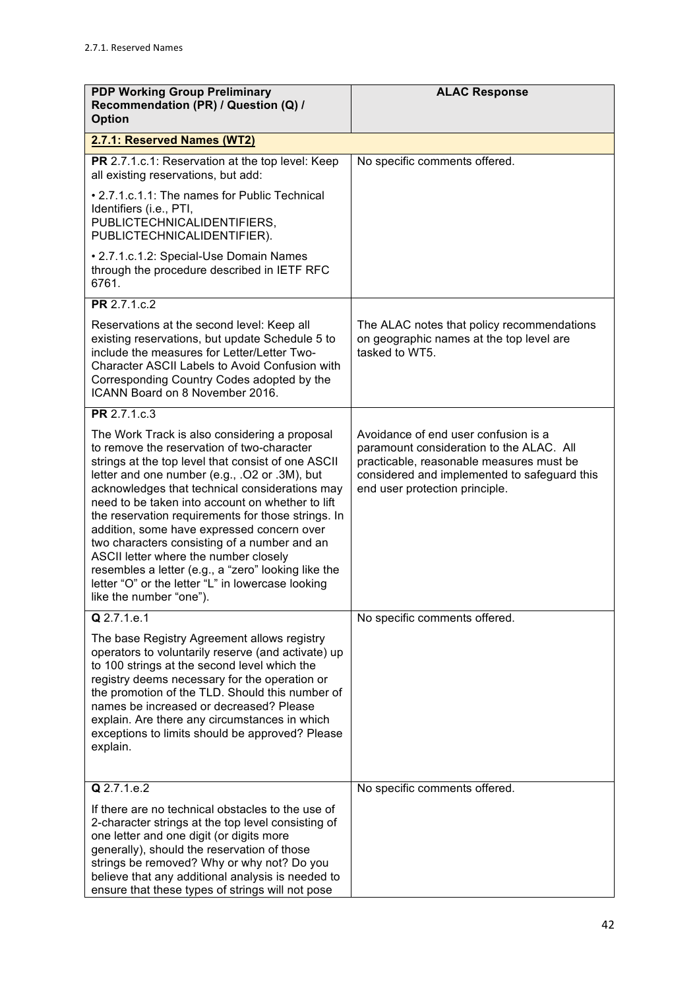| <b>PDP Working Group Preliminary</b><br>Recommendation (PR) / Question (Q) /<br><b>Option</b>                                                                                                                                                                                                                                                                                                                                                                                                                                                                                                                                                | <b>ALAC Response</b>                                                                                                                                                                                           |
|----------------------------------------------------------------------------------------------------------------------------------------------------------------------------------------------------------------------------------------------------------------------------------------------------------------------------------------------------------------------------------------------------------------------------------------------------------------------------------------------------------------------------------------------------------------------------------------------------------------------------------------------|----------------------------------------------------------------------------------------------------------------------------------------------------------------------------------------------------------------|
| 2.7.1: Reserved Names (WT2)                                                                                                                                                                                                                                                                                                                                                                                                                                                                                                                                                                                                                  |                                                                                                                                                                                                                |
| PR 2.7.1.c.1: Reservation at the top level: Keep<br>all existing reservations, but add:                                                                                                                                                                                                                                                                                                                                                                                                                                                                                                                                                      | No specific comments offered.                                                                                                                                                                                  |
| • 2.7.1.c.1.1: The names for Public Technical<br>Identifiers (i.e., PTI,<br>PUBLICTECHNICALIDENTIFIERS,<br>PUBLICTECHNICALIDENTIFIER).                                                                                                                                                                                                                                                                                                                                                                                                                                                                                                       |                                                                                                                                                                                                                |
| • 2.7.1.c.1.2: Special-Use Domain Names<br>through the procedure described in IETF RFC<br>6761.                                                                                                                                                                                                                                                                                                                                                                                                                                                                                                                                              |                                                                                                                                                                                                                |
| PR 2.7.1.c.2                                                                                                                                                                                                                                                                                                                                                                                                                                                                                                                                                                                                                                 |                                                                                                                                                                                                                |
| Reservations at the second level: Keep all<br>existing reservations, but update Schedule 5 to<br>include the measures for Letter/Letter Two-<br><b>Character ASCII Labels to Avoid Confusion with</b><br>Corresponding Country Codes adopted by the<br>ICANN Board on 8 November 2016.                                                                                                                                                                                                                                                                                                                                                       | The ALAC notes that policy recommendations<br>on geographic names at the top level are<br>tasked to WT5.                                                                                                       |
| PR 2.7.1.c.3                                                                                                                                                                                                                                                                                                                                                                                                                                                                                                                                                                                                                                 |                                                                                                                                                                                                                |
| The Work Track is also considering a proposal<br>to remove the reservation of two-character<br>strings at the top level that consist of one ASCII<br>letter and one number (e.g., .O2 or .3M), but<br>acknowledges that technical considerations may<br>need to be taken into account on whether to lift<br>the reservation requirements for those strings. In<br>addition, some have expressed concern over<br>two characters consisting of a number and an<br>ASCII letter where the number closely<br>resembles a letter (e.g., a "zero" looking like the<br>letter "O" or the letter "L" in lowercase looking<br>like the number "one"). | Avoidance of end user confusion is a<br>paramount consideration to the ALAC. All<br>practicable, reasonable measures must be<br>considered and implemented to safeguard this<br>end user protection principle. |
| Q 2.7.1.e.1<br>The base Registry Agreement allows registry<br>operators to voluntarily reserve (and activate) up<br>to 100 strings at the second level which the<br>registry deems necessary for the operation or<br>the promotion of the TLD. Should this number of<br>names be increased or decreased? Please<br>explain. Are there any circumstances in which<br>exceptions to limits should be approved? Please<br>explain.                                                                                                                                                                                                              | No specific comments offered.                                                                                                                                                                                  |
| Q 2.7.1.e.2                                                                                                                                                                                                                                                                                                                                                                                                                                                                                                                                                                                                                                  | No specific comments offered.                                                                                                                                                                                  |
| If there are no technical obstacles to the use of<br>2-character strings at the top level consisting of<br>one letter and one digit (or digits more<br>generally), should the reservation of those<br>strings be removed? Why or why not? Do you<br>believe that any additional analysis is needed to<br>ensure that these types of strings will not pose                                                                                                                                                                                                                                                                                    |                                                                                                                                                                                                                |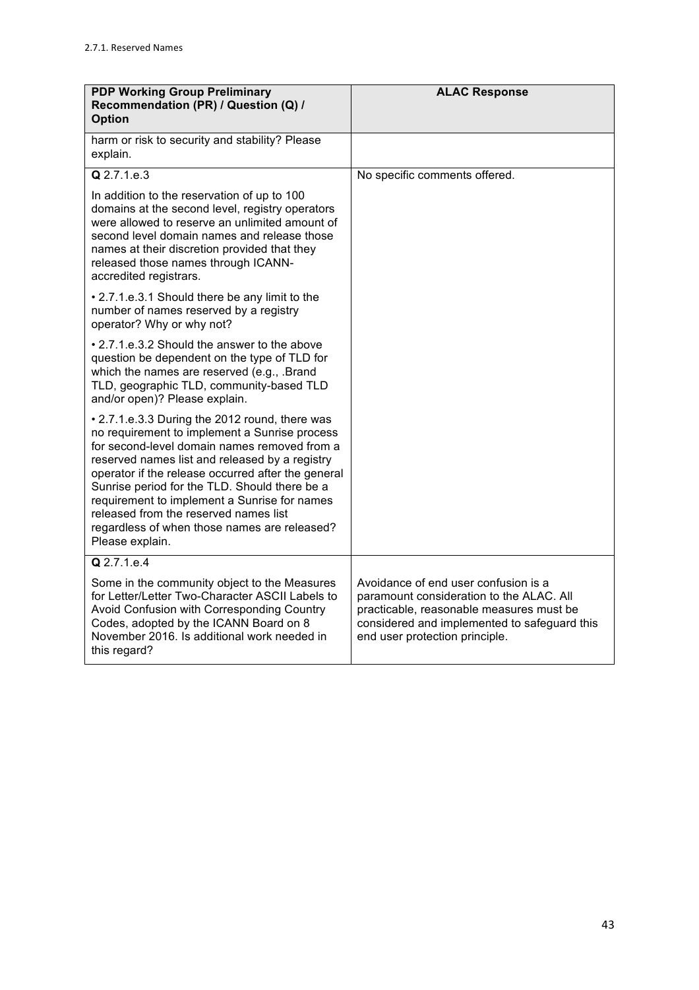| <b>PDP Working Group Preliminary</b><br>Recommendation (PR) / Question (Q) /<br><b>Option</b>                                                                                                                                                                                                                                                                                                                                                                        | <b>ALAC Response</b>                                                                                                                                                                                           |
|----------------------------------------------------------------------------------------------------------------------------------------------------------------------------------------------------------------------------------------------------------------------------------------------------------------------------------------------------------------------------------------------------------------------------------------------------------------------|----------------------------------------------------------------------------------------------------------------------------------------------------------------------------------------------------------------|
| harm or risk to security and stability? Please<br>explain.                                                                                                                                                                                                                                                                                                                                                                                                           |                                                                                                                                                                                                                |
| Q 2.7.1.e.3                                                                                                                                                                                                                                                                                                                                                                                                                                                          | No specific comments offered.                                                                                                                                                                                  |
| In addition to the reservation of up to 100<br>domains at the second level, registry operators<br>were allowed to reserve an unlimited amount of<br>second level domain names and release those<br>names at their discretion provided that they<br>released those names through ICANN-<br>accredited registrars.                                                                                                                                                     |                                                                                                                                                                                                                |
| • 2.7.1.e.3.1 Should there be any limit to the<br>number of names reserved by a registry<br>operator? Why or why not?                                                                                                                                                                                                                                                                                                                                                |                                                                                                                                                                                                                |
| • 2.7.1.e.3.2 Should the answer to the above<br>question be dependent on the type of TLD for<br>which the names are reserved (e.g., .Brand<br>TLD, geographic TLD, community-based TLD<br>and/or open)? Please explain.                                                                                                                                                                                                                                              |                                                                                                                                                                                                                |
| • 2.7.1.e.3.3 During the 2012 round, there was<br>no requirement to implement a Sunrise process<br>for second-level domain names removed from a<br>reserved names list and released by a registry<br>operator if the release occurred after the general<br>Sunrise period for the TLD. Should there be a<br>requirement to implement a Sunrise for names<br>released from the reserved names list<br>regardless of when those names are released?<br>Please explain. |                                                                                                                                                                                                                |
| Q 2.7.1.e.4                                                                                                                                                                                                                                                                                                                                                                                                                                                          |                                                                                                                                                                                                                |
| Some in the community object to the Measures<br>for Letter/Letter Two-Character ASCII Labels to<br>Avoid Confusion with Corresponding Country<br>Codes, adopted by the ICANN Board on 8<br>November 2016. Is additional work needed in<br>this regard?                                                                                                                                                                                                               | Avoidance of end user confusion is a<br>paramount consideration to the ALAC. All<br>practicable, reasonable measures must be<br>considered and implemented to safeguard this<br>end user protection principle. |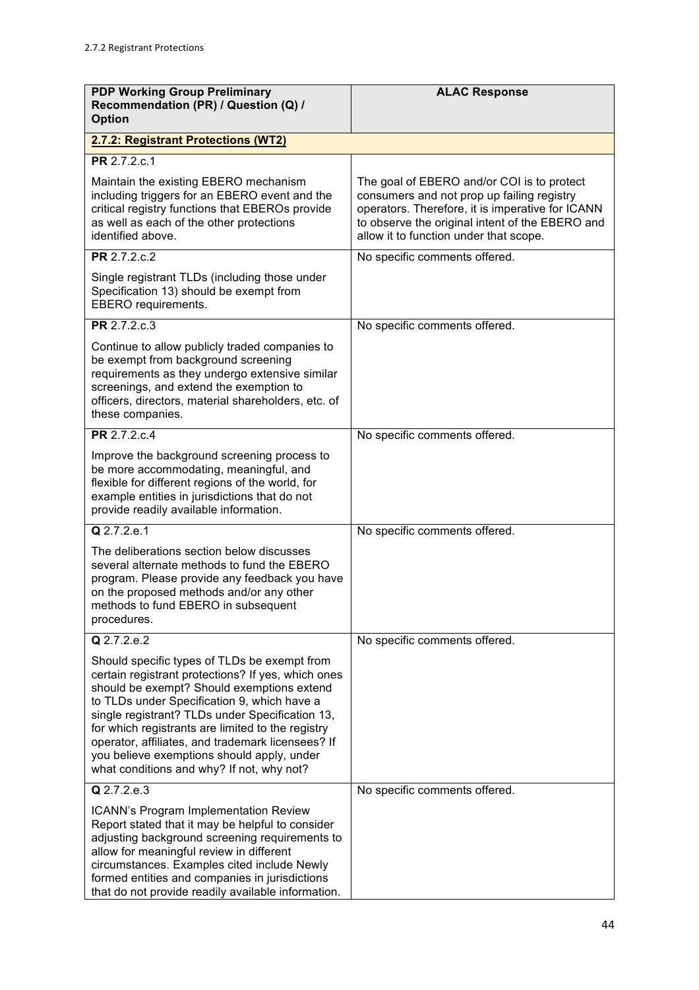| <b>PDP Working Group Preliminary</b><br>Recommendation (PR) / Question (Q) /<br><b>Option</b>                                                                                                                                                                                                                                                                                                                                                           | <b>ALAC Response</b>                                                                                                                                                                                                                      |
|---------------------------------------------------------------------------------------------------------------------------------------------------------------------------------------------------------------------------------------------------------------------------------------------------------------------------------------------------------------------------------------------------------------------------------------------------------|-------------------------------------------------------------------------------------------------------------------------------------------------------------------------------------------------------------------------------------------|
| 2.7.2: Registrant Protections (WT2)                                                                                                                                                                                                                                                                                                                                                                                                                     |                                                                                                                                                                                                                                           |
| PR 2.7.2.c.1                                                                                                                                                                                                                                                                                                                                                                                                                                            |                                                                                                                                                                                                                                           |
| Maintain the existing EBERO mechanism<br>including triggers for an EBERO event and the<br>critical registry functions that EBEROs provide<br>as well as each of the other protections<br>identified above.                                                                                                                                                                                                                                              | The goal of EBERO and/or COI is to protect<br>consumers and not prop up failing registry<br>operators. Therefore, it is imperative for ICANN<br>to observe the original intent of the EBERO and<br>allow it to function under that scope. |
| PR 2.7.2.c.2                                                                                                                                                                                                                                                                                                                                                                                                                                            | No specific comments offered.                                                                                                                                                                                                             |
| Single registrant TLDs (including those under<br>Specification 13) should be exempt from<br>EBERO requirements.                                                                                                                                                                                                                                                                                                                                         |                                                                                                                                                                                                                                           |
| <b>PR</b> 2.7.2.c.3                                                                                                                                                                                                                                                                                                                                                                                                                                     | No specific comments offered.                                                                                                                                                                                                             |
| Continue to allow publicly traded companies to<br>be exempt from background screening<br>requirements as they undergo extensive similar<br>screenings, and extend the exemption to<br>officers, directors, material shareholders, etc. of<br>these companies.                                                                                                                                                                                           |                                                                                                                                                                                                                                           |
| PR 2.7.2.c.4                                                                                                                                                                                                                                                                                                                                                                                                                                            | No specific comments offered.                                                                                                                                                                                                             |
| Improve the background screening process to<br>be more accommodating, meaningful, and<br>flexible for different regions of the world, for<br>example entities in jurisdictions that do not<br>provide readily available information.                                                                                                                                                                                                                    |                                                                                                                                                                                                                                           |
| Q 2.7.2.e.1                                                                                                                                                                                                                                                                                                                                                                                                                                             | No specific comments offered.                                                                                                                                                                                                             |
| The deliberations section below discusses<br>several alternate methods to fund the EBERO<br>program. Please provide any feedback you have<br>on the proposed methods and/or any other<br>methods to fund EBERO in subsequent<br>procedures.                                                                                                                                                                                                             |                                                                                                                                                                                                                                           |
| $Q$ 2.7.2.e.2                                                                                                                                                                                                                                                                                                                                                                                                                                           | No specific comments offered.                                                                                                                                                                                                             |
| Should specific types of TLDs be exempt from<br>certain registrant protections? If yes, which ones<br>should be exempt? Should exemptions extend<br>to TLDs under Specification 9, which have a<br>single registrant? TLDs under Specification 13,<br>for which registrants are limited to the registry<br>operator, affiliates, and trademark licensees? If<br>you believe exemptions should apply, under<br>what conditions and why? If not, why not? |                                                                                                                                                                                                                                           |
| Q 2.7.2.e.3                                                                                                                                                                                                                                                                                                                                                                                                                                             | No specific comments offered.                                                                                                                                                                                                             |
| ICANN's Program Implementation Review<br>Report stated that it may be helpful to consider<br>adjusting background screening requirements to<br>allow for meaningful review in different<br>circumstances. Examples cited include Newly<br>formed entities and companies in jurisdictions<br>that do not provide readily available information.                                                                                                          |                                                                                                                                                                                                                                           |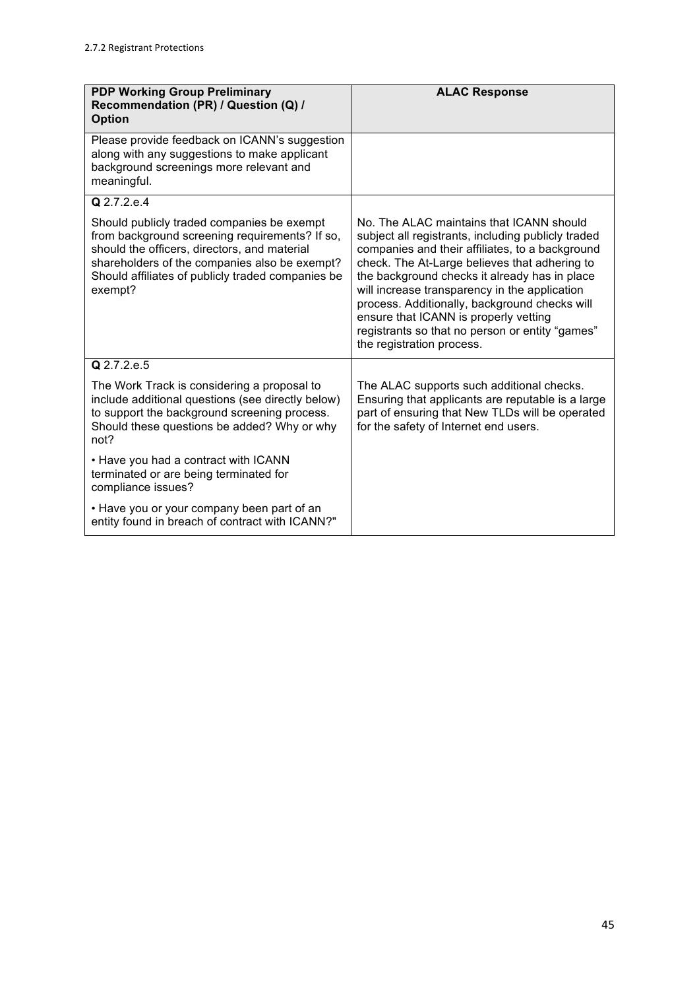| <b>PDP Working Group Preliminary</b><br>Recommendation (PR) / Question (Q) /<br><b>Option</b>                                                                                                                                                                 | <b>ALAC Response</b>                                                                                                                                                                                                                                                                                                                                                                                                                                                           |
|---------------------------------------------------------------------------------------------------------------------------------------------------------------------------------------------------------------------------------------------------------------|--------------------------------------------------------------------------------------------------------------------------------------------------------------------------------------------------------------------------------------------------------------------------------------------------------------------------------------------------------------------------------------------------------------------------------------------------------------------------------|
| Please provide feedback on ICANN's suggestion<br>along with any suggestions to make applicant<br>background screenings more relevant and<br>meaningful.                                                                                                       |                                                                                                                                                                                                                                                                                                                                                                                                                                                                                |
| Q 2.7.2.e.4                                                                                                                                                                                                                                                   |                                                                                                                                                                                                                                                                                                                                                                                                                                                                                |
| Should publicly traded companies be exempt<br>from background screening requirements? If so,<br>should the officers, directors, and material<br>shareholders of the companies also be exempt?<br>Should affiliates of publicly traded companies be<br>exempt? | No. The ALAC maintains that ICANN should<br>subject all registrants, including publicly traded<br>companies and their affiliates, to a background<br>check. The At-Large believes that adhering to<br>the background checks it already has in place<br>will increase transparency in the application<br>process. Additionally, background checks will<br>ensure that ICANN is properly vetting<br>registrants so that no person or entity "games"<br>the registration process. |
| $Q$ 2.7.2.e.5                                                                                                                                                                                                                                                 |                                                                                                                                                                                                                                                                                                                                                                                                                                                                                |
| The Work Track is considering a proposal to<br>include additional questions (see directly below)<br>to support the background screening process.<br>Should these questions be added? Why or why<br>not?                                                       | The ALAC supports such additional checks.<br>Ensuring that applicants are reputable is a large<br>part of ensuring that New TLDs will be operated<br>for the safety of Internet end users.                                                                                                                                                                                                                                                                                     |
| • Have you had a contract with ICANN<br>terminated or are being terminated for<br>compliance issues?                                                                                                                                                          |                                                                                                                                                                                                                                                                                                                                                                                                                                                                                |
| • Have you or your company been part of an<br>entity found in breach of contract with ICANN?"                                                                                                                                                                 |                                                                                                                                                                                                                                                                                                                                                                                                                                                                                |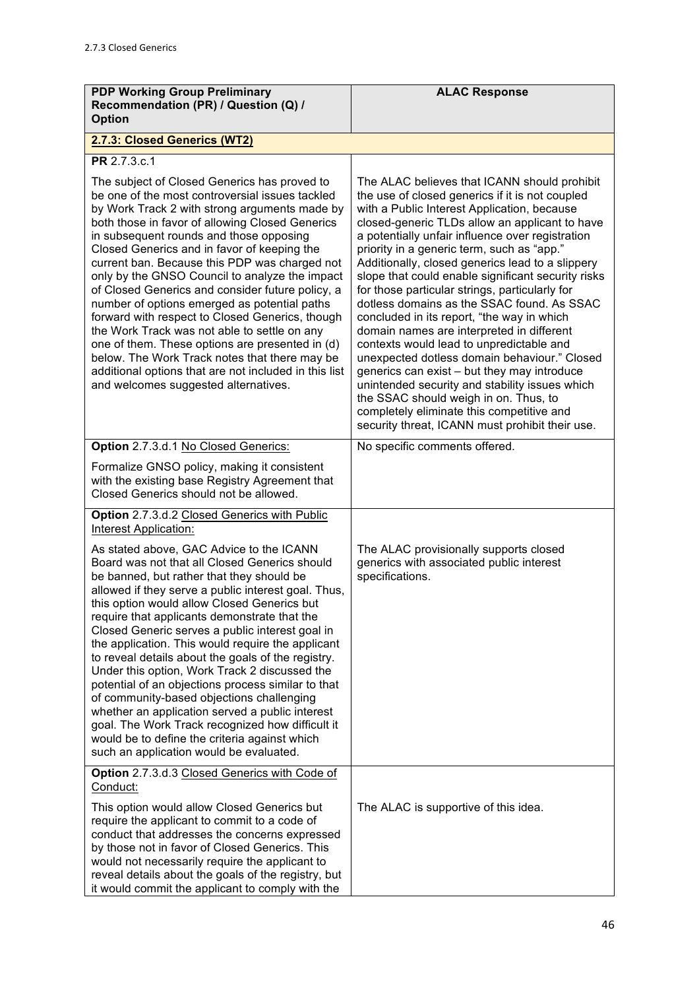| <b>PDP Working Group Preliminary</b><br>Recommendation (PR) / Question (Q) /<br><b>Option</b>                                                                                                                                                                                                                                                                                                                                                                                                                                                                                                                                                                                                                                                                                                                     | <b>ALAC Response</b>                                                                                                                                                                                                                                                                                                                                                                                                                                                                                                                                                                                                                                                                                                                                                                                                                                                                                                                          |
|-------------------------------------------------------------------------------------------------------------------------------------------------------------------------------------------------------------------------------------------------------------------------------------------------------------------------------------------------------------------------------------------------------------------------------------------------------------------------------------------------------------------------------------------------------------------------------------------------------------------------------------------------------------------------------------------------------------------------------------------------------------------------------------------------------------------|-----------------------------------------------------------------------------------------------------------------------------------------------------------------------------------------------------------------------------------------------------------------------------------------------------------------------------------------------------------------------------------------------------------------------------------------------------------------------------------------------------------------------------------------------------------------------------------------------------------------------------------------------------------------------------------------------------------------------------------------------------------------------------------------------------------------------------------------------------------------------------------------------------------------------------------------------|
| 2.7.3: Closed Generics (WT2)                                                                                                                                                                                                                                                                                                                                                                                                                                                                                                                                                                                                                                                                                                                                                                                      |                                                                                                                                                                                                                                                                                                                                                                                                                                                                                                                                                                                                                                                                                                                                                                                                                                                                                                                                               |
| PR 2.7.3.c.1                                                                                                                                                                                                                                                                                                                                                                                                                                                                                                                                                                                                                                                                                                                                                                                                      |                                                                                                                                                                                                                                                                                                                                                                                                                                                                                                                                                                                                                                                                                                                                                                                                                                                                                                                                               |
| The subject of Closed Generics has proved to<br>be one of the most controversial issues tackled<br>by Work Track 2 with strong arguments made by<br>both those in favor of allowing Closed Generics<br>in subsequent rounds and those opposing<br>Closed Generics and in favor of keeping the<br>current ban. Because this PDP was charged not<br>only by the GNSO Council to analyze the impact<br>of Closed Generics and consider future policy, a<br>number of options emerged as potential paths<br>forward with respect to Closed Generics, though<br>the Work Track was not able to settle on any<br>one of them. These options are presented in (d)<br>below. The Work Track notes that there may be<br>additional options that are not included in this list<br>and welcomes suggested alternatives.      | The ALAC believes that ICANN should prohibit<br>the use of closed generics if it is not coupled<br>with a Public Interest Application, because<br>closed-generic TLDs allow an applicant to have<br>a potentially unfair influence over registration<br>priority in a generic term, such as "app."<br>Additionally, closed generics lead to a slippery<br>slope that could enable significant security risks<br>for those particular strings, particularly for<br>dotless domains as the SSAC found. As SSAC<br>concluded in its report, "the way in which<br>domain names are interpreted in different<br>contexts would lead to unpredictable and<br>unexpected dotless domain behaviour." Closed<br>generics can exist - but they may introduce<br>unintended security and stability issues which<br>the SSAC should weigh in on. Thus, to<br>completely eliminate this competitive and<br>security threat, ICANN must prohibit their use. |
| Option 2.7.3.d.1 No Closed Generics:                                                                                                                                                                                                                                                                                                                                                                                                                                                                                                                                                                                                                                                                                                                                                                              | No specific comments offered.                                                                                                                                                                                                                                                                                                                                                                                                                                                                                                                                                                                                                                                                                                                                                                                                                                                                                                                 |
| Formalize GNSO policy, making it consistent<br>with the existing base Registry Agreement that<br>Closed Generics should not be allowed.                                                                                                                                                                                                                                                                                                                                                                                                                                                                                                                                                                                                                                                                           |                                                                                                                                                                                                                                                                                                                                                                                                                                                                                                                                                                                                                                                                                                                                                                                                                                                                                                                                               |
| Option 2.7.3.d.2 Closed Generics with Public<br><b>Interest Application:</b>                                                                                                                                                                                                                                                                                                                                                                                                                                                                                                                                                                                                                                                                                                                                      |                                                                                                                                                                                                                                                                                                                                                                                                                                                                                                                                                                                                                                                                                                                                                                                                                                                                                                                                               |
| As stated above, GAC Advice to the ICANN<br>Board was not that all Closed Generics should<br>be banned, but rather that they should be<br>allowed if they serve a public interest goal. Thus,<br>this option would allow Closed Generics but<br>require that applicants demonstrate that the<br>Closed Generic serves a public interest goal in<br>the application. This would require the applicant<br>to reveal details about the goals of the registry.<br>Under this option, Work Track 2 discussed the<br>potential of an objections process similar to that<br>of community-based objections challenging<br>whether an application served a public interest<br>goal. The Work Track recognized how difficult it<br>would be to define the criteria against which<br>such an application would be evaluated. | The ALAC provisionally supports closed<br>generics with associated public interest<br>specifications.                                                                                                                                                                                                                                                                                                                                                                                                                                                                                                                                                                                                                                                                                                                                                                                                                                         |
| Option 2.7.3.d.3 Closed Generics with Code of<br>Conduct:                                                                                                                                                                                                                                                                                                                                                                                                                                                                                                                                                                                                                                                                                                                                                         |                                                                                                                                                                                                                                                                                                                                                                                                                                                                                                                                                                                                                                                                                                                                                                                                                                                                                                                                               |
| This option would allow Closed Generics but<br>require the applicant to commit to a code of<br>conduct that addresses the concerns expressed<br>by those not in favor of Closed Generics. This<br>would not necessarily require the applicant to<br>reveal details about the goals of the registry, but<br>it would commit the applicant to comply with the                                                                                                                                                                                                                                                                                                                                                                                                                                                       | The ALAC is supportive of this idea.                                                                                                                                                                                                                                                                                                                                                                                                                                                                                                                                                                                                                                                                                                                                                                                                                                                                                                          |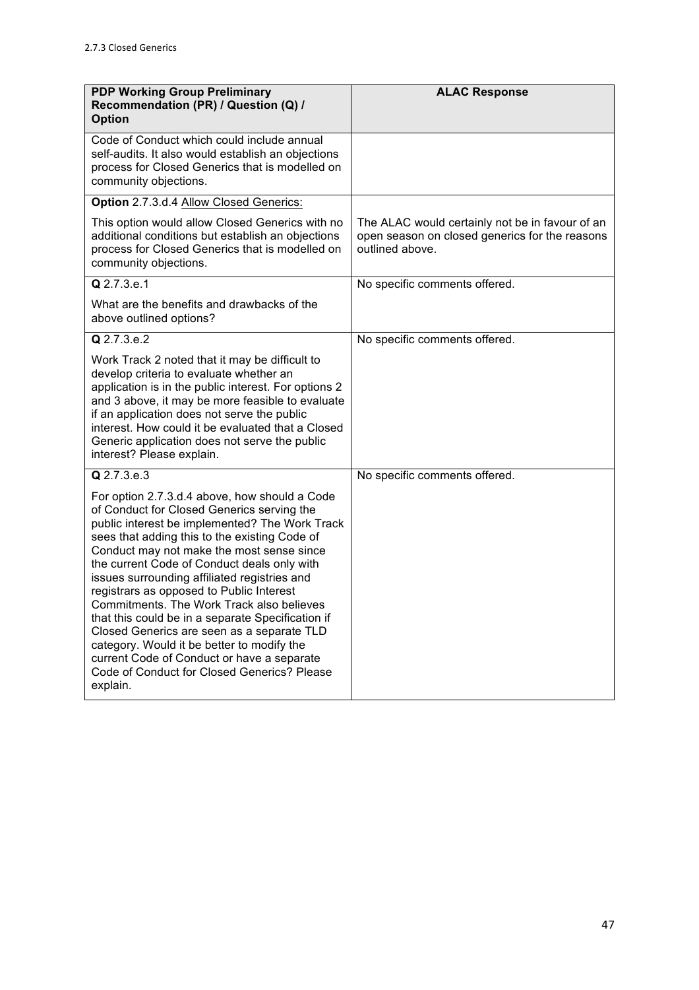| <b>PDP Working Group Preliminary</b><br>Recommendation (PR) / Question (Q) /<br><b>Option</b>                                                                                                                                                                                                                                                                                                                                                                                                                                                                                                                                                                                                 | <b>ALAC Response</b>                                                                                                 |
|-----------------------------------------------------------------------------------------------------------------------------------------------------------------------------------------------------------------------------------------------------------------------------------------------------------------------------------------------------------------------------------------------------------------------------------------------------------------------------------------------------------------------------------------------------------------------------------------------------------------------------------------------------------------------------------------------|----------------------------------------------------------------------------------------------------------------------|
| Code of Conduct which could include annual<br>self-audits. It also would establish an objections<br>process for Closed Generics that is modelled on<br>community objections.                                                                                                                                                                                                                                                                                                                                                                                                                                                                                                                  |                                                                                                                      |
| Option 2.7.3.d.4 Allow Closed Generics:                                                                                                                                                                                                                                                                                                                                                                                                                                                                                                                                                                                                                                                       |                                                                                                                      |
| This option would allow Closed Generics with no<br>additional conditions but establish an objections<br>process for Closed Generics that is modelled on<br>community objections.                                                                                                                                                                                                                                                                                                                                                                                                                                                                                                              | The ALAC would certainly not be in favour of an<br>open season on closed generics for the reasons<br>outlined above. |
| Q 2.7.3.e.1                                                                                                                                                                                                                                                                                                                                                                                                                                                                                                                                                                                                                                                                                   | No specific comments offered.                                                                                        |
| What are the benefits and drawbacks of the<br>above outlined options?                                                                                                                                                                                                                                                                                                                                                                                                                                                                                                                                                                                                                         |                                                                                                                      |
| Q 2.7.3.e.2                                                                                                                                                                                                                                                                                                                                                                                                                                                                                                                                                                                                                                                                                   | No specific comments offered.                                                                                        |
| Work Track 2 noted that it may be difficult to<br>develop criteria to evaluate whether an<br>application is in the public interest. For options 2<br>and 3 above, it may be more feasible to evaluate<br>if an application does not serve the public<br>interest. How could it be evaluated that a Closed<br>Generic application does not serve the public<br>interest? Please explain.                                                                                                                                                                                                                                                                                                       |                                                                                                                      |
| $Q$ 2.7.3.e.3                                                                                                                                                                                                                                                                                                                                                                                                                                                                                                                                                                                                                                                                                 | No specific comments offered.                                                                                        |
| For option 2.7.3.d.4 above, how should a Code<br>of Conduct for Closed Generics serving the<br>public interest be implemented? The Work Track<br>sees that adding this to the existing Code of<br>Conduct may not make the most sense since<br>the current Code of Conduct deals only with<br>issues surrounding affiliated registries and<br>registrars as opposed to Public Interest<br>Commitments. The Work Track also believes<br>that this could be in a separate Specification if<br>Closed Generics are seen as a separate TLD<br>category. Would it be better to modify the<br>current Code of Conduct or have a separate<br>Code of Conduct for Closed Generics? Please<br>explain. |                                                                                                                      |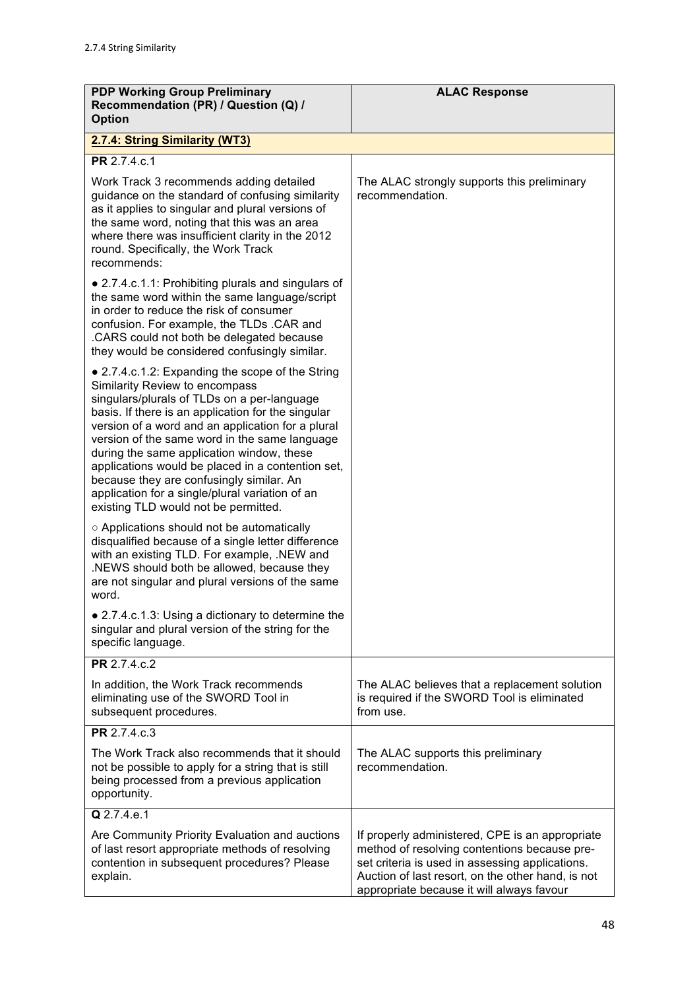| <b>PDP Working Group Preliminary</b><br>Recommendation (PR) / Question (Q) /<br><b>Option</b>                                                                                                                                                                                                                                                                                                                                                                                                                                          | <b>ALAC Response</b>                                                                                                                                                                                                                                 |
|----------------------------------------------------------------------------------------------------------------------------------------------------------------------------------------------------------------------------------------------------------------------------------------------------------------------------------------------------------------------------------------------------------------------------------------------------------------------------------------------------------------------------------------|------------------------------------------------------------------------------------------------------------------------------------------------------------------------------------------------------------------------------------------------------|
| 2.7.4: String Similarity (WT3)                                                                                                                                                                                                                                                                                                                                                                                                                                                                                                         |                                                                                                                                                                                                                                                      |
| PR 2.7.4.c.1                                                                                                                                                                                                                                                                                                                                                                                                                                                                                                                           |                                                                                                                                                                                                                                                      |
| Work Track 3 recommends adding detailed<br>guidance on the standard of confusing similarity<br>as it applies to singular and plural versions of<br>the same word, noting that this was an area<br>where there was insufficient clarity in the 2012<br>round. Specifically, the Work Track<br>recommends:                                                                                                                                                                                                                               | The ALAC strongly supports this preliminary<br>recommendation.                                                                                                                                                                                       |
| • 2.7.4.c.1.1: Prohibiting plurals and singulars of<br>the same word within the same language/script<br>in order to reduce the risk of consumer<br>confusion. For example, the TLDs .CAR and<br>.CARS could not both be delegated because<br>they would be considered confusingly similar.                                                                                                                                                                                                                                             |                                                                                                                                                                                                                                                      |
| • 2.7.4.c.1.2: Expanding the scope of the String<br>Similarity Review to encompass<br>singulars/plurals of TLDs on a per-language<br>basis. If there is an application for the singular<br>version of a word and an application for a plural<br>version of the same word in the same language<br>during the same application window, these<br>applications would be placed in a contention set,<br>because they are confusingly similar. An<br>application for a single/plural variation of an<br>existing TLD would not be permitted. |                                                                                                                                                                                                                                                      |
| ○ Applications should not be automatically<br>disqualified because of a single letter difference<br>with an existing TLD. For example, .NEW and<br>.NEWS should both be allowed, because they<br>are not singular and plural versions of the same<br>word.                                                                                                                                                                                                                                                                             |                                                                                                                                                                                                                                                      |
| • 2.7.4.c.1.3: Using a dictionary to determine the<br>singular and plural version of the string for the<br>specific language.                                                                                                                                                                                                                                                                                                                                                                                                          |                                                                                                                                                                                                                                                      |
| PR 2.7.4.c.2                                                                                                                                                                                                                                                                                                                                                                                                                                                                                                                           |                                                                                                                                                                                                                                                      |
| In addition, the Work Track recommends<br>eliminating use of the SWORD Tool in<br>subsequent procedures.                                                                                                                                                                                                                                                                                                                                                                                                                               | The ALAC believes that a replacement solution<br>is required if the SWORD Tool is eliminated<br>from use.                                                                                                                                            |
| PR 2.7.4.c.3                                                                                                                                                                                                                                                                                                                                                                                                                                                                                                                           |                                                                                                                                                                                                                                                      |
| The Work Track also recommends that it should<br>not be possible to apply for a string that is still<br>being processed from a previous application<br>opportunity.                                                                                                                                                                                                                                                                                                                                                                    | The ALAC supports this preliminary<br>recommendation.                                                                                                                                                                                                |
| Q 2.7.4.e.1                                                                                                                                                                                                                                                                                                                                                                                                                                                                                                                            |                                                                                                                                                                                                                                                      |
| Are Community Priority Evaluation and auctions<br>of last resort appropriate methods of resolving<br>contention in subsequent procedures? Please<br>explain.                                                                                                                                                                                                                                                                                                                                                                           | If properly administered, CPE is an appropriate<br>method of resolving contentions because pre-<br>set criteria is used in assessing applications.<br>Auction of last resort, on the other hand, is not<br>appropriate because it will always favour |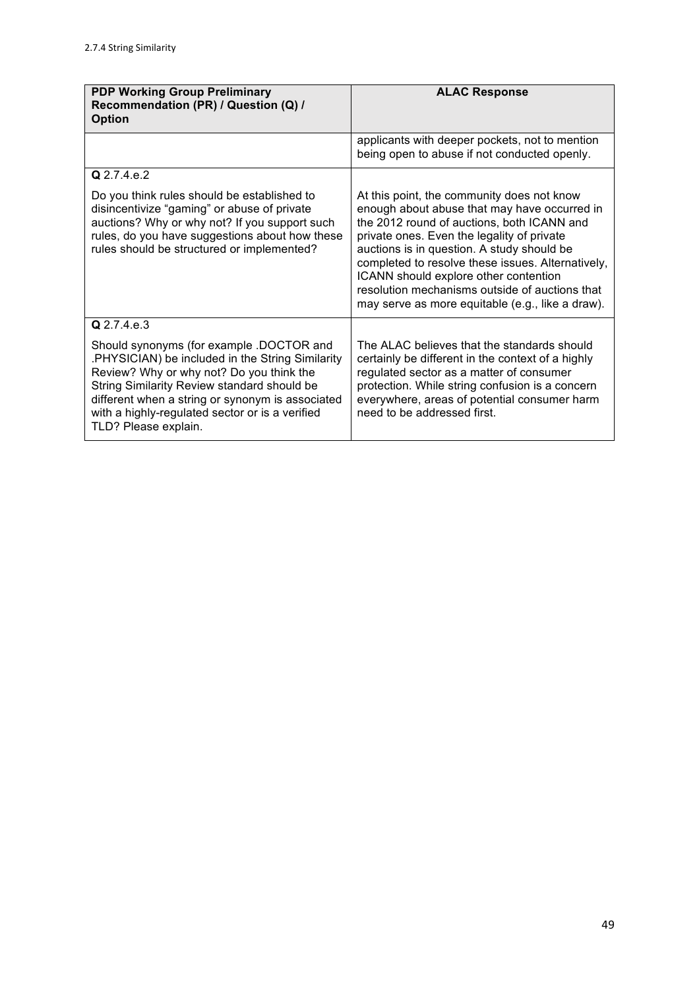| <b>PDP Working Group Preliminary</b><br>Recommendation (PR) / Question (Q) /<br><b>Option</b>                                                                                                                                                                                                                         | <b>ALAC Response</b>                                                                                                                                                                                                                                                                                                                                                                                                                     |
|-----------------------------------------------------------------------------------------------------------------------------------------------------------------------------------------------------------------------------------------------------------------------------------------------------------------------|------------------------------------------------------------------------------------------------------------------------------------------------------------------------------------------------------------------------------------------------------------------------------------------------------------------------------------------------------------------------------------------------------------------------------------------|
|                                                                                                                                                                                                                                                                                                                       | applicants with deeper pockets, not to mention<br>being open to abuse if not conducted openly.                                                                                                                                                                                                                                                                                                                                           |
| Q 2.7.4.e.2                                                                                                                                                                                                                                                                                                           |                                                                                                                                                                                                                                                                                                                                                                                                                                          |
| Do you think rules should be established to<br>disincentivize "gaming" or abuse of private<br>auctions? Why or why not? If you support such<br>rules, do you have suggestions about how these<br>rules should be structured or implemented?                                                                           | At this point, the community does not know<br>enough about abuse that may have occurred in<br>the 2012 round of auctions, both ICANN and<br>private ones. Even the legality of private<br>auctions is in question. A study should be<br>completed to resolve these issues. Alternatively,<br>ICANN should explore other contention<br>resolution mechanisms outside of auctions that<br>may serve as more equitable (e.g., like a draw). |
| Q 2.7.4.e.3                                                                                                                                                                                                                                                                                                           |                                                                                                                                                                                                                                                                                                                                                                                                                                          |
| Should synonyms (for example .DOCTOR and<br>PHYSICIAN) be included in the String Similarity<br>Review? Why or why not? Do you think the<br>String Similarity Review standard should be<br>different when a string or synonym is associated<br>with a highly-regulated sector or is a verified<br>TLD? Please explain. | The ALAC believes that the standards should<br>certainly be different in the context of a highly<br>regulated sector as a matter of consumer<br>protection. While string confusion is a concern<br>everywhere, areas of potential consumer harm<br>need to be addressed first.                                                                                                                                                           |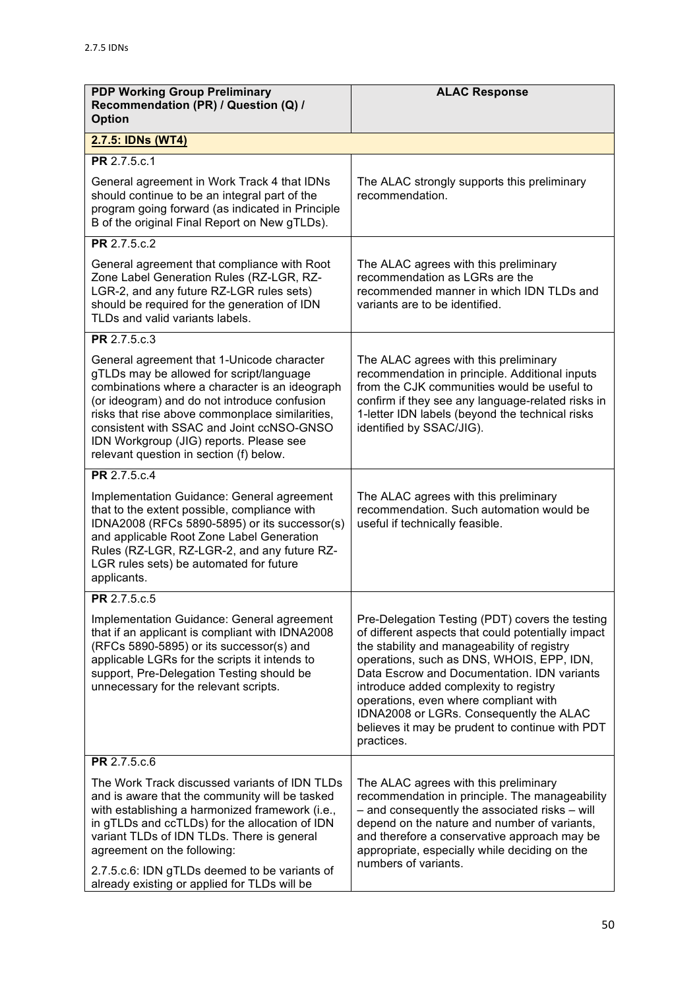| <b>PDP Working Group Preliminary</b><br>Recommendation (PR) / Question (Q) /<br><b>Option</b>                                                                                                                                                                                                                                                                                  | <b>ALAC Response</b>                                                                                                                                                                                                                                                                                                                                                                                                                            |
|--------------------------------------------------------------------------------------------------------------------------------------------------------------------------------------------------------------------------------------------------------------------------------------------------------------------------------------------------------------------------------|-------------------------------------------------------------------------------------------------------------------------------------------------------------------------------------------------------------------------------------------------------------------------------------------------------------------------------------------------------------------------------------------------------------------------------------------------|
| 2.7.5: IDNs (WT4)                                                                                                                                                                                                                                                                                                                                                              |                                                                                                                                                                                                                                                                                                                                                                                                                                                 |
| PR 2.7.5.c.1                                                                                                                                                                                                                                                                                                                                                                   |                                                                                                                                                                                                                                                                                                                                                                                                                                                 |
| General agreement in Work Track 4 that IDNs<br>should continue to be an integral part of the<br>program going forward (as indicated in Principle<br>B of the original Final Report on New gTLDs).                                                                                                                                                                              | The ALAC strongly supports this preliminary<br>recommendation.                                                                                                                                                                                                                                                                                                                                                                                  |
| PR 2.7.5.c.2                                                                                                                                                                                                                                                                                                                                                                   |                                                                                                                                                                                                                                                                                                                                                                                                                                                 |
| General agreement that compliance with Root<br>Zone Label Generation Rules (RZ-LGR, RZ-<br>LGR-2, and any future RZ-LGR rules sets)<br>should be required for the generation of IDN<br>TLDs and valid variants labels.                                                                                                                                                         | The ALAC agrees with this preliminary<br>recommendation as LGRs are the<br>recommended manner in which IDN TLDs and<br>variants are to be identified.                                                                                                                                                                                                                                                                                           |
| PR 2.7.5.c.3                                                                                                                                                                                                                                                                                                                                                                   |                                                                                                                                                                                                                                                                                                                                                                                                                                                 |
| General agreement that 1-Unicode character<br>gTLDs may be allowed for script/language<br>combinations where a character is an ideograph<br>(or ideogram) and do not introduce confusion<br>risks that rise above commonplace similarities,<br>consistent with SSAC and Joint ccNSO-GNSO<br>IDN Workgroup (JIG) reports. Please see<br>relevant question in section (f) below. | The ALAC agrees with this preliminary<br>recommendation in principle. Additional inputs<br>from the CJK communities would be useful to<br>confirm if they see any language-related risks in<br>1-letter IDN labels (beyond the technical risks<br>identified by SSAC/JIG).                                                                                                                                                                      |
| PR 2.7.5.c.4                                                                                                                                                                                                                                                                                                                                                                   |                                                                                                                                                                                                                                                                                                                                                                                                                                                 |
| Implementation Guidance: General agreement<br>that to the extent possible, compliance with<br>IDNA2008 (RFCs 5890-5895) or its successor(s)<br>and applicable Root Zone Label Generation<br>Rules (RZ-LGR, RZ-LGR-2, and any future RZ-<br>LGR rules sets) be automated for future<br>applicants.                                                                              | The ALAC agrees with this preliminary<br>recommendation. Such automation would be<br>useful if technically feasible.                                                                                                                                                                                                                                                                                                                            |
| PR 2.7.5.c.5                                                                                                                                                                                                                                                                                                                                                                   |                                                                                                                                                                                                                                                                                                                                                                                                                                                 |
| Implementation Guidance: General agreement<br>that if an applicant is compliant with IDNA2008<br>(RFCs 5890-5895) or its successor(s) and<br>applicable LGRs for the scripts it intends to<br>support, Pre-Delegation Testing should be<br>unnecessary for the relevant scripts.                                                                                               | Pre-Delegation Testing (PDT) covers the testing<br>of different aspects that could potentially impact<br>the stability and manageability of registry<br>operations, such as DNS, WHOIS, EPP, IDN,<br>Data Escrow and Documentation. IDN variants<br>introduce added complexity to registry<br>operations, even where compliant with<br>IDNA2008 or LGRs. Consequently the ALAC<br>believes it may be prudent to continue with PDT<br>practices. |
| PR 2.7.5.c.6                                                                                                                                                                                                                                                                                                                                                                   |                                                                                                                                                                                                                                                                                                                                                                                                                                                 |
| The Work Track discussed variants of IDN TLDs<br>and is aware that the community will be tasked<br>with establishing a harmonized framework (i.e.,<br>in gTLDs and ccTLDs) for the allocation of IDN<br>variant TLDs of IDN TLDs. There is general<br>agreement on the following:<br>2.7.5.c.6: IDN gTLDs deemed to be variants of                                             | The ALAC agrees with this preliminary<br>recommendation in principle. The manageability<br>- and consequently the associated risks - will<br>depend on the nature and number of variants,<br>and therefore a conservative approach may be<br>appropriate, especially while deciding on the<br>numbers of variants.                                                                                                                              |
| already existing or applied for TLDs will be                                                                                                                                                                                                                                                                                                                                   |                                                                                                                                                                                                                                                                                                                                                                                                                                                 |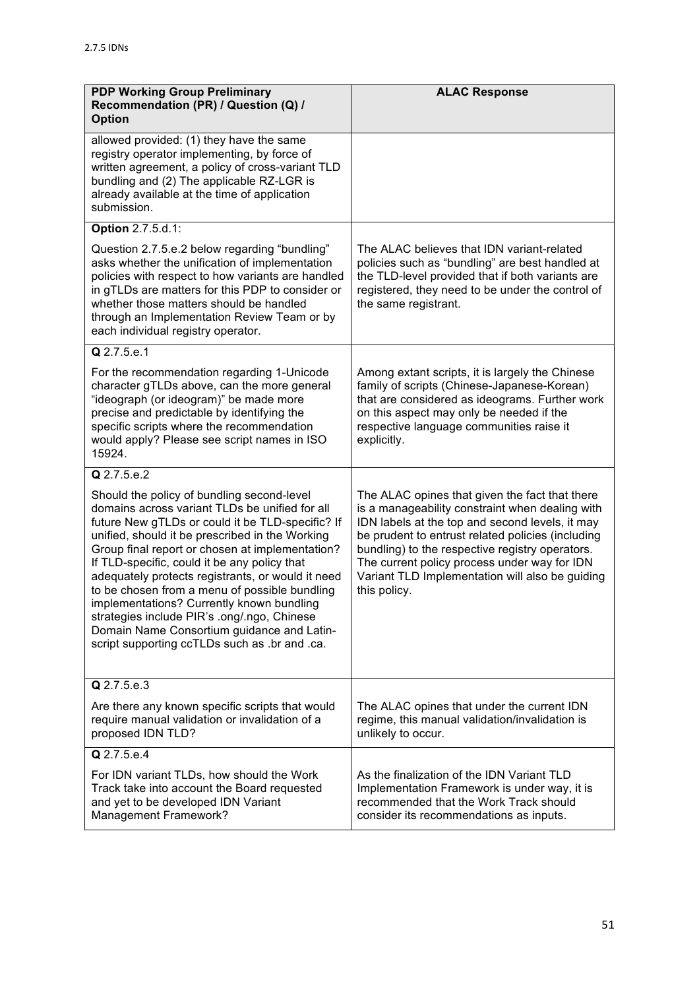| <b>PDP Working Group Preliminary</b><br>Recommendation (PR) / Question (Q) /<br><b>Option</b>                                                                                                                                                                                                                                                                                                                                                                                                                                                                                                           | <b>ALAC Response</b>                                                                                                                                                                                                                                                                                                                                                            |
|---------------------------------------------------------------------------------------------------------------------------------------------------------------------------------------------------------------------------------------------------------------------------------------------------------------------------------------------------------------------------------------------------------------------------------------------------------------------------------------------------------------------------------------------------------------------------------------------------------|---------------------------------------------------------------------------------------------------------------------------------------------------------------------------------------------------------------------------------------------------------------------------------------------------------------------------------------------------------------------------------|
| allowed provided: (1) they have the same<br>registry operator implementing, by force of<br>written agreement, a policy of cross-variant TLD<br>bundling and (2) The applicable RZ-LGR is<br>already available at the time of application<br>submission.                                                                                                                                                                                                                                                                                                                                                 |                                                                                                                                                                                                                                                                                                                                                                                 |
| Option 2.7.5.d.1:                                                                                                                                                                                                                                                                                                                                                                                                                                                                                                                                                                                       |                                                                                                                                                                                                                                                                                                                                                                                 |
| Question 2.7.5.e.2 below regarding "bundling"<br>asks whether the unification of implementation<br>policies with respect to how variants are handled<br>in gTLDs are matters for this PDP to consider or<br>whether those matters should be handled<br>through an Implementation Review Team or by<br>each individual registry operator.                                                                                                                                                                                                                                                                | The ALAC believes that IDN variant-related<br>policies such as "bundling" are best handled at<br>the TLD-level provided that if both variants are<br>registered, they need to be under the control of<br>the same registrant.                                                                                                                                                   |
| Q 2.7.5.e.1                                                                                                                                                                                                                                                                                                                                                                                                                                                                                                                                                                                             |                                                                                                                                                                                                                                                                                                                                                                                 |
| For the recommendation regarding 1-Unicode<br>character gTLDs above, can the more general<br>"ideograph (or ideogram)" be made more<br>precise and predictable by identifying the<br>specific scripts where the recommendation<br>would apply? Please see script names in ISO<br>15924.                                                                                                                                                                                                                                                                                                                 | Among extant scripts, it is largely the Chinese<br>family of scripts (Chinese-Japanese-Korean)<br>that are considered as ideograms. Further work<br>on this aspect may only be needed if the<br>respective language communities raise it<br>explicitly.                                                                                                                         |
| Q 2.7.5.e.2                                                                                                                                                                                                                                                                                                                                                                                                                                                                                                                                                                                             |                                                                                                                                                                                                                                                                                                                                                                                 |
| Should the policy of bundling second-level<br>domains across variant TLDs be unified for all<br>future New gTLDs or could it be TLD-specific? If<br>unified, should it be prescribed in the Working<br>Group final report or chosen at implementation?<br>If TLD-specific, could it be any policy that<br>adequately protects registrants, or would it need<br>to be chosen from a menu of possible bundling<br>implementations? Currently known bundling<br>strategies include PIR's .ong/.ngo, Chinese<br>Domain Name Consortium guidance and Latin-<br>script supporting ccTLDs such as .br and .ca. | The ALAC opines that given the fact that there<br>is a manageability constraint when dealing with<br>IDN labels at the top and second levels, it may<br>be prudent to entrust related policies (including<br>bundling) to the respective registry operators.<br>The current policy process under way for IDN<br>Variant TLD Implementation will also be guiding<br>this policy. |
| Q 2.7.5.e.3                                                                                                                                                                                                                                                                                                                                                                                                                                                                                                                                                                                             |                                                                                                                                                                                                                                                                                                                                                                                 |
| Are there any known specific scripts that would<br>require manual validation or invalidation of a<br>proposed IDN TLD?                                                                                                                                                                                                                                                                                                                                                                                                                                                                                  | The ALAC opines that under the current IDN<br>regime, this manual validation/invalidation is<br>unlikely to occur.                                                                                                                                                                                                                                                              |
| Q 2.7.5.e.4                                                                                                                                                                                                                                                                                                                                                                                                                                                                                                                                                                                             |                                                                                                                                                                                                                                                                                                                                                                                 |
| For IDN variant TLDs, how should the Work<br>Track take into account the Board requested<br>and yet to be developed IDN Variant<br>Management Framework?                                                                                                                                                                                                                                                                                                                                                                                                                                                | As the finalization of the IDN Variant TLD<br>Implementation Framework is under way, it is<br>recommended that the Work Track should<br>consider its recommendations as inputs.                                                                                                                                                                                                 |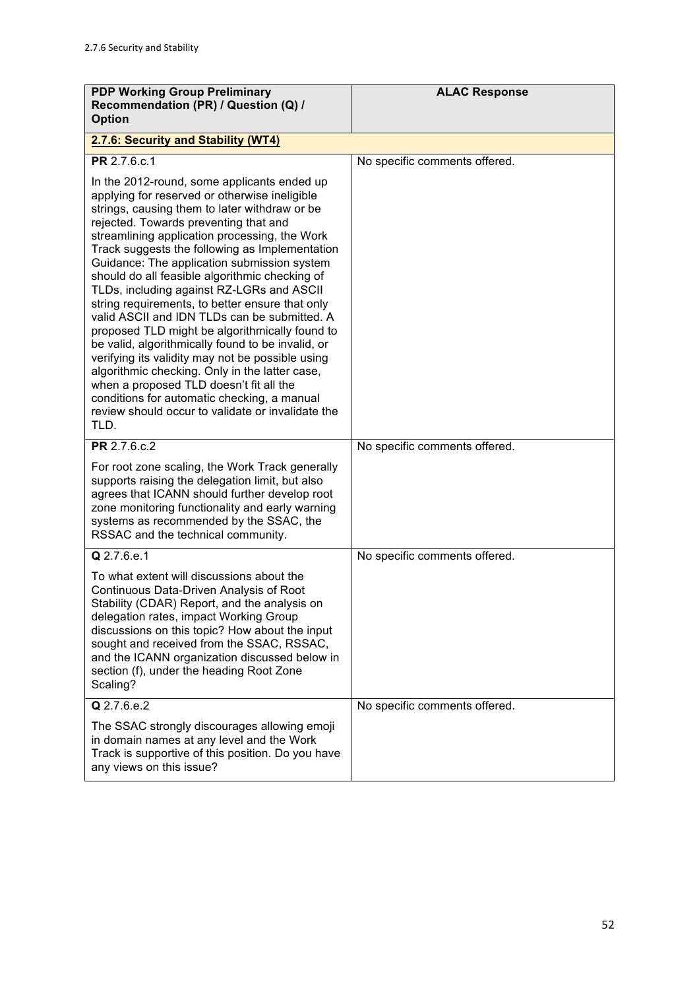| <b>PDP Working Group Preliminary</b><br>Recommendation (PR) / Question (Q) /<br><b>Option</b>                                                                                                                                                                                                                                                                                                                                                                                                                                                                                                                                                                                                                                                                                                                                                                                                                  | <b>ALAC Response</b>          |
|----------------------------------------------------------------------------------------------------------------------------------------------------------------------------------------------------------------------------------------------------------------------------------------------------------------------------------------------------------------------------------------------------------------------------------------------------------------------------------------------------------------------------------------------------------------------------------------------------------------------------------------------------------------------------------------------------------------------------------------------------------------------------------------------------------------------------------------------------------------------------------------------------------------|-------------------------------|
| 2.7.6: Security and Stability (WT4)                                                                                                                                                                                                                                                                                                                                                                                                                                                                                                                                                                                                                                                                                                                                                                                                                                                                            |                               |
| PR 2.7.6.c.1                                                                                                                                                                                                                                                                                                                                                                                                                                                                                                                                                                                                                                                                                                                                                                                                                                                                                                   | No specific comments offered. |
| In the 2012-round, some applicants ended up<br>applying for reserved or otherwise ineligible<br>strings, causing them to later withdraw or be<br>rejected. Towards preventing that and<br>streamlining application processing, the Work<br>Track suggests the following as Implementation<br>Guidance: The application submission system<br>should do all feasible algorithmic checking of<br>TLDs, including against RZ-LGRs and ASCII<br>string requirements, to better ensure that only<br>valid ASCII and IDN TLDs can be submitted. A<br>proposed TLD might be algorithmically found to<br>be valid, algorithmically found to be invalid, or<br>verifying its validity may not be possible using<br>algorithmic checking. Only in the latter case,<br>when a proposed TLD doesn't fit all the<br>conditions for automatic checking, a manual<br>review should occur to validate or invalidate the<br>TLD. |                               |
| PR 2.7.6.c.2                                                                                                                                                                                                                                                                                                                                                                                                                                                                                                                                                                                                                                                                                                                                                                                                                                                                                                   | No specific comments offered. |
| For root zone scaling, the Work Track generally<br>supports raising the delegation limit, but also<br>agrees that ICANN should further develop root<br>zone monitoring functionality and early warning<br>systems as recommended by the SSAC, the<br>RSSAC and the technical community.                                                                                                                                                                                                                                                                                                                                                                                                                                                                                                                                                                                                                        |                               |
| Q 2.7.6.e.1                                                                                                                                                                                                                                                                                                                                                                                                                                                                                                                                                                                                                                                                                                                                                                                                                                                                                                    | No specific comments offered. |
| To what extent will discussions about the<br>Continuous Data-Driven Analysis of Root<br>Stability (CDAR) Report, and the analysis on<br>delegation rates, impact Working Group<br>discussions on this topic? How about the input<br>sought and received from the SSAC, RSSAC,<br>and the ICANN organization discussed below in<br>section (f), under the heading Root Zone<br>Scaling?                                                                                                                                                                                                                                                                                                                                                                                                                                                                                                                         |                               |
| Q 2.7.6.e.2                                                                                                                                                                                                                                                                                                                                                                                                                                                                                                                                                                                                                                                                                                                                                                                                                                                                                                    | No specific comments offered. |
| The SSAC strongly discourages allowing emoji<br>in domain names at any level and the Work<br>Track is supportive of this position. Do you have<br>any views on this issue?                                                                                                                                                                                                                                                                                                                                                                                                                                                                                                                                                                                                                                                                                                                                     |                               |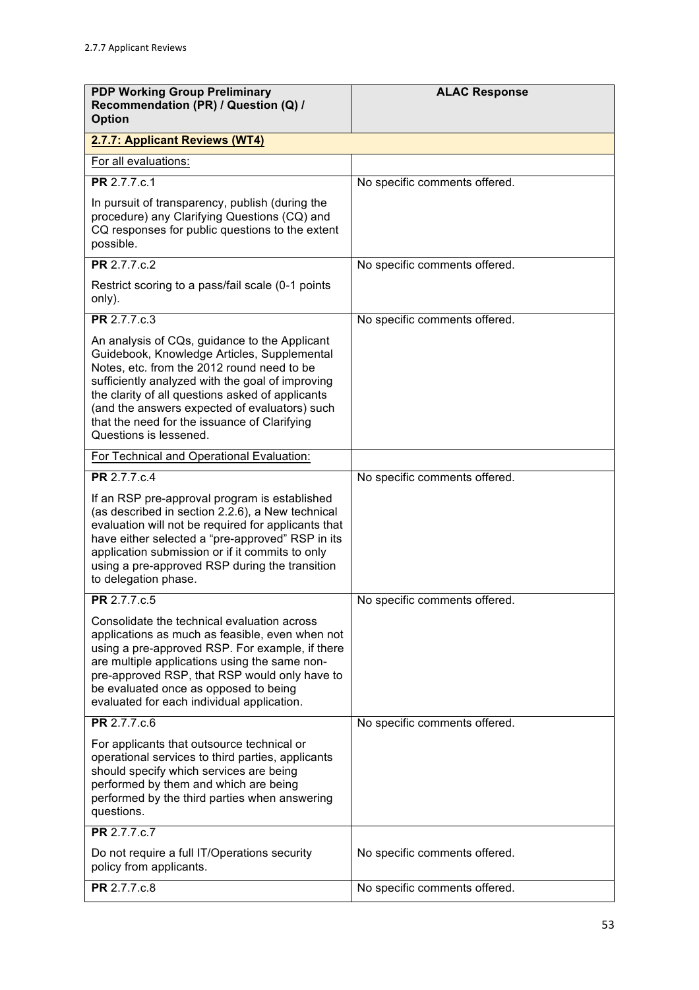| <b>PDP Working Group Preliminary</b><br>Recommendation (PR) / Question (Q) /<br><b>Option</b>                                                                                                                                                                                                                                                                                 | <b>ALAC Response</b>          |
|-------------------------------------------------------------------------------------------------------------------------------------------------------------------------------------------------------------------------------------------------------------------------------------------------------------------------------------------------------------------------------|-------------------------------|
| 2.7.7: Applicant Reviews (WT4)                                                                                                                                                                                                                                                                                                                                                |                               |
| For all evaluations:                                                                                                                                                                                                                                                                                                                                                          |                               |
| PR 2.7.7.c.1                                                                                                                                                                                                                                                                                                                                                                  | No specific comments offered. |
| In pursuit of transparency, publish (during the<br>procedure) any Clarifying Questions (CQ) and<br>CQ responses for public questions to the extent<br>possible.                                                                                                                                                                                                               |                               |
| PR 2.7.7.c.2                                                                                                                                                                                                                                                                                                                                                                  | No specific comments offered. |
| Restrict scoring to a pass/fail scale (0-1 points<br>only).                                                                                                                                                                                                                                                                                                                   |                               |
| PR 2.7.7.c.3                                                                                                                                                                                                                                                                                                                                                                  | No specific comments offered. |
| An analysis of CQs, guidance to the Applicant<br>Guidebook, Knowledge Articles, Supplemental<br>Notes, etc. from the 2012 round need to be<br>sufficiently analyzed with the goal of improving<br>the clarity of all questions asked of applicants<br>(and the answers expected of evaluators) such<br>that the need for the issuance of Clarifying<br>Questions is lessened. |                               |
| For Technical and Operational Evaluation:                                                                                                                                                                                                                                                                                                                                     |                               |
| PR 2.7.7.c.4                                                                                                                                                                                                                                                                                                                                                                  | No specific comments offered. |
| If an RSP pre-approval program is established<br>(as described in section 2.2.6), a New technical<br>evaluation will not be required for applicants that<br>have either selected a "pre-approved" RSP in its<br>application submission or if it commits to only<br>using a pre-approved RSP during the transition<br>to delegation phase.                                     |                               |
| PR 2.7.7.c.5                                                                                                                                                                                                                                                                                                                                                                  | No specific comments offered. |
| Consolidate the technical evaluation across<br>applications as much as feasible, even when not<br>using a pre-approved RSP. For example, if there<br>are multiple applications using the same non-<br>pre-approved RSP, that RSP would only have to<br>be evaluated once as opposed to being<br>evaluated for each individual application.                                    |                               |
| PR 2.7.7.c.6                                                                                                                                                                                                                                                                                                                                                                  | No specific comments offered. |
| For applicants that outsource technical or<br>operational services to third parties, applicants<br>should specify which services are being<br>performed by them and which are being<br>performed by the third parties when answering<br>questions.                                                                                                                            |                               |
| PR 2.7.7.c.7                                                                                                                                                                                                                                                                                                                                                                  |                               |
| Do not require a full IT/Operations security<br>policy from applicants.                                                                                                                                                                                                                                                                                                       | No specific comments offered. |
| PR 2.7.7.c.8                                                                                                                                                                                                                                                                                                                                                                  | No specific comments offered. |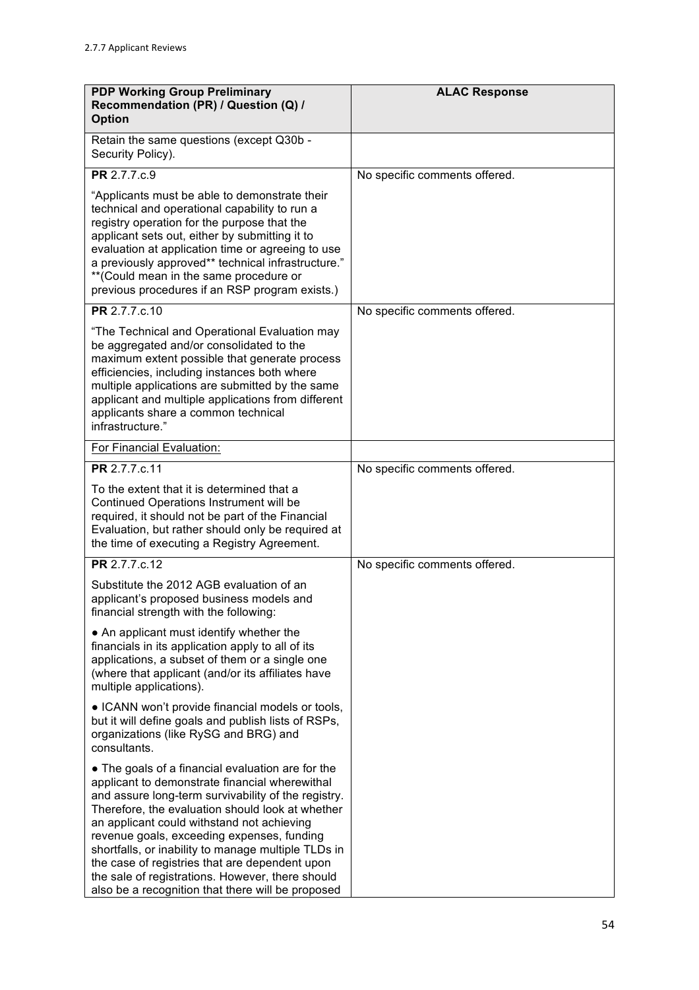| <b>PDP Working Group Preliminary</b><br>Recommendation (PR) / Question (Q) /<br><b>Option</b>                                                                                                                                                                                                                                                                                                                                                                                                                                | <b>ALAC Response</b>          |
|------------------------------------------------------------------------------------------------------------------------------------------------------------------------------------------------------------------------------------------------------------------------------------------------------------------------------------------------------------------------------------------------------------------------------------------------------------------------------------------------------------------------------|-------------------------------|
| Retain the same questions (except Q30b -<br>Security Policy).                                                                                                                                                                                                                                                                                                                                                                                                                                                                |                               |
| <b>PR</b> 2.7.7.c.9                                                                                                                                                                                                                                                                                                                                                                                                                                                                                                          | No specific comments offered. |
| "Applicants must be able to demonstrate their<br>technical and operational capability to run a<br>registry operation for the purpose that the<br>applicant sets out, either by submitting it to<br>evaluation at application time or agreeing to use<br>a previously approved** technical infrastructure."<br>** (Could mean in the same procedure or<br>previous procedures if an RSP program exists.)                                                                                                                      |                               |
| PR 2.7.7.c.10                                                                                                                                                                                                                                                                                                                                                                                                                                                                                                                | No specific comments offered. |
| "The Technical and Operational Evaluation may<br>be aggregated and/or consolidated to the<br>maximum extent possible that generate process<br>efficiencies, including instances both where<br>multiple applications are submitted by the same<br>applicant and multiple applications from different<br>applicants share a common technical<br>infrastructure."                                                                                                                                                               |                               |
| For Financial Evaluation:                                                                                                                                                                                                                                                                                                                                                                                                                                                                                                    |                               |
| PR 2.7.7.c.11                                                                                                                                                                                                                                                                                                                                                                                                                                                                                                                | No specific comments offered. |
| To the extent that it is determined that a<br>Continued Operations Instrument will be<br>required, it should not be part of the Financial<br>Evaluation, but rather should only be required at<br>the time of executing a Registry Agreement.                                                                                                                                                                                                                                                                                |                               |
| <b>PR</b> 2.7.7.c.12                                                                                                                                                                                                                                                                                                                                                                                                                                                                                                         | No specific comments offered. |
| Substitute the 2012 AGB evaluation of an<br>applicant's proposed business models and<br>financial strength with the following:                                                                                                                                                                                                                                                                                                                                                                                               |                               |
| • An applicant must identify whether the<br>financials in its application apply to all of its<br>applications, a subset of them or a single one<br>(where that applicant (and/or its affiliates have<br>multiple applications).                                                                                                                                                                                                                                                                                              |                               |
| • ICANN won't provide financial models or tools,<br>but it will define goals and publish lists of RSPs,<br>organizations (like RySG and BRG) and<br>consultants.                                                                                                                                                                                                                                                                                                                                                             |                               |
| • The goals of a financial evaluation are for the<br>applicant to demonstrate financial wherewithal<br>and assure long-term survivability of the registry.<br>Therefore, the evaluation should look at whether<br>an applicant could withstand not achieving<br>revenue goals, exceeding expenses, funding<br>shortfalls, or inability to manage multiple TLDs in<br>the case of registries that are dependent upon<br>the sale of registrations. However, there should<br>also be a recognition that there will be proposed |                               |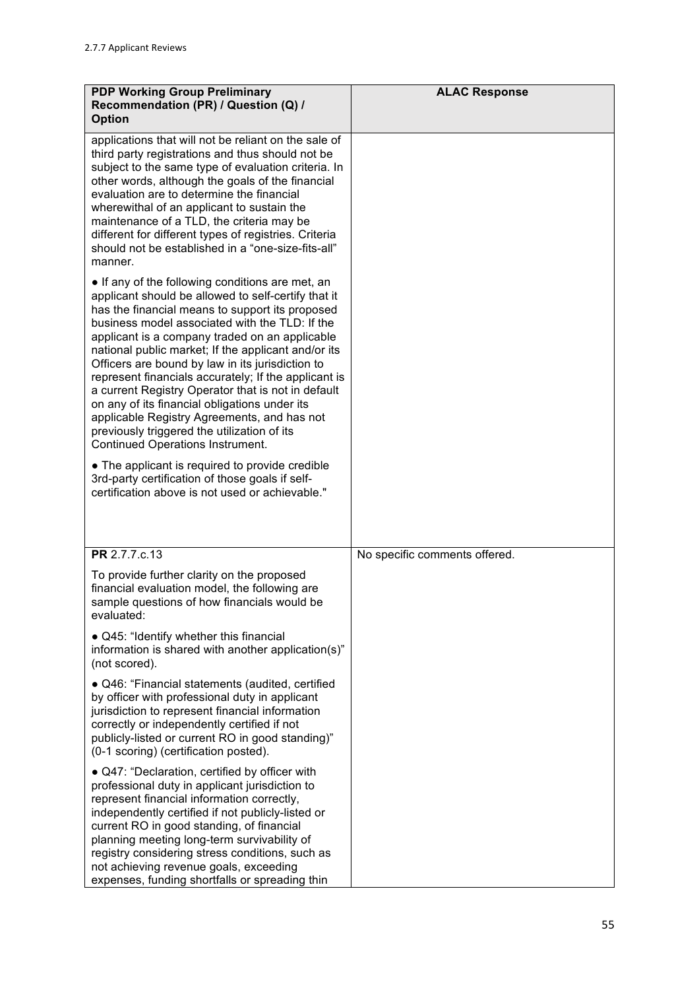| <b>PDP Working Group Preliminary</b><br>Recommendation (PR) / Question (Q) /<br><b>Option</b>                                                                                                                                                                                                                                                                                                                                                                                                                                                                                                                                                                                                                                                                                                                                              | <b>ALAC Response</b>          |
|--------------------------------------------------------------------------------------------------------------------------------------------------------------------------------------------------------------------------------------------------------------------------------------------------------------------------------------------------------------------------------------------------------------------------------------------------------------------------------------------------------------------------------------------------------------------------------------------------------------------------------------------------------------------------------------------------------------------------------------------------------------------------------------------------------------------------------------------|-------------------------------|
| applications that will not be reliant on the sale of<br>third party registrations and thus should not be<br>subject to the same type of evaluation criteria. In<br>other words, although the goals of the financial<br>evaluation are to determine the financial<br>wherewithal of an applicant to sustain the<br>maintenance of a TLD, the criteria may be<br>different for different types of registries. Criteria<br>should not be established in a "one-size-fits-all"<br>manner.                                                                                                                                                                                                                                                                                                                                                      |                               |
| • If any of the following conditions are met, an<br>applicant should be allowed to self-certify that it<br>has the financial means to support its proposed<br>business model associated with the TLD: If the<br>applicant is a company traded on an applicable<br>national public market; If the applicant and/or its<br>Officers are bound by law in its jurisdiction to<br>represent financials accurately; If the applicant is<br>a current Registry Operator that is not in default<br>on any of its financial obligations under its<br>applicable Registry Agreements, and has not<br>previously triggered the utilization of its<br><b>Continued Operations Instrument.</b><br>• The applicant is required to provide credible<br>3rd-party certification of those goals if self-<br>certification above is not used or achievable." |                               |
| PR 2.7.7.c.13                                                                                                                                                                                                                                                                                                                                                                                                                                                                                                                                                                                                                                                                                                                                                                                                                              | No specific comments offered. |
| To provide further clarity on the proposed<br>financial evaluation model, the following are<br>sample questions of how financials would be<br>evaluated:                                                                                                                                                                                                                                                                                                                                                                                                                                                                                                                                                                                                                                                                                   |                               |
| • Q45: "Identify whether this financial<br>information is shared with another application(s)"<br>(not scored).                                                                                                                                                                                                                                                                                                                                                                                                                                                                                                                                                                                                                                                                                                                             |                               |
| · Q46: "Financial statements (audited, certified<br>by officer with professional duty in applicant<br>jurisdiction to represent financial information<br>correctly or independently certified if not<br>publicly-listed or current RO in good standing)"<br>(0-1 scoring) (certification posted).                                                                                                                                                                                                                                                                                                                                                                                                                                                                                                                                          |                               |
| • Q47: "Declaration, certified by officer with<br>professional duty in applicant jurisdiction to<br>represent financial information correctly,<br>independently certified if not publicly-listed or<br>current RO in good standing, of financial<br>planning meeting long-term survivability of<br>registry considering stress conditions, such as<br>not achieving revenue goals, exceeding<br>expenses, funding shortfalls or spreading thin                                                                                                                                                                                                                                                                                                                                                                                             |                               |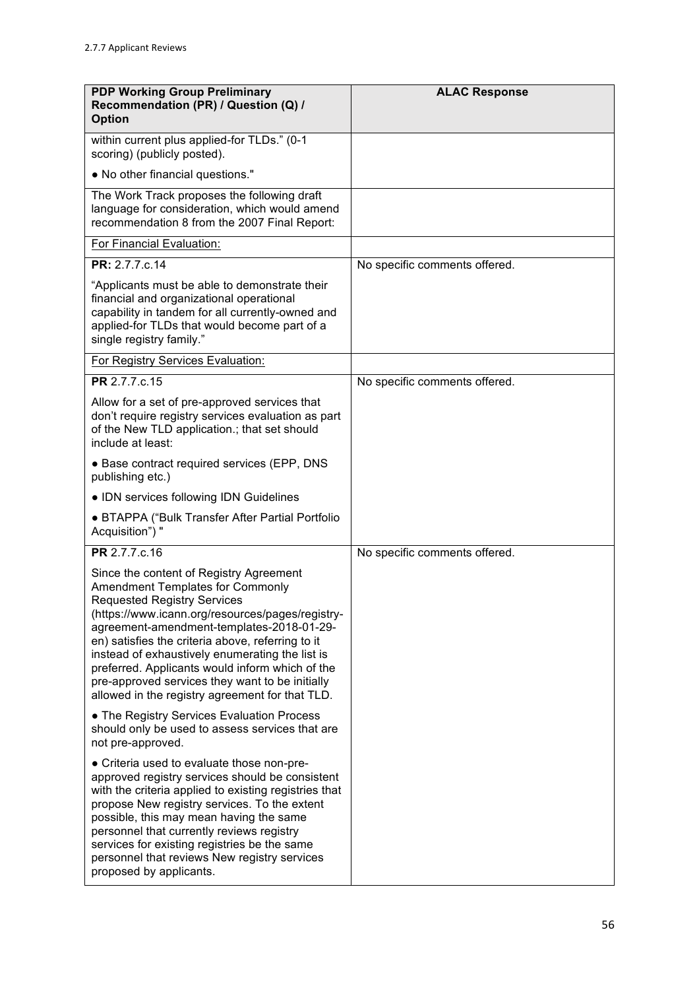| <b>PDP Working Group Preliminary</b><br>Recommendation (PR) / Question (Q) /<br><b>Option</b>                                                                                                                                                                                                                                                                                                                                                                                              | <b>ALAC Response</b>          |
|--------------------------------------------------------------------------------------------------------------------------------------------------------------------------------------------------------------------------------------------------------------------------------------------------------------------------------------------------------------------------------------------------------------------------------------------------------------------------------------------|-------------------------------|
| within current plus applied-for TLDs." (0-1<br>scoring) (publicly posted).                                                                                                                                                                                                                                                                                                                                                                                                                 |                               |
| . No other financial questions."                                                                                                                                                                                                                                                                                                                                                                                                                                                           |                               |
| The Work Track proposes the following draft<br>language for consideration, which would amend<br>recommendation 8 from the 2007 Final Report:                                                                                                                                                                                                                                                                                                                                               |                               |
| For Financial Evaluation:                                                                                                                                                                                                                                                                                                                                                                                                                                                                  |                               |
| PR: 2.7.7.c.14                                                                                                                                                                                                                                                                                                                                                                                                                                                                             | No specific comments offered. |
| "Applicants must be able to demonstrate their<br>financial and organizational operational<br>capability in tandem for all currently-owned and<br>applied-for TLDs that would become part of a<br>single registry family."                                                                                                                                                                                                                                                                  |                               |
| For Registry Services Evaluation:                                                                                                                                                                                                                                                                                                                                                                                                                                                          |                               |
| PR 2.7.7.c.15                                                                                                                                                                                                                                                                                                                                                                                                                                                                              | No specific comments offered. |
| Allow for a set of pre-approved services that<br>don't require registry services evaluation as part<br>of the New TLD application.; that set should<br>include at least:                                                                                                                                                                                                                                                                                                                   |                               |
| • Base contract required services (EPP, DNS<br>publishing etc.)                                                                                                                                                                                                                                                                                                                                                                                                                            |                               |
| • IDN services following IDN Guidelines                                                                                                                                                                                                                                                                                                                                                                                                                                                    |                               |
| • BTAPPA ("Bulk Transfer After Partial Portfolio<br>Acquisition") "                                                                                                                                                                                                                                                                                                                                                                                                                        |                               |
| PR 2.7.7.c.16                                                                                                                                                                                                                                                                                                                                                                                                                                                                              | No specific comments offered. |
| Since the content of Registry Agreement<br><b>Amendment Templates for Commonly</b><br><b>Requested Registry Services</b><br>(https://www.icann.org/resources/pages/registry-<br>agreement-amendment-templates-2018-01-29-<br>en) satisfies the criteria above, referring to it<br>instead of exhaustively enumerating the list is<br>preferred. Applicants would inform which of the<br>pre-approved services they want to be initially<br>allowed in the registry agreement for that TLD. |                               |
| • The Registry Services Evaluation Process<br>should only be used to assess services that are<br>not pre-approved.                                                                                                                                                                                                                                                                                                                                                                         |                               |
| • Criteria used to evaluate those non-pre-<br>approved registry services should be consistent<br>with the criteria applied to existing registries that<br>propose New registry services. To the extent<br>possible, this may mean having the same<br>personnel that currently reviews registry<br>services for existing registries be the same<br>personnel that reviews New registry services<br>proposed by applicants.                                                                  |                               |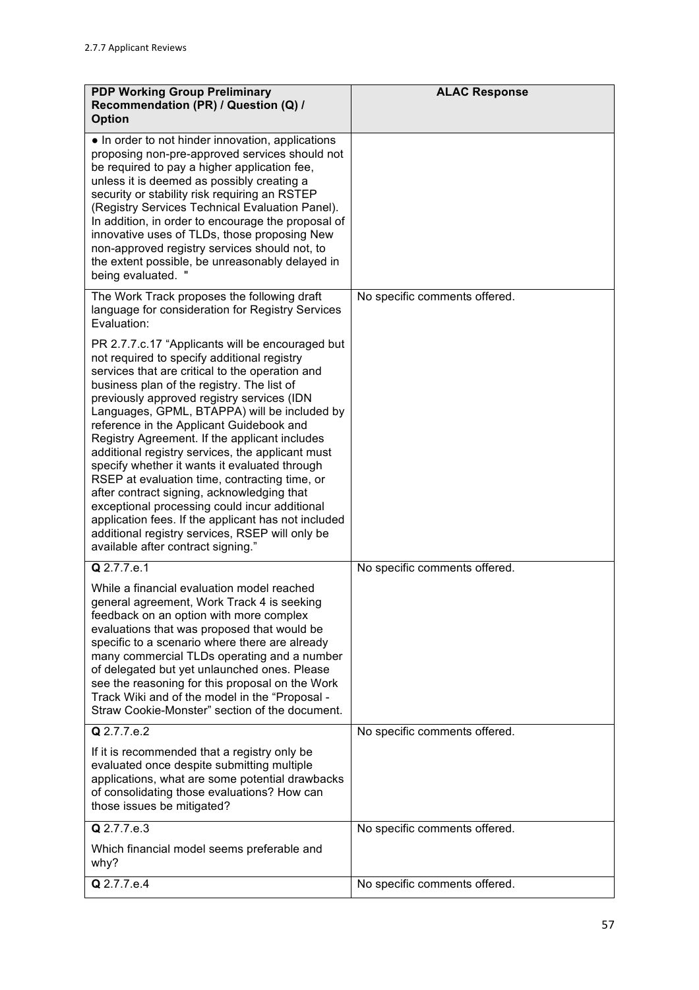| <b>PDP Working Group Preliminary</b><br>Recommendation (PR) / Question (Q) /<br><b>Option</b>                                                                                                                                                                                                                                                                                                                                                                                                                                                                                                                                                                                                                                                                                                    | <b>ALAC Response</b>          |
|--------------------------------------------------------------------------------------------------------------------------------------------------------------------------------------------------------------------------------------------------------------------------------------------------------------------------------------------------------------------------------------------------------------------------------------------------------------------------------------------------------------------------------------------------------------------------------------------------------------------------------------------------------------------------------------------------------------------------------------------------------------------------------------------------|-------------------------------|
| • In order to not hinder innovation, applications<br>proposing non-pre-approved services should not<br>be required to pay a higher application fee,<br>unless it is deemed as possibly creating a<br>security or stability risk requiring an RSTEP<br>(Registry Services Technical Evaluation Panel).<br>In addition, in order to encourage the proposal of<br>innovative uses of TLDs, those proposing New<br>non-approved registry services should not, to<br>the extent possible, be unreasonably delayed in<br>being evaluated. "                                                                                                                                                                                                                                                            |                               |
| The Work Track proposes the following draft<br>language for consideration for Registry Services<br>Evaluation:                                                                                                                                                                                                                                                                                                                                                                                                                                                                                                                                                                                                                                                                                   | No specific comments offered. |
| PR 2.7.7.c.17 "Applicants will be encouraged but<br>not required to specify additional registry<br>services that are critical to the operation and<br>business plan of the registry. The list of<br>previously approved registry services (IDN<br>Languages, GPML, BTAPPA) will be included by<br>reference in the Applicant Guidebook and<br>Registry Agreement. If the applicant includes<br>additional registry services, the applicant must<br>specify whether it wants it evaluated through<br>RSEP at evaluation time, contracting time, or<br>after contract signing, acknowledging that<br>exceptional processing could incur additional<br>application fees. If the applicant has not included<br>additional registry services, RSEP will only be<br>available after contract signing." |                               |
| Q 2.7.7.e.1                                                                                                                                                                                                                                                                                                                                                                                                                                                                                                                                                                                                                                                                                                                                                                                      | No specific comments offered. |
| While a financial evaluation model reached<br>general agreement, Work Track 4 is seeking<br>feedback on an option with more complex<br>evaluations that was proposed that would be<br>specific to a scenario where there are already<br>many commercial TLDs operating and a number<br>of delegated but yet unlaunched ones. Please<br>see the reasoning for this proposal on the Work<br>Track Wiki and of the model in the "Proposal -<br>Straw Cookie-Monster" section of the document.                                                                                                                                                                                                                                                                                                       |                               |
| Q 2.7.7.e.2                                                                                                                                                                                                                                                                                                                                                                                                                                                                                                                                                                                                                                                                                                                                                                                      | No specific comments offered. |
| If it is recommended that a registry only be<br>evaluated once despite submitting multiple<br>applications, what are some potential drawbacks<br>of consolidating those evaluations? How can<br>those issues be mitigated?                                                                                                                                                                                                                                                                                                                                                                                                                                                                                                                                                                       |                               |
| Q 2.7.7.e.3                                                                                                                                                                                                                                                                                                                                                                                                                                                                                                                                                                                                                                                                                                                                                                                      | No specific comments offered. |
| Which financial model seems preferable and<br>why?                                                                                                                                                                                                                                                                                                                                                                                                                                                                                                                                                                                                                                                                                                                                               |                               |
| Q 2.7.7.e.4                                                                                                                                                                                                                                                                                                                                                                                                                                                                                                                                                                                                                                                                                                                                                                                      | No specific comments offered. |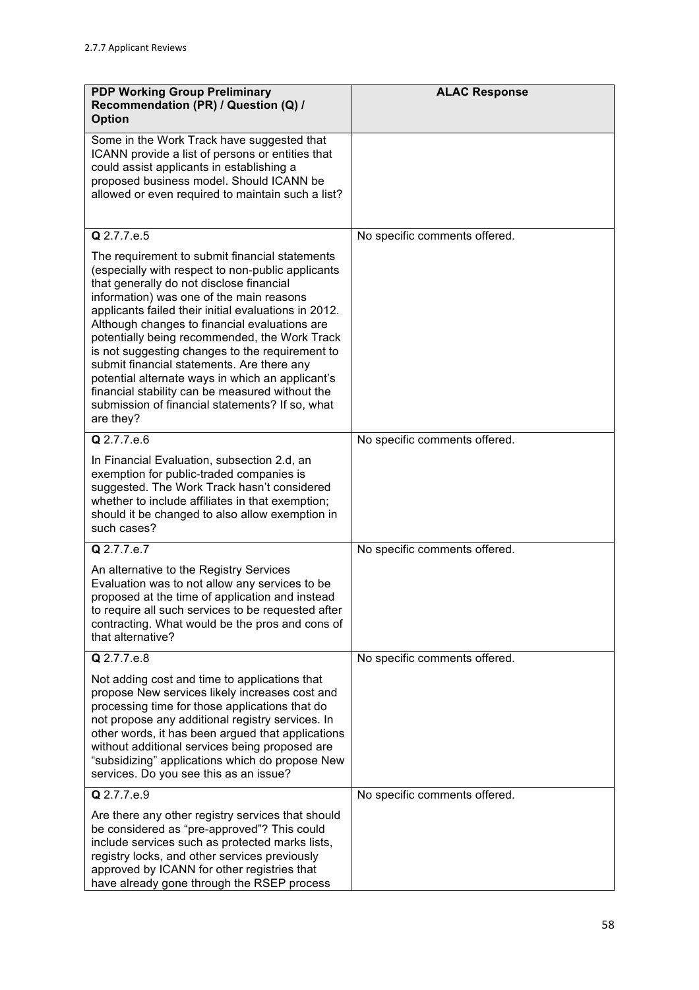| <b>PDP Working Group Preliminary</b><br>Recommendation (PR) / Question (Q) /<br><b>Option</b>                                                                                                                                                                                                                                                                                                                                                                                                                                                                                                                                 | <b>ALAC Response</b>          |
|-------------------------------------------------------------------------------------------------------------------------------------------------------------------------------------------------------------------------------------------------------------------------------------------------------------------------------------------------------------------------------------------------------------------------------------------------------------------------------------------------------------------------------------------------------------------------------------------------------------------------------|-------------------------------|
| Some in the Work Track have suggested that<br>ICANN provide a list of persons or entities that<br>could assist applicants in establishing a<br>proposed business model. Should ICANN be<br>allowed or even required to maintain such a list?                                                                                                                                                                                                                                                                                                                                                                                  |                               |
| Q 2.7.7.e.5                                                                                                                                                                                                                                                                                                                                                                                                                                                                                                                                                                                                                   | No specific comments offered. |
| The requirement to submit financial statements<br>(especially with respect to non-public applicants<br>that generally do not disclose financial<br>information) was one of the main reasons<br>applicants failed their initial evaluations in 2012.<br>Although changes to financial evaluations are<br>potentially being recommended, the Work Track<br>is not suggesting changes to the requirement to<br>submit financial statements. Are there any<br>potential alternate ways in which an applicant's<br>financial stability can be measured without the<br>submission of financial statements? If so, what<br>are they? |                               |
| $Q$ 2.7.7.e.6                                                                                                                                                                                                                                                                                                                                                                                                                                                                                                                                                                                                                 | No specific comments offered. |
| In Financial Evaluation, subsection 2.d, an<br>exemption for public-traded companies is<br>suggested. The Work Track hasn't considered<br>whether to include affiliates in that exemption;<br>should it be changed to also allow exemption in<br>such cases?                                                                                                                                                                                                                                                                                                                                                                  |                               |
| Q 2.7.7.e.7                                                                                                                                                                                                                                                                                                                                                                                                                                                                                                                                                                                                                   | No specific comments offered. |
| An alternative to the Registry Services<br>Evaluation was to not allow any services to be<br>proposed at the time of application and instead<br>to require all such services to be requested after<br>contracting. What would be the pros and cons of<br>that alternative?                                                                                                                                                                                                                                                                                                                                                    |                               |
| Q 2.7.7.e.8                                                                                                                                                                                                                                                                                                                                                                                                                                                                                                                                                                                                                   | No specific comments offered. |
| Not adding cost and time to applications that<br>propose New services likely increases cost and<br>processing time for those applications that do<br>not propose any additional registry services. In<br>other words, it has been argued that applications<br>without additional services being proposed are<br>"subsidizing" applications which do propose New<br>services. Do you see this as an issue?                                                                                                                                                                                                                     |                               |
| Q 2.7.7.e.9                                                                                                                                                                                                                                                                                                                                                                                                                                                                                                                                                                                                                   | No specific comments offered. |
| Are there any other registry services that should<br>be considered as "pre-approved"? This could<br>include services such as protected marks lists,<br>registry locks, and other services previously<br>approved by ICANN for other registries that<br>have already gone through the RSEP process                                                                                                                                                                                                                                                                                                                             |                               |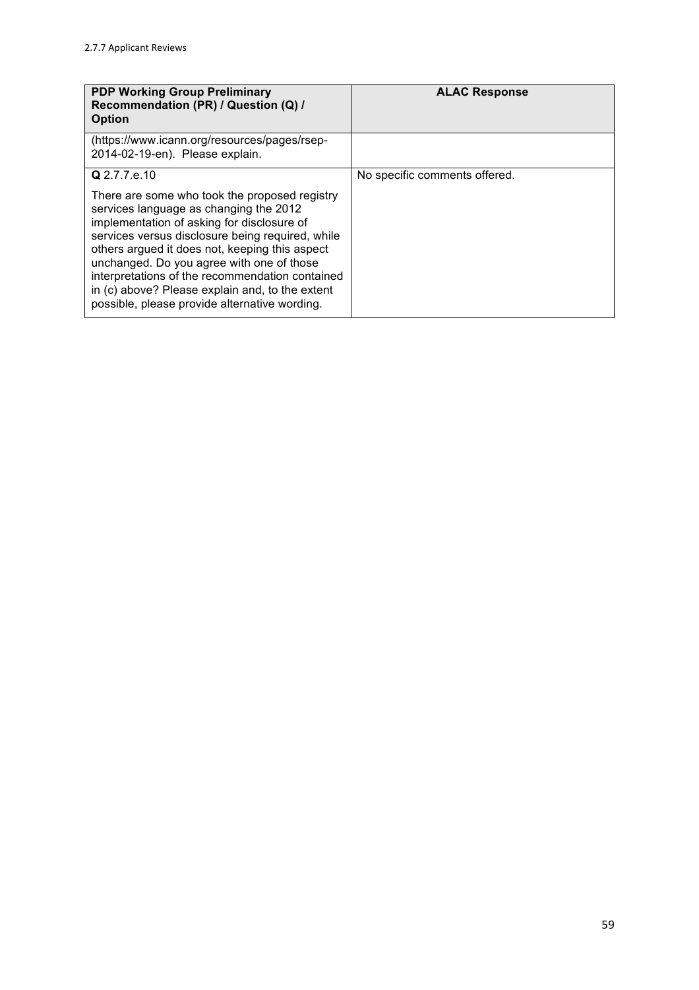| <b>PDP Working Group Preliminary</b><br>Recommendation (PR) / Question (Q) /<br><b>Option</b>                                                                                                                                                                                                                                                                                                                                                   | <b>ALAC Response</b>          |
|-------------------------------------------------------------------------------------------------------------------------------------------------------------------------------------------------------------------------------------------------------------------------------------------------------------------------------------------------------------------------------------------------------------------------------------------------|-------------------------------|
| (https://www.icann.org/resources/pages/rsep-<br>2014-02-19-en). Please explain.                                                                                                                                                                                                                                                                                                                                                                 |                               |
| Q 2.7.7.e.10                                                                                                                                                                                                                                                                                                                                                                                                                                    | No specific comments offered. |
| There are some who took the proposed registry<br>services language as changing the 2012<br>implementation of asking for disclosure of<br>services versus disclosure being required, while<br>others argued it does not, keeping this aspect<br>unchanged. Do you agree with one of those<br>interpretations of the recommendation contained<br>in (c) above? Please explain and, to the extent<br>possible, please provide alternative wording. |                               |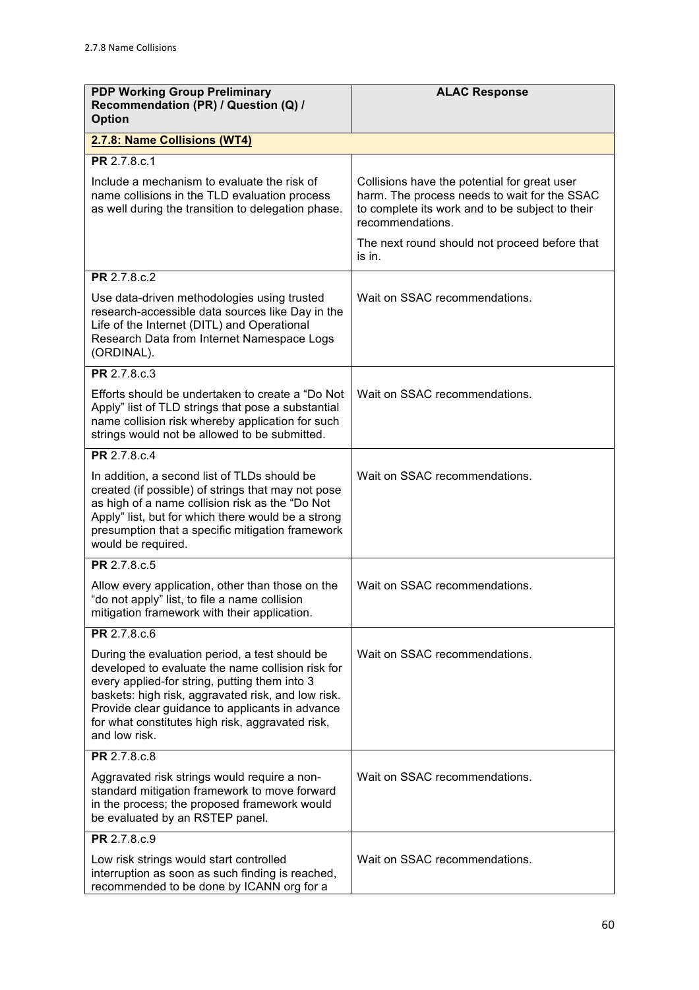| <b>PDP Working Group Preliminary</b><br>Recommendation (PR) / Question (Q) /<br><b>Option</b>                                                                                                                                                                                                                                      | <b>ALAC Response</b>                                                                                                                                                |
|------------------------------------------------------------------------------------------------------------------------------------------------------------------------------------------------------------------------------------------------------------------------------------------------------------------------------------|---------------------------------------------------------------------------------------------------------------------------------------------------------------------|
| 2.7.8: Name Collisions (WT4)                                                                                                                                                                                                                                                                                                       |                                                                                                                                                                     |
| PR 2.7.8.c.1                                                                                                                                                                                                                                                                                                                       |                                                                                                                                                                     |
| Include a mechanism to evaluate the risk of<br>name collisions in the TLD evaluation process<br>as well during the transition to delegation phase.                                                                                                                                                                                 | Collisions have the potential for great user<br>harm. The process needs to wait for the SSAC<br>to complete its work and to be subject to their<br>recommendations. |
|                                                                                                                                                                                                                                                                                                                                    | The next round should not proceed before that<br>is in.                                                                                                             |
| PR 2.7.8.c.2                                                                                                                                                                                                                                                                                                                       |                                                                                                                                                                     |
| Use data-driven methodologies using trusted<br>research-accessible data sources like Day in the<br>Life of the Internet (DITL) and Operational<br>Research Data from Internet Namespace Logs<br>(ORDINAL).                                                                                                                         | Wait on SSAC recommendations.                                                                                                                                       |
| PR 2.7.8.c.3                                                                                                                                                                                                                                                                                                                       |                                                                                                                                                                     |
| Efforts should be undertaken to create a "Do Not<br>Apply" list of TLD strings that pose a substantial<br>name collision risk whereby application for such<br>strings would not be allowed to be submitted.                                                                                                                        | Wait on SSAC recommendations.                                                                                                                                       |
| PR 2.7.8.c.4                                                                                                                                                                                                                                                                                                                       |                                                                                                                                                                     |
| In addition, a second list of TLDs should be<br>created (if possible) of strings that may not pose<br>as high of a name collision risk as the "Do Not<br>Apply" list, but for which there would be a strong<br>presumption that a specific mitigation framework<br>would be required.                                              | Wait on SSAC recommendations.                                                                                                                                       |
| PR 2.7.8.c.5                                                                                                                                                                                                                                                                                                                       |                                                                                                                                                                     |
| Allow every application, other than those on the<br>"do not apply" list, to file a name collision<br>mitigation framework with their application.                                                                                                                                                                                  | Wait on SSAC recommendations.                                                                                                                                       |
| PR 2.7.8.c.6                                                                                                                                                                                                                                                                                                                       |                                                                                                                                                                     |
| During the evaluation period, a test should be<br>developed to evaluate the name collision risk for<br>every applied-for string, putting them into 3<br>baskets: high risk, aggravated risk, and low risk.<br>Provide clear guidance to applicants in advance<br>for what constitutes high risk, aggravated risk,<br>and low risk. | Wait on SSAC recommendations.                                                                                                                                       |
| PR 2.7.8.c.8                                                                                                                                                                                                                                                                                                                       |                                                                                                                                                                     |
| Aggravated risk strings would require a non-<br>standard mitigation framework to move forward<br>in the process; the proposed framework would<br>be evaluated by an RSTEP panel.                                                                                                                                                   | Wait on SSAC recommendations.                                                                                                                                       |
| PR 2.7.8.c.9                                                                                                                                                                                                                                                                                                                       |                                                                                                                                                                     |
| Low risk strings would start controlled<br>interruption as soon as such finding is reached,<br>recommended to be done by ICANN org for a                                                                                                                                                                                           | Wait on SSAC recommendations.                                                                                                                                       |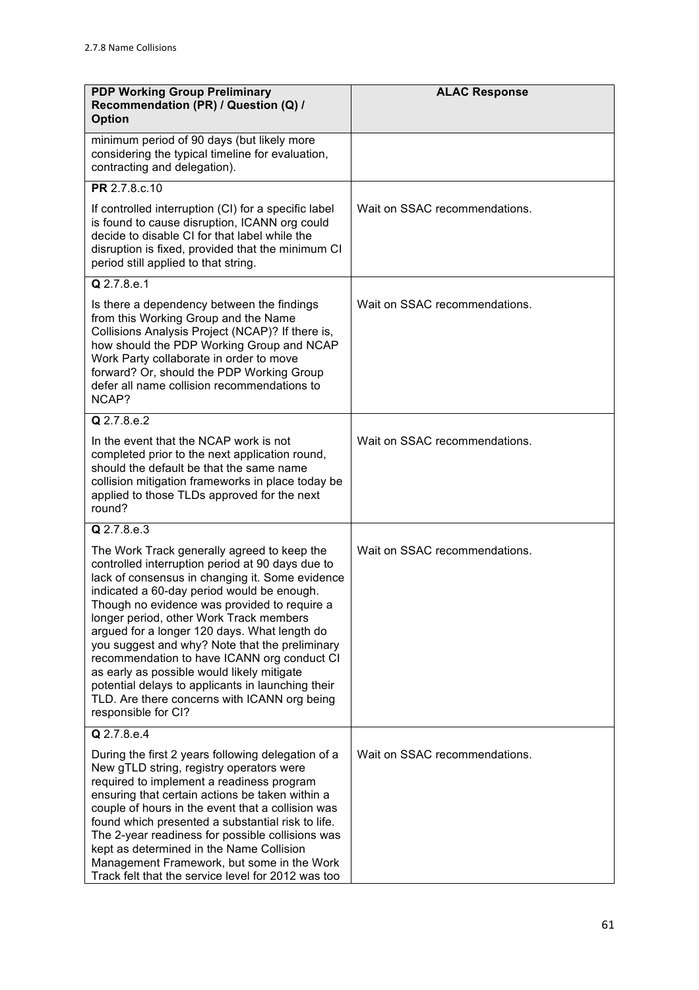| <b>PDP Working Group Preliminary</b><br>Recommendation (PR) / Question (Q) /<br><b>Option</b>                                                                                                                                                                                                                                                                                                                                                                                                                                                                                                                          | <b>ALAC Response</b>          |
|------------------------------------------------------------------------------------------------------------------------------------------------------------------------------------------------------------------------------------------------------------------------------------------------------------------------------------------------------------------------------------------------------------------------------------------------------------------------------------------------------------------------------------------------------------------------------------------------------------------------|-------------------------------|
| minimum period of 90 days (but likely more<br>considering the typical timeline for evaluation,<br>contracting and delegation).                                                                                                                                                                                                                                                                                                                                                                                                                                                                                         |                               |
| PR 2.7.8.c.10                                                                                                                                                                                                                                                                                                                                                                                                                                                                                                                                                                                                          |                               |
| If controlled interruption (CI) for a specific label<br>is found to cause disruption, ICANN org could<br>decide to disable CI for that label while the<br>disruption is fixed, provided that the minimum CI<br>period still applied to that string.                                                                                                                                                                                                                                                                                                                                                                    | Wait on SSAC recommendations. |
| Q 2.7.8.e.1                                                                                                                                                                                                                                                                                                                                                                                                                                                                                                                                                                                                            |                               |
| Is there a dependency between the findings<br>from this Working Group and the Name<br>Collisions Analysis Project (NCAP)? If there is,<br>how should the PDP Working Group and NCAP<br>Work Party collaborate in order to move<br>forward? Or, should the PDP Working Group<br>defer all name collision recommendations to<br>NCAP?                                                                                                                                                                                                                                                                                    | Wait on SSAC recommendations. |
| Q 2.7.8.e.2                                                                                                                                                                                                                                                                                                                                                                                                                                                                                                                                                                                                            |                               |
| In the event that the NCAP work is not<br>completed prior to the next application round,<br>should the default be that the same name<br>collision mitigation frameworks in place today be<br>applied to those TLDs approved for the next<br>round?                                                                                                                                                                                                                                                                                                                                                                     | Wait on SSAC recommendations. |
| Q 2.7.8.e.3                                                                                                                                                                                                                                                                                                                                                                                                                                                                                                                                                                                                            |                               |
| The Work Track generally agreed to keep the<br>controlled interruption period at 90 days due to<br>lack of consensus in changing it. Some evidence<br>indicated a 60-day period would be enough.<br>Though no evidence was provided to require a<br>longer period, other Work Track members<br>argued for a longer 120 days. What length do<br>you suggest and why? Note that the preliminary<br>recommendation to have ICANN org conduct CI<br>as early as possible would likely mitigate<br>potential delays to applicants in launching their<br>TLD. Are there concerns with ICANN org being<br>responsible for CI? | Wait on SSAC recommendations. |
| Q 2.7.8.e.4                                                                                                                                                                                                                                                                                                                                                                                                                                                                                                                                                                                                            |                               |
| During the first 2 years following delegation of a<br>New gTLD string, registry operators were<br>required to implement a readiness program<br>ensuring that certain actions be taken within a<br>couple of hours in the event that a collision was<br>found which presented a substantial risk to life.<br>The 2-year readiness for possible collisions was<br>kept as determined in the Name Collision<br>Management Framework, but some in the Work<br>Track felt that the service level for 2012 was too                                                                                                           | Wait on SSAC recommendations. |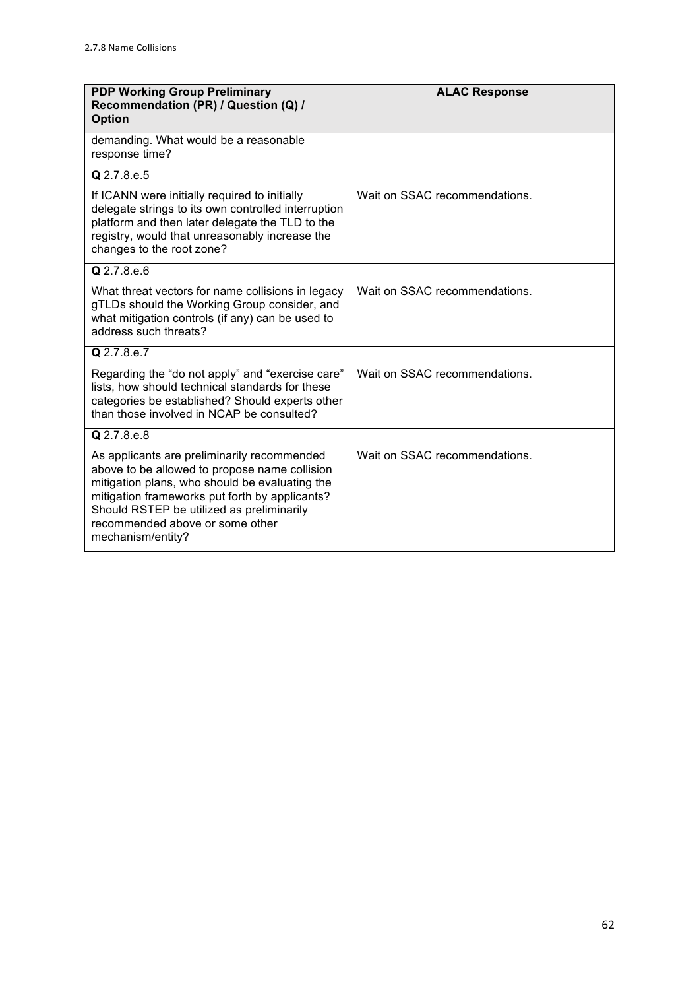| <b>PDP Working Group Preliminary</b><br>Recommendation (PR) / Question (Q) /<br><b>Option</b>                                                                                                                                                                                                         | <b>ALAC Response</b>          |
|-------------------------------------------------------------------------------------------------------------------------------------------------------------------------------------------------------------------------------------------------------------------------------------------------------|-------------------------------|
| demanding. What would be a reasonable<br>response time?                                                                                                                                                                                                                                               |                               |
| $Q$ 2.7.8.e.5                                                                                                                                                                                                                                                                                         |                               |
| If ICANN were initially required to initially<br>delegate strings to its own controlled interruption<br>platform and then later delegate the TLD to the<br>registry, would that unreasonably increase the<br>changes to the root zone?                                                                | Wait on SSAC recommendations. |
| Q 2.7.8.e.6                                                                                                                                                                                                                                                                                           |                               |
| What threat vectors for name collisions in legacy<br>gTLDs should the Working Group consider, and<br>what mitigation controls (if any) can be used to<br>address such threats?                                                                                                                        | Wait on SSAC recommendations. |
| Q 2.7.8.e.7                                                                                                                                                                                                                                                                                           |                               |
| Regarding the "do not apply" and "exercise care"<br>lists, how should technical standards for these<br>categories be established? Should experts other<br>than those involved in NCAP be consulted?                                                                                                   | Wait on SSAC recommendations. |
| Q 2.7.8.e.8                                                                                                                                                                                                                                                                                           |                               |
| As applicants are preliminarily recommended<br>above to be allowed to propose name collision<br>mitigation plans, who should be evaluating the<br>mitigation frameworks put forth by applicants?<br>Should RSTEP be utilized as preliminarily<br>recommended above or some other<br>mechanism/entity? | Wait on SSAC recommendations. |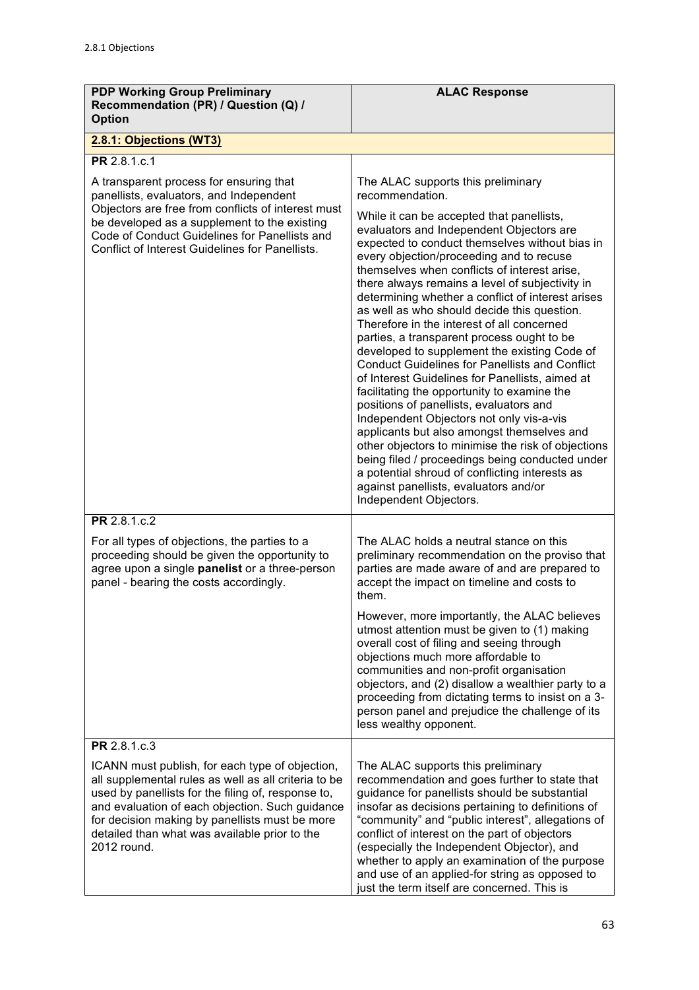| <b>PDP Working Group Preliminary</b><br>Recommendation (PR) / Question (Q) /<br><b>Option</b>                                                                                                                                                                                                                                      | <b>ALAC Response</b>                                                                                                                                                                                                                                                                                                                                                                                                                                                                                                                                                                                                                                                                                                                                       |
|------------------------------------------------------------------------------------------------------------------------------------------------------------------------------------------------------------------------------------------------------------------------------------------------------------------------------------|------------------------------------------------------------------------------------------------------------------------------------------------------------------------------------------------------------------------------------------------------------------------------------------------------------------------------------------------------------------------------------------------------------------------------------------------------------------------------------------------------------------------------------------------------------------------------------------------------------------------------------------------------------------------------------------------------------------------------------------------------------|
| 2.8.1: Objections (WT3)                                                                                                                                                                                                                                                                                                            |                                                                                                                                                                                                                                                                                                                                                                                                                                                                                                                                                                                                                                                                                                                                                            |
| PR 2.8.1.c.1                                                                                                                                                                                                                                                                                                                       |                                                                                                                                                                                                                                                                                                                                                                                                                                                                                                                                                                                                                                                                                                                                                            |
| A transparent process for ensuring that<br>panellists, evaluators, and Independent<br>Objectors are free from conflicts of interest must<br>be developed as a supplement to the existing<br>Code of Conduct Guidelines for Panellists and<br>Conflict of Interest Guidelines for Panellists.                                       | The ALAC supports this preliminary<br>recommendation.<br>While it can be accepted that panellists,<br>evaluators and Independent Objectors are<br>expected to conduct themselves without bias in<br>every objection/proceeding and to recuse<br>themselves when conflicts of interest arise,<br>there always remains a level of subjectivity in<br>determining whether a conflict of interest arises<br>as well as who should decide this question.<br>Therefore in the interest of all concerned<br>parties, a transparent process ought to be<br>developed to supplement the existing Code of<br><b>Conduct Guidelines for Panellists and Conflict</b><br>of Interest Guidelines for Panellists, aimed at<br>facilitating the opportunity to examine the |
|                                                                                                                                                                                                                                                                                                                                    | positions of panellists, evaluators and<br>Independent Objectors not only vis-a-vis<br>applicants but also amongst themselves and<br>other objectors to minimise the risk of objections<br>being filed / proceedings being conducted under<br>a potential shroud of conflicting interests as<br>against panellists, evaluators and/or<br>Independent Objectors.                                                                                                                                                                                                                                                                                                                                                                                            |
| <b>PR</b> 2.8.1.c.2                                                                                                                                                                                                                                                                                                                |                                                                                                                                                                                                                                                                                                                                                                                                                                                                                                                                                                                                                                                                                                                                                            |
| For all types of objections, the parties to a<br>proceeding should be given the opportunity to<br>agree upon a single panelist or a three-person<br>panel - bearing the costs accordingly.                                                                                                                                         | The ALAC holds a neutral stance on this<br>preliminary recommendation on the proviso that<br>parties are made aware of and are prepared to<br>accept the impact on timeline and costs to<br>them.                                                                                                                                                                                                                                                                                                                                                                                                                                                                                                                                                          |
|                                                                                                                                                                                                                                                                                                                                    | However, more importantly, the ALAC believes<br>utmost attention must be given to (1) making<br>overall cost of filing and seeing through<br>objections much more affordable to<br>communities and non-profit organisation<br>objectors, and (2) disallow a wealthier party to a<br>proceeding from dictating terms to insist on a 3-<br>person panel and prejudice the challenge of its<br>less wealthy opponent.                                                                                                                                                                                                                                                                                                                                         |
| PR 2.8.1.c.3                                                                                                                                                                                                                                                                                                                       |                                                                                                                                                                                                                                                                                                                                                                                                                                                                                                                                                                                                                                                                                                                                                            |
| ICANN must publish, for each type of objection,<br>all supplemental rules as well as all criteria to be<br>used by panellists for the filing of, response to,<br>and evaluation of each objection. Such guidance<br>for decision making by panellists must be more<br>detailed than what was available prior to the<br>2012 round. | The ALAC supports this preliminary<br>recommendation and goes further to state that<br>guidance for panellists should be substantial<br>insofar as decisions pertaining to definitions of<br>"community" and "public interest", allegations of<br>conflict of interest on the part of objectors<br>(especially the Independent Objector), and<br>whether to apply an examination of the purpose<br>and use of an applied-for string as opposed to<br>just the term itself are concerned. This is                                                                                                                                                                                                                                                           |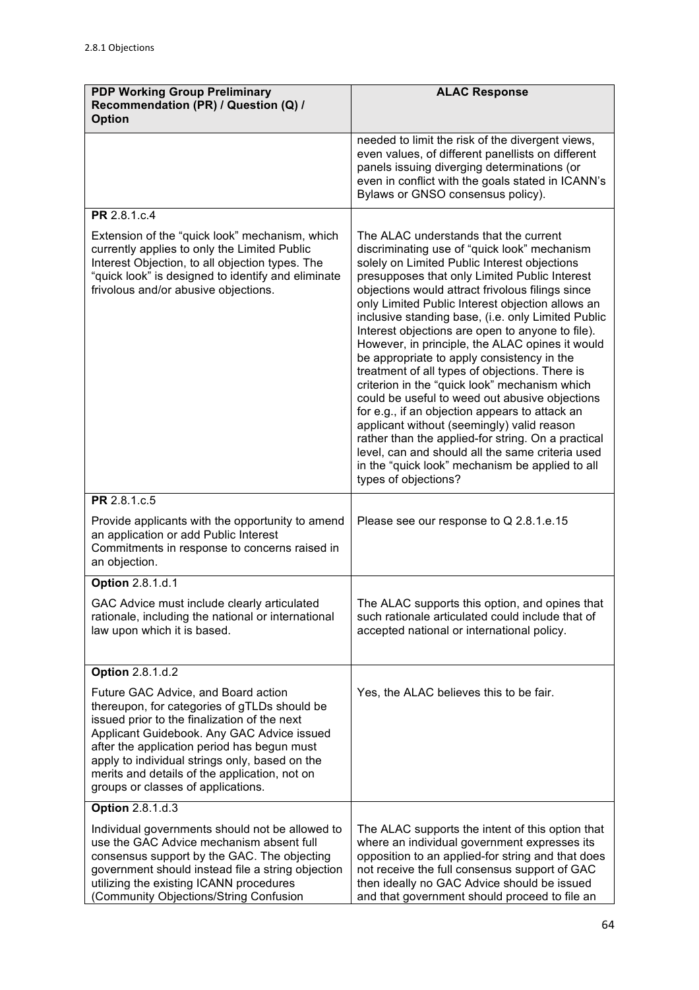| <b>PDP Working Group Preliminary</b><br>Recommendation (PR) / Question (Q) /<br><b>Option</b>                                                                                                                                                                                                                                                                             | <b>ALAC Response</b>                                                                                                                                                                                                                                                                                                                                                                                                                                                                                                                                                                                                                                                                                                                                                                                                                                                                                                                                |
|---------------------------------------------------------------------------------------------------------------------------------------------------------------------------------------------------------------------------------------------------------------------------------------------------------------------------------------------------------------------------|-----------------------------------------------------------------------------------------------------------------------------------------------------------------------------------------------------------------------------------------------------------------------------------------------------------------------------------------------------------------------------------------------------------------------------------------------------------------------------------------------------------------------------------------------------------------------------------------------------------------------------------------------------------------------------------------------------------------------------------------------------------------------------------------------------------------------------------------------------------------------------------------------------------------------------------------------------|
|                                                                                                                                                                                                                                                                                                                                                                           | needed to limit the risk of the divergent views,<br>even values, of different panellists on different<br>panels issuing diverging determinations (or<br>even in conflict with the goals stated in ICANN's<br>Bylaws or GNSO consensus policy).                                                                                                                                                                                                                                                                                                                                                                                                                                                                                                                                                                                                                                                                                                      |
| PR 2.8.1.c.4                                                                                                                                                                                                                                                                                                                                                              |                                                                                                                                                                                                                                                                                                                                                                                                                                                                                                                                                                                                                                                                                                                                                                                                                                                                                                                                                     |
| Extension of the "quick look" mechanism, which<br>currently applies to only the Limited Public<br>Interest Objection, to all objection types. The<br>"quick look" is designed to identify and eliminate<br>frivolous and/or abusive objections.                                                                                                                           | The ALAC understands that the current<br>discriminating use of "quick look" mechanism<br>solely on Limited Public Interest objections<br>presupposes that only Limited Public Interest<br>objections would attract frivolous filings since<br>only Limited Public Interest objection allows an<br>inclusive standing base, (i.e. only Limited Public<br>Interest objections are open to anyone to file).<br>However, in principle, the ALAC opines it would<br>be appropriate to apply consistency in the<br>treatment of all types of objections. There is<br>criterion in the "quick look" mechanism which<br>could be useful to weed out abusive objections<br>for e.g., if an objection appears to attack an<br>applicant without (seemingly) valid reason<br>rather than the applied-for string. On a practical<br>level, can and should all the same criteria used<br>in the "quick look" mechanism be applied to all<br>types of objections? |
| PR 2.8.1.c.5                                                                                                                                                                                                                                                                                                                                                              |                                                                                                                                                                                                                                                                                                                                                                                                                                                                                                                                                                                                                                                                                                                                                                                                                                                                                                                                                     |
| Provide applicants with the opportunity to amend<br>an application or add Public Interest<br>Commitments in response to concerns raised in<br>an objection.                                                                                                                                                                                                               | Please see our response to Q 2.8.1.e.15                                                                                                                                                                                                                                                                                                                                                                                                                                                                                                                                                                                                                                                                                                                                                                                                                                                                                                             |
| <b>Option 2.8.1.d.1</b>                                                                                                                                                                                                                                                                                                                                                   |                                                                                                                                                                                                                                                                                                                                                                                                                                                                                                                                                                                                                                                                                                                                                                                                                                                                                                                                                     |
| GAC Advice must include clearly articulated<br>rationale, including the national or international<br>law upon which it is based.                                                                                                                                                                                                                                          | The ALAC supports this option, and opines that<br>such rationale articulated could include that of<br>accepted national or international policy.                                                                                                                                                                                                                                                                                                                                                                                                                                                                                                                                                                                                                                                                                                                                                                                                    |
| <b>Option 2.8.1.d.2</b>                                                                                                                                                                                                                                                                                                                                                   |                                                                                                                                                                                                                                                                                                                                                                                                                                                                                                                                                                                                                                                                                                                                                                                                                                                                                                                                                     |
| Future GAC Advice, and Board action<br>thereupon, for categories of gTLDs should be<br>issued prior to the finalization of the next<br>Applicant Guidebook. Any GAC Advice issued<br>after the application period has begun must<br>apply to individual strings only, based on the<br>merits and details of the application, not on<br>groups or classes of applications. | Yes, the ALAC believes this to be fair.                                                                                                                                                                                                                                                                                                                                                                                                                                                                                                                                                                                                                                                                                                                                                                                                                                                                                                             |
| <b>Option 2.8.1.d.3</b>                                                                                                                                                                                                                                                                                                                                                   |                                                                                                                                                                                                                                                                                                                                                                                                                                                                                                                                                                                                                                                                                                                                                                                                                                                                                                                                                     |
| Individual governments should not be allowed to<br>use the GAC Advice mechanism absent full<br>consensus support by the GAC. The objecting<br>government should instead file a string objection<br>utilizing the existing ICANN procedures<br>(Community Objections/String Confusion                                                                                      | The ALAC supports the intent of this option that<br>where an individual government expresses its<br>opposition to an applied-for string and that does<br>not receive the full consensus support of GAC<br>then ideally no GAC Advice should be issued<br>and that government should proceed to file an                                                                                                                                                                                                                                                                                                                                                                                                                                                                                                                                                                                                                                              |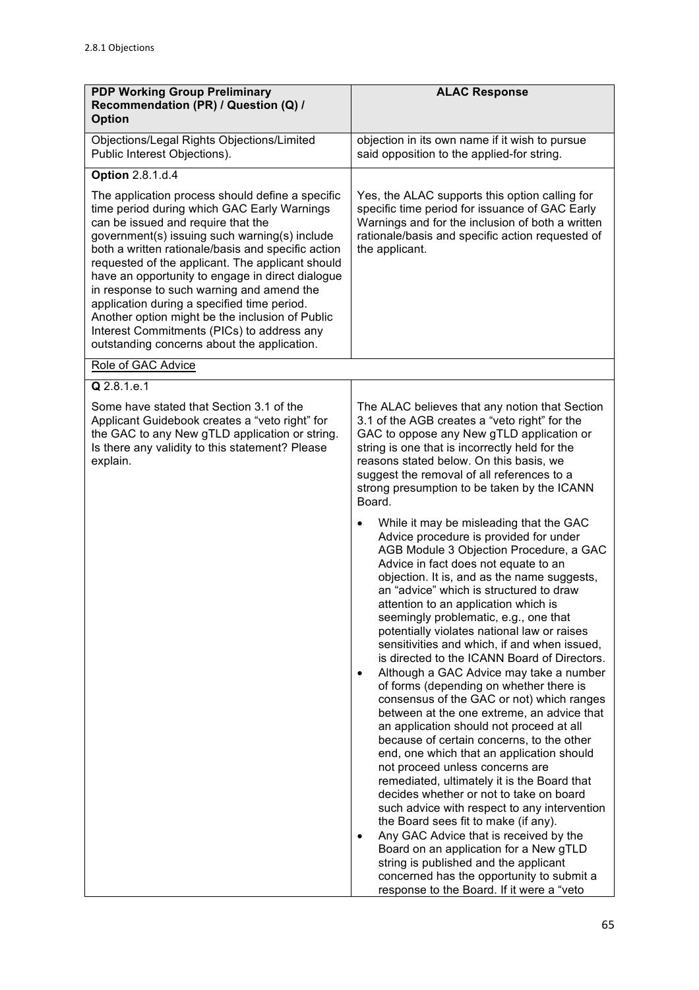| <b>PDP Working Group Preliminary</b><br>Recommendation (PR) / Question (Q) /<br><b>Option</b>                                                                                                                                                                                                                                                                                                                                                                                                                                                                                                    | <b>ALAC Response</b>                                                                                                                                                                                                                                                                                                                                                                                                                                                                                                                                                                                                                                                                                                                                                                                                                                                                                                                                                                                                                                                                                                                                                                                                                                                                                     |
|--------------------------------------------------------------------------------------------------------------------------------------------------------------------------------------------------------------------------------------------------------------------------------------------------------------------------------------------------------------------------------------------------------------------------------------------------------------------------------------------------------------------------------------------------------------------------------------------------|----------------------------------------------------------------------------------------------------------------------------------------------------------------------------------------------------------------------------------------------------------------------------------------------------------------------------------------------------------------------------------------------------------------------------------------------------------------------------------------------------------------------------------------------------------------------------------------------------------------------------------------------------------------------------------------------------------------------------------------------------------------------------------------------------------------------------------------------------------------------------------------------------------------------------------------------------------------------------------------------------------------------------------------------------------------------------------------------------------------------------------------------------------------------------------------------------------------------------------------------------------------------------------------------------------|
| Objections/Legal Rights Objections/Limited<br>Public Interest Objections).                                                                                                                                                                                                                                                                                                                                                                                                                                                                                                                       | objection in its own name if it wish to pursue<br>said opposition to the applied-for string.                                                                                                                                                                                                                                                                                                                                                                                                                                                                                                                                                                                                                                                                                                                                                                                                                                                                                                                                                                                                                                                                                                                                                                                                             |
| <b>Option 2.8.1.d.4</b>                                                                                                                                                                                                                                                                                                                                                                                                                                                                                                                                                                          |                                                                                                                                                                                                                                                                                                                                                                                                                                                                                                                                                                                                                                                                                                                                                                                                                                                                                                                                                                                                                                                                                                                                                                                                                                                                                                          |
| The application process should define a specific<br>time period during which GAC Early Warnings<br>can be issued and require that the<br>government(s) issuing such warning(s) include<br>both a written rationale/basis and specific action<br>requested of the applicant. The applicant should<br>have an opportunity to engage in direct dialogue<br>in response to such warning and amend the<br>application during a specified time period.<br>Another option might be the inclusion of Public<br>Interest Commitments (PICs) to address any<br>outstanding concerns about the application. | Yes, the ALAC supports this option calling for<br>specific time period for issuance of GAC Early<br>Warnings and for the inclusion of both a written<br>rationale/basis and specific action requested of<br>the applicant.                                                                                                                                                                                                                                                                                                                                                                                                                                                                                                                                                                                                                                                                                                                                                                                                                                                                                                                                                                                                                                                                               |
| Role of GAC Advice                                                                                                                                                                                                                                                                                                                                                                                                                                                                                                                                                                               |                                                                                                                                                                                                                                                                                                                                                                                                                                                                                                                                                                                                                                                                                                                                                                                                                                                                                                                                                                                                                                                                                                                                                                                                                                                                                                          |
| Q 2.8.1.e.1<br>Some have stated that Section 3.1 of the<br>Applicant Guidebook creates a "veto right" for<br>the GAC to any New gTLD application or string.<br>Is there any validity to this statement? Please<br>explain.                                                                                                                                                                                                                                                                                                                                                                       | The ALAC believes that any notion that Section<br>3.1 of the AGB creates a "veto right" for the<br>GAC to oppose any New gTLD application or<br>string is one that is incorrectly held for the<br>reasons stated below. On this basis, we<br>suggest the removal of all references to a<br>strong presumption to be taken by the ICANN<br>Board.                                                                                                                                                                                                                                                                                                                                                                                                                                                                                                                                                                                                                                                                                                                                                                                                                                                                                                                                                         |
|                                                                                                                                                                                                                                                                                                                                                                                                                                                                                                                                                                                                  | While it may be misleading that the GAC<br>$\bullet$<br>Advice procedure is provided for under<br>AGB Module 3 Objection Procedure, a GAC<br>Advice in fact does not equate to an<br>objection. It is, and as the name suggests,<br>an "advice" which is structured to draw<br>attention to an application which is<br>seemingly problematic, e.g., one that<br>potentially violates national law or raises<br>sensitivities and which, if and when issued,<br>is directed to the ICANN Board of Directors.<br>Although a GAC Advice may take a number<br>$\bullet$<br>of forms (depending on whether there is<br>consensus of the GAC or not) which ranges<br>between at the one extreme, an advice that<br>an application should not proceed at all<br>because of certain concerns, to the other<br>end, one which that an application should<br>not proceed unless concerns are<br>remediated, ultimately it is the Board that<br>decides whether or not to take on board<br>such advice with respect to any intervention<br>the Board sees fit to make (if any).<br>Any GAC Advice that is received by the<br>$\bullet$<br>Board on an application for a New gTLD<br>string is published and the applicant<br>concerned has the opportunity to submit a<br>response to the Board. If it were a "veto |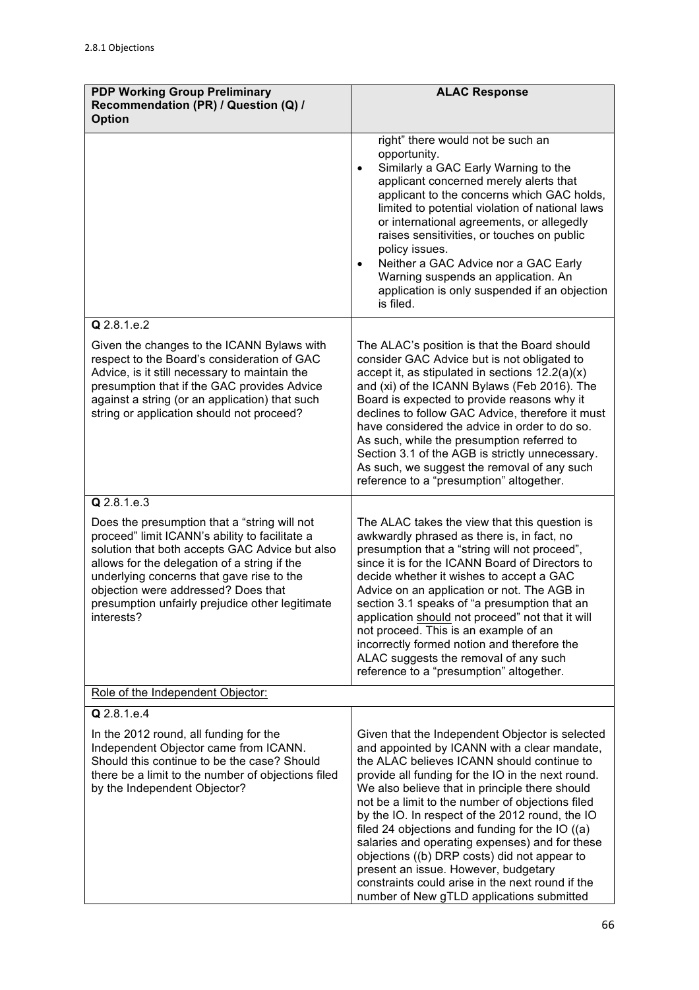| <b>PDP Working Group Preliminary</b><br>Recommendation (PR) / Question (Q) /<br><b>Option</b>                                                                                                                                                                                                                                                         | <b>ALAC Response</b>                                                                                                                                                                                                                                                                                                                                                                                                                                                                                                                                                                                                                                      |
|-------------------------------------------------------------------------------------------------------------------------------------------------------------------------------------------------------------------------------------------------------------------------------------------------------------------------------------------------------|-----------------------------------------------------------------------------------------------------------------------------------------------------------------------------------------------------------------------------------------------------------------------------------------------------------------------------------------------------------------------------------------------------------------------------------------------------------------------------------------------------------------------------------------------------------------------------------------------------------------------------------------------------------|
|                                                                                                                                                                                                                                                                                                                                                       | right" there would not be such an<br>opportunity.<br>Similarly a GAC Early Warning to the<br>$\bullet$<br>applicant concerned merely alerts that<br>applicant to the concerns which GAC holds,<br>limited to potential violation of national laws<br>or international agreements, or allegedly<br>raises sensitivities, or touches on public<br>policy issues.<br>Neither a GAC Advice nor a GAC Early<br>$\bullet$<br>Warning suspends an application. An<br>application is only suspended if an objection<br>is filed.                                                                                                                                  |
| Q 2.8.1.e.2                                                                                                                                                                                                                                                                                                                                           |                                                                                                                                                                                                                                                                                                                                                                                                                                                                                                                                                                                                                                                           |
| Given the changes to the ICANN Bylaws with<br>respect to the Board's consideration of GAC<br>Advice, is it still necessary to maintain the<br>presumption that if the GAC provides Advice<br>against a string (or an application) that such<br>string or application should not proceed?                                                              | The ALAC's position is that the Board should<br>consider GAC Advice but is not obligated to<br>accept it, as stipulated in sections $12.2(a)(x)$<br>and (xi) of the ICANN Bylaws (Feb 2016). The<br>Board is expected to provide reasons why it<br>declines to follow GAC Advice, therefore it must<br>have considered the advice in order to do so.<br>As such, while the presumption referred to<br>Section 3.1 of the AGB is strictly unnecessary.<br>As such, we suggest the removal of any such<br>reference to a "presumption" altogether.                                                                                                          |
| Q 2.8.1.e.3                                                                                                                                                                                                                                                                                                                                           |                                                                                                                                                                                                                                                                                                                                                                                                                                                                                                                                                                                                                                                           |
| Does the presumption that a "string will not<br>proceed" limit ICANN's ability to facilitate a<br>solution that both accepts GAC Advice but also<br>allows for the delegation of a string if the<br>underlying concerns that gave rise to the<br>objection were addressed? Does that<br>presumption unfairly prejudice other legitimate<br>interests? | The ALAC takes the view that this question is<br>awkwardly phrased as there is, in fact, no<br>presumption that a "string will not proceed",<br>since it is for the ICANN Board of Directors to<br>decide whether it wishes to accept a GAC<br>Advice on an application or not. The AGB in<br>section 3.1 speaks of "a presumption that an<br>application should not proceed" not that it will<br>not proceed. This is an example of an<br>incorrectly formed notion and therefore the<br>ALAC suggests the removal of any such<br>reference to a "presumption" altogether.                                                                               |
| Role of the Independent Objector:                                                                                                                                                                                                                                                                                                                     |                                                                                                                                                                                                                                                                                                                                                                                                                                                                                                                                                                                                                                                           |
| Q 2.8.1.e.4                                                                                                                                                                                                                                                                                                                                           |                                                                                                                                                                                                                                                                                                                                                                                                                                                                                                                                                                                                                                                           |
| In the 2012 round, all funding for the<br>Independent Objector came from ICANN.<br>Should this continue to be the case? Should<br>there be a limit to the number of objections filed<br>by the Independent Objector?                                                                                                                                  | Given that the Independent Objector is selected<br>and appointed by ICANN with a clear mandate,<br>the ALAC believes ICANN should continue to<br>provide all funding for the IO in the next round.<br>We also believe that in principle there should<br>not be a limit to the number of objections filed<br>by the IO. In respect of the 2012 round, the IO<br>filed 24 objections and funding for the IO ((a)<br>salaries and operating expenses) and for these<br>objections ((b) DRP costs) did not appear to<br>present an issue. However, budgetary<br>constraints could arise in the next round if the<br>number of New gTLD applications submitted |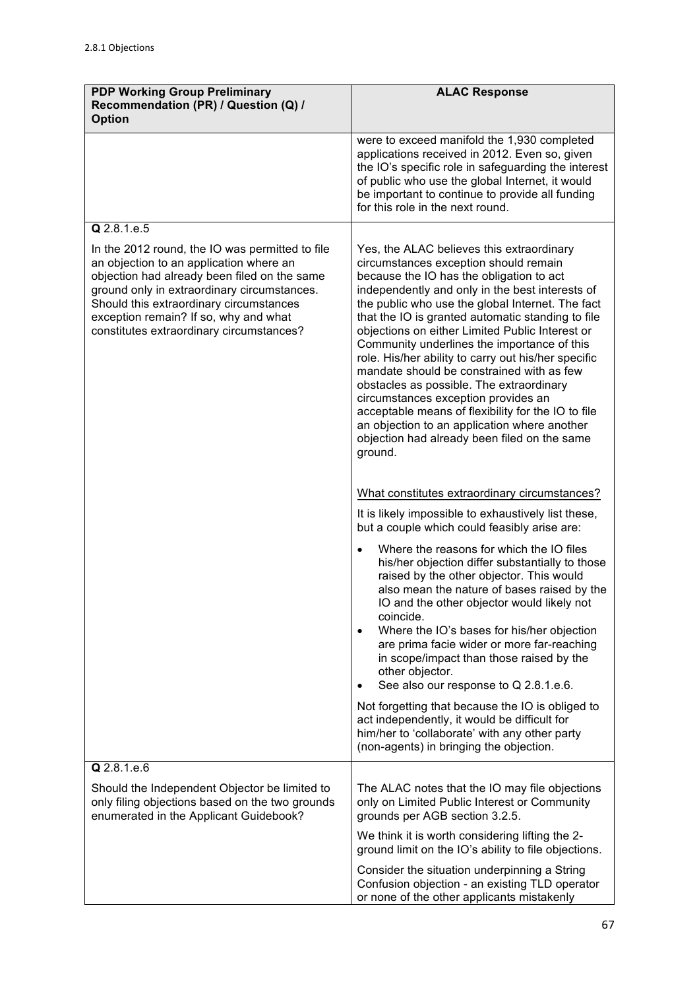| <b>PDP Working Group Preliminary</b><br>Recommendation (PR) / Question (Q) /<br><b>Option</b>                                                                                                                                                                                                                             | <b>ALAC Response</b>                                                                                                                                                                                                                                                                                                                                                                                                                                                                                                                                                                                                                                                                                                                                 |
|---------------------------------------------------------------------------------------------------------------------------------------------------------------------------------------------------------------------------------------------------------------------------------------------------------------------------|------------------------------------------------------------------------------------------------------------------------------------------------------------------------------------------------------------------------------------------------------------------------------------------------------------------------------------------------------------------------------------------------------------------------------------------------------------------------------------------------------------------------------------------------------------------------------------------------------------------------------------------------------------------------------------------------------------------------------------------------------|
|                                                                                                                                                                                                                                                                                                                           | were to exceed manifold the 1,930 completed<br>applications received in 2012. Even so, given<br>the IO's specific role in safeguarding the interest<br>of public who use the global Internet, it would<br>be important to continue to provide all funding<br>for this role in the next round.                                                                                                                                                                                                                                                                                                                                                                                                                                                        |
| Q 2.8.1.e.5                                                                                                                                                                                                                                                                                                               |                                                                                                                                                                                                                                                                                                                                                                                                                                                                                                                                                                                                                                                                                                                                                      |
| In the 2012 round, the IO was permitted to file<br>an objection to an application where an<br>objection had already been filed on the same<br>ground only in extraordinary circumstances.<br>Should this extraordinary circumstances<br>exception remain? If so, why and what<br>constitutes extraordinary circumstances? | Yes, the ALAC believes this extraordinary<br>circumstances exception should remain<br>because the IO has the obligation to act<br>independently and only in the best interests of<br>the public who use the global Internet. The fact<br>that the IO is granted automatic standing to file<br>objections on either Limited Public Interest or<br>Community underlines the importance of this<br>role. His/her ability to carry out his/her specific<br>mandate should be constrained with as few<br>obstacles as possible. The extraordinary<br>circumstances exception provides an<br>acceptable means of flexibility for the IO to file<br>an objection to an application where another<br>objection had already been filed on the same<br>ground. |
|                                                                                                                                                                                                                                                                                                                           | What constitutes extraordinary circumstances?                                                                                                                                                                                                                                                                                                                                                                                                                                                                                                                                                                                                                                                                                                        |
|                                                                                                                                                                                                                                                                                                                           | It is likely impossible to exhaustively list these,<br>but a couple which could feasibly arise are:                                                                                                                                                                                                                                                                                                                                                                                                                                                                                                                                                                                                                                                  |
|                                                                                                                                                                                                                                                                                                                           | Where the reasons for which the IO files<br>his/her objection differ substantially to those<br>raised by the other objector. This would<br>also mean the nature of bases raised by the<br>IO and the other objector would likely not<br>coincide.<br>Where the IO's bases for his/her objection<br>$\bullet$<br>are prima facie wider or more far-reaching<br>in scope/impact than those raised by the<br>other objector.<br>See also our response to Q 2.8.1.e.6.                                                                                                                                                                                                                                                                                   |
|                                                                                                                                                                                                                                                                                                                           | Not forgetting that because the IO is obliged to<br>act independently, it would be difficult for<br>him/her to 'collaborate' with any other party<br>(non-agents) in bringing the objection.                                                                                                                                                                                                                                                                                                                                                                                                                                                                                                                                                         |
| Q 2.8.1.e.6                                                                                                                                                                                                                                                                                                               |                                                                                                                                                                                                                                                                                                                                                                                                                                                                                                                                                                                                                                                                                                                                                      |
| Should the Independent Objector be limited to<br>only filing objections based on the two grounds<br>enumerated in the Applicant Guidebook?                                                                                                                                                                                | The ALAC notes that the IO may file objections<br>only on Limited Public Interest or Community<br>grounds per AGB section 3.2.5.                                                                                                                                                                                                                                                                                                                                                                                                                                                                                                                                                                                                                     |
|                                                                                                                                                                                                                                                                                                                           | We think it is worth considering lifting the 2-<br>ground limit on the IO's ability to file objections.                                                                                                                                                                                                                                                                                                                                                                                                                                                                                                                                                                                                                                              |
|                                                                                                                                                                                                                                                                                                                           | Consider the situation underpinning a String<br>Confusion objection - an existing TLD operator<br>or none of the other applicants mistakenly                                                                                                                                                                                                                                                                                                                                                                                                                                                                                                                                                                                                         |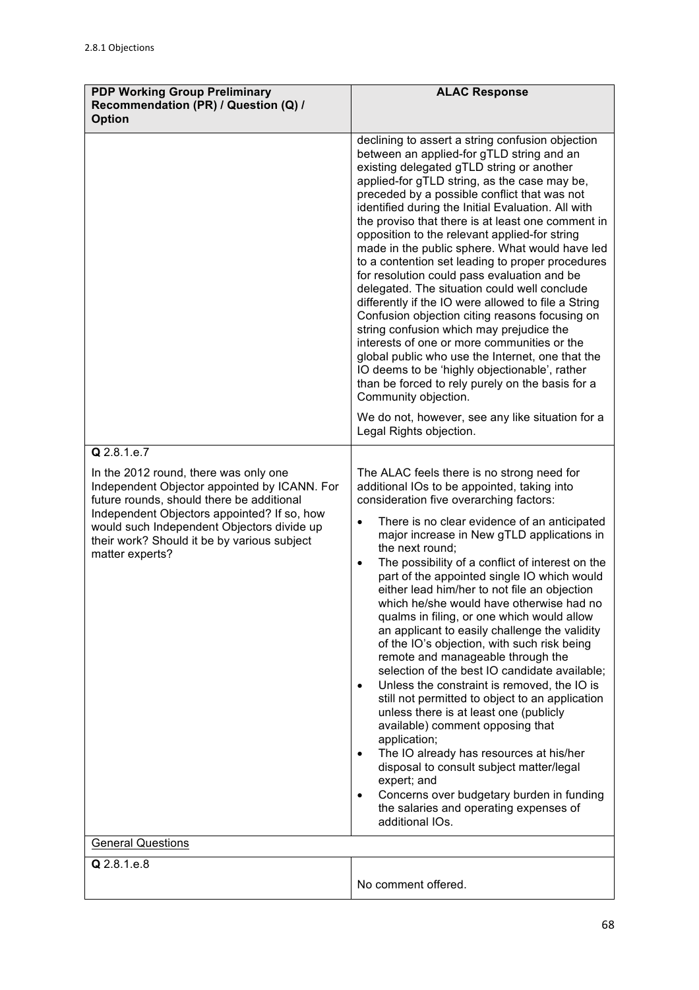| <b>PDP Working Group Preliminary</b><br>Recommendation (PR) / Question (Q) /<br><b>Option</b>                                                                                                                                                                                                                                 | <b>ALAC Response</b>                                                                                                                                                                                                                                                                                                                                                                                                                                                                                                                                                                                                                                                                                                                                                                                                                                                                                                                                                                                                                                                                                                                                                      |
|-------------------------------------------------------------------------------------------------------------------------------------------------------------------------------------------------------------------------------------------------------------------------------------------------------------------------------|---------------------------------------------------------------------------------------------------------------------------------------------------------------------------------------------------------------------------------------------------------------------------------------------------------------------------------------------------------------------------------------------------------------------------------------------------------------------------------------------------------------------------------------------------------------------------------------------------------------------------------------------------------------------------------------------------------------------------------------------------------------------------------------------------------------------------------------------------------------------------------------------------------------------------------------------------------------------------------------------------------------------------------------------------------------------------------------------------------------------------------------------------------------------------|
|                                                                                                                                                                                                                                                                                                                               | declining to assert a string confusion objection<br>between an applied-for gTLD string and an<br>existing delegated gTLD string or another<br>applied-for gTLD string, as the case may be,<br>preceded by a possible conflict that was not<br>identified during the Initial Evaluation. All with<br>the proviso that there is at least one comment in<br>opposition to the relevant applied-for string<br>made in the public sphere. What would have led<br>to a contention set leading to proper procedures<br>for resolution could pass evaluation and be<br>delegated. The situation could well conclude<br>differently if the IO were allowed to file a String<br>Confusion objection citing reasons focusing on<br>string confusion which may prejudice the<br>interests of one or more communities or the<br>global public who use the Internet, one that the<br>IO deems to be 'highly objectionable', rather<br>than be forced to rely purely on the basis for a<br>Community objection.<br>We do not, however, see any like situation for a                                                                                                                      |
| Q 2.8.1.e.7                                                                                                                                                                                                                                                                                                                   | Legal Rights objection.                                                                                                                                                                                                                                                                                                                                                                                                                                                                                                                                                                                                                                                                                                                                                                                                                                                                                                                                                                                                                                                                                                                                                   |
| In the 2012 round, there was only one<br>Independent Objector appointed by ICANN. For<br>future rounds, should there be additional<br>Independent Objectors appointed? If so, how<br>would such Independent Objectors divide up<br>their work? Should it be by various subject<br>matter experts?<br><b>General Questions</b> | The ALAC feels there is no strong need for<br>additional IOs to be appointed, taking into<br>consideration five overarching factors:<br>There is no clear evidence of an anticipated<br>$\bullet$<br>major increase in New gTLD applications in<br>the next round;<br>The possibility of a conflict of interest on the<br>$\bullet$<br>part of the appointed single IO which would<br>either lead him/her to not file an objection<br>which he/she would have otherwise had no<br>qualms in filing, or one which would allow<br>an applicant to easily challenge the validity<br>of the IO's objection, with such risk being<br>remote and manageable through the<br>selection of the best IO candidate available;<br>Unless the constraint is removed, the IO is<br>$\bullet$<br>still not permitted to object to an application<br>unless there is at least one (publicly<br>available) comment opposing that<br>application;<br>The IO already has resources at his/her<br>$\bullet$<br>disposal to consult subject matter/legal<br>expert; and<br>Concerns over budgetary burden in funding<br>$\bullet$<br>the salaries and operating expenses of<br>additional IOs. |
| Q 2.8.1.e.8                                                                                                                                                                                                                                                                                                                   |                                                                                                                                                                                                                                                                                                                                                                                                                                                                                                                                                                                                                                                                                                                                                                                                                                                                                                                                                                                                                                                                                                                                                                           |
|                                                                                                                                                                                                                                                                                                                               | No comment offered.                                                                                                                                                                                                                                                                                                                                                                                                                                                                                                                                                                                                                                                                                                                                                                                                                                                                                                                                                                                                                                                                                                                                                       |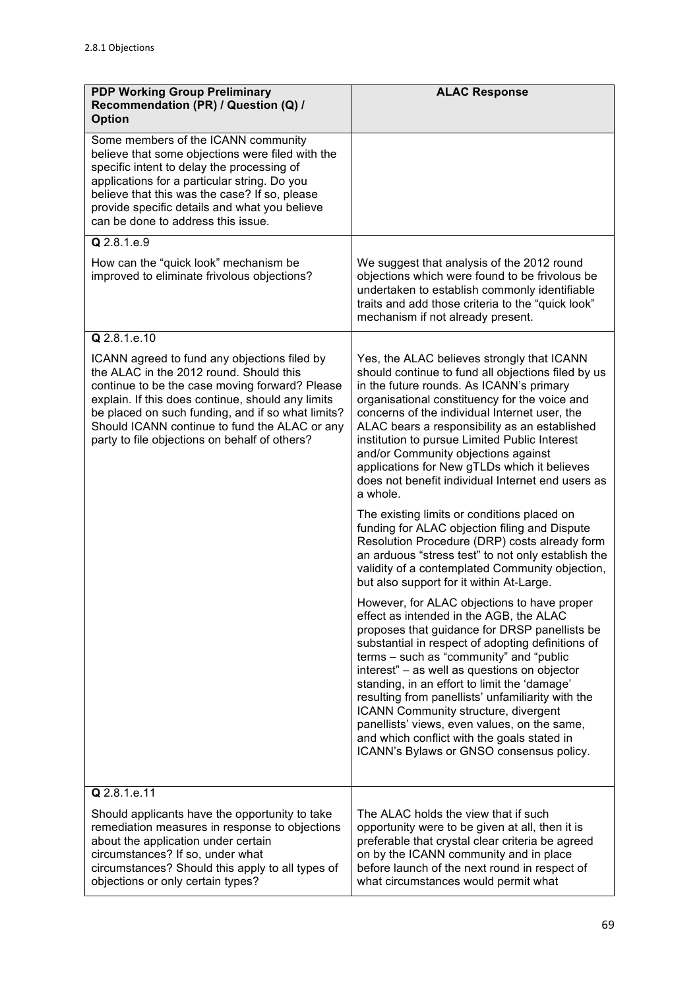| <b>PDP Working Group Preliminary</b><br>Recommendation (PR) / Question (Q) /<br><b>Option</b>                                                                                                                                                                                                                                                         | <b>ALAC Response</b>                                                                                                                                                                                                                                                                                                                                                                                                                                                                                                                                                            |
|-------------------------------------------------------------------------------------------------------------------------------------------------------------------------------------------------------------------------------------------------------------------------------------------------------------------------------------------------------|---------------------------------------------------------------------------------------------------------------------------------------------------------------------------------------------------------------------------------------------------------------------------------------------------------------------------------------------------------------------------------------------------------------------------------------------------------------------------------------------------------------------------------------------------------------------------------|
| Some members of the ICANN community<br>believe that some objections were filed with the<br>specific intent to delay the processing of<br>applications for a particular string. Do you<br>believe that this was the case? If so, please<br>provide specific details and what you believe<br>can be done to address this issue.                         |                                                                                                                                                                                                                                                                                                                                                                                                                                                                                                                                                                                 |
| Q 2.8.1.e.9                                                                                                                                                                                                                                                                                                                                           |                                                                                                                                                                                                                                                                                                                                                                                                                                                                                                                                                                                 |
| How can the "quick look" mechanism be<br>improved to eliminate frivolous objections?                                                                                                                                                                                                                                                                  | We suggest that analysis of the 2012 round<br>objections which were found to be frivolous be<br>undertaken to establish commonly identifiable<br>traits and add those criteria to the "quick look"<br>mechanism if not already present.                                                                                                                                                                                                                                                                                                                                         |
| Q 2.8.1.e.10                                                                                                                                                                                                                                                                                                                                          |                                                                                                                                                                                                                                                                                                                                                                                                                                                                                                                                                                                 |
| ICANN agreed to fund any objections filed by<br>the ALAC in the 2012 round. Should this<br>continue to be the case moving forward? Please<br>explain. If this does continue, should any limits<br>be placed on such funding, and if so what limits?<br>Should ICANN continue to fund the ALAC or any<br>party to file objections on behalf of others? | Yes, the ALAC believes strongly that ICANN<br>should continue to fund all objections filed by us<br>in the future rounds. As ICANN's primary<br>organisational constituency for the voice and<br>concerns of the individual Internet user, the<br>ALAC bears a responsibility as an established<br>institution to pursue Limited Public Interest<br>and/or Community objections against<br>applications for New gTLDs which it believes<br>does not benefit individual Internet end users as<br>a whole.                                                                        |
|                                                                                                                                                                                                                                                                                                                                                       | The existing limits or conditions placed on<br>funding for ALAC objection filing and Dispute<br>Resolution Procedure (DRP) costs already form<br>an arduous "stress test" to not only establish the<br>validity of a contemplated Community objection,<br>but also support for it within At-Large.                                                                                                                                                                                                                                                                              |
|                                                                                                                                                                                                                                                                                                                                                       | However, for ALAC objections to have proper<br>effect as intended in the AGB, the ALAC<br>proposes that guidance for DRSP panellists be<br>substantial in respect of adopting definitions of<br>terms - such as "community" and "public<br>interest" - as well as questions on objector<br>standing, in an effort to limit the 'damage'<br>resulting from panellists' unfamiliarity with the<br>ICANN Community structure, divergent<br>panellists' views, even values, on the same,<br>and which conflict with the goals stated in<br>ICANN's Bylaws or GNSO consensus policy. |
| Q 2.8.1.e.11                                                                                                                                                                                                                                                                                                                                          |                                                                                                                                                                                                                                                                                                                                                                                                                                                                                                                                                                                 |
| Should applicants have the opportunity to take<br>remediation measures in response to objections<br>about the application under certain<br>circumstances? If so, under what<br>circumstances? Should this apply to all types of<br>objections or only certain types?                                                                                  | The ALAC holds the view that if such<br>opportunity were to be given at all, then it is<br>preferable that crystal clear criteria be agreed<br>on by the ICANN community and in place<br>before launch of the next round in respect of<br>what circumstances would permit what                                                                                                                                                                                                                                                                                                  |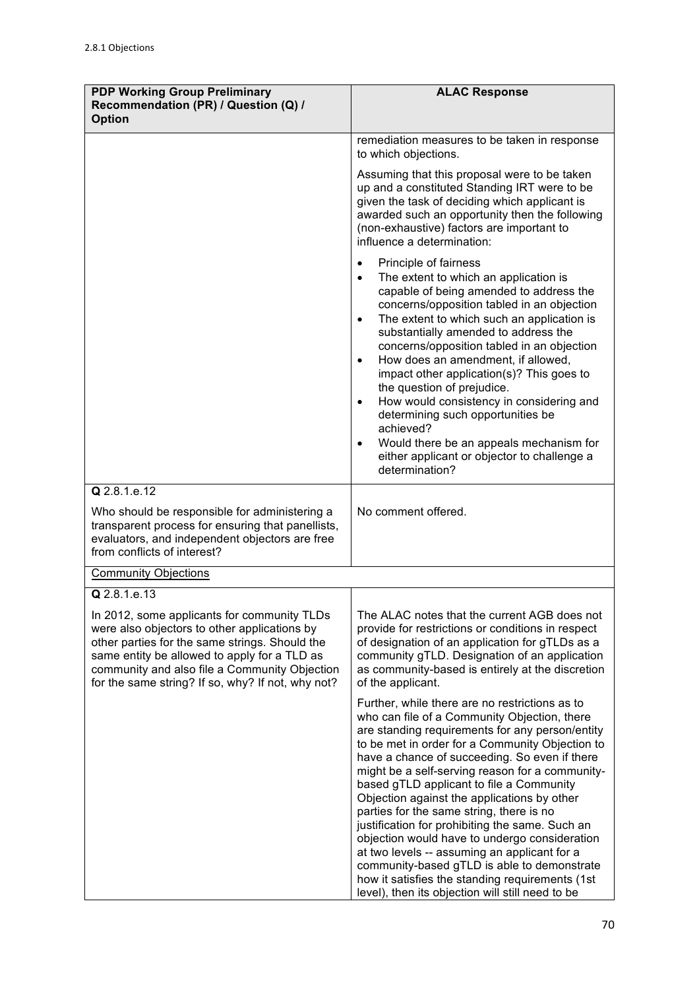| <b>PDP Working Group Preliminary</b><br>Recommendation (PR) / Question (Q) /<br><b>Option</b>                                                                                                                                                                                                       | <b>ALAC Response</b>                                                                                                                                                                                                                                                                                                                                                                                                                                                                                                                                                                                                                                                                                                                                      |
|-----------------------------------------------------------------------------------------------------------------------------------------------------------------------------------------------------------------------------------------------------------------------------------------------------|-----------------------------------------------------------------------------------------------------------------------------------------------------------------------------------------------------------------------------------------------------------------------------------------------------------------------------------------------------------------------------------------------------------------------------------------------------------------------------------------------------------------------------------------------------------------------------------------------------------------------------------------------------------------------------------------------------------------------------------------------------------|
|                                                                                                                                                                                                                                                                                                     | remediation measures to be taken in response<br>to which objections.                                                                                                                                                                                                                                                                                                                                                                                                                                                                                                                                                                                                                                                                                      |
|                                                                                                                                                                                                                                                                                                     | Assuming that this proposal were to be taken<br>up and a constituted Standing IRT were to be<br>given the task of deciding which applicant is<br>awarded such an opportunity then the following<br>(non-exhaustive) factors are important to<br>influence a determination:                                                                                                                                                                                                                                                                                                                                                                                                                                                                                |
|                                                                                                                                                                                                                                                                                                     | Principle of fairness<br>The extent to which an application is<br>capable of being amended to address the<br>concerns/opposition tabled in an objection<br>The extent to which such an application is<br>substantially amended to address the<br>concerns/opposition tabled in an objection<br>How does an amendment, if allowed,<br>$\bullet$<br>impact other application(s)? This goes to<br>the question of prejudice.<br>How would consistency in considering and<br>$\bullet$<br>determining such opportunities be<br>achieved?<br>Would there be an appeals mechanism for<br>$\bullet$<br>either applicant or objector to challenge a<br>determination?                                                                                             |
| Q 2.8.1.e.12<br>Who should be responsible for administering a<br>transparent process for ensuring that panellists,<br>evaluators, and independent objectors are free<br>from conflicts of interest?                                                                                                 | No comment offered.                                                                                                                                                                                                                                                                                                                                                                                                                                                                                                                                                                                                                                                                                                                                       |
| <b>Community Objections</b>                                                                                                                                                                                                                                                                         |                                                                                                                                                                                                                                                                                                                                                                                                                                                                                                                                                                                                                                                                                                                                                           |
| $Q$ 2.8.1.e.13                                                                                                                                                                                                                                                                                      |                                                                                                                                                                                                                                                                                                                                                                                                                                                                                                                                                                                                                                                                                                                                                           |
| In 2012, some applicants for community TLDs<br>were also objectors to other applications by<br>other parties for the same strings. Should the<br>same entity be allowed to apply for a TLD as<br>community and also file a Community Objection<br>for the same string? If so, why? If not, why not? | The ALAC notes that the current AGB does not<br>provide for restrictions or conditions in respect<br>of designation of an application for gTLDs as a<br>community gTLD. Designation of an application<br>as community-based is entirely at the discretion<br>of the applicant.                                                                                                                                                                                                                                                                                                                                                                                                                                                                            |
|                                                                                                                                                                                                                                                                                                     | Further, while there are no restrictions as to<br>who can file of a Community Objection, there<br>are standing requirements for any person/entity<br>to be met in order for a Community Objection to<br>have a chance of succeeding. So even if there<br>might be a self-serving reason for a community-<br>based gTLD applicant to file a Community<br>Objection against the applications by other<br>parties for the same string, there is no<br>justification for prohibiting the same. Such an<br>objection would have to undergo consideration<br>at two levels -- assuming an applicant for a<br>community-based gTLD is able to demonstrate<br>how it satisfies the standing requirements (1st<br>level), then its objection will still need to be |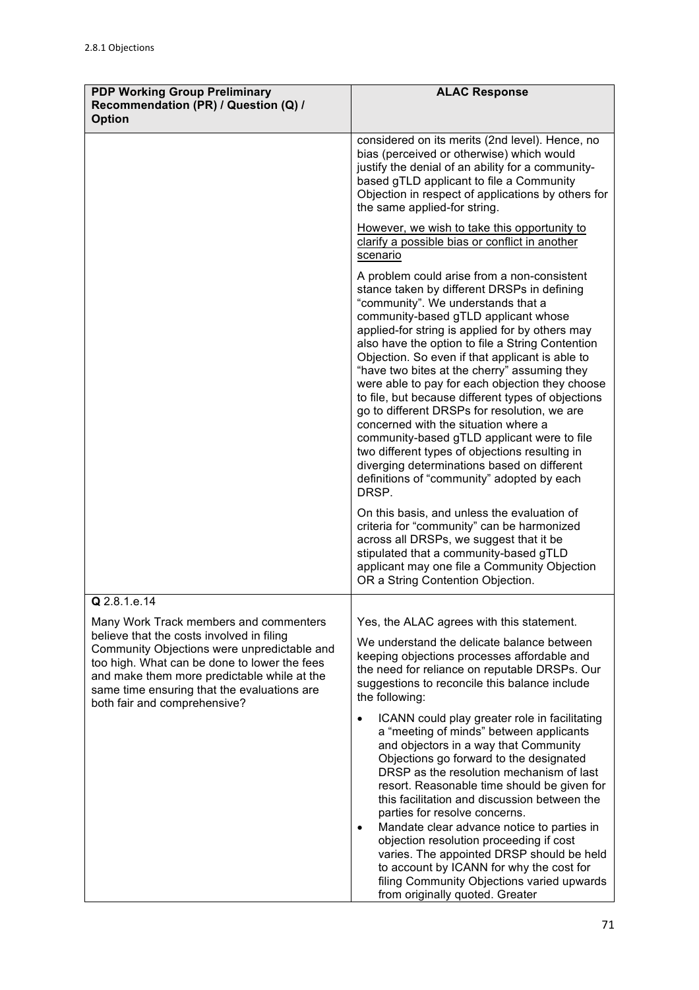| <b>PDP Working Group Preliminary</b><br>Recommendation (PR) / Question (Q) /<br><b>Option</b>                                                                                                                                                                                                                    | <b>ALAC Response</b>                                                                                                                                                                                                                                                                                                                                                                                                                                                                                                                                                                                                                                                                                                                                                                                                                                                                    |
|------------------------------------------------------------------------------------------------------------------------------------------------------------------------------------------------------------------------------------------------------------------------------------------------------------------|-----------------------------------------------------------------------------------------------------------------------------------------------------------------------------------------------------------------------------------------------------------------------------------------------------------------------------------------------------------------------------------------------------------------------------------------------------------------------------------------------------------------------------------------------------------------------------------------------------------------------------------------------------------------------------------------------------------------------------------------------------------------------------------------------------------------------------------------------------------------------------------------|
|                                                                                                                                                                                                                                                                                                                  | considered on its merits (2nd level). Hence, no<br>bias (perceived or otherwise) which would<br>justify the denial of an ability for a community-<br>based gTLD applicant to file a Community<br>Objection in respect of applications by others for<br>the same applied-for string.                                                                                                                                                                                                                                                                                                                                                                                                                                                                                                                                                                                                     |
|                                                                                                                                                                                                                                                                                                                  | However, we wish to take this opportunity to<br>clarify a possible bias or conflict in another<br>scenario                                                                                                                                                                                                                                                                                                                                                                                                                                                                                                                                                                                                                                                                                                                                                                              |
|                                                                                                                                                                                                                                                                                                                  | A problem could arise from a non-consistent<br>stance taken by different DRSPs in defining<br>"community". We understands that a<br>community-based gTLD applicant whose<br>applied-for string is applied for by others may<br>also have the option to file a String Contention<br>Objection. So even if that applicant is able to<br>"have two bites at the cherry" assuming they<br>were able to pay for each objection they choose<br>to file, but because different types of objections<br>go to different DRSPs for resolution, we are<br>concerned with the situation where a<br>community-based gTLD applicant were to file<br>two different types of objections resulting in<br>diverging determinations based on different<br>definitions of "community" adopted by each<br>DRSP.<br>On this basis, and unless the evaluation of<br>criteria for "community" can be harmonized |
|                                                                                                                                                                                                                                                                                                                  | across all DRSPs, we suggest that it be<br>stipulated that a community-based gTLD<br>applicant may one file a Community Objection<br>OR a String Contention Objection.                                                                                                                                                                                                                                                                                                                                                                                                                                                                                                                                                                                                                                                                                                                  |
| Q 2.8.1.e.14                                                                                                                                                                                                                                                                                                     |                                                                                                                                                                                                                                                                                                                                                                                                                                                                                                                                                                                                                                                                                                                                                                                                                                                                                         |
| Many Work Track members and commenters<br>believe that the costs involved in filing<br>Community Objections were unpredictable and<br>too high. What can be done to lower the fees<br>and make them more predictable while at the<br>same time ensuring that the evaluations are<br>both fair and comprehensive? | Yes, the ALAC agrees with this statement.<br>We understand the delicate balance between<br>keeping objections processes affordable and<br>the need for reliance on reputable DRSPs. Our<br>suggestions to reconcile this balance include<br>the following:                                                                                                                                                                                                                                                                                                                                                                                                                                                                                                                                                                                                                              |
|                                                                                                                                                                                                                                                                                                                  | ICANN could play greater role in facilitating<br>$\bullet$<br>a "meeting of minds" between applicants<br>and objectors in a way that Community<br>Objections go forward to the designated<br>DRSP as the resolution mechanism of last<br>resort. Reasonable time should be given for<br>this facilitation and discussion between the<br>parties for resolve concerns.<br>Mandate clear advance notice to parties in<br>objection resolution proceeding if cost                                                                                                                                                                                                                                                                                                                                                                                                                          |
|                                                                                                                                                                                                                                                                                                                  | varies. The appointed DRSP should be held<br>to account by ICANN for why the cost for<br>filing Community Objections varied upwards<br>from originally quoted. Greater                                                                                                                                                                                                                                                                                                                                                                                                                                                                                                                                                                                                                                                                                                                  |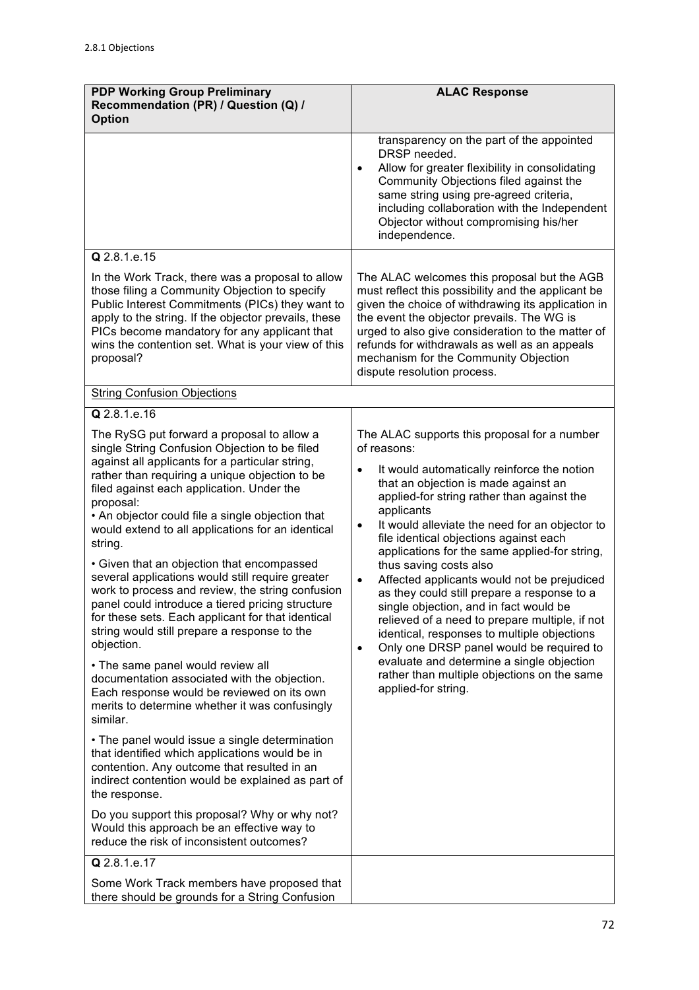| <b>PDP Working Group Preliminary</b><br>Recommendation (PR) / Question (Q) /<br><b>Option</b>                                                                                                                                                                                                                                                                                                                                                                                                                                                                                                                                                                                                                                                                                                                                                                                                                                                                                                                                                                                                                                                                                                                                                                                     | <b>ALAC Response</b>                                                                                                                                                                                                                                                                                                                                                                                                                                                                                                                                                                                                                                                                                                                                                                                                                              |
|-----------------------------------------------------------------------------------------------------------------------------------------------------------------------------------------------------------------------------------------------------------------------------------------------------------------------------------------------------------------------------------------------------------------------------------------------------------------------------------------------------------------------------------------------------------------------------------------------------------------------------------------------------------------------------------------------------------------------------------------------------------------------------------------------------------------------------------------------------------------------------------------------------------------------------------------------------------------------------------------------------------------------------------------------------------------------------------------------------------------------------------------------------------------------------------------------------------------------------------------------------------------------------------|---------------------------------------------------------------------------------------------------------------------------------------------------------------------------------------------------------------------------------------------------------------------------------------------------------------------------------------------------------------------------------------------------------------------------------------------------------------------------------------------------------------------------------------------------------------------------------------------------------------------------------------------------------------------------------------------------------------------------------------------------------------------------------------------------------------------------------------------------|
|                                                                                                                                                                                                                                                                                                                                                                                                                                                                                                                                                                                                                                                                                                                                                                                                                                                                                                                                                                                                                                                                                                                                                                                                                                                                                   | transparency on the part of the appointed<br>DRSP needed.<br>Allow for greater flexibility in consolidating<br>$\bullet$<br>Community Objections filed against the<br>same string using pre-agreed criteria,<br>including collaboration with the Independent<br>Objector without compromising his/her<br>independence.                                                                                                                                                                                                                                                                                                                                                                                                                                                                                                                            |
| Q 2.8.1.e.15                                                                                                                                                                                                                                                                                                                                                                                                                                                                                                                                                                                                                                                                                                                                                                                                                                                                                                                                                                                                                                                                                                                                                                                                                                                                      |                                                                                                                                                                                                                                                                                                                                                                                                                                                                                                                                                                                                                                                                                                                                                                                                                                                   |
| In the Work Track, there was a proposal to allow<br>those filing a Community Objection to specify<br>Public Interest Commitments (PICs) they want to<br>apply to the string. If the objector prevails, these<br>PICs become mandatory for any applicant that<br>wins the contention set. What is your view of this<br>proposal?                                                                                                                                                                                                                                                                                                                                                                                                                                                                                                                                                                                                                                                                                                                                                                                                                                                                                                                                                   | The ALAC welcomes this proposal but the AGB<br>must reflect this possibility and the applicant be<br>given the choice of withdrawing its application in<br>the event the objector prevails. The WG is<br>urged to also give consideration to the matter of<br>refunds for withdrawals as well as an appeals<br>mechanism for the Community Objection<br>dispute resolution process.                                                                                                                                                                                                                                                                                                                                                                                                                                                               |
| <b>String Confusion Objections</b>                                                                                                                                                                                                                                                                                                                                                                                                                                                                                                                                                                                                                                                                                                                                                                                                                                                                                                                                                                                                                                                                                                                                                                                                                                                |                                                                                                                                                                                                                                                                                                                                                                                                                                                                                                                                                                                                                                                                                                                                                                                                                                                   |
| Q 2.8.1.e.16                                                                                                                                                                                                                                                                                                                                                                                                                                                                                                                                                                                                                                                                                                                                                                                                                                                                                                                                                                                                                                                                                                                                                                                                                                                                      |                                                                                                                                                                                                                                                                                                                                                                                                                                                                                                                                                                                                                                                                                                                                                                                                                                                   |
| The RySG put forward a proposal to allow a<br>single String Confusion Objection to be filed<br>against all applicants for a particular string,<br>rather than requiring a unique objection to be<br>filed against each application. Under the<br>proposal:<br>• An objector could file a single objection that<br>would extend to all applications for an identical<br>string.<br>• Given that an objection that encompassed<br>several applications would still require greater<br>work to process and review, the string confusion<br>panel could introduce a tiered pricing structure<br>for these sets. Each applicant for that identical<br>string would still prepare a response to the<br>objection.<br>• The same panel would review all<br>documentation associated with the objection.<br>Each response would be reviewed on its own<br>merits to determine whether it was confusingly<br>similar.<br>• The panel would issue a single determination<br>that identified which applications would be in<br>contention. Any outcome that resulted in an<br>indirect contention would be explained as part of<br>the response.<br>Do you support this proposal? Why or why not?<br>Would this approach be an effective way to<br>reduce the risk of inconsistent outcomes? | The ALAC supports this proposal for a number<br>of reasons:<br>It would automatically reinforce the notion<br>$\bullet$<br>that an objection is made against an<br>applied-for string rather than against the<br>applicants<br>It would alleviate the need for an objector to<br>$\bullet$<br>file identical objections against each<br>applications for the same applied-for string,<br>thus saving costs also<br>Affected applicants would not be prejudiced<br>$\bullet$<br>as they could still prepare a response to a<br>single objection, and in fact would be<br>relieved of a need to prepare multiple, if not<br>identical, responses to multiple objections<br>Only one DRSP panel would be required to<br>$\bullet$<br>evaluate and determine a single objection<br>rather than multiple objections on the same<br>applied-for string. |
| Q 2.8.1.e.17                                                                                                                                                                                                                                                                                                                                                                                                                                                                                                                                                                                                                                                                                                                                                                                                                                                                                                                                                                                                                                                                                                                                                                                                                                                                      |                                                                                                                                                                                                                                                                                                                                                                                                                                                                                                                                                                                                                                                                                                                                                                                                                                                   |
| Some Work Track members have proposed that<br>there should be grounds for a String Confusion                                                                                                                                                                                                                                                                                                                                                                                                                                                                                                                                                                                                                                                                                                                                                                                                                                                                                                                                                                                                                                                                                                                                                                                      |                                                                                                                                                                                                                                                                                                                                                                                                                                                                                                                                                                                                                                                                                                                                                                                                                                                   |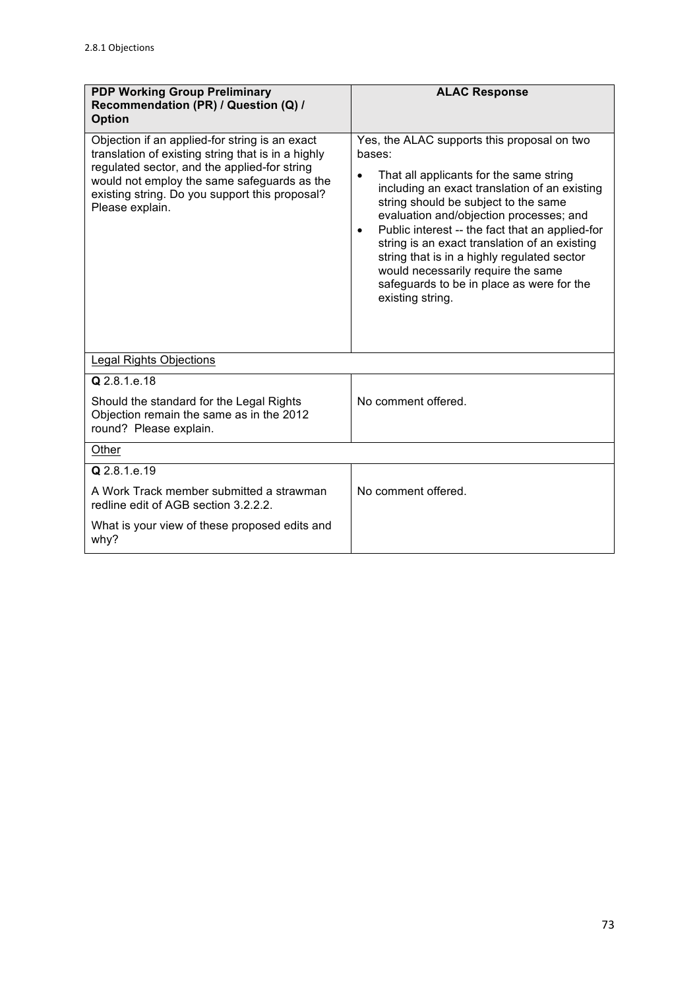| <b>PDP Working Group Preliminary</b><br>Recommendation (PR) / Question (Q) /<br><b>Option</b>                                                                                                                                                                            | <b>ALAC Response</b>                                                                                                                                                                                                                                                                                                                                                                                                                                                                                        |
|--------------------------------------------------------------------------------------------------------------------------------------------------------------------------------------------------------------------------------------------------------------------------|-------------------------------------------------------------------------------------------------------------------------------------------------------------------------------------------------------------------------------------------------------------------------------------------------------------------------------------------------------------------------------------------------------------------------------------------------------------------------------------------------------------|
| Objection if an applied-for string is an exact<br>translation of existing string that is in a highly<br>regulated sector, and the applied-for string<br>would not employ the same safeguards as the<br>existing string. Do you support this proposal?<br>Please explain. | Yes, the ALAC supports this proposal on two<br>bases:<br>That all applicants for the same string<br>including an exact translation of an existing<br>string should be subject to the same<br>evaluation and/objection processes; and<br>Public interest -- the fact that an applied-for<br>$\bullet$<br>string is an exact translation of an existing<br>string that is in a highly regulated sector<br>would necessarily require the same<br>safeguards to be in place as were for the<br>existing string. |
| <b>Legal Rights Objections</b>                                                                                                                                                                                                                                           |                                                                                                                                                                                                                                                                                                                                                                                                                                                                                                             |
| Q 2.8.1.e.18                                                                                                                                                                                                                                                             |                                                                                                                                                                                                                                                                                                                                                                                                                                                                                                             |
| Should the standard for the Legal Rights<br>Objection remain the same as in the 2012<br>round? Please explain.                                                                                                                                                           | No comment offered.                                                                                                                                                                                                                                                                                                                                                                                                                                                                                         |
| Other                                                                                                                                                                                                                                                                    |                                                                                                                                                                                                                                                                                                                                                                                                                                                                                                             |
| Q 2.8.1 e.19                                                                                                                                                                                                                                                             |                                                                                                                                                                                                                                                                                                                                                                                                                                                                                                             |
| A Work Track member submitted a strawman<br>redline edit of AGB section 3.2.2.2.                                                                                                                                                                                         | No comment offered.                                                                                                                                                                                                                                                                                                                                                                                                                                                                                         |
| What is your view of these proposed edits and<br>why?                                                                                                                                                                                                                    |                                                                                                                                                                                                                                                                                                                                                                                                                                                                                                             |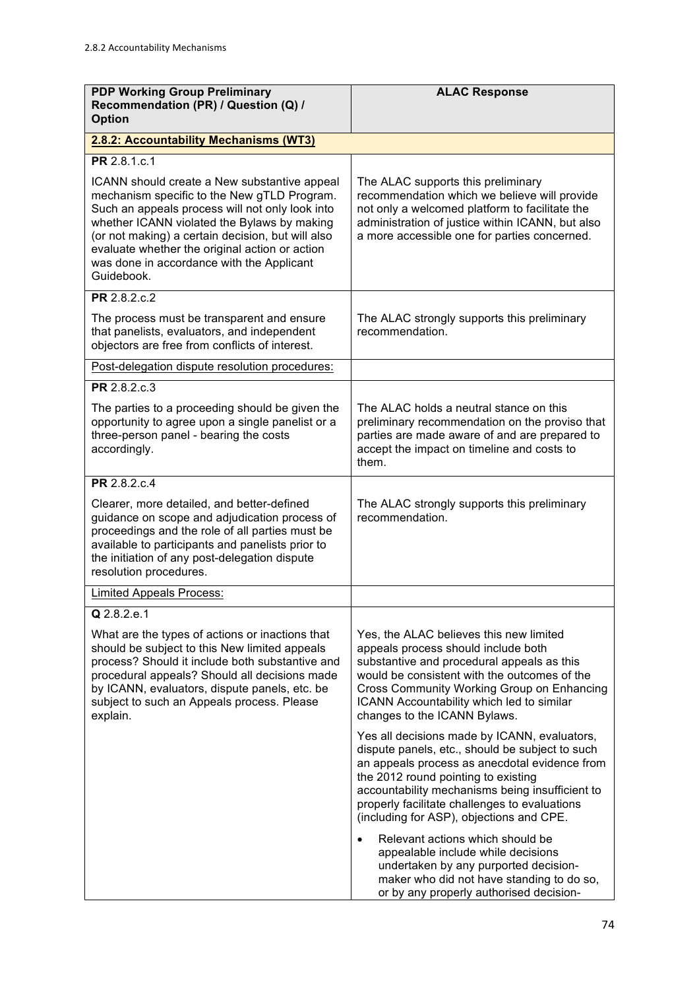| <b>PDP Working Group Preliminary</b><br>Recommendation (PR) / Question (Q) /<br><b>Option</b>                                                                                                                                                                                                                                                                   | <b>ALAC Response</b>                                                                                                                                                                                                                                                                                                                    |
|-----------------------------------------------------------------------------------------------------------------------------------------------------------------------------------------------------------------------------------------------------------------------------------------------------------------------------------------------------------------|-----------------------------------------------------------------------------------------------------------------------------------------------------------------------------------------------------------------------------------------------------------------------------------------------------------------------------------------|
| 2.8.2: Accountability Mechanisms (WT3)                                                                                                                                                                                                                                                                                                                          |                                                                                                                                                                                                                                                                                                                                         |
| PR 2.8.1.c.1                                                                                                                                                                                                                                                                                                                                                    |                                                                                                                                                                                                                                                                                                                                         |
| ICANN should create a New substantive appeal<br>mechanism specific to the New gTLD Program.<br>Such an appeals process will not only look into<br>whether ICANN violated the Bylaws by making<br>(or not making) a certain decision, but will also<br>evaluate whether the original action or action<br>was done in accordance with the Applicant<br>Guidebook. | The ALAC supports this preliminary<br>recommendation which we believe will provide<br>not only a welcomed platform to facilitate the<br>administration of justice within ICANN, but also<br>a more accessible one for parties concerned.                                                                                                |
| PR 2.8.2.c.2                                                                                                                                                                                                                                                                                                                                                    |                                                                                                                                                                                                                                                                                                                                         |
| The process must be transparent and ensure<br>that panelists, evaluators, and independent<br>objectors are free from conflicts of interest.                                                                                                                                                                                                                     | The ALAC strongly supports this preliminary<br>recommendation.                                                                                                                                                                                                                                                                          |
| Post-delegation dispute resolution procedures:                                                                                                                                                                                                                                                                                                                  |                                                                                                                                                                                                                                                                                                                                         |
| <b>PR</b> 2.8.2.c.3                                                                                                                                                                                                                                                                                                                                             |                                                                                                                                                                                                                                                                                                                                         |
| The parties to a proceeding should be given the<br>opportunity to agree upon a single panelist or a<br>three-person panel - bearing the costs<br>accordingly.                                                                                                                                                                                                   | The ALAC holds a neutral stance on this<br>preliminary recommendation on the proviso that<br>parties are made aware of and are prepared to<br>accept the impact on timeline and costs to<br>them.                                                                                                                                       |
| PR 2.8.2.c.4                                                                                                                                                                                                                                                                                                                                                    |                                                                                                                                                                                                                                                                                                                                         |
| Clearer, more detailed, and better-defined<br>guidance on scope and adjudication process of<br>proceedings and the role of all parties must be<br>available to participants and panelists prior to<br>the initiation of any post-delegation dispute<br>resolution procedures.                                                                                   | The ALAC strongly supports this preliminary<br>recommendation.                                                                                                                                                                                                                                                                          |
| <b>Limited Appeals Process:</b>                                                                                                                                                                                                                                                                                                                                 |                                                                                                                                                                                                                                                                                                                                         |
| Q 2.8.2.e.1                                                                                                                                                                                                                                                                                                                                                     |                                                                                                                                                                                                                                                                                                                                         |
| What are the types of actions or inactions that<br>should be subject to this New limited appeals<br>process? Should it include both substantive and<br>procedural appeals? Should all decisions made<br>by ICANN, evaluators, dispute panels, etc. be<br>subject to such an Appeals process. Please<br>explain.                                                 | Yes, the ALAC believes this new limited<br>appeals process should include both<br>substantive and procedural appeals as this<br>would be consistent with the outcomes of the<br>Cross Community Working Group on Enhancing<br>ICANN Accountability which led to similar<br>changes to the ICANN Bylaws.                                 |
|                                                                                                                                                                                                                                                                                                                                                                 | Yes all decisions made by ICANN, evaluators,<br>dispute panels, etc., should be subject to such<br>an appeals process as anecdotal evidence from<br>the 2012 round pointing to existing<br>accountability mechanisms being insufficient to<br>properly facilitate challenges to evaluations<br>(including for ASP), objections and CPE. |
|                                                                                                                                                                                                                                                                                                                                                                 | Relevant actions which should be<br>$\bullet$<br>appealable include while decisions<br>undertaken by any purported decision-<br>maker who did not have standing to do so,<br>or by any properly authorised decision-                                                                                                                    |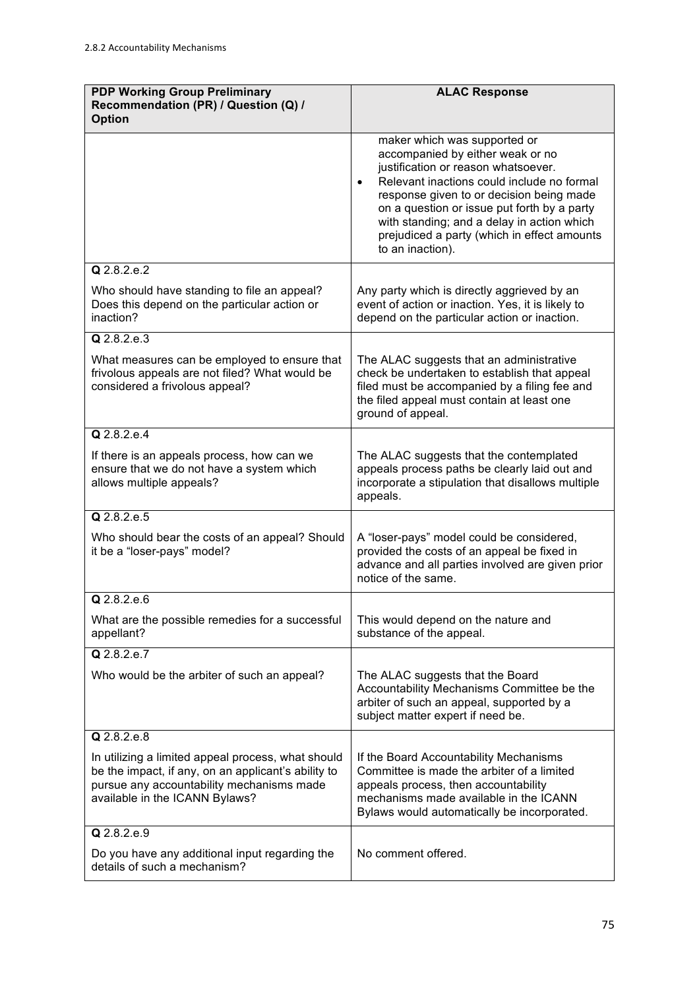| <b>PDP Working Group Preliminary</b><br>Recommendation (PR) / Question (Q) /<br><b>Option</b>                                                                                            | <b>ALAC Response</b>                                                                                                                                                                                                                                                                                                                                                           |
|------------------------------------------------------------------------------------------------------------------------------------------------------------------------------------------|--------------------------------------------------------------------------------------------------------------------------------------------------------------------------------------------------------------------------------------------------------------------------------------------------------------------------------------------------------------------------------|
|                                                                                                                                                                                          | maker which was supported or<br>accompanied by either weak or no<br>justification or reason whatsoever.<br>Relevant inactions could include no formal<br>$\bullet$<br>response given to or decision being made<br>on a question or issue put forth by a party<br>with standing; and a delay in action which<br>prejudiced a party (which in effect amounts<br>to an inaction). |
| Q 2.8.2.e.2                                                                                                                                                                              |                                                                                                                                                                                                                                                                                                                                                                                |
| Who should have standing to file an appeal?<br>Does this depend on the particular action or<br>inaction?                                                                                 | Any party which is directly aggrieved by an<br>event of action or inaction. Yes, it is likely to<br>depend on the particular action or inaction.                                                                                                                                                                                                                               |
| $Q$ 2.8.2.e.3                                                                                                                                                                            |                                                                                                                                                                                                                                                                                                                                                                                |
| What measures can be employed to ensure that<br>frivolous appeals are not filed? What would be<br>considered a frivolous appeal?                                                         | The ALAC suggests that an administrative<br>check be undertaken to establish that appeal<br>filed must be accompanied by a filing fee and<br>the filed appeal must contain at least one<br>ground of appeal.                                                                                                                                                                   |
| $Q$ 2.8.2.e.4                                                                                                                                                                            |                                                                                                                                                                                                                                                                                                                                                                                |
| If there is an appeals process, how can we<br>ensure that we do not have a system which<br>allows multiple appeals?                                                                      | The ALAC suggests that the contemplated<br>appeals process paths be clearly laid out and<br>incorporate a stipulation that disallows multiple<br>appeals.                                                                                                                                                                                                                      |
| Q 2.8.2.e.5                                                                                                                                                                              |                                                                                                                                                                                                                                                                                                                                                                                |
| Who should bear the costs of an appeal? Should<br>it be a "loser-pays" model?                                                                                                            | A "loser-pays" model could be considered,<br>provided the costs of an appeal be fixed in<br>advance and all parties involved are given prior<br>notice of the same.                                                                                                                                                                                                            |
| Q 2.8.2.e.6                                                                                                                                                                              |                                                                                                                                                                                                                                                                                                                                                                                |
| What are the possible remedies for a successful<br>appellant?                                                                                                                            | This would depend on the nature and<br>substance of the appeal.                                                                                                                                                                                                                                                                                                                |
| $Q$ 2.8.2.e.7                                                                                                                                                                            |                                                                                                                                                                                                                                                                                                                                                                                |
| Who would be the arbiter of such an appeal?                                                                                                                                              | The ALAC suggests that the Board<br>Accountability Mechanisms Committee be the<br>arbiter of such an appeal, supported by a<br>subject matter expert if need be.                                                                                                                                                                                                               |
| Q 2.8.2.e.8                                                                                                                                                                              |                                                                                                                                                                                                                                                                                                                                                                                |
| In utilizing a limited appeal process, what should<br>be the impact, if any, on an applicant's ability to<br>pursue any accountability mechanisms made<br>available in the ICANN Bylaws? | If the Board Accountability Mechanisms<br>Committee is made the arbiter of a limited<br>appeals process, then accountability<br>mechanisms made available in the ICANN<br>Bylaws would automatically be incorporated.                                                                                                                                                          |
| Q 2.8.2.e.9                                                                                                                                                                              |                                                                                                                                                                                                                                                                                                                                                                                |
| Do you have any additional input regarding the<br>details of such a mechanism?                                                                                                           | No comment offered.                                                                                                                                                                                                                                                                                                                                                            |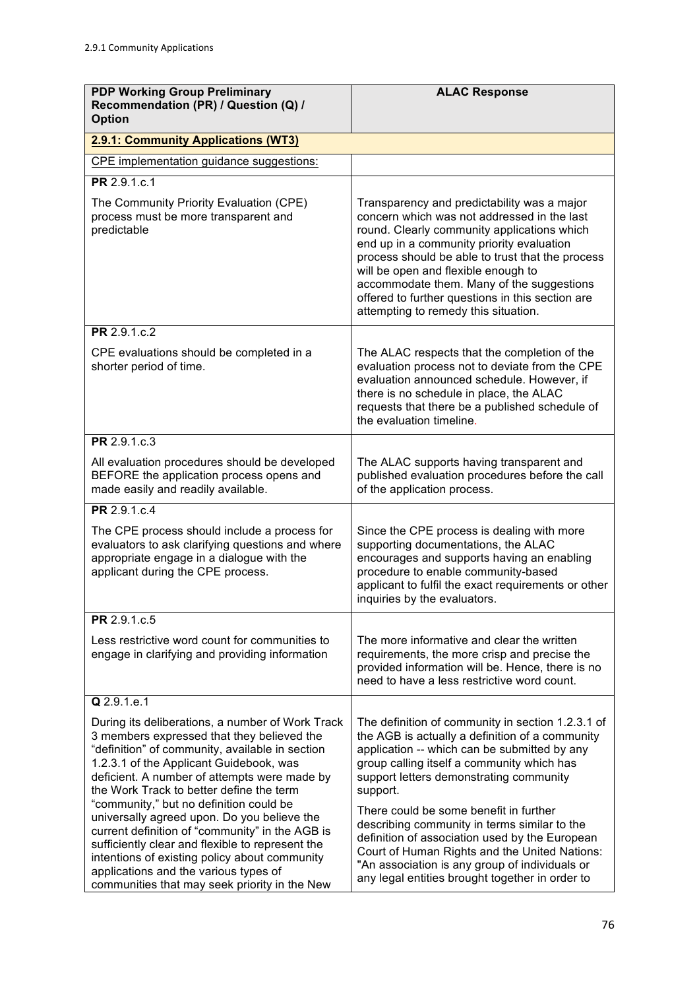| <b>PDP Working Group Preliminary</b><br>Recommendation (PR) / Question (Q) /<br><b>Option</b>                                                                                                                                                                                                                                                                                                                                                                                                                                                                                       | <b>ALAC Response</b>                                                                                                                                                                                                                                                                                                                                                                                                                                                                                     |
|-------------------------------------------------------------------------------------------------------------------------------------------------------------------------------------------------------------------------------------------------------------------------------------------------------------------------------------------------------------------------------------------------------------------------------------------------------------------------------------------------------------------------------------------------------------------------------------|----------------------------------------------------------------------------------------------------------------------------------------------------------------------------------------------------------------------------------------------------------------------------------------------------------------------------------------------------------------------------------------------------------------------------------------------------------------------------------------------------------|
| 2.9.1: Community Applications (WT3)                                                                                                                                                                                                                                                                                                                                                                                                                                                                                                                                                 |                                                                                                                                                                                                                                                                                                                                                                                                                                                                                                          |
| CPE implementation guidance suggestions:                                                                                                                                                                                                                                                                                                                                                                                                                                                                                                                                            |                                                                                                                                                                                                                                                                                                                                                                                                                                                                                                          |
| PR 2.9.1.c.1                                                                                                                                                                                                                                                                                                                                                                                                                                                                                                                                                                        |                                                                                                                                                                                                                                                                                                                                                                                                                                                                                                          |
| The Community Priority Evaluation (CPE)<br>process must be more transparent and<br>predictable                                                                                                                                                                                                                                                                                                                                                                                                                                                                                      | Transparency and predictability was a major<br>concern which was not addressed in the last<br>round. Clearly community applications which<br>end up in a community priority evaluation<br>process should be able to trust that the process<br>will be open and flexible enough to<br>accommodate them. Many of the suggestions<br>offered to further questions in this section are<br>attempting to remedy this situation.                                                                               |
| PR 2.9.1.c.2                                                                                                                                                                                                                                                                                                                                                                                                                                                                                                                                                                        |                                                                                                                                                                                                                                                                                                                                                                                                                                                                                                          |
| CPE evaluations should be completed in a<br>shorter period of time.                                                                                                                                                                                                                                                                                                                                                                                                                                                                                                                 | The ALAC respects that the completion of the<br>evaluation process not to deviate from the CPE<br>evaluation announced schedule. However, if<br>there is no schedule in place, the ALAC<br>requests that there be a published schedule of<br>the evaluation timeline.                                                                                                                                                                                                                                    |
| PR 2.9.1.c.3                                                                                                                                                                                                                                                                                                                                                                                                                                                                                                                                                                        |                                                                                                                                                                                                                                                                                                                                                                                                                                                                                                          |
| All evaluation procedures should be developed<br>BEFORE the application process opens and<br>made easily and readily available.                                                                                                                                                                                                                                                                                                                                                                                                                                                     | The ALAC supports having transparent and<br>published evaluation procedures before the call<br>of the application process.                                                                                                                                                                                                                                                                                                                                                                               |
| PR 2.9.1.c.4                                                                                                                                                                                                                                                                                                                                                                                                                                                                                                                                                                        |                                                                                                                                                                                                                                                                                                                                                                                                                                                                                                          |
| The CPE process should include a process for<br>evaluators to ask clarifying questions and where<br>appropriate engage in a dialogue with the<br>applicant during the CPE process.                                                                                                                                                                                                                                                                                                                                                                                                  | Since the CPE process is dealing with more<br>supporting documentations, the ALAC<br>encourages and supports having an enabling<br>procedure to enable community-based<br>applicant to fulfil the exact requirements or other<br>inquiries by the evaluators.                                                                                                                                                                                                                                            |
| PR 2.9.1.c.5                                                                                                                                                                                                                                                                                                                                                                                                                                                                                                                                                                        |                                                                                                                                                                                                                                                                                                                                                                                                                                                                                                          |
| Less restrictive word count for communities to<br>engage in clarifying and providing information                                                                                                                                                                                                                                                                                                                                                                                                                                                                                    | The more informative and clear the written<br>requirements, the more crisp and precise the<br>provided information will be. Hence, there is no<br>need to have a less restrictive word count.                                                                                                                                                                                                                                                                                                            |
| Q 2.9.1.e.1                                                                                                                                                                                                                                                                                                                                                                                                                                                                                                                                                                         |                                                                                                                                                                                                                                                                                                                                                                                                                                                                                                          |
| During its deliberations, a number of Work Track<br>3 members expressed that they believed the<br>"definition" of community, available in section<br>1.2.3.1 of the Applicant Guidebook, was<br>deficient. A number of attempts were made by<br>the Work Track to better define the term<br>"community," but no definition could be<br>universally agreed upon. Do you believe the<br>current definition of "community" in the AGB is<br>sufficiently clear and flexible to represent the<br>intentions of existing policy about community<br>applications and the various types of | The definition of community in section 1.2.3.1 of<br>the AGB is actually a definition of a community<br>application -- which can be submitted by any<br>group calling itself a community which has<br>support letters demonstrating community<br>support.<br>There could be some benefit in further<br>describing community in terms similar to the<br>definition of association used by the European<br>Court of Human Rights and the United Nations:<br>"An association is any group of individuals or |
| communities that may seek priority in the New                                                                                                                                                                                                                                                                                                                                                                                                                                                                                                                                       | any legal entities brought together in order to                                                                                                                                                                                                                                                                                                                                                                                                                                                          |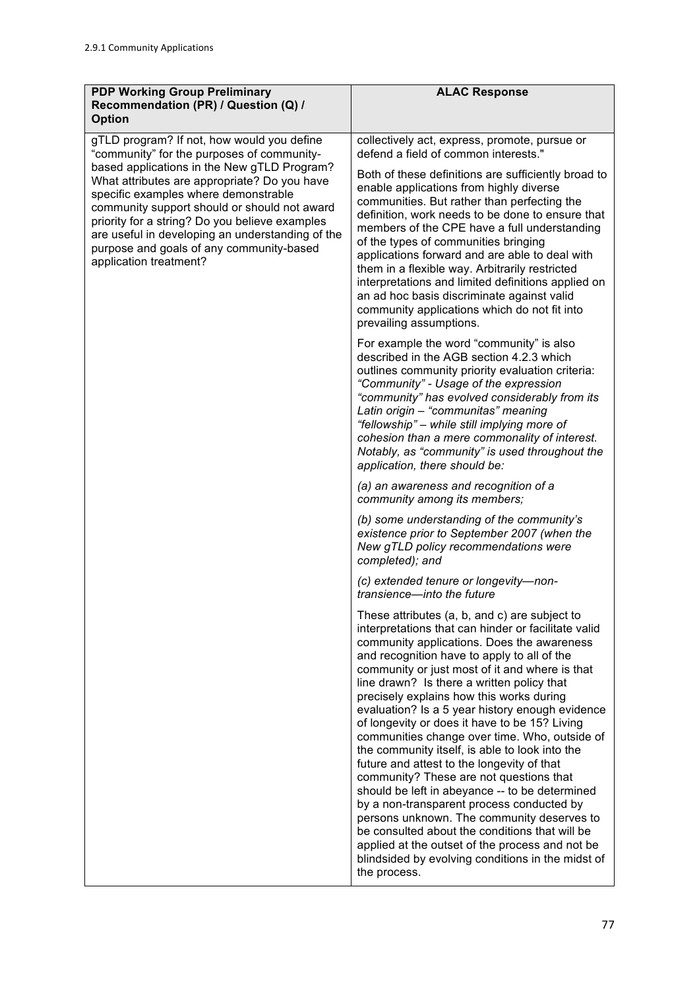| <b>PDP Working Group Preliminary</b><br>Recommendation (PR) / Question (Q) /<br><b>Option</b>                                                                                                                                                                                                                                                                   | <b>ALAC Response</b>                                                                                                                                                                                                                                                                                                                                                                                                                                                                                                                                                                                                                                                                                                                                                                                                                                                                                                                                                 |
|-----------------------------------------------------------------------------------------------------------------------------------------------------------------------------------------------------------------------------------------------------------------------------------------------------------------------------------------------------------------|----------------------------------------------------------------------------------------------------------------------------------------------------------------------------------------------------------------------------------------------------------------------------------------------------------------------------------------------------------------------------------------------------------------------------------------------------------------------------------------------------------------------------------------------------------------------------------------------------------------------------------------------------------------------------------------------------------------------------------------------------------------------------------------------------------------------------------------------------------------------------------------------------------------------------------------------------------------------|
| gTLD program? If not, how would you define<br>"community" for the purposes of community-                                                                                                                                                                                                                                                                        | collectively act, express, promote, pursue or<br>defend a field of common interests."                                                                                                                                                                                                                                                                                                                                                                                                                                                                                                                                                                                                                                                                                                                                                                                                                                                                                |
| based applications in the New gTLD Program?<br>What attributes are appropriate? Do you have<br>specific examples where demonstrable<br>community support should or should not award<br>priority for a string? Do you believe examples<br>are useful in developing an understanding of the<br>purpose and goals of any community-based<br>application treatment? | Both of these definitions are sufficiently broad to<br>enable applications from highly diverse<br>communities. But rather than perfecting the<br>definition, work needs to be done to ensure that<br>members of the CPE have a full understanding<br>of the types of communities bringing<br>applications forward and are able to deal with<br>them in a flexible way. Arbitrarily restricted<br>interpretations and limited definitions applied on<br>an ad hoc basis discriminate against valid<br>community applications which do not fit into<br>prevailing assumptions.                                                                                                                                                                                                                                                                                                                                                                                         |
|                                                                                                                                                                                                                                                                                                                                                                 | For example the word "community" is also<br>described in the AGB section 4.2.3 which<br>outlines community priority evaluation criteria:<br>"Community" - Usage of the expression<br>"community" has evolved considerably from its<br>Latin origin - "communitas" meaning<br>"fellowship" - while still implying more of<br>cohesion than a mere commonality of interest.<br>Notably, as "community" is used throughout the<br>application, there should be:                                                                                                                                                                                                                                                                                                                                                                                                                                                                                                         |
|                                                                                                                                                                                                                                                                                                                                                                 | (a) an awareness and recognition of a<br>community among its members;                                                                                                                                                                                                                                                                                                                                                                                                                                                                                                                                                                                                                                                                                                                                                                                                                                                                                                |
|                                                                                                                                                                                                                                                                                                                                                                 | (b) some understanding of the community's<br>existence prior to September 2007 (when the<br>New gTLD policy recommendations were<br>completed); and                                                                                                                                                                                                                                                                                                                                                                                                                                                                                                                                                                                                                                                                                                                                                                                                                  |
|                                                                                                                                                                                                                                                                                                                                                                 | (c) extended tenure or longevity-non-<br>transience-into the future                                                                                                                                                                                                                                                                                                                                                                                                                                                                                                                                                                                                                                                                                                                                                                                                                                                                                                  |
|                                                                                                                                                                                                                                                                                                                                                                 | These attributes (a, b, and c) are subject to<br>interpretations that can hinder or facilitate valid<br>community applications. Does the awareness<br>and recognition have to apply to all of the<br>community or just most of it and where is that<br>line drawn? Is there a written policy that<br>precisely explains how this works during<br>evaluation? Is a 5 year history enough evidence<br>of longevity or does it have to be 15? Living<br>communities change over time. Who, outside of<br>the community itself, is able to look into the<br>future and attest to the longevity of that<br>community? These are not questions that<br>should be left in abeyance -- to be determined<br>by a non-transparent process conducted by<br>persons unknown. The community deserves to<br>be consulted about the conditions that will be<br>applied at the outset of the process and not be<br>blindsided by evolving conditions in the midst of<br>the process. |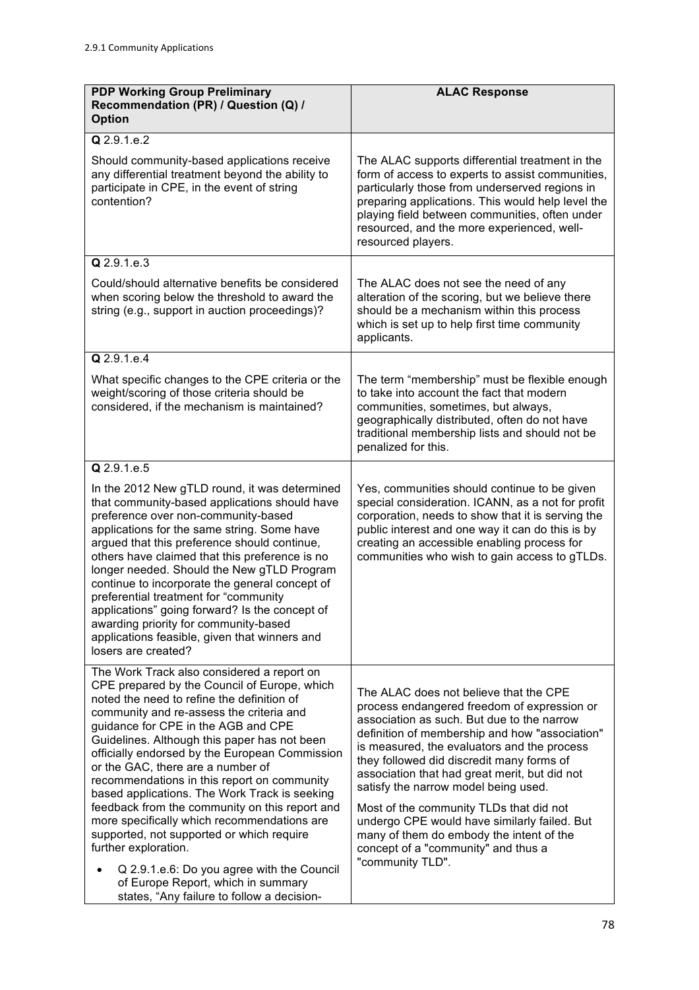| <b>PDP Working Group Preliminary</b><br>Recommendation (PR) / Question (Q) /<br><b>Option</b>                                                                                                                                                                                                                                                                                                                                                                                                                                                                                                                                                                                                                                                                              | <b>ALAC Response</b>                                                                                                                                                                                                                                                                                                                                                                                                                                                                                                                                                         |
|----------------------------------------------------------------------------------------------------------------------------------------------------------------------------------------------------------------------------------------------------------------------------------------------------------------------------------------------------------------------------------------------------------------------------------------------------------------------------------------------------------------------------------------------------------------------------------------------------------------------------------------------------------------------------------------------------------------------------------------------------------------------------|------------------------------------------------------------------------------------------------------------------------------------------------------------------------------------------------------------------------------------------------------------------------------------------------------------------------------------------------------------------------------------------------------------------------------------------------------------------------------------------------------------------------------------------------------------------------------|
| Q 2.9.1.e.2                                                                                                                                                                                                                                                                                                                                                                                                                                                                                                                                                                                                                                                                                                                                                                |                                                                                                                                                                                                                                                                                                                                                                                                                                                                                                                                                                              |
| Should community-based applications receive<br>any differential treatment beyond the ability to<br>participate in CPE, in the event of string<br>contention?                                                                                                                                                                                                                                                                                                                                                                                                                                                                                                                                                                                                               | The ALAC supports differential treatment in the<br>form of access to experts to assist communities,<br>particularly those from underserved regions in<br>preparing applications. This would help level the<br>playing field between communities, often under<br>resourced, and the more experienced, well-<br>resourced players.                                                                                                                                                                                                                                             |
| Q 2.9.1.e.3                                                                                                                                                                                                                                                                                                                                                                                                                                                                                                                                                                                                                                                                                                                                                                |                                                                                                                                                                                                                                                                                                                                                                                                                                                                                                                                                                              |
| Could/should alternative benefits be considered<br>when scoring below the threshold to award the<br>string (e.g., support in auction proceedings)?                                                                                                                                                                                                                                                                                                                                                                                                                                                                                                                                                                                                                         | The ALAC does not see the need of any<br>alteration of the scoring, but we believe there<br>should be a mechanism within this process<br>which is set up to help first time community<br>applicants.                                                                                                                                                                                                                                                                                                                                                                         |
| Q 2.9.1.e.4                                                                                                                                                                                                                                                                                                                                                                                                                                                                                                                                                                                                                                                                                                                                                                |                                                                                                                                                                                                                                                                                                                                                                                                                                                                                                                                                                              |
| What specific changes to the CPE criteria or the<br>weight/scoring of those criteria should be<br>considered, if the mechanism is maintained?                                                                                                                                                                                                                                                                                                                                                                                                                                                                                                                                                                                                                              | The term "membership" must be flexible enough<br>to take into account the fact that modern<br>communities, sometimes, but always,<br>geographically distributed, often do not have<br>traditional membership lists and should not be<br>penalized for this.                                                                                                                                                                                                                                                                                                                  |
| Q 2.9.1.e.5                                                                                                                                                                                                                                                                                                                                                                                                                                                                                                                                                                                                                                                                                                                                                                |                                                                                                                                                                                                                                                                                                                                                                                                                                                                                                                                                                              |
| In the 2012 New gTLD round, it was determined<br>that community-based applications should have<br>preference over non-community-based<br>applications for the same string. Some have<br>argued that this preference should continue,<br>others have claimed that this preference is no<br>longer needed. Should the New gTLD Program<br>continue to incorporate the general concept of<br>preferential treatment for "community<br>applications" going forward? Is the concept of<br>awarding priority for community-based<br>applications feasible, given that winners and<br>losers are created?                                                                                                                                                                         | Yes, communities should continue to be given<br>special consideration. ICANN, as a not for profit<br>corporation, needs to show that it is serving the<br>public interest and one way it can do this is by<br>creating an accessible enabling process for<br>communities who wish to gain access to gTLDs.                                                                                                                                                                                                                                                                   |
| The Work Track also considered a report on<br>CPE prepared by the Council of Europe, which<br>noted the need to refine the definition of<br>community and re-assess the criteria and<br>guidance for CPE in the AGB and CPE<br>Guidelines. Although this paper has not been<br>officially endorsed by the European Commission<br>or the GAC, there are a number of<br>recommendations in this report on community<br>based applications. The Work Track is seeking<br>feedback from the community on this report and<br>more specifically which recommendations are<br>supported, not supported or which require<br>further exploration.<br>Q 2.9.1.e.6: Do you agree with the Council<br>of Europe Report, which in summary<br>states, "Any failure to follow a decision- | The ALAC does not believe that the CPE<br>process endangered freedom of expression or<br>association as such. But due to the narrow<br>definition of membership and how "association"<br>is measured, the evaluators and the process<br>they followed did discredit many forms of<br>association that had great merit, but did not<br>satisfy the narrow model being used.<br>Most of the community TLDs that did not<br>undergo CPE would have similarly failed. But<br>many of them do embody the intent of the<br>concept of a "community" and thus a<br>"community TLD". |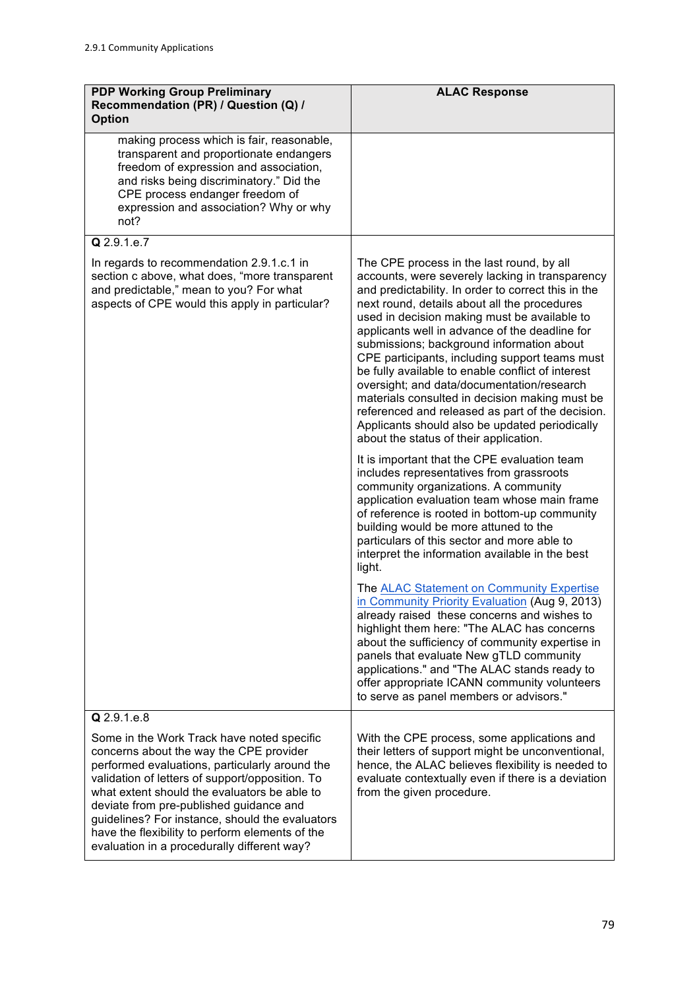| <b>PDP Working Group Preliminary</b><br>Recommendation (PR) / Question (Q) /<br><b>Option</b>                                                                                                                                                                                                                                                                                                                                              | <b>ALAC Response</b>                                                                                                                                                                                                                                                                                                                                                                                                                                                                                                                                                                                                                                                                                                                                                                                                                                                                                                                                                                                                                                                                                                                                                                                                                                                                             |
|--------------------------------------------------------------------------------------------------------------------------------------------------------------------------------------------------------------------------------------------------------------------------------------------------------------------------------------------------------------------------------------------------------------------------------------------|--------------------------------------------------------------------------------------------------------------------------------------------------------------------------------------------------------------------------------------------------------------------------------------------------------------------------------------------------------------------------------------------------------------------------------------------------------------------------------------------------------------------------------------------------------------------------------------------------------------------------------------------------------------------------------------------------------------------------------------------------------------------------------------------------------------------------------------------------------------------------------------------------------------------------------------------------------------------------------------------------------------------------------------------------------------------------------------------------------------------------------------------------------------------------------------------------------------------------------------------------------------------------------------------------|
| making process which is fair, reasonable,<br>transparent and proportionate endangers<br>freedom of expression and association,<br>and risks being discriminatory." Did the<br>CPE process endanger freedom of<br>expression and association? Why or why<br>not?                                                                                                                                                                            |                                                                                                                                                                                                                                                                                                                                                                                                                                                                                                                                                                                                                                                                                                                                                                                                                                                                                                                                                                                                                                                                                                                                                                                                                                                                                                  |
| Q 2.9.1.e.7                                                                                                                                                                                                                                                                                                                                                                                                                                |                                                                                                                                                                                                                                                                                                                                                                                                                                                                                                                                                                                                                                                                                                                                                                                                                                                                                                                                                                                                                                                                                                                                                                                                                                                                                                  |
| In regards to recommendation 2.9.1.c.1 in<br>section c above, what does, "more transparent<br>and predictable," mean to you? For what<br>aspects of CPE would this apply in particular?                                                                                                                                                                                                                                                    | The CPE process in the last round, by all<br>accounts, were severely lacking in transparency<br>and predictability. In order to correct this in the<br>next round, details about all the procedures<br>used in decision making must be available to<br>applicants well in advance of the deadline for<br>submissions; background information about<br>CPE participants, including support teams must<br>be fully available to enable conflict of interest<br>oversight; and data/documentation/research<br>materials consulted in decision making must be<br>referenced and released as part of the decision.<br>Applicants should also be updated periodically<br>about the status of their application.<br>It is important that the CPE evaluation team<br>includes representatives from grassroots<br>community organizations. A community<br>application evaluation team whose main frame<br>of reference is rooted in bottom-up community<br>building would be more attuned to the<br>particulars of this sector and more able to<br>interpret the information available in the best<br>light.<br>The ALAC Statement on Community Expertise<br>in Community Priority Evaluation (Aug 9, 2013)<br>already raised these concerns and wishes to<br>highlight them here: "The ALAC has concerns |
|                                                                                                                                                                                                                                                                                                                                                                                                                                            | about the sufficiency of community expertise in<br>panels that evaluate New gTLD community<br>applications." and "The ALAC stands ready to<br>offer appropriate ICANN community volunteers<br>to serve as panel members or advisors."                                                                                                                                                                                                                                                                                                                                                                                                                                                                                                                                                                                                                                                                                                                                                                                                                                                                                                                                                                                                                                                            |
| Q 2.9.1.e.8                                                                                                                                                                                                                                                                                                                                                                                                                                |                                                                                                                                                                                                                                                                                                                                                                                                                                                                                                                                                                                                                                                                                                                                                                                                                                                                                                                                                                                                                                                                                                                                                                                                                                                                                                  |
| Some in the Work Track have noted specific<br>concerns about the way the CPE provider<br>performed evaluations, particularly around the<br>validation of letters of support/opposition. To<br>what extent should the evaluators be able to<br>deviate from pre-published guidance and<br>guidelines? For instance, should the evaluators<br>have the flexibility to perform elements of the<br>evaluation in a procedurally different way? | With the CPE process, some applications and<br>their letters of support might be unconventional,<br>hence, the ALAC believes flexibility is needed to<br>evaluate contextually even if there is a deviation<br>from the given procedure.                                                                                                                                                                                                                                                                                                                                                                                                                                                                                                                                                                                                                                                                                                                                                                                                                                                                                                                                                                                                                                                         |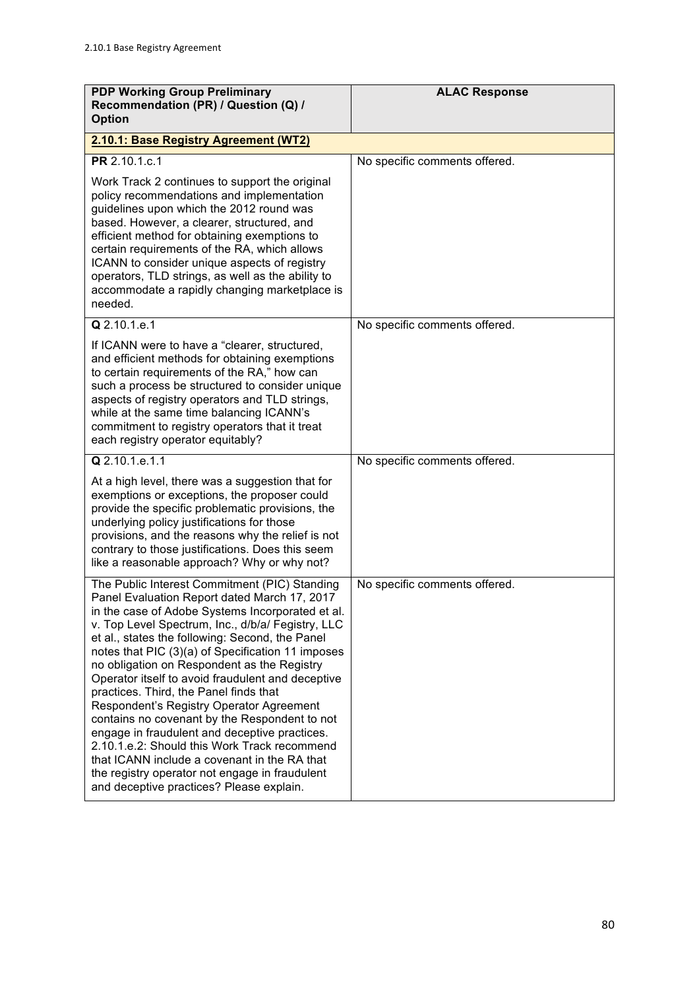| <b>PDP Working Group Preliminary</b><br>Recommendation (PR) / Question (Q) /<br><b>Option</b>                                                                                                                                                                                                                                                                                                                                                                                                                                                                                                                                                                                                                                                                                                            | <b>ALAC Response</b>          |
|----------------------------------------------------------------------------------------------------------------------------------------------------------------------------------------------------------------------------------------------------------------------------------------------------------------------------------------------------------------------------------------------------------------------------------------------------------------------------------------------------------------------------------------------------------------------------------------------------------------------------------------------------------------------------------------------------------------------------------------------------------------------------------------------------------|-------------------------------|
| 2.10.1: Base Registry Agreement (WT2)                                                                                                                                                                                                                                                                                                                                                                                                                                                                                                                                                                                                                                                                                                                                                                    |                               |
| PR 2.10.1.c.1                                                                                                                                                                                                                                                                                                                                                                                                                                                                                                                                                                                                                                                                                                                                                                                            | No specific comments offered. |
| Work Track 2 continues to support the original<br>policy recommendations and implementation<br>guidelines upon which the 2012 round was<br>based. However, a clearer, structured, and<br>efficient method for obtaining exemptions to<br>certain requirements of the RA, which allows<br>ICANN to consider unique aspects of registry<br>operators, TLD strings, as well as the ability to<br>accommodate a rapidly changing marketplace is<br>needed.                                                                                                                                                                                                                                                                                                                                                   |                               |
| Q 2.10.1.e.1                                                                                                                                                                                                                                                                                                                                                                                                                                                                                                                                                                                                                                                                                                                                                                                             | No specific comments offered. |
| If ICANN were to have a "clearer, structured,<br>and efficient methods for obtaining exemptions<br>to certain requirements of the RA," how can<br>such a process be structured to consider unique<br>aspects of registry operators and TLD strings,<br>while at the same time balancing ICANN's<br>commitment to registry operators that it treat<br>each registry operator equitably?                                                                                                                                                                                                                                                                                                                                                                                                                   |                               |
| Q 2.10.1.e.1.1                                                                                                                                                                                                                                                                                                                                                                                                                                                                                                                                                                                                                                                                                                                                                                                           | No specific comments offered. |
| At a high level, there was a suggestion that for<br>exemptions or exceptions, the proposer could<br>provide the specific problematic provisions, the<br>underlying policy justifications for those<br>provisions, and the reasons why the relief is not<br>contrary to those justifications. Does this seem<br>like a reasonable approach? Why or why not?                                                                                                                                                                                                                                                                                                                                                                                                                                               |                               |
| The Public Interest Commitment (PIC) Standing<br>Panel Evaluation Report dated March 17, 2017<br>in the case of Adobe Systems Incorporated et al.<br>v. Top Level Spectrum, Inc., d/b/a/ Fegistry, LLC<br>et al., states the following: Second, the Panel<br>notes that PIC (3)(a) of Specification 11 imposes<br>no obligation on Respondent as the Registry<br>Operator itself to avoid fraudulent and deceptive<br>practices. Third, the Panel finds that<br>Respondent's Registry Operator Agreement<br>contains no covenant by the Respondent to not<br>engage in fraudulent and deceptive practices.<br>2.10.1.e.2: Should this Work Track recommend<br>that ICANN include a covenant in the RA that<br>the registry operator not engage in fraudulent<br>and deceptive practices? Please explain. | No specific comments offered. |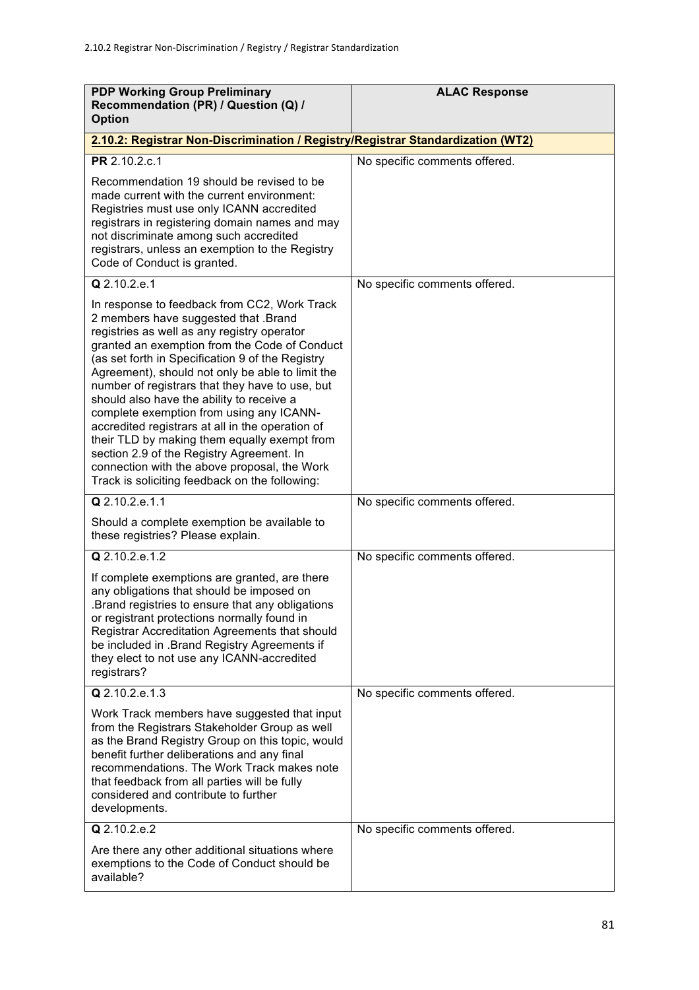| <b>PDP Working Group Preliminary</b><br>Recommendation (PR) / Question (Q) /<br><b>Option</b>                                                                                                                                                                                                                                                                                                                                                                                                                                                                                                                                                                                               | <b>ALAC Response</b>          |
|---------------------------------------------------------------------------------------------------------------------------------------------------------------------------------------------------------------------------------------------------------------------------------------------------------------------------------------------------------------------------------------------------------------------------------------------------------------------------------------------------------------------------------------------------------------------------------------------------------------------------------------------------------------------------------------------|-------------------------------|
| 2.10.2: Registrar Non-Discrimination / Registry/Registrar Standardization (WT2)                                                                                                                                                                                                                                                                                                                                                                                                                                                                                                                                                                                                             |                               |
| PR 2.10.2.c.1                                                                                                                                                                                                                                                                                                                                                                                                                                                                                                                                                                                                                                                                               | No specific comments offered. |
| Recommendation 19 should be revised to be<br>made current with the current environment:<br>Registries must use only ICANN accredited<br>registrars in registering domain names and may<br>not discriminate among such accredited<br>registrars, unless an exemption to the Registry<br>Code of Conduct is granted.                                                                                                                                                                                                                                                                                                                                                                          |                               |
| Q 2.10.2.e.1                                                                                                                                                                                                                                                                                                                                                                                                                                                                                                                                                                                                                                                                                | No specific comments offered. |
| In response to feedback from CC2, Work Track<br>2 members have suggested that .Brand<br>registries as well as any registry operator<br>granted an exemption from the Code of Conduct<br>(as set forth in Specification 9 of the Registry<br>Agreement), should not only be able to limit the<br>number of registrars that they have to use, but<br>should also have the ability to receive a<br>complete exemption from using any ICANN-<br>accredited registrars at all in the operation of<br>their TLD by making them equally exempt from<br>section 2.9 of the Registry Agreement. In<br>connection with the above proposal, the Work<br>Track is soliciting feedback on the following: |                               |
| Q 2.10.2.e.1.1                                                                                                                                                                                                                                                                                                                                                                                                                                                                                                                                                                                                                                                                              | No specific comments offered. |
| Should a complete exemption be available to<br>these registries? Please explain.                                                                                                                                                                                                                                                                                                                                                                                                                                                                                                                                                                                                            |                               |
| Q 2.10.2.e.1.2                                                                                                                                                                                                                                                                                                                                                                                                                                                                                                                                                                                                                                                                              | No specific comments offered. |
| If complete exemptions are granted, are there<br>any obligations that should be imposed on<br>Brand registries to ensure that any obligations.<br>or registrant protections normally found in<br>Registrar Accreditation Agreements that should<br>be included in .Brand Registry Agreements if<br>they elect to not use any ICANN-accredited<br>registrars?                                                                                                                                                                                                                                                                                                                                |                               |
| $Q$ 2.10.2.e.1.3                                                                                                                                                                                                                                                                                                                                                                                                                                                                                                                                                                                                                                                                            | No specific comments offered. |
| Work Track members have suggested that input<br>from the Registrars Stakeholder Group as well<br>as the Brand Registry Group on this topic, would<br>benefit further deliberations and any final<br>recommendations. The Work Track makes note<br>that feedback from all parties will be fully<br>considered and contribute to further<br>developments.                                                                                                                                                                                                                                                                                                                                     |                               |
| $Q$ 2.10.2.e.2                                                                                                                                                                                                                                                                                                                                                                                                                                                                                                                                                                                                                                                                              | No specific comments offered. |
| Are there any other additional situations where<br>exemptions to the Code of Conduct should be<br>available?                                                                                                                                                                                                                                                                                                                                                                                                                                                                                                                                                                                |                               |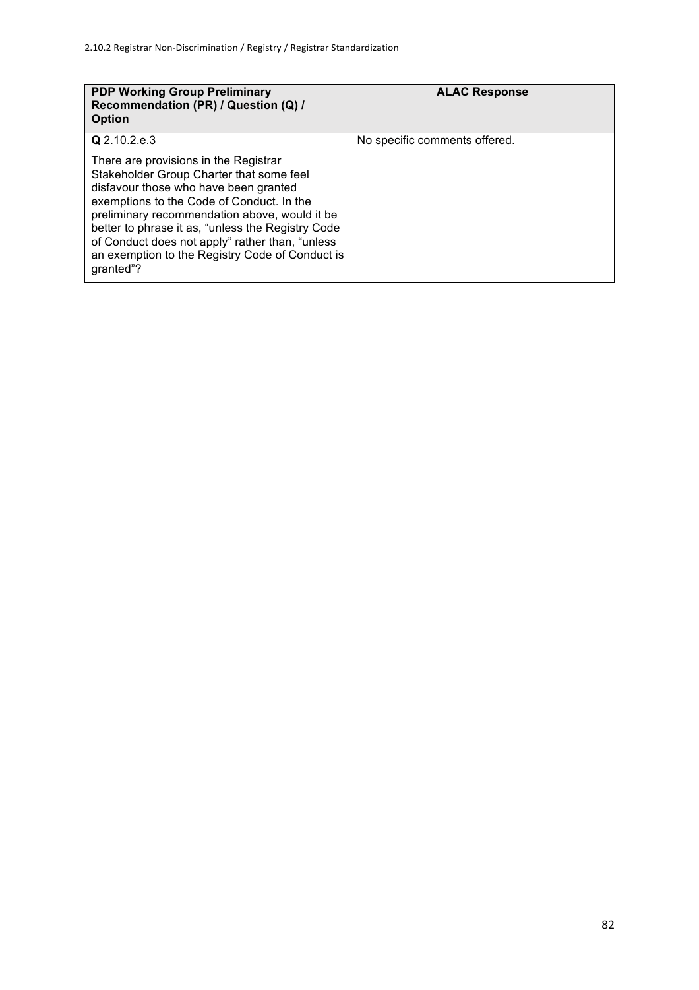| <b>PDP Working Group Preliminary</b><br>Recommendation (PR) / Question (Q) /<br><b>Option</b>                                                                                                                                                                                                                                                                                                    | <b>ALAC Response</b>          |
|--------------------------------------------------------------------------------------------------------------------------------------------------------------------------------------------------------------------------------------------------------------------------------------------------------------------------------------------------------------------------------------------------|-------------------------------|
| Q 2.10.2.e.3                                                                                                                                                                                                                                                                                                                                                                                     | No specific comments offered. |
| There are provisions in the Registrar<br>Stakeholder Group Charter that some feel<br>disfavour those who have been granted<br>exemptions to the Code of Conduct. In the<br>preliminary recommendation above, would it be<br>better to phrase it as, "unless the Registry Code<br>of Conduct does not apply" rather than, "unless<br>an exemption to the Registry Code of Conduct is<br>qranted"? |                               |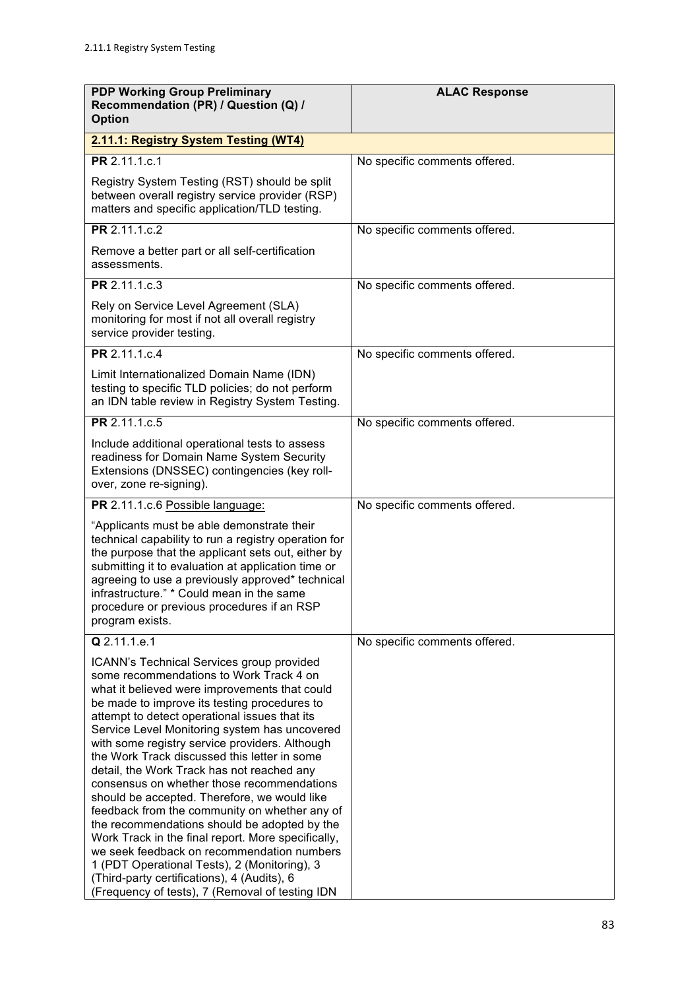| <b>PDP Working Group Preliminary</b><br>Recommendation (PR) / Question (Q) /<br><b>Option</b>                                                                                                                                                                                                                                                                                                                                                                                                                                                                                                                                                                                                                                                                                                                                                                                                | <b>ALAC Response</b>          |
|----------------------------------------------------------------------------------------------------------------------------------------------------------------------------------------------------------------------------------------------------------------------------------------------------------------------------------------------------------------------------------------------------------------------------------------------------------------------------------------------------------------------------------------------------------------------------------------------------------------------------------------------------------------------------------------------------------------------------------------------------------------------------------------------------------------------------------------------------------------------------------------------|-------------------------------|
| 2.11.1: Registry System Testing (WT4)                                                                                                                                                                                                                                                                                                                                                                                                                                                                                                                                                                                                                                                                                                                                                                                                                                                        |                               |
| PR 2.11.1.c.1                                                                                                                                                                                                                                                                                                                                                                                                                                                                                                                                                                                                                                                                                                                                                                                                                                                                                | No specific comments offered. |
| Registry System Testing (RST) should be split<br>between overall registry service provider (RSP)<br>matters and specific application/TLD testing.                                                                                                                                                                                                                                                                                                                                                                                                                                                                                                                                                                                                                                                                                                                                            |                               |
| PR 2.11.1.c.2                                                                                                                                                                                                                                                                                                                                                                                                                                                                                                                                                                                                                                                                                                                                                                                                                                                                                | No specific comments offered. |
| Remove a better part or all self-certification<br>assessments.                                                                                                                                                                                                                                                                                                                                                                                                                                                                                                                                                                                                                                                                                                                                                                                                                               |                               |
| PR 2.11.1.c.3                                                                                                                                                                                                                                                                                                                                                                                                                                                                                                                                                                                                                                                                                                                                                                                                                                                                                | No specific comments offered. |
| Rely on Service Level Agreement (SLA)<br>monitoring for most if not all overall registry<br>service provider testing.                                                                                                                                                                                                                                                                                                                                                                                                                                                                                                                                                                                                                                                                                                                                                                        |                               |
| PR 2.11.1.c.4                                                                                                                                                                                                                                                                                                                                                                                                                                                                                                                                                                                                                                                                                                                                                                                                                                                                                | No specific comments offered. |
| Limit Internationalized Domain Name (IDN)<br>testing to specific TLD policies; do not perform<br>an IDN table review in Registry System Testing.                                                                                                                                                                                                                                                                                                                                                                                                                                                                                                                                                                                                                                                                                                                                             |                               |
| PR 2.11.1.c.5                                                                                                                                                                                                                                                                                                                                                                                                                                                                                                                                                                                                                                                                                                                                                                                                                                                                                | No specific comments offered. |
| Include additional operational tests to assess<br>readiness for Domain Name System Security<br>Extensions (DNSSEC) contingencies (key roll-<br>over, zone re-signing).                                                                                                                                                                                                                                                                                                                                                                                                                                                                                                                                                                                                                                                                                                                       |                               |
| PR 2.11.1.c.6 Possible language:                                                                                                                                                                                                                                                                                                                                                                                                                                                                                                                                                                                                                                                                                                                                                                                                                                                             | No specific comments offered. |
| "Applicants must be able demonstrate their<br>technical capability to run a registry operation for<br>the purpose that the applicant sets out, either by<br>submitting it to evaluation at application time or<br>agreeing to use a previously approved* technical<br>infrastructure." * Could mean in the same<br>procedure or previous procedures if an RSP<br>program exists.                                                                                                                                                                                                                                                                                                                                                                                                                                                                                                             |                               |
| Q 2.11.1.e.1                                                                                                                                                                                                                                                                                                                                                                                                                                                                                                                                                                                                                                                                                                                                                                                                                                                                                 | No specific comments offered. |
| ICANN's Technical Services group provided<br>some recommendations to Work Track 4 on<br>what it believed were improvements that could<br>be made to improve its testing procedures to<br>attempt to detect operational issues that its<br>Service Level Monitoring system has uncovered<br>with some registry service providers. Although<br>the Work Track discussed this letter in some<br>detail, the Work Track has not reached any<br>consensus on whether those recommendations<br>should be accepted. Therefore, we would like<br>feedback from the community on whether any of<br>the recommendations should be adopted by the<br>Work Track in the final report. More specifically,<br>we seek feedback on recommendation numbers<br>1 (PDT Operational Tests), 2 (Monitoring), 3<br>(Third-party certifications), 4 (Audits), 6<br>(Frequency of tests), 7 (Removal of testing IDN |                               |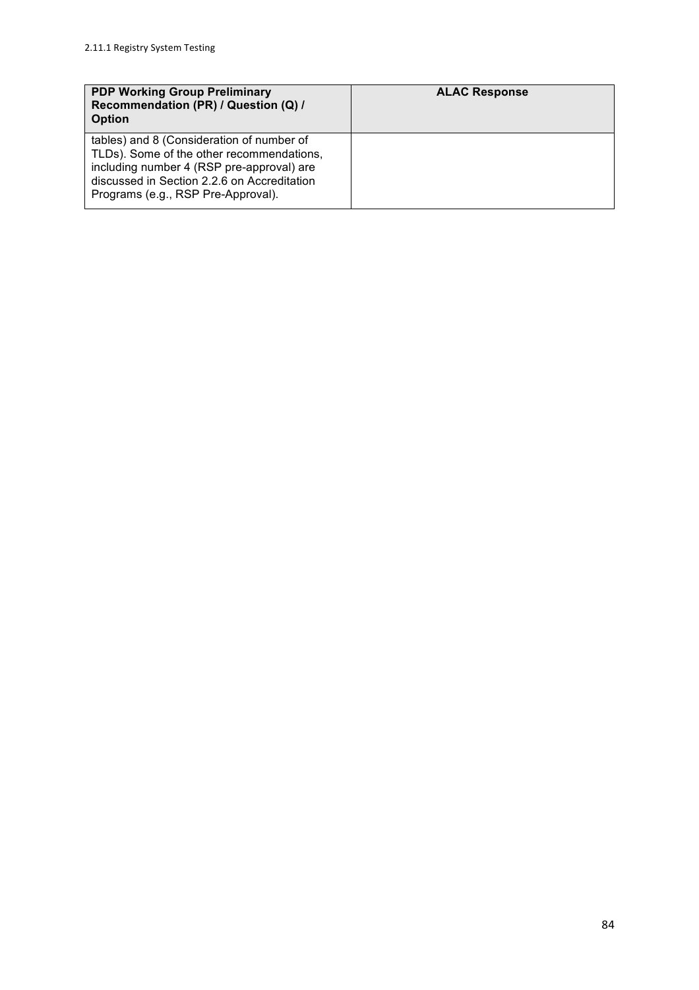| <b>PDP Working Group Preliminary</b><br>Recommendation (PR) / Question (Q) /<br><b>Option</b>                                                                                                                            | <b>ALAC Response</b> |
|--------------------------------------------------------------------------------------------------------------------------------------------------------------------------------------------------------------------------|----------------------|
| tables) and 8 (Consideration of number of<br>TLDs). Some of the other recommendations,<br>including number 4 (RSP pre-approval) are<br>discussed in Section 2.2.6 on Accreditation<br>Programs (e.g., RSP Pre-Approval). |                      |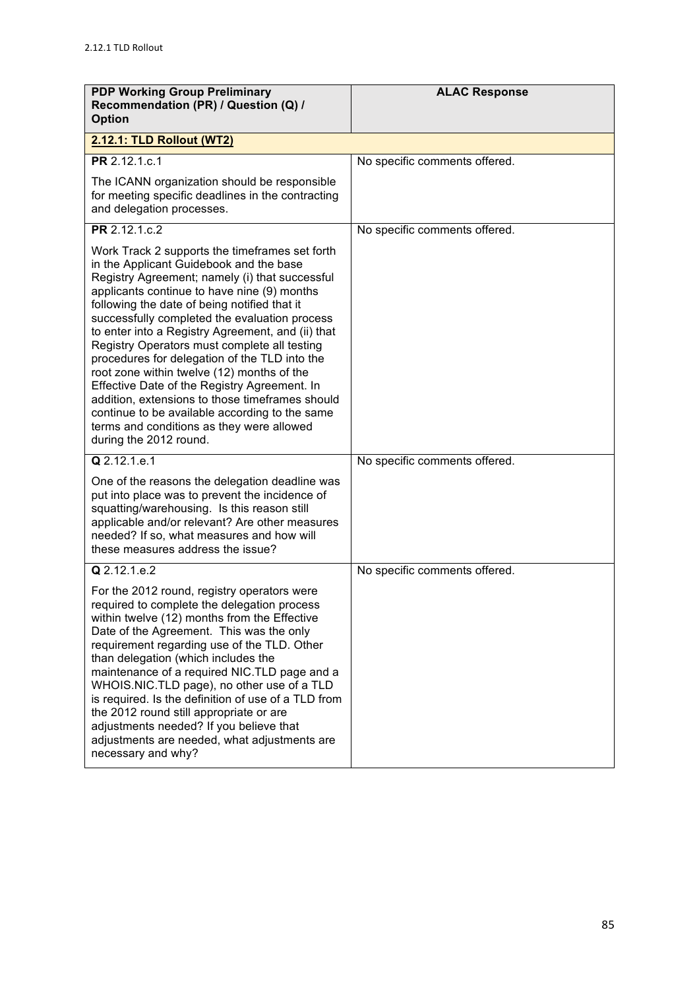| <b>PDP Working Group Preliminary</b><br>Recommendation (PR) / Question (Q) /<br><b>Option</b>                                                                                                                                                                                                                                                                                                                                                                                                                                                                                                                                                                                                                               | <b>ALAC Response</b>          |
|-----------------------------------------------------------------------------------------------------------------------------------------------------------------------------------------------------------------------------------------------------------------------------------------------------------------------------------------------------------------------------------------------------------------------------------------------------------------------------------------------------------------------------------------------------------------------------------------------------------------------------------------------------------------------------------------------------------------------------|-------------------------------|
| 2.12.1: TLD Rollout (WT2)                                                                                                                                                                                                                                                                                                                                                                                                                                                                                                                                                                                                                                                                                                   |                               |
| PR 2.12.1.c.1                                                                                                                                                                                                                                                                                                                                                                                                                                                                                                                                                                                                                                                                                                               | No specific comments offered. |
| The ICANN organization should be responsible<br>for meeting specific deadlines in the contracting<br>and delegation processes.                                                                                                                                                                                                                                                                                                                                                                                                                                                                                                                                                                                              |                               |
| PR 2.12.1.c.2                                                                                                                                                                                                                                                                                                                                                                                                                                                                                                                                                                                                                                                                                                               | No specific comments offered. |
| Work Track 2 supports the timeframes set forth<br>in the Applicant Guidebook and the base<br>Registry Agreement; namely (i) that successful<br>applicants continue to have nine (9) months<br>following the date of being notified that it<br>successfully completed the evaluation process<br>to enter into a Registry Agreement, and (ii) that<br>Registry Operators must complete all testing<br>procedures for delegation of the TLD into the<br>root zone within twelve (12) months of the<br>Effective Date of the Registry Agreement. In<br>addition, extensions to those timeframes should<br>continue to be available according to the same<br>terms and conditions as they were allowed<br>during the 2012 round. |                               |
| Q 2.12.1.e.1                                                                                                                                                                                                                                                                                                                                                                                                                                                                                                                                                                                                                                                                                                                | No specific comments offered. |
| One of the reasons the delegation deadline was<br>put into place was to prevent the incidence of<br>squatting/warehousing. Is this reason still<br>applicable and/or relevant? Are other measures<br>needed? If so, what measures and how will<br>these measures address the issue?                                                                                                                                                                                                                                                                                                                                                                                                                                         |                               |
| Q 2.12.1.e.2                                                                                                                                                                                                                                                                                                                                                                                                                                                                                                                                                                                                                                                                                                                | No specific comments offered. |
| For the 2012 round, registry operators were<br>required to complete the delegation process<br>within twelve (12) months from the Effective<br>Date of the Agreement. This was the only<br>requirement regarding use of the TLD. Other<br>than delegation (which includes the<br>maintenance of a required NIC.TLD page and a<br>WHOIS.NIC.TLD page), no other use of a TLD<br>is required. Is the definition of use of a TLD from<br>the 2012 round still appropriate or are<br>adjustments needed? If you believe that<br>adjustments are needed, what adjustments are<br>necessary and why?                                                                                                                               |                               |